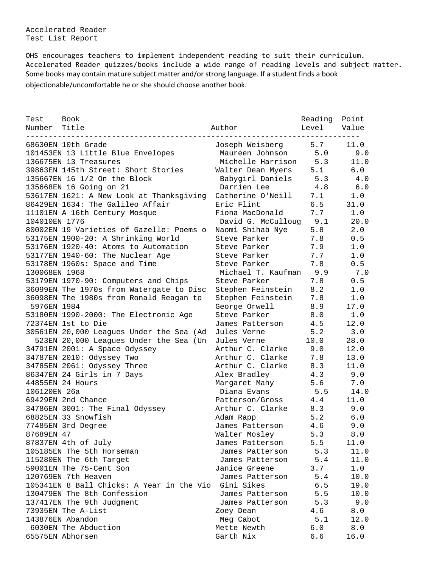Accelerated Reader Test List Report

OHS encourages teachers to implement independent reading to suit their curriculum. Accelerated Reader quizzes/books include a wide range of reading levels and subject matter. Some books may contain mature subject matter and/or strong language. If a student finds a book objectionable/uncomfortable he or she should choose another book.

| Test<br>Number | <b>Book</b><br>Title                      | Author             | Reading<br>Level | Point<br>Value |
|----------------|-------------------------------------------|--------------------|------------------|----------------|
|                | 68630EN 10th Grade                        | Joseph Weisberg    | 5.7              | 11.0           |
|                | 101453EN 13 Little Blue Envelopes         | Maureen Johnson    | 5.0              | 9.0            |
|                | 136675EN 13 Treasures                     | Michelle Harrison  | 5.3              | 11.0           |
|                | 39863EN 145th Street: Short Stories       | Walter Dean Myers  | 5.1              | 6.0            |
|                | 135667EN 16 1/2 On the Block              | Babygirl Daniels   | 5.3              | 4.0            |
|                | 135668EN 16 Going on 21                   | Darrien Lee        | 4.8              | 6.0            |
|                | 53617EN 1621: A New Look at Thanksgiving  | Catherine O'Neill  | 7.1              | 1.0            |
|                | 86429EN 1634: The Galileo Affair          | Eric Flint         | 6.5              | 31.0           |
|                | 11101EN A 16th Century Mosque             | Fiona MacDonald    | 7.7              | 1.0            |
| 104010EN 1776  |                                           | David G. McCulloug | 9.1              | 20.0           |
|                | 80002EN 19 Varieties of Gazelle: Poems o  | Naomi Shihab Nye   | 5.8              | 2.0            |
|                | 53175EN 1900-20: A Shrinking World        | Steve Parker       | 7.8              | 0.5            |
|                | 53176EN 1920-40: Atoms to Automation      | Steve Parker       | 7.9              | 1.0            |
|                | 53177EN 1940-60: The Nuclear Age          | Steve Parker       | 7.7              | 1.0            |
|                | 53178EN 1960s: Space and Time             | Steve Parker       | 7.8              | 0.5            |
| 130068EN 1968  |                                           | Michael T. Kaufman | 9.9              | 7.0            |
|                | 53179EN 1970-90: Computers and Chips      | Steve Parker       | 7.8              | 0.5            |
|                | 36099EN The 1970s from Watergate to Disc  | Stephen Feinstein  | 8.2              | 1.0            |
|                | 36098EN The 1980s from Ronald Reagan to   | Stephen Feinstein  | 7.8              | 1.0            |
| 5976EN 1984    |                                           | George Orwell      | 8.9              | 17.0           |
|                | 53180EN 1990-2000: The Electronic Age     | Steve Parker       | 8.0              | 1.0            |
|                | 72374EN 1st to Die                        | James Patterson    | 4.5              | 12.0           |
|                | 30561EN 20,000 Leagues Under the Sea (Ad  | Jules Verne        | 5.2              | 3.0            |
|                | 523EN 20,000 Leagues Under the Sea (Un    | Jules Verne        | 10.0             | 28.0           |
|                | 34791EN 2001: A Space Odyssey             | Arthur C. Clarke   | 9.0              | 12.0           |
|                | 34787EN 2010: Odyssey Two                 | Arthur C. Clarke   | 7.8              | 13.0           |
|                | 34785EN 2061: Odyssey Three               | Arthur C. Clarke   | 8.3              | 11.0           |
|                | 86347EN 24 Girls in 7 Days                | Alex Bradley       | 4.3              | 9.0            |
|                | 44855EN 24 Hours                          | Margaret Mahy      | 5.6              | 7.0            |
| 106120EN 26a   |                                           | Diana Evans        | 5.5              | 14.0           |
|                | 69429EN 2nd Chance                        | Patterson/Gross    | 4.4              | 11.0           |
|                | 34786EN 3001: The Final Odyssey           | Arthur C. Clarke   | 8.3              | 9.0            |
|                | 68825EN 33 Snowfish                       | Adam Rapp          | 5.2              | $6.0$          |
|                | 77485EN 3rd Degree                        | James Patterson    | 4.6              | 9.0            |
| 87689EN 47     |                                           | Walter Mosley      | 5.3              | 8.0            |
|                | 87837EN 4th of July                       | James Patterson    | 5.5              | 11.0           |
|                | 105185EN The 5th Horseman                 | James Patterson    | 5.3              | 11.0           |
|                | 115280EN The 6th Target                   | James Patterson    | 5.4              | 11.0           |
|                | 59001EN The 75-Cent Son                   | Janice Greene      | 3.7              | 1.0            |
|                | 120769EN 7th Heaven                       | James Patterson    | 5.4              | 10.0           |
|                | 105341EN 8 Ball Chicks: A Year in the Vio | Gini Sikes         | 6.5              | 19.0           |
|                | 130479EN The 8th Confession               | James Patterson    | 5.5              | 10.0           |
|                | 137417EN The 9th Judqment                 | James Patterson    | 5.3              | 9.0            |
|                | 73935EN The A-List                        | Zoey Dean          | 4.6              | 8.0            |
|                | 143876EN Abandon                          | Meg Cabot          | 5.1              | 12.0           |
|                | 6030EN The Abduction                      | Mette Newth        | 6.0              | 8.0            |
|                | 65575EN Abhorsen                          | Garth Nix          | 6.6              | 16.0           |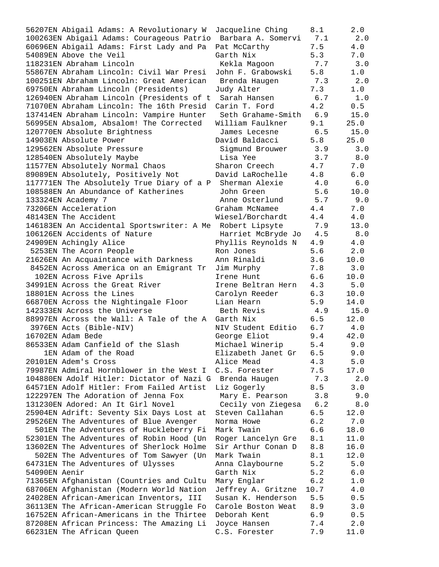56207EN Abigail Adams: A Revolutionary W Jacqueline Ching 8.1 2.0 100263EN Abigail Adams: Courageous Patrio Barbara A. Somervi 7.1 2.0 60696EN Abigail Adams: First Lady and Pa Pat McCarthy 7.5 4.0 54089EN Above the Veil Garth Nix 5.3 7.0 118231EN Abraham Lincoln Kekla Magoon 7.7 3.0 55867EN Abraham Lincoln: Civil War Presi John F. Grabowski 5.8 1.0 100251EN Abraham Lincoln: Great American Brenda Haugen 7.3 2.0 69750EN Abraham Lincoln (Presidents) Judy Alter 7.3 1.0 126940EN Abraham Lincoln (Presidents of t Sarah Hansen 6.7 1.0 71070EN Abraham Lincoln: The 16th Presid Carin T. Ford 4.2 0.5 137414EN Abraham Lincoln: Vampire Hunter Seth Grahame-Smith 6.9 15.0 56995EN Absalom, Absalom! The Corrected William Faulkner 9.1 25.0 120770EN Absolute Brightness James Lecesne 6.5 15.0 14903EN Absolute Power David Baldacci 5.8 25.0 129562EN Absolute Pressure Sigmund Brouwer 3.9 3.0 128540EN Absolutely Maybe Lisa Yee 3.7 8.0 11577EN Absolutely Normal Chaos Sharon Creech 4.7 7.0 89089EN Absolutely, Positively Not David LaRochelle 4.8 6.0 117771EN The Absolutely True Diary of a P Sherman Alexie 4.0 6.0 108588EN An Abundance of Katherines John Green 5.6 10.0 133324EN Academy 7 Anne Osterlund 5.7 9.0 73206EN Acceleration Graham McNamee 4.4 7.0 48143EN The Accident Wiesel/Borchardt 4.4 4.0 146183EN An Accidental Sportswriter: A Me Robert Lipsyte 7.9 13.0 106126EN Accidents of Nature Harriet McBryde Jo 4.5 8.0 24909EN Achingly Alice Phyllis Reynolds N 4.9 4.0 5253EN The Acorn People Ron Jones 5.6 2.0 21626EN An Acquaintance with Darkness Ann Rinaldi 3.6 10.0 8452EN Across America on an Emigrant Tr Jim Murphy 7.8 3.0 102EN Across Five Aprils Irene Hunt 6.6 10.0 34991EN Across the Great River Irene Beltran Hern 4.3 5.0 18801EN Across the Lines Carolyn Reeder 6.3 10.0 66870EN Across the Nightingale Floor Lian Hearn 5.9 14.0 142333EN Across the Universe Beth Revis 4.9 15.0 88997EN Across the Wall: A Tale of the A Garth Nix 6.5 12.0 3976EN Acts (Bible-NIV) NIV Student Editio 6.7 4.0 16702EN Adam Bede George Eliot 9.4 42.0 86533EN Adam Canfield of the Slash Michael Winerip 5.4 9.0 1EN Adam of the Road Elizabeth Janet Gr 6.5 9.0 20101EN Adem's Cross Alice Mead 4.3 5.0 79987EN Admiral Hornblower in the West I C.S. Forester 7.5 17.0 104880EN Adolf Hitler: Dictator of Nazi G Brenda Haugen 7.3 2.0 64571EN Adolf Hitler: From Failed Artist Liz Gogerly 8.5 3.0 122297EN The Adoration of Jenna Fox Mary E. Pearson 3.8 9.0 131230EN Adored: An It Girl Novel Cecily von Ziegesa 6.2 8.0 25904EN Adrift: Seventy Six Days Lost at Steven Callahan 6.5 12.0 29526EN The Adventures of Blue Avenger Norma Howe 6.2 7.0 501EN The Adventures of Huckleberry Fi Mark Twain 6.6 18.0 52301EN The Adventures of Robin Hood (Un Roger Lancelyn Gre 8.1 11.0 13602EN The Adventures of Sherlock Holme Sir Arthur Conan D 8.8 16.0 502EN The Adventures of Tom Sawyer (Un Mark Twain 8.1 12.0 64731EN The Adventures of Ulysses Anna Claybourne 5.2 5.0 54090EN Aenir Garth Nix 5.2 6.0 71365EN Afghanistan (Countries and Cultu Mary Englar 6.2 1.0 68706EN Afghanistan (Modern World Nation Jeffrey A. Gritzne 10.7 4.0 24028EN African-American Inventors, III Susan K. Henderson 5.5 0.5 36113EN The African-American Struggle Fo Carole Boston Weat 8.9 3.0 16752EN African-Americans in the Thirtee Deborah Kent 6.9 0.5 87208EN African Princess: The Amazing Li Joyce Hansen 7.4 2.0 66231EN The African Queen C.S. Forester 7.9 11.0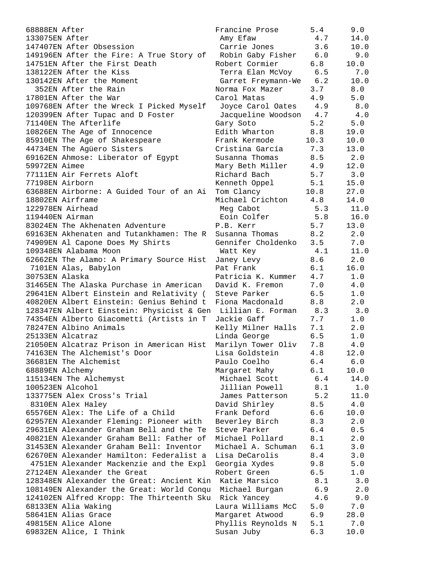| 68888EN After                                               | Francine Prose              | 5.4  | 9.0  |
|-------------------------------------------------------------|-----------------------------|------|------|
| 133075EN After                                              | Amy Efaw                    | 4.7  | 14.0 |
| 147407EN After Obsession                                    | Carrie Jones                | 3.6  | 10.0 |
| 149196EN After the Fire: A True Story of                    | Robin Gaby Fisher           | 6.0  | 9.0  |
| 14751EN After the First Death                               | Robert Cormier              | 6.8  | 10.0 |
| 138122EN After the Kiss                                     | Terra Elan McVoy            | 6.5  | 7.0  |
| 130142EN After the Moment                                   | Garret Freymann-We          | 6.2  | 10.0 |
| 352EN After the Rain                                        | Norma Fox Mazer             | 3.7  | 8.0  |
| 17801EN After the War                                       | Carol Matas                 | 4.9  | 5.0  |
| 109768EN After the Wreck I Picked Myself                    | Joyce Carol Oates           | 4.9  | 8.0  |
| 120399EN After Tupac and D Foster                           | Jacqueline Woodson          | 4.7  | 4.0  |
| 71140EN The Afterlife                                       | Gary Soto                   | 5.2  | 5.0  |
| 10826EN The Age of Innocence                                | Edith Wharton               | 8.8  | 19.0 |
| 85910EN The Age of Shakespeare                              | Frank Kermode               | 10.3 | 10.0 |
| 44734EN The Agüero Sisters                                  | Cristina García             | 7.3  | 13.0 |
| 69162EN Ahmose: Liberator of Egypt                          | Susanna Thomas              | 8.5  | 2.0  |
| 59972EN Aimee                                               | Mary Beth Miller            | 4.9  | 12.0 |
| 77111EN Air Ferrets Aloft                                   | Richard Bach                | 5.7  | 3.0  |
| 77198EN Airborn                                             |                             | 5.1  | 15.0 |
| 63688EN Airborne: A Guided Tour of an Ai                    | Kenneth Oppel<br>Tom Clancy |      | 27.0 |
|                                                             |                             | 10.8 |      |
| 18802EN Airframe                                            | Michael Crichton            | 4.8  | 14.0 |
| 122978EN Airhead                                            | Meg Cabot                   | 5.3  | 11.0 |
| 119440EN Airman                                             | Eoin Colfer                 | 5.8  | 16.0 |
| 83024EN The Akhenaten Adventure                             | P.B. Kerr                   | 5.7  | 13.0 |
| 69163EN Akhenaten and Tutankhamen: The R                    | Susanna Thomas              | 8.2  | 2.0  |
| 74909EN Al Capone Does My Shirts                            | Gennifer Choldenko          | 3.5  | 7.0  |
| 109348EN Alabama Moon                                       | Watt Key                    | 4.1  | 11.0 |
| 62662EN The Alamo: A Primary Source Hist                    | Janey Levy                  | 8.6  | 2.0  |
| 7101EN Alas, Babylon                                        | Pat Frank                   | 6.1  | 16.0 |
| 30753EN Alaska                                              | Patricia K. Kummer          | 4.7  | 1.0  |
| 31465EN The Alaska Purchase in American                     | David K. Fremon             | 7.0  | 4.0  |
| 29641EN Albert Einstein and Relativity (                    | Steve Parker                | 6.5  | 1.0  |
| 40820EN Albert Einstein: Genius Behind t                    | Fiona Macdonald             | 8.8  | 2.0  |
| 128347EN Albert Einstein: Physicist & Gen Lillian E. Forman |                             | 8.3  | 3.0  |
| 74354EN Alberto Giacometti (Artists in T                    | Jackie Gaff                 | 7.7  | 1.0  |
| 78247EN Albino Animals                                      | Kelly Milner Halls          | 7.1  | 2.0  |
| 25133EN Alcatraz                                            | Linda George                | 6.5  | 1.0  |
| 21050EN Alcatraz Prison in American Hist                    | Marilyn Tower Oliv          | 7.8  | 4.0  |
| 74163EN The Alchemist's Door                                | Lisa Goldstein              | 4.8  | 12.0 |
| 36681EN The Alchemist                                       | Paulo Coelho                | 6.4  | 6.0  |
| 68889EN Alchemy                                             | Margaret Mahy               | 6.1  | 10.0 |
| 115134EN The Alchemyst                                      | Michael Scott               | 6.4  | 14.0 |
| 100523EN Alcohol                                            | Jillian Powell              | 8.1  | 1.0  |
| 133775EN Alex Cross's Trial                                 | James Patterson             | 5.2  | 11.0 |
| 8310EN Alex Haley                                           | David Shirley               | 8.5  | 4.0  |
| 65576EN Alex: The Life of a Child                           | Frank Deford                | 6.6  | 10.0 |
| 62957EN Alexander Fleming: Pioneer with                     | Beverley Birch              | 8.3  | 2.0  |
| 29631EN Alexander Graham Bell and the Te                    | Steve Parker                | 6.4  | 0.5  |
| 40821EN Alexander Graham Bell: Father of                    | Michael Pollard             | 8.1  | 2.0  |
| 31453EN Alexander Graham Bell: Inventor                     | Michael A. Schuman          | 6.1  | 3.0  |
| 62670EN Alexander Hamilton: Federalist a                    | Lisa DeCarolis              | 8.4  | 3.0  |
| 4751EN Alexander Mackenzie and the Expl                     | Georgia Xydes               | 9.8  | 5.0  |
| 27124EN Alexander the Great                                 | Robert Green                | 6.5  | 1.0  |
| 128348EN Alexander the Great: Ancient Kin Katie Marsico     |                             |      |      |
|                                                             |                             | 8.1  | 3.0  |
| 108149EN Alexander the Great: World Conqu Michael Burgan    |                             | 6.9  | 2.0  |
| 124102EN Alfred Kropp: The Thirteenth Sku                   | Rick Yancey                 | 4.6  | 9.0  |
| 68133EN Alia Waking                                         | Laura Williams McC          | 5.0  | 7.0  |
| 58641EN Alias Grace                                         | Margaret Atwood             | 6.9  | 28.0 |
| 49815EN Alice Alone                                         | Phyllis Reynolds N          | 5.1  | 7.0  |
| 69832EN Alice, I Think                                      | Susan Juby                  | 6.3  | 10.0 |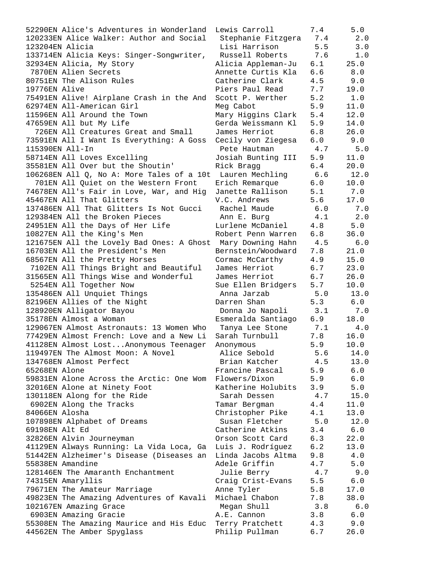52290EN Alice's Adventures in Wonderland Lewis Carroll 7.4 5.0 120233EN Alice Walker: Author and Social Stephanie Fitzgera 7.4 2.0 123204EN Alicia Lisi Harrison 5.5 3.0 133714EN Alicia Keys: Singer-Songwriter, Russell Roberts 7.6 1.0 32934EN Alicia, My Story Alicia Appleman-Ju 6.1 25.0 7870EN Alien Secrets Annette Curtis Kla 6.6 8.0 80751EN The Alison Rules Catherine Clark 4.5 9.0 19776EN Alive Piers Paul Read 7.7 19.0 75491EN Alive! Airplane Crash in the And Scott P. Werther 5.2 1.0 62974EN All-American Girl Meg Cabot 5.9 11.0 11596EN All Around the Town Mary Higgins Clark 5.4 12.0 47659EN All but My Life Gerda Weissmann Kl 5.9 14.0 726EN All Creatures Great and Small James Herriot 6.8 26.0 73591EN All I Want Is Everything: A Goss Cecily von Ziegesa 6.0 9.0 115390EN All-In Pete Hautman 4.7 5.0 58714EN All Loves Excelling Josiah Bunting III 5.9 11.0 35581EN All Over but the Shoutin' Rick Bragg 6.4 20.0 106268EN All Q, No A: More Tales of a 10t Lauren Mechling 6.6 12.0 701EN All Quiet on the Western Front Erich Remarque 6.0 10.0 74678EN All's Fair in Love, War, and Hig Janette Rallison 5.1 7.0 45467EN All That Glitters V.C. Andrews 5.6 17.0 137486EN All That Glitters Is Not Gucci Rachel Maude 6.0 7.0 129384EN All the Broken Pieces Ann E. Burg 4.1 2.0 24951EN All the Days of Her Life Lurlene McDaniel 4.8 5.0 10827EN All the King's Men Robert Penn Warren 6.8 36.0 121675EN All the Lovely Bad Ones: A Ghost Mary Downing Hahn 4.5 6.0 16703EN All the President's Men Bernstein/Woodward 7.8 21.0 68567EN All the Pretty Horses Cormac McCarthy 4.9 15.0 7102EN All Things Bright and Beautiful James Herriot 6.7 23.0 31565EN All Things Wise and Wonderful James Herriot 6.7 26.0 5254EN All Together Now Sue Ellen Bridgers 5.7 10.0 135486EN All Unquiet Things Anna Jarzab 5.0 13.0 82196EN Allies of the Night **Darren Shan** 5.3 6.0 128920EN Alligator Bayou Donna Jo Napoli 3.1 7.0 35178EN Almost a Woman Esmeralda Santiago 6.9 18.0 129067EN Almost Astronauts: 13 Women Who Tanya Lee Stone 7.1 4.0 77429EN Almost French: Love and a New Li Sarah Turnbull 7.8 16.0 41128EN Almost Lost...Anonymous Teenager Anonymous 5.9 10.0 119497EN The Almost Moon: A Novel Alice Sebold 5.6 14.0 134768EN Almost Perfect Brian Katcher 4.5 13.0 65268EN Alone Francine Pascal 5.9 6.0 59831EN Alone Across the Arctic: One Wom Flowers/Dixon 5.9 6.0 32016EN Alone at Ninety Foot Katherine Holubits 3.9 5.0 130118EN Along for the Ride Sarah Dessen 4.7 15.0 6902EN Along the Tracks Tamar Bergman 4.4 11.0 84066EN Alosha Christopher Pike 4.1 13.0 107898EN Alphabet of Dreams Susan Fletcher 5.0 12.0 69198EN Alt Ed Catherine Atkins 3.4 6.0 32826EN Alvin Journeyman Orson Scott Card 6.3 22.0 41129EN Always Running: La Vida Loca, Ga Luis J. Rodríguez 6.2 13.0 51442EN Alzheimer's Disease (Diseases an Linda Jacobs Altma 9.8 4.0 55838EN Amandine Adele Griffin 4.7 5.0 128146EN The Amaranth Enchantment Julie Berry 4.7 9.0 74315EN Amaryllis Craig Crist-Evans 5.5 6.0 79671EN The Amateur Marriage Anne Tyler 5.8 17.0 49823EN The Amazing Adventures of Kavali Michael Chabon 7.8 38.0 102167EN Amazing Grace Megan Shull 3.8 6.0 6903EN Amazing Gracie A.E. Cannon 3.8 6.0 55308EN The Amazing Maurice and His Educ Terry Pratchett 4.3 9.0 44562EN The Amber Spyglass Philip Pullman 6.7 26.0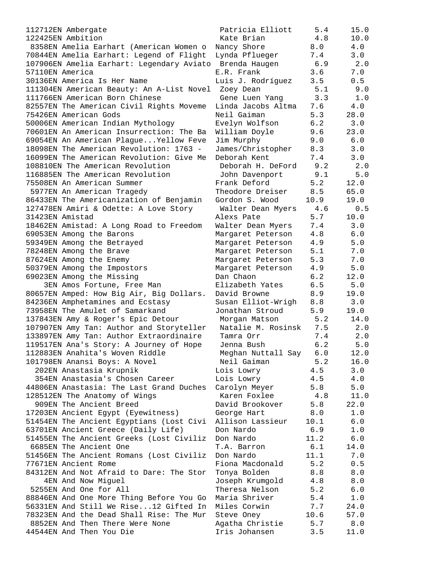112712EN Ambergate 122425EN Ambition 8358EN Amelia Earhart (American Women o 70844EN Amelia Earhart: Legend of Flight 107906EN Amelia Earhart: Legendary Aviato 57110EN America 30136EN America Is Her Name 111304EN American Beauty: An A-List Novel 111766EN American Born Chinese 82557EN The American Civil Rights Moveme 75426EN American Gods 50006EN American Indian Mythology 70601EN An American Insurrection: The Ba 69054EN An American Plaque...Yellow Feve 18098EN The American Revolution: 1763 -16099EN The American Revolution: Give Me 108810EN The American Revolution 116885EN The American Revolution 75508EN An American Summer 5977EN An American Tragedy 86433EN The Americanization of Benjamin 127478EN Amiri & Odette: A Love Story 31423EN Amistad 18462EN Amistad: A Long Road to Freedom 69053EN Among the Barons 59349EN Among the Betrayed 78248EN Among the Brave 87624EN Among the Enemy 50379EN Among the Impostors 69023EN Among the Missing 3EN Amos Fortune, Free Man 80657EN Amped: How Big Air, Big Dollars. 84236EN Amphetamines and Ecstasy 73958EN The Amulet of Samarkand 137843EN Amy & Roger's Epic Detour 107907EN Amy Tan: Author and Storyteller 133897EN Amy Tan: Author Extraordinaire 119517EN Ana's Story: A Journey of Hope 112883EN Anahita's Woven Riddle 101798EN Anansi Boys: A Novel 202EN Anastasia Krupnik 354EN Anastasia's Chosen Career 44806EN Anastasia: The Last Grand Duches 128512EN The Anatomy of Wings 909EN The Ancient Breed 17203EN Ancient Egypt (Eyewitness) 51454EN The Ancient Egyptians (Lost Civi 63701EN Ancient Greece (Daily Life) 51455EN The Ancient Greeks (Lost Civiliz 6685EN The Ancient One 51456EN The Ancient Romans (Lost Civiliz 77671EN Ancient Rome 84312EN And Not Afraid to Dare: The Stor 4EN And Now Miguel 5255EN And One for All 88846EN And One More Thing Before You Go 56331EN And Still We Rise...12 Gifted In 78323EN And the Dead Shall Rise: The Mur 8852EN And Then There Were None 44544EN And Then You Die Iris Johansen 3.5 11.0

| Patricia Elliott<br>Kate Brian     | 5.4<br>4.8 | 15.0<br>10.0 |
|------------------------------------|------------|--------------|
| Nancy Shore                        | 8.0        | $4.0$        |
| Lynda Pflueger                     | 7.4        | 3.0          |
| Brenda Haugen                      | 6.9        | 2.0          |
| E.R. Frank                         | 3.6        | $7.0\,$      |
| Luis J. Rodríguez                  | 3.5        | 0.5          |
| Zoey Dean                          | 5.1        | 9.0          |
| Gene Luen Yang                     | 3.3        | 1.0          |
| Linda Jacobs Altma                 | 7.6        | 4.0          |
| Neil Gaiman                        | 5.3        | 28.0         |
| Evelyn Wolfson                     | 6.2        | 3.0          |
| William Doyle                      | 9.6        | 23.0         |
| Jim Murphy                         | 9.0        | $6.0$        |
| James/Christopher                  | 8.3        | 3.0          |
| Deborah Kent                       | 7.4        | 3.0          |
| Deborah H. DeFord                  | 9.2        | 2.0          |
| John Davenport                     | 9.1        | 5.0          |
| Frank Deford                       | 5.2        | 12.0         |
|                                    | 8.5        | 65.0         |
| Theodore Dreiser<br>Gordon S. Wood | 10.9       | 19.0         |
| Walter Dean Myers                  | 4.6        | 0.5          |
| Alexs Pate                         | 5.7        | 10.0         |
| Walter Dean Myers                  | $7.4$      | 3.0          |
| Margaret Peterson                  | 4.8        | 6.0          |
| Margaret Peterson                  | 4.9        | 5.0          |
| Margaret Peterson                  | 5.1        | 7.0          |
| Margaret Peterson                  | 5.3        | 7.0          |
| Margaret Peterson                  | 4.9        | 5.0          |
| Dan Chaon                          | 6.2        | 12.0         |
| Elizabeth Yates                    | 6.5        | 5.0          |
| David Browne                       | 8.9        | 19.0         |
| Susan Elliot-Wrigh                 | $8.8\,$    | 3.0          |
| Jonathan Stroud                    | 5.9        | 19.0         |
| Morgan Matson                      | 5.2        | 14.0         |
| Natalie M. Rosinsk                 | 7.5        | 2.0          |
| Tamra Orr                          | 7.4        | 2.0          |
| Jenna Bush                         | 6.2        | 5.0          |
| Meghan Nuttall Say                 | 6.0        | 12.0         |
| Neil Gaiman                        | 5.2        | 16.0         |
| Lois Lowry                         | 4.5        | 3.0          |
| Lois Lowry                         | 4.5        | 4.0          |
| Carolyn Meyer                      | 5.8        | 5.0          |
| Karen Foxlee                       | 4.8        | 11.0         |
| David Brookover                    | 5.8        | 22.0         |
| George Hart                        | $8.0$      | 1.0          |
| Allison Lassieur                   | 10.1       | $6.0$        |
| Don Nardo                          | 6.9        | $1.0$        |
| Don Nardo                          | 11.2       | 6.0          |
| T.A. Barron                        | 6.1        | 14.0         |
| Don Nardo                          | 11.1       | 7.0          |
| Fiona Macdonald                    | 5.2        | 0.5          |
| Tonya Bolden                       | 8.8        | 8.0          |
| Joseph Krumgold                    | 4.8        | 8.0          |
| Theresa Nelson                     | 5.2        | $6.0$        |
| Maria Shriver                      | 5.4        | 1.0          |
| Miles Corwin                       | 7.7        | 24.0         |
| Steve Oney                         | 10.6       | 57.0         |
| Agatha Christie<br>Tric Johancan   | 5.7<br>っ に | 8.0<br>11 N  |
|                                    |            |              |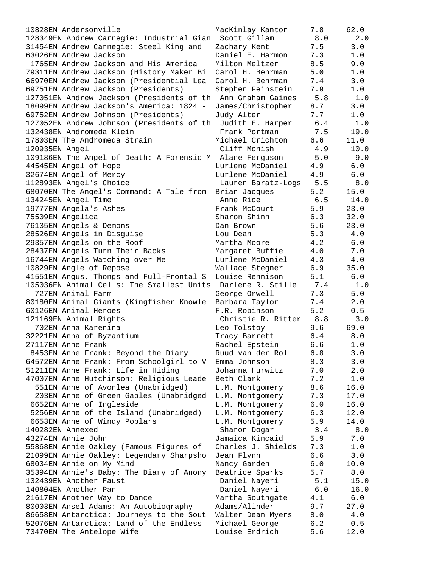| 10828EN Andersonville                                       | MacKinlay Kantor   | 7.8 | 62.0 |
|-------------------------------------------------------------|--------------------|-----|------|
| 128349EN Andrew Carnegie: Industrial Gian Scott Gillam      |                    | 8.0 | 2.0  |
| 31454EN Andrew Carnegie: Steel King and                     | Zachary Kent       | 7.5 | 3.0  |
| 63026EN Andrew Jackson                                      | Daniel E. Harmon   | 7.3 | 1.0  |
| 1765EN Andrew Jackson and His America                       | Milton Meltzer     | 8.5 | 9.0  |
| 79311EN Andrew Jackson (History Maker Bi                    | Carol H. Behrman   | 5.0 | 1.0  |
| 66970EN Andrew Jackson (Presidential Lea                    | Carol H. Behrman   | 7.4 | 3.0  |
|                                                             |                    | 7.9 | 1.0  |
| 69751EN Andrew Jackson (Presidents)                         | Stephen Feinstein  |     |      |
| 127051EN Andrew Jackson (Presidents of th Ann Graham Gaines |                    | 5.8 | 1.0  |
| 18099EN Andrew Jackson's America: 1824 -                    | James/Christopher  | 8.7 | 3.0  |
| 69752EN Andrew Johnson (Presidents)                         | Judy Alter         | 7.7 | 1.0  |
| 127052EN Andrew Johnson (Presidents of th                   | Judith E. Harper   | 6.4 | 1.0  |
| 132438EN Andromeda Klein                                    | Frank Portman      | 7.5 | 19.0 |
| 17803EN The Andromeda Strain                                | Michael Crichton   | 6.6 | 11.0 |
| 120935EN Angel                                              | Cliff Mcnish       | 4.9 | 10.0 |
| 109186EN The Angel of Death: A Forensic M Alane Ferguson    |                    | 5.0 | 9.0  |
| 44545EN Angel of Hope                                       | Lurlene McDaniel   | 4.9 | 6.0  |
| 32674EN Angel of Mercy                                      | Lurlene McDaniel   | 4.9 | 6.0  |
| 112893EN Angel's Choice                                     | Lauren Baratz-Logs | 5.5 | 8.0  |
| 68070EN The Angel's Command: A Tale from Brian Jacques      |                    | 5.2 | 15.0 |
| 134245EN Angel Time                                         | Anne Rice          | 6.5 | 14.0 |
| 19777EN Angela's Ashes                                      | Frank McCourt      | 5.9 | 23.0 |
|                                                             |                    |     |      |
| 75509EN Angelica                                            | Sharon Shinn       | 6.3 | 32.0 |
| 76135EN Angels & Demons                                     | Dan Brown          | 5.6 | 23.0 |
| 28526EN Angels in Disguise                                  | Lou Dean           | 5.3 | 4.0  |
| 29357EN Angels on the Roof                                  | Martha Moore       | 4.2 | 6.0  |
| 28437EN Angels Turn Their Backs                             | Margaret Buffie    | 4.0 | 7.0  |
| 16744EN Angels Watching over Me                             | Lurlene McDaniel   | 4.3 | 4.0  |
| 10829EN Angle of Repose                                     | Wallace Stegner    | 6.9 | 35.0 |
| 41551EN Angus, Thongs and Full-Frontal S                    | Louise Rennison    | 5.1 | 6.0  |
| 105036EN Animal Cells: The Smallest Units Darlene R. Stille |                    | 7.4 | 1.0  |
| 727EN Animal Farm                                           | George Orwell      | 7.3 | 5.0  |
| 80180EN Animal Giants (Kingfisher Knowle                    | Barbara Taylor     | 7.4 | 2.0  |
| 60126EN Animal Heroes                                       | F.R. Robinson      | 5.2 | 0.5  |
| 121169EN Animal Rights                                      | Christie R. Ritter | 8.8 | 3.0  |
| 702EN Anna Karenina                                         | Leo Tolstoy        | 9.6 | 69.0 |
| 32221EN Anna of Byzantium                                   | Tracy Barrett      | 6.4 | 8.0  |
| 27117EN Anne Frank                                          | Rachel Epstein     | 6.6 | 1.0  |
|                                                             |                    |     |      |
| 8453EN Anne Frank: Beyond the Diary                         | Ruud van der Rol   | 6.8 | 3.0  |
| 64572EN Anne Frank: From Schoolgirl to V                    | Emma Johnson       | 8.3 | 3.0  |
| 51211EN Anne Frank: Life in Hiding                          | Johanna Hurwitz    | 7.0 | 2.0  |
| 47007EN Anne Hutchinson: Religious Leade                    | Beth Clark         | 7.2 | 1.0  |
| 551EN Anne of Avonlea (Unabridged)                          | L.M. Montgomery    | 8.6 | 16.0 |
| 203EN Anne of Green Gables (Unabridged                      | L.M. Montgomery    | 7.3 | 17.0 |
| 6652EN Anne of Ingleside                                    | L.M. Montgomery    | 6.0 | 16.0 |
| 5256EN Anne of the Island (Unabridged)                      | L.M. Montgomery    | 6.3 | 12.0 |
| 6653EN Anne of Windy Poplars                                | L.M. Montgomery    | 5.9 | 14.0 |
| 140282EN Annexed                                            | Sharon Dogar       | 3.4 | 8.0  |
| 43274EN Annie John                                          | Jamaica Kincaid    | 5.9 | 7.0  |
| 55868EN Annie Oakley (Famous Figures of                     | Charles J. Shields | 7.3 | 1.0  |
| 21099EN Annie Oakley: Legendary Sharpsho                    | Jean Flynn         | 6.6 | 3.0  |
| 68034EN Annie on My Mind                                    | Nancy Garden       | 6.0 | 10.0 |
| 35394EN Annie's Baby: The Diary of Anony                    | Beatrice Sparks    | 5.7 | 8.0  |
| 132439EN Another Faust                                      | Daniel Nayeri      | 5.1 | 15.0 |
| 140804EN Another Pan                                        | Daniel Nayeri      | 6.0 | 16.0 |
|                                                             | Martha Southgate   | 4.1 | 6.0  |
| 21617EN Another Way to Dance                                |                    |     |      |
| 80003EN Ansel Adams: An Autobiography                       | Adams/Alinder      | 9.7 | 27.0 |
| 86658EN Antarctica: Journeys to the Sout                    | Walter Dean Myers  | 8.0 | 4.0  |
| 52076EN Antarctica: Land of the Endless                     | Michael George     | 6.2 | 0.5  |
| 73470EN The Antelope Wife                                   | Louise Erdrich     | 5.6 | 12.0 |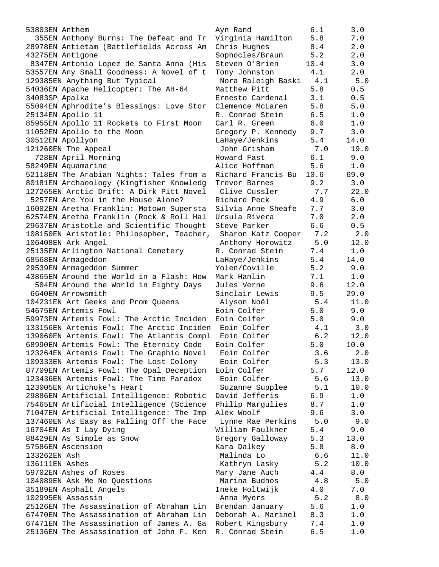355EN Anthony Burns: The Defeat and Tr Virginia Hamilton 5.8 7.0 28978EN Antietam (Battlefields Across Am Chris Hughes 8.4 2.0 43275EN Antigone Sophocles/Braun 5.2 2.0 8347EN Antonio Lopez de Santa Anna (His Steven O'Brien 10.4 3.0 53557EN Any Small Goodness: A Novel of t Tony Johnston 4.1 2.0 129385EN Anything But Typical Nora Raleigh Baski 4.1 5.0 54036EN Apache Helicopter: The AH-64 Matthew Pitt 5.8 0.5 34083SP Apalka Ernesto Cardenal 3.1 0.5 55094EN Aphrodite's Blessings: Love Stor Clemence McLaren 5.8 5.0 25134EN Apollo 11 R. Conrad Stein 6.5 1.0 85955EN Apollo 11 Rockets to First Moon Carl R. Green 6.0 1.0 11052EN Apollo to the Moon Gregory P. Kennedy 9.7 3.0 30512EN Apollyon LaHaye/Jenkins 5.4 14.0 121260EN The Appeal John Grisham 7.0 19.0 728EN April Morning Howard Fast 6.1 9.0 58249EN Aquamarine Alice Hoffman 5.6 1.0 52118EN The Arabian Nights: Tales from a Richard Francis Bu 10.6 69.0 80181EN Archaeology (Kingfisher Knowledg Trevor Barnes 9.2 3.0 127265EN Arctic Drift: A Dirk Pitt Novel Clive Cussler 7.7 22.0 5257EN Are You in the House Alone? Richard Peck 4.9 6.0 16002EN Aretha Franklin: Motown Supersta Silvia Anne Sheafe 7.7 3.0 62574EN Aretha Franklin (Rock & Roll Hal Ursula Rivera 7.0 2.0 29637EN Aristotle and Scientific Thought Steve Parker 6.6 0.5 108150EN Aristotle: Philosopher, Teacher, Sharon Katz Cooper 7.2 2.0 106408EN Ark Angel Anthony Horowitz 5.0 12.0 25135EN Arlington National Cemetery R. Conrad Stein 7.4 1.0 68568EN Armageddon LaHaye/Jenkins 5.4 14.0 29539EN Armageddon Summer Yolen/Coville 5.2 9.0 43865EN Around the World in a Flash: How Mark Hanlin 7.1 1.0 504EN Around the World in Eighty Days Jules Verne 9.6 12.0 6640EN Arrowsmith Sinclair Lewis 9.5 29.0 104231EN Art Geeks and Prom Queens Alyson Noël 5.4 11.0 54675EN Artemis Fowl Eoin Colfer 5.0 9.0 59973EN Artemis Fowl: The Arctic Inciden Eoin Colfer 5.0 9.0 133156EN Artemis Fowl: The Arctic Inciden Eoin Colfer 4.1 3.0 139060EN Artemis Fowl: The Atlantis Compl Eoin Colfer 6.2 12.0 68990EN Artemis Fowl: The Eternity Code Eoin Colfer 5.0 10.0 123264EN Artemis Fowl: The Graphic Novel Eoin Colfer 3.6 2.0 109333EN Artemis Fowl: The Lost Colony Eoin Colfer 5.3 13.0 87709EN Artemis Fowl: The Opal Deception Eoin Colfer 5.7 12.0 123436EN Artemis Fowl: The Time Paradox Eoin Colfer 5.6 13.0 123005EN Artichoke's Heart Suzanne Supplee 5.1 10.0 29886EN Artificial Intelligence: Robotic David Jefferis 6.9 1.0 75465EN Artificial Intelligence (Science Philip Margulies 8.7 1.0 71047EN Artificial Intelligence: The Imp Alex Woolf 9.6 3.0 137460EN As Easy as Falling Off the Face Lynne Rae Perkins 5.0 9.0 16704EN As I Lay Dying William Faulkner 5.4 9.0 88429EN As Simple as Snow Gregory Galloway 5.3 13.0 57586EN Ascension Kara Dalkey 5.8 8.0 133262EN Ash Malinda Lo 6.6 11.0 136111EN Ashes Kathryn Lasky 5.2 10.0 59702EN Ashes of Roses Mary Jane Auch 4.4 8.0 104089EN Ask Me No Questions Marina Budhos 4.8 5.0 35189EN Asphalt Angels Ineke Holtwijk 4.0 7.0 102995EN Assassin Anna Myers 5.2 8.0 25126EN The Assassination of Abraham Lin Brendan January 5.6 1.0 67470EN The Assassination of Abraham Lin Deborah A. Marinel 8.3 1.0 67471EN The Assassination of James A. Ga Robert Kingsbury 7.4 1.0 25136EN The Assassination of John F. Ken R. Conrad Stein 6.5 1.0

53803EN Anthem Ayn Rand 6.1 3.0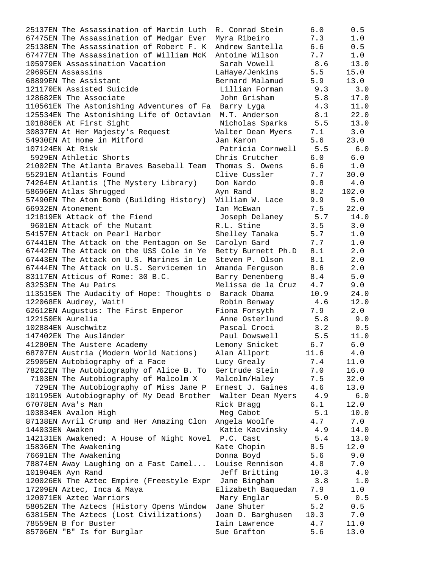| 25137EN The Assassination of Martin Luth               | R. Conrad Stein       | 6.0   | 0.5   |
|--------------------------------------------------------|-----------------------|-------|-------|
| 67475EN The Assassination of Medgar Ever               | Myra Ribeiro          | 7.3   | 1.0   |
| 25138EN The Assassination of Robert F. K               | Andrew Santella       | 6.6   | 0.5   |
| 67477EN The Assassination of William McK               | Antoine Wilson        | 7.7   | 1.0   |
| 105979EN Assassination Vacation                        | Sarah Vowell          | 8.6   | 13.0  |
| 29695EN Assassins                                      | LaHaye/Jenkins        | 5.5   | 15.0  |
| 68899EN The Assistant                                  | Bernard Malamud       | 5.9   | 13.0  |
| 121170EN Assisted Suicide                              | Lillian Forman        | 9.3   | 3.0   |
| 128682EN The Associate                                 | John Grisham          | 5.8   | 17.0  |
| 110561EN The Astonishing Adventures of Fa              | Barry Lyga            | 4.3   | 11.0  |
| 125534EN The Astonishing Life of Octavian              | M.T. Anderson         | 8.1   | 22.0  |
| 101886EN At First Sight                                | Nicholas Sparks 5.5   |       | 13.0  |
| 30837EN At Her Majesty's Request                       | Walter Dean Myers     | 7.1   | 3.0   |
| 54930EN At Home in Mitford                             | Jan Karon             | 5.6   | 23.0  |
| 107124EN At Risk                                       | Patricia Cornwell 5.5 |       | 6.0   |
| 5929EN Athletic Shorts                                 | Chris Crutcher        | 6.0   | 6.0   |
| 21002EN The Atlanta Braves Baseball Team               | Thomas S. Owens       | 6.6   | 1.0   |
| 55291EN Atlantis Found                                 | Clive Cussler         | 7.7   | 30.0  |
| 74264EN Atlantis (The Mystery Library)                 | Don Nardo             | 9.8   | 4.0   |
| 58696EN Atlas Shruqqed                                 | Ayn Rand              | 8.2   | 102.0 |
| 57490EN The Atom Bomb (Building History)               | William W. Lace       | 9.9   | 5.0   |
| 66932EN Atonement                                      | Ian McEwan            | 7.5   | 22.0  |
| 121819EN Attack of the Fiend                           | Joseph Delaney        | 5.7   | 14.0  |
| 9601EN Attack of the Mutant                            | R.L. Stine            | 3.5   | 3.0   |
| 54157EN Attack on Pearl Harbor                         | Shelley Tanaka        | 5.7   | 1.0   |
| 67441EN The Attack on the Pentagon on Se               | Carolyn Gard          | 7.7   | 1.0   |
| 67442EN The Attack on the USS Cole in Ye               | Betty Burnett Ph.D    | 8.1   | 2.0   |
| 67443EN The Attack on U.S. Marines in Le               | Steven P. Olson       | 8.1   | 2.0   |
| 67444EN The Attack on U.S. Servicemen in               | Amanda Ferguson       | 8.6   | 2.0   |
| 83117EN Atticus of Rome: 30 B.C.                       | Barry Denenberg       | 8.4   | $5.0$ |
| 83253EN The Au Pairs                                   | Melissa de la Cruz    | 4.7   | 9.0   |
| 113515EN The Audacity of Hope: Thoughts o Barack Obama |                       | 10.9  | 24.0  |
| 122068EN Audrey, Wait!                                 | Robin Benway          | 4.6   | 12.0  |
| 62612EN Augustus: The First Emperor                    | Fiona Forsyth         | 7.9   | 2.0   |
| 122150EN Aurelia                                       | Anne Osterlund        | 5.8   | 9.0   |
| 102884EN Auschwitz                                     | Pascal Croci          | 3.2   | 0.5   |
| 147402EN The Ausländer                                 | Paul Dowswell         | 5.5   | 11.0  |
| 41280EN The Austere Academy                            | Lemony Snicket        | 6.7   | 6.0   |
| 68707EN Austria (Modern World Nations)                 | Alan Allport          | 11.6  | 4.0   |
| 25905EN Autobiography of a Face                        | Lucy Grealy           | 7.4   | 11.0  |
| 78262EN The Autobiography of Alice B. To               | Gertrude Stein        | 7.0   | 16.0  |
| 7103EN The Autobiography of Malcolm X                  | Malcolm/Haley         | 7.5   | 32.0  |
| 729EN The Autobiography of Miss Jane P                 | Ernest J. Gaines      | 4.6   | 13.0  |
| 101195EN Autobiography of My Dead Brother              | Walter Dean Myers     | 4.9   | $6.0$ |
| 67078EN Ava's Man                                      | Rick Bragg            | 6.1   | 12.0  |
| 103834EN Avalon High                                   | Meg Cabot             | 5.1   | 10.0  |
| 87138EN Avril Crump and Her Amazing Clon               | Angela Woolfe         | 4.7   | 7.0   |
| 144033EN Awaken                                        | Katie Kacvinsky       | 4.9   | 14.0  |
| 142131EN Awakened: A House of Night Novel P.C. Cast    |                       | 5.4   | 13.0  |
| 15836EN The Awakening                                  | Kate Chopin           | 8.5   | 12.0  |
| 76691EN The Awakening                                  | Donna Boyd            | 5.6   | 9.0   |
| 78874EN Away Laughing on a Fast Camel                  | Louise Rennison       | 4.8   | 7.0   |
| 101904EN Ayn Rand                                      | Jeff Britting         | 10.3  | $4.0$ |
| 120026EN The Aztec Empire (Freestyle Expr Jane Bingham |                       | 3.8   | 1.0   |
| 17209EN Aztec, Inca & Maya                             | Elizabeth Baquedan    | 7.9   | 1.0   |
| 120071EN Aztec Warriors                                | Mary Englar           | $5.0$ | 0.5   |
| 58052EN The Aztecs (History Opens Window               | Jane Shuter           | 5.2   | 0.5   |
| 63815EN The Aztecs (Lost Civilizations)                | Joan D. Barghusen     | 10.3  | 7.0   |
| 78559EN B for Buster                                   | Iain Lawrence         | 4.7   | 11.0  |
| 85706EN "B" Is for Burglar                             | Sue Grafton           | 5.6   | 13.0  |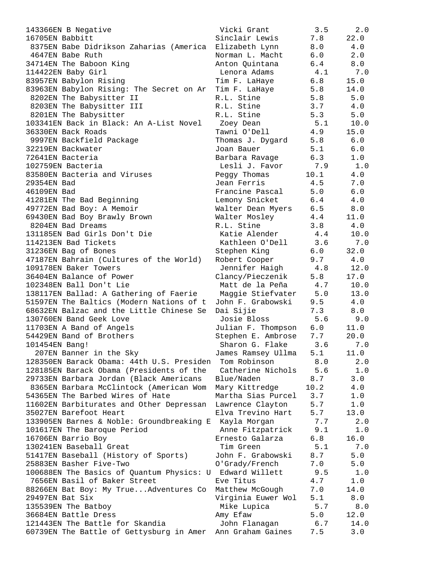| 143366EN B Negative                                      | Vicki Grant           | 3.5  | 2.0   |
|----------------------------------------------------------|-----------------------|------|-------|
| 16705EN Babbitt                                          | Sinclair Lewis        | 7.8  | 22.0  |
| 8375EN Babe Didrikson Zaharias (America Elizabeth Lynn   |                       | 8.0  | 4.0   |
| 4647EN Babe Ruth                                         | Norman L. Macht       | 6.0  | 2.0   |
| 34714EN The Baboon King                                  | Anton Quintana        | 6.4  | 8.0   |
| 114422EN Baby Girl                                       | Lenora Adams          | 4.1  | 7.0   |
| 83957EN Babylon Rising                                   | Tim F. LaHaye         | 6.8  | 15.0  |
| 83963EN Babylon Rising: The Secret on Ar                 | Tim F. LaHaye         | 5.8  | 14.0  |
| 8202EN The Babysitter II                                 | R.L. Stine            | 5.8  | 5.0   |
| 8203EN The Babysitter III                                | R.L. Stine            | 3.7  | 4.0   |
| 8201EN The Babysitter                                    | R.L. Stine            | 5.3  | 5.0   |
| 103341EN Back in Black: An A-List Novel                  | Zoey Dean             | 5.1  | 10.0  |
| 36330EN Back Roads                                       | Tawni O'Dell          | 4.9  | 15.0  |
| 9997EN Backfield Package                                 | Thomas J. Dygard      | 5.8  | 6.0   |
| 32219EN Backwater                                        | Joan Bauer            | 5.1  | 6.0   |
| 72641EN Bacteria                                         | Barbara Ravage        | 6.3  | 1.0   |
| 102759EN Bacteria                                        | Lesli J. Favor        | 7.9  | 1.0   |
| 83580EN Bacteria and Viruses                             | Peggy Thomas          | 10.1 | 4.0   |
| 29354EN Bad                                              | Jean Ferris           | 4.5  | 7.0   |
| 46109EN Bad                                              | Francine Pascal       | 5.0  | $6.0$ |
| 41281EN The Bad Beginning                                | Lemony Snicket        | 6.4  | 4.0   |
| 49772EN Bad Boy: A Memoir                                | Walter Dean Myers 6.5 |      | 8.0   |
| 69430EN Bad Boy Brawly Brown                             | Walter Mosley         | 4.4  | 11.0  |
| 8204EN Bad Dreams                                        | R.L. Stine            | 3.8  | 4.0   |
| 131185EN Bad Girls Don't Die                             | Katie Alender         | 4.4  | 10.0  |
| 114213EN Bad Tickets                                     | Kathleen O'Dell 3.6   |      | 7.0   |
| 31236EN Bag of Bones                                     | Stephen King          | 6.0  | 32.0  |
| 47187EN Bahrain (Cultures of the World)                  | Robert Cooper         | 9.7  | 4.0   |
| 109178EN Baker Towers                                    | Jennifer Haigh        | 4.8  | 12.0  |
| 36404EN Balance of Power                                 | Clancy/Pieczenik      | 5.8  | 17.0  |
| 102348EN Ball Don't Lie                                  | Matt de la Peña       | 4.7  | 10.0  |
| 138117EN Ballad: A Gathering of Faerie Maggie Stiefvater |                       | 5.0  | 13.0  |
| 51597EN The Baltics (Modern Nations of t                 | John F. Grabowski     | 9.5  | 4.0   |
| 68632EN Balzac and the Little Chinese Se                 | Dai Sijie             | 7.3  | 8.0   |
| 130760EN Band Geek Love                                  | Josie Bloss           | 5.6  | 9.0   |
| 11703EN A Band of Angels                                 | Julian F. Thompson    | 6.0  | 11.0  |
| 54429EN Band of Brothers                                 | Stephen E. Ambrose    | 7.7  | 20.0  |
| 101454EN Bang!                                           | Sharon G. Flake       | 3.6  | 7.0   |
| 207EN Banner in the Sky                                  | James Ramsey Ullma    | 5.1  | 11.0  |
| 128350EN Barack Obama: 44th U.S. Presiden                | Tom Robinson          | 8.0  | 2.0   |
| 128185EN Barack Obama (Presidents of the                 | Catherine Nichols     | 5.6  | 1.0   |
| 29733EN Barbara Jordan (Black Americans                  | Blue/Naden            | 8.7  | 3.0   |
| 8365EN Barbara McClintock (American Wom                  | Mary Kittredge        | 10.2 | 4.0   |
| 54365EN The Barbed Wires of Hate                         | Martha Sias Purcel    | 3.7  | 1.0   |
| 11602EN Barbiturates and Other Depressan                 | Lawrence Clayton      | 5.7  | $1.0$ |
| 35027EN Barefoot Heart                                   | Elva Trevino Hart     | 5.7  | 13.0  |
| 133905EN Barnes & Noble: Groundbreaking E                | Kayla Morgan          | 7.7  | 2.0   |
| 101617EN The Baroque Period                              | Anne Fitzpatrick      | 9.1  | 1.0   |
| 16706EN Barrio Boy                                       | Ernesto Galarza       | 6.8  | 16.0  |
| 130241EN Baseball Great                                  | Tim Green             | 5.1  | 7.0   |
| 51417EN Baseball (History of Sports)                     | John F. Grabowski     | 8.7  | 5.0   |
| 25883EN Basher Five-Two                                  | O'Grady/French        | 7.0  | 5.0   |
| 100688EN The Basics of Quantum Physics: U                | Edward Willett        | 9.5  | 1.0   |
| 7656EN Basil of Baker Street                             | Eve Titus             | 4.7  | 1.0   |
| 88266EN Bat Boy: My TrueAdventures Co                    | Matthew McGough       | 7.0  | 14.0  |
| 29497EN Bat Six                                          | Virginia Euwer Wol    | 5.1  | 8.0   |
| 135539EN The Batboy                                      | Mike Lupica           | 5.7  | 8.0   |
| 36684EN Battle Dress                                     | Amy Efaw              | 5.0  | 12.0  |
| 121443EN The Battle for Skandia                          | John Flanagan         | 6.7  | 14.0  |
| 60739EN The Battle of Gettysburg in Amer                 | Ann Graham Gaines     | 7.5  | 3.0   |
|                                                          |                       |      |       |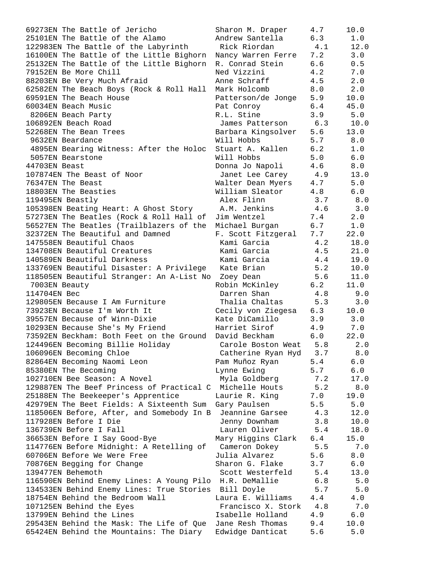| 69273EN The Battle of Jericho                            | Sharon M. Draper   | 4.7   | 10.0  |
|----------------------------------------------------------|--------------------|-------|-------|
| 25101EN The Battle of the Alamo                          | Andrew Santella    | 6.3   | 1.0   |
| 122983EN The Battle of the Labyrinth                     | Rick Riordan       | 4.1   | 12.0  |
| 16100EN The Battle of the Little Bighorn                 | Nancy Warren Ferre | 7.2   | 3.0   |
| 25132EN The Battle of the Little Bighorn                 | R. Conrad Stein    | 6.6   | 0.5   |
| 79152EN Be More Chill                                    | Ned Vizzini        | 4.2   | 7.0   |
| 88203EN Be Very Much Afraid                              | Anne Schraff       | 4.5   | 2.0   |
|                                                          |                    |       |       |
| 62582EN The Beach Boys (Rock & Roll Hall                 | Mark Holcomb       | 8.0   | 2.0   |
| 69591EN The Beach House                                  | Patterson/de Jonge | 5.9   | 10.0  |
| 60034EN Beach Music                                      | Pat Conroy         | 6.4   | 45.0  |
| 8206EN Beach Party                                       | R.L. Stine         | 3.9   | 5.0   |
| 106892EN Beach Road                                      | James Patterson    | 6.3   | 10.0  |
| 52268EN The Bean Trees                                   | Barbara Kingsolver | 5.6   | 13.0  |
| 9632EN Beardance                                         | Will Hobbs         | 5.7   | 8.0   |
| 4895EN Bearing Witness: After the Holoc                  | Stuart A. Kallen   | 6.2   | 1.0   |
| 5057EN Bearstone                                         | Will Hobbs         | $5.0$ | 6.0   |
| 44703EN Beast                                            | Donna Jo Napoli    | 4.6   | 8.0   |
| 107874EN The Beast of Noor                               | Janet Lee Carey    | 4.9   | 13.0  |
| 76347EN The Beast                                        | Walter Dean Myers  | 4.7   | 5.0   |
| 18803EN The Beasties                                     | William Sleator    | 4.8   | 6.0   |
| 119495EN Beastly                                         | Alex Flinn         | 3.7   | 8.0   |
| 105398EN Beating Heart: A Ghost Story                    | A.M. Jenkins       | 4.6   | 3.0   |
| 57273EN The Beatles (Rock & Roll Hall of                 |                    | 7.4   | 2.0   |
|                                                          | Jim Wentzel        |       |       |
| 56527EN The Beatles (Trailblazers of the                 | Michael Burgan     | 6.7   | 1.0   |
| 32372EN The Beautiful and Damned                         | F. Scott Fitzgeral | 7.7   | 22.0  |
| 147558EN Beautiful Chaos                                 | Kami Garcia        | 4.2   | 18.0  |
| 134708EN Beautiful Creatures                             | Kami Garcia        | 4.5   | 21.0  |
| 140589EN Beautiful Darkness                              | Kami Garcia        | 4.4   | 19.0  |
| 133769EN Beautiful Disaster: A Privilege                 | Kate Brian         | 5.2   | 10.0  |
| 118505EN Beautiful Stranger: An A-List No                | Zoey Dean          | 5.6   | 11.0  |
| 7003EN Beauty                                            | Robin McKinley     | 6.2   | 11.0  |
| 114704EN Bec                                             | Darren Shan        | 4.8   | 9.0   |
| 129805EN Because I Am Furniture                          | Thalia Chaltas     | 5.3   | 3.0   |
| 73923EN Because I'm Worth It                             | Cecily von Ziegesa | 6.3   | 10.0  |
| 39557EN Because of Winn-Dixie                            | Kate DiCamillo     | 3.9   | 3.0   |
| 10293EN Because She's My Friend                          | Harriet Sirof      | 4.9   | 7.0   |
| 73592EN Beckham: Both Feet on the Ground                 | David Beckham      | 6.0   | 22.0  |
| 124496EN Becoming Billie Holiday                         | Carole Boston Weat | 5.8   | 2.0   |
| 106096EN Becoming Chloe                                  | Catherine Ryan Hyd | 3.7   | 8.0   |
| 82864EN Becoming Naomi Leon                              | Pam Muñoz Ryan     | 5.4   | 6.0   |
|                                                          |                    |       |       |
| 85380EN The Becoming                                     | Lynne Ewing        | 5.7   | 6.0   |
| 102710EN Bee Season: A Novel                             | Myla Goldberg      | 7.2   | 17.0  |
| 129887EN The Beef Princess of Practical C Michelle Houts |                    | 5.2   | 8.0   |
| 25188EN The Beekeeper's Apprentice                       | Laurie R. King     | 7.0   | 19.0  |
| 42979EN The Beet Fields: A Sixteenth Sum                 | Gary Paulsen       | 5.5   | 5.0   |
| 118506EN Before, After, and Somebody In B                | Jeannine Garsee    | 4.3   | 12.0  |
| 117928EN Before I Die                                    | Jenny Downham      | 3.8   | 10.0  |
| 136739EN Before I Fall                                   | Lauren Oliver      | 5.4   | 18.0  |
| 36653EN Before I Say Good-Bye                            | Mary Higgins Clark | 6.4   | 15.0  |
| 114776EN Before Midnight: A Retelling of                 | Cameron Dokey      | 5.5   | 7.0   |
| 60706EN Before We Were Free                              | Julia Alvarez      | 5.6   | 8.0   |
| 70876EN Begging for Change                               | Sharon G. Flake    | 3.7   | 6.0   |
| 139477EN Behemoth                                        | Scott Westerfeld   | 5.4   | 13.0  |
| 116590EN Behind Enemy Lines: A Young Pilo H.R. DeMallie  |                    | 6.8   | 5.0   |
| 134533EN Behind Enemy Lines: True Stories Bill Doyle     |                    | 5.7   | 5.0   |
| 18754EN Behind the Bedroom Wall                          | Laura E. Williams  | 4.4   | 4.0   |
| 107125EN Behind the Eyes                                 | Francisco X. Stork | 4.8   | 7.0   |
| 13799EN Behind the Lines                                 | Isabelle Holland   | 4.9   | $6.0$ |
| 29543EN Behind the Mask: The Life of Que                 | Jane Resh Thomas   | 9.4   | 10.0  |
| 65424EN Behind the Mountains: The Diary                  | Edwidge Danticat   | 5.6   | 5.0   |
|                                                          |                    |       |       |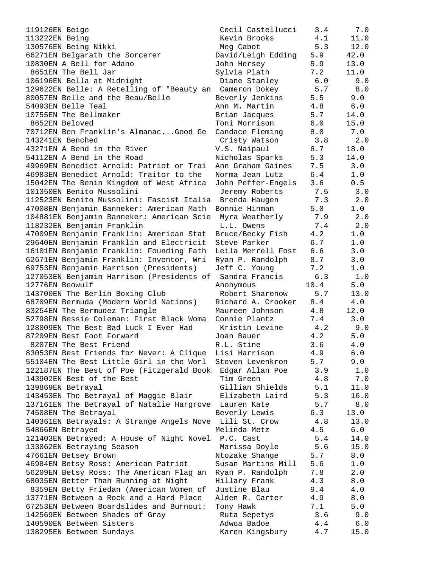| 119126EN Beige                                          | Cecil Castellucci              | 3.4        | 7.0           |
|---------------------------------------------------------|--------------------------------|------------|---------------|
| 113222EN Being                                          | Kevin Brooks                   | 4.1        | 11.0          |
| 130576EN Being Nikki                                    | Meg Cabot                      | 5.3        | 12.0          |
| 66271EN Belgarath the Sorcerer                          | David/Leigh Edding             | 5.9        | 42.0          |
| 10830EN A Bell for Adano                                | John Hersey                    | 5.9        | 13.0          |
| 8651EN The Bell Jar                                     | Sylvia Plath                   | 7.2        | 11.0          |
| 106196EN Bella at Midnight                              | Diane Stanley                  | 6.0        | 9.0           |
| 129622EN Belle: A Retelling of "Beauty an Cameron Dokey |                                | 5.7        | 8.0           |
| 80057EN Belle and the Beau/Belle                        | Beverly Jenkins                | 5.5        | 9.0           |
| 54093EN Belle Teal                                      | Ann M. Martin                  | 4.8        | 6.0           |
| 10755EN The Bellmaker                                   | Brian Jacques                  | 5.7        | 14.0          |
| 8652EN Beloved                                          | Toni Morrison                  | 6.0        | 15.0          |
| 70712EN Ben Franklin's AlmanacGood Ge                   | Candace Fleming                | 8.0        | 7.0           |
| 143241EN Benched                                        | Cristy Watson                  | 3.8        | 2.0           |
| 43271EN A Bend in the River                             | V.S. Naipaul                   | 6.7        | 18.0          |
| 54112EN A Bend in the Road                              | Nicholas Sparks                | 5.3        | 14.0          |
| 49969EN Benedict Arnold: Patriot or Trai                | Ann Graham Gaines              | 7.5        | 3.0           |
| 46983EN Benedict Arnold: Traitor to the                 | Norma Jean Lutz                | 6.4        | 1.0           |
| 15042EN The Benin Kingdom of West Africa                | John Peffer-Engels             | 3.6        | 0.5           |
| 101350EN Benito Mussolini                               | Jeremy Roberts                 | 7.5        | 3.0           |
| 112523EN Benito Mussolini: Fascist Italia               | Brenda Haugen                  | 7.3        | 2.0           |
| 47008EN Benjamin Banneker: American Math                | Bonnie Hinman                  | 5.0        | 1.0           |
| 104881EN Benjamin Banneker: American Scie               | Myra Weatherly                 | 7.9        | 2.0           |
| 118232EN Benjamin Franklin                              | L.L. Owens                     | 7.4        | 2.0           |
| 47009EN Benjamin Franklin: American Stat                | Bruce/Becky Fish               | 4.2        | 1.0           |
| 29640EN Benjamin Franklin and Electricit                | Steve Parker                   | 6.7        | 1.0           |
| 16101EN Benjamin Franklin: Founding Fath                | Leila Merrell Fost             | 6.6        | 3.0           |
| 62671EN Benjamin Franklin: Inventor, Wri                | Ryan P. Randolph               | 8.7        | 3.0           |
| 69753EN Benjamin Harrison (Presidents)                  | Jeff C. Young                  | 7.2        | $1.0$         |
| 127053EN Benjamin Harrison (Presidents of               | Sandra Francis                 | 6.3        |               |
| 12776EN Beowulf                                         |                                | 10.4       | 1.0<br>5.0    |
|                                                         | Anonymous                      |            |               |
|                                                         |                                |            |               |
| 143700EN The Berlin Boxing Club                         | Robert Sharenow                | 5.7        | 13.0          |
| 68709EN Bermuda (Modern World Nations)                  | Richard A. Crooker             | 8.4        | 4.0           |
| 83254EN The Bermudez Triangle                           | Maureen Johnson                | 4.8        | 12.0          |
| 52798EN Bessie Coleman: First Black Woma                | Connie Plantz                  | 7.4        | 3.0           |
| 128009EN The Best Bad Luck I Ever Had                   | Kristin Levine                 | 4.2        | 9.0           |
| 87209EN Best Foot Forward                               | Joan Bauer                     | 4.2        | 5.0           |
| 8207EN The Best Friend                                  | R.L. Stine                     | 3.6        | 4.0           |
| 83053EN Best Friends for Never: A Clique                | Lisi Harrison                  | 4.9        | 6.0           |
| 55104EN The Best Little Girl in the Worl                | Steven Levenkron               | 5.7        | 9.0           |
| 122187EN The Best of Poe (Fitzgerald Book               | Edgar Allan Poe                | 3.9        | 1.0           |
| 143902EN Best of the Best                               | Tim Green                      | 4.8        | $7 \, . \, 0$ |
| 139869EN Betrayal                                       | Gillian Shields                | 5.1        | 11.0          |
| 143453EN The Betrayal of Maggie Blair                   | Elizabeth Laird                | 5.3        | 16.0          |
| 137161EN The Betrayal of Natalie Hargrove               | Lauren Kate                    | 5.7        | $8.0$         |
| 74508EN The Betrayal                                    | Beverly Lewis                  | 6.3        | 13.0          |
| 140361EN Betrayals: A Strange Angels Nove Lili St. Crow |                                | 4.8        | 13.0          |
| 54866EN Betrayed                                        | Melinda Metz                   | 4.5        | 6.0           |
| 121403EN Betrayed: A House of Night Novel P.C. Cast     |                                | 5.4        | 14.0          |
| 133062EN Betraying Season                               | Marissa Doyle                  | 5.6        | 15.0          |
| 47661EN Betsey Brown                                    | Ntozake Shange                 | 5.7        | 8.0           |
| 46984EN Betsy Ross: American Patriot                    | Susan Martins Mill             | 5.6        | 1.0           |
| 56209EN Betsy Ross: The American Flag an                | Ryan P. Randolph               | 7.8        | 2.0           |
| 68035EN Better Than Running at Night                    | Hillary Frank                  | 4.3        | 8.0           |
| 8359EN Betty Friedan (American Women of                 | Justine Blau                   | 9.4        | 4.0           |
| 13771EN Between a Rock and a Hard Place                 | Alden R. Carter                | 4.9        | 8.0           |
| 67253EN Between Boardslides and Burnout:                | Tony Hawk                      | 7.1        | 5.0           |
| 142569EN Between Shades of Gray                         | Ruta Sepetys                   | 3.6        | 9.0           |
| 140590EN Between Sisters<br>138295EN Between Sundays    | Adwoa Badoe<br>Karen Kingsbury | 4.4<br>4.7 | 6.0<br>15.0   |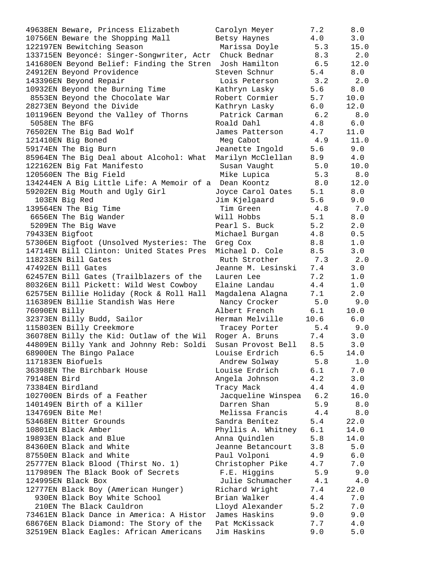| 49638EN Beware, Princess Elizabeth                              | Carolyn Meyer      | 7.2  | 8.0   |
|-----------------------------------------------------------------|--------------------|------|-------|
| 10756EN Beware the Shopping Mall                                | Betsy Haynes       | 4.0  | 3.0   |
| 122197EN Bewitching Season                                      | Marissa Doyle      | 5.3  | 15.0  |
|                                                                 | Chuck Bednar       | 8.3  | 2.0   |
| 133715EN Beyoncé: Singer-Songwriter, Actr                       |                    |      |       |
| 141680EN Beyond Belief: Finding the Stren                       | Josh Hamilton      | 6.5  | 12.0  |
| 24912EN Beyond Providence                                       | Steven Schnur      | 5.4  | 8.0   |
| 143396EN Beyond Repair                                          | Lois Peterson      | 3.2  | 2.0   |
| 10932EN Beyond the Burning Time                                 | Kathryn Lasky      | 5.6  | 8.0   |
| 8553EN Beyond the Chocolate War                                 | Robert Cormier     | 5.7  | 10.0  |
|                                                                 |                    |      |       |
| 28273EN Beyond the Divide                                       | Kathryn Lasky      | 6.0  | 12.0  |
| 101196EN Beyond the Valley of Thorns                            | Patrick Carman     | 6.2  | 8.0   |
| 5058EN The BFG                                                  | Roald Dahl         | 4.8  | 6.0   |
| 76502EN The Big Bad Wolf                                        | James Patterson    | 4.7  | 11.0  |
| 121410EN Big Boned                                              | Meg Cabot          | 4.9  | 11.0  |
| 59174EN The Big Burn                                            | Jeanette Ingold    | 5.6  | 9.0   |
| 85964EN The Big Deal about Alcohol: What                        | Marilyn McClellan  | 8.9  | 4.0   |
|                                                                 |                    |      |       |
| 122162EN Big Fat Manifesto                                      | Susan Vaught       | 5.0  | 10.0  |
| 120560EN The Big Field                                          | Mike Lupica        | 5.3  | 8.0   |
| 134244EN A Big Little Life: A Memoir of a                       | Dean Koontz        | 8.0  | 12.0  |
| 59202EN Big Mouth and Ugly Girl                                 | Joyce Carol Oates  | 5.1  | 8.0   |
| 103EN Big Red                                                   | Jim Kjelgaard      | 5.6  | 9.0   |
| 139564EN The Big Time                                           | Tim Green          | 4.8  | 7.0   |
| 6656EN The Big Wander                                           | Will Hobbs         | 5.1  | 8.0   |
|                                                                 |                    |      |       |
| 5209EN The Big Wave                                             | Pearl S. Buck      | 5.2  | 2.0   |
| 79433EN Bigfoot                                                 | Michael Burgan     | 4.8  | 0.5   |
| 57306EN Bigfoot (Unsolved Mysteries: The                        | Greg Cox           | 8.8  | 1.0   |
| 14714EN Bill Clinton: United States Pres                        | Michael D. Cole    | 8.5  | 3.0   |
| 118233EN Bill Gates                                             | Ruth Strother      | 7.3  | 2.0   |
| 47492EN Bill Gates                                              | Jeanne M. Lesinski | 7.4  | 3.0   |
| 62457EN Bill Gates (Trailblazers of the                         | Lauren Lee         | 7.2  | 1.0   |
|                                                                 | Elaine Landau      | 4.4  | 1.0   |
| 80326EN Bill Pickett: Wild West Cowboy                          |                    |      |       |
| 62575EN Billie Holiday (Rock & Roll Hall                        | Magdalena Alagna   | 7.1  | 2.0   |
| 116389EN Billie Standish Was Here                               | Nancy Crocker      | 5.0  | 9.0   |
| 76090EN Billy                                                   | Albert French      | 6.1  | 10.0  |
| 32373EN Billy Budd, Sailor                                      | Herman Melville    | 10.6 | 6.0   |
| 115803EN Billy Creekmore                                        | Tracey Porter      | 5.4  | 9.0   |
| 36078EN Billy the Kid: Outlaw of the Wil                        | Roger A. Bruns     | 7.4  | 3.0   |
| 44809EN Billy Yank and Johnny Reb: Soldi Susan Provost Bell 8.5 |                    |      | 3.0   |
| 68900EN The Bingo Palace                                        | Louise Erdrich     | 6.5  | 14.0  |
|                                                                 |                    |      |       |
| 117183EN Biofuels                                               | Andrew Solway      | 5.8  | 1.0   |
| 36398EN The Birchbark House                                     | Louise Erdrich     | 6.1  | 7.0   |
| 79148EN Bird                                                    | Angela Johnson     | 4.2  | 3.0   |
| 73384EN Birdland                                                | Tracy Mack         | 4.4  | 4.0   |
| 102700EN Birds of a Feather                                     | Jacqueline Winspea | 6.2  | 16.0  |
| 140149EN Birth of a Killer                                      | Darren Shan        | 5.9  | $8.0$ |
| 134769EN Bite Me!                                               | Melissa Francis    | 4.4  | 8.0   |
| 53468EN Bitter Grounds                                          | Sandra Benítez     | 5.4  | 22.0  |
|                                                                 |                    |      |       |
| 10801EN Black Amber                                             | Phyllis A. Whitney | 6.1  | 14.0  |
| 19893EN Black and Blue                                          | Anna Quindlen      | 5.8  | 14.0  |
| 84360EN Black and White                                         | Jeanne Betancourt  | 3.8  | 5.0   |
| 87550EN Black and White                                         | Paul Volponi       | 4.9  | 6.0   |
| 25777EN Black Blood (Thirst No. 1)                              | Christopher Pike   | 4.7  | 7.0   |
| 117989EN The Black Book of Secrets                              | F.E. Higgins       | 5.9  | 9.0   |
| 124995EN Black Box                                              | Julie Schumacher   | 4.1  | 4.0   |
| 12777EN Black Boy (American Hunger)                             | Richard Wright     | 7.4  | 22.0  |
| 930EN Black Boy White School                                    | Brian Walker       | 4.4  | 7.0   |
| 210EN The Black Cauldron                                        |                    |      |       |
|                                                                 | Lloyd Alexander    | 5.2  | 7.0   |
| 73461EN Black Dance in America: A Histor                        | James Haskins      | 9.0  | 9.0   |
| 68676EN Black Diamond: The Story of the                         | Pat McKissack      | 7.7  | 4.0   |
| 32519EN Black Eagles: African Americans                         | Jim Haskins        | 9.0  | $5.0$ |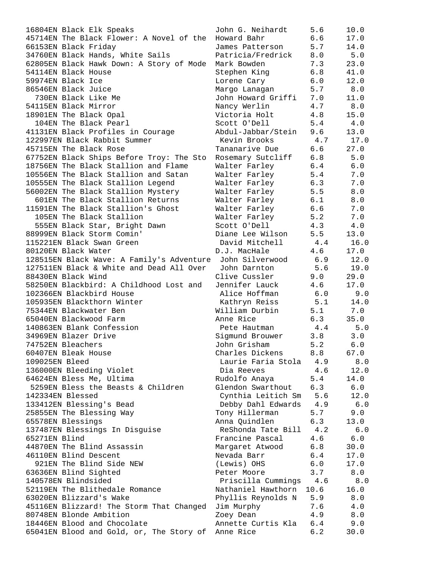|                   | 16804EN Black Elk Speaks                             | John G. Neihardt                           | 5.6   | 10.0       |
|-------------------|------------------------------------------------------|--------------------------------------------|-------|------------|
|                   | 45714EN The Black Flower: A Novel of the Howard Bahr |                                            | 6.6   | 17.0       |
|                   | 66153EN Black Friday                                 | James Patterson                            | 5.7   | 14.0       |
|                   | 34760EN Black Hands, White Sails                     | Patricia/Fredrick 8.0                      |       | 5.0        |
|                   | 62805EN Black Hawk Down: A Story of Mode             | Mark Bowden                                | 7.3   | 23.0       |
|                   | 54114EN Black House                                  | Stephen King                               | 6.8   | 41.0       |
| 59974EN Black Ice |                                                      | Lorene Cary                                | 6.0   | 12.0       |
|                   | 86546EN Black Juice                                  | 5.7<br>Margo Lanagan                       |       | 8.0        |
|                   | 730EN Black Like Me                                  | John Howard Griffi 7.0<br>Nancy Werlin 4.7 |       | 11.0       |
|                   | 54115EN Black Mirror                                 | Nancy Werlin                               |       | 8.0        |
|                   | 18901EN The Black Opal                               | Victoria Holt                              | 4.8   | 15.0       |
|                   | 104EN The Black Pearl                                | Scott O'Dell                               | 5.4   | 4.0        |
|                   | 41131EN Black Profiles in Courage                    | Abdul-Jabbar/Stein 9.6                     |       | 13.0       |
|                   | 122997EN Black Rabbit Summer                         | Kevin Brooks 4.7                           |       | 17.0       |
|                   | 45715EN The Black Rose                               | Tananarive Due                             | 6.6   | 27.0       |
|                   |                                                      | Rosemary Sutcliff 6.8                      |       |            |
|                   | 67752EN Black Ships Before Troy: The Sto             |                                            |       | 5.0        |
|                   | 18756EN The Black Stallion and Flame                 | Walter Farley                              | 6.4   | $6.0$      |
|                   | 10556EN The Black Stallion and Satan                 | Walter Farley                              | 5.4   | 7.0        |
|                   | 10555EN The Black Stallion Legend                    | Walter Farley                              | 6.3   | 7.0        |
|                   | 56002EN The Black Stallion Mystery                   | Walter Farley                              | 5.5   | 8.0        |
|                   | 601EN The Black Stallion Returns                     | Walter Farley                              | 6.1   | 8.0        |
|                   | 11591EN The Black Stallion's Ghost                   | Walter Farley                              | 6.6   | 7.0        |
|                   | 105EN The Black Stallion                             | Walter Farley                              | 5.2   | 7.0        |
|                   | 555EN Black Star, Bright Dawn                        | Scott O'Dell                               | 4.3   | 4.0        |
|                   | 88999EN Black Storm Comin'                           | Diane Lee Wilson                           | 5.5   | 13.0       |
|                   | 115221EN Black Swan Green                            | David Mitchell 4.4                         |       | 16.0       |
|                   | 80120EN Black Water                                  | D.J. MacHale                               | 4.6   | 17.0       |
|                   | 128515EN Black Wave: A Family's Adventure            | John Silverwood 6.9                        |       | 12.0       |
|                   | 127511EN Black & White and Dead All Over             | John Darnton 5.6 19.0                      |       |            |
|                   | 88430EN Black Wind                                   | Clive Cussler                              | 9.0   | 29.0       |
|                   | 58250EN Blackbird: A Childhood Lost and              | Jennifer Lauck                             | 4.6   | 17.0       |
|                   | 102366EN Blackbird House                             | Alice Hoffman                              | 6.0   | 9.0        |
|                   | 105935EN Blackthorn Winter                           | Kathryn Reiss                              |       | $5.1$ 14.0 |
|                   | 75344EN Blackwater Ben                               | William Durbin 5.1 7.0                     |       |            |
|                   | 65040EN Blackwood Farm                               | Anne Rice                                  | 6.3   | 35.0       |
|                   | 140863EN Blank Confession                            | Pete Hautman                               | 4.4   | 5.0        |
|                   | 34969EN Blazer Drive                                 | Sigmund Brouwer                            | 3.8   | 3.0        |
| 74752EN Bleachers |                                                      | John Grisham                               | $5.2$ | $6.0$      |
|                   | 60407EN Bleak House                                  | Charles Dickens                            | 8.8   | 67.0       |
| 109025EN Bleed    |                                                      | Laurie Faria Stola                         | 4.9   | 8.0        |
|                   | 136000EN Bleeding Violet                             | Dia Reeves                                 | 4.6   | 12.0       |
|                   | 64624EN Bless Me, Ultima                             | Rudolfo Anaya                              | 5.4   | 14.0       |
|                   | 5259EN Bless the Beasts & Children                   | Glendon Swarthout                          | 6.3   | 6.0        |
| 142334EN Blessed  |                                                      | Cynthia Leitich Sm                         | 5.6   | 12.0       |
|                   | 133412EN Blessing's Bead                             | Debby Dahl Edwards                         | 4.9   | 6.0        |
|                   |                                                      | Tony Hillerman                             | 5.7   | 9.0        |
|                   | 25855EN The Blessing Way                             | Anna Quindlen                              | 6.3   |            |
| 65578EN Blessings |                                                      |                                            |       | 13.0       |
|                   | 137487EN Blessings In Disguise                       | ReShonda Tate Bill                         | 4.2   | 6.0        |
| 65271EN Blind     |                                                      | Francine Pascal                            | 4.6   | 6.0        |
|                   | 44870EN The Blind Assassin                           | Margaret Atwood                            | 6.8   | 30.0       |
|                   | 46110EN Blind Descent                                | Nevada Barr                                | 6.4   | 17.0       |
|                   | 921EN The Blind Side NEW                             | (Lewis) OHS                                | 6.0   | 17.0       |
|                   | 63636EN Blind Sighted                                | Peter Moore                                | 3.7   | 8.0        |
|                   | 140578EN Blindsided                                  | Priscilla Cummings                         | 4.6   | 8.0        |
|                   | 52119EN The Blithedale Romance                       | Nathaniel Hawthorn 10.6                    |       | 16.0       |
|                   | 63020EN Blizzard's Wake                              | Phyllis Reynolds N                         | 5.9   | 8.0        |
|                   | 45116EN Blizzard! The Storm That Changed             | Jim Murphy                                 | 7.6   | 4.0        |
|                   | 80748EN Blonde Ambition                              | Zoey Dean                                  | 4.9   | 8.0        |
|                   | 18446EN Blood and Chocolate                          | Annette Curtis Kla                         | 6.4   | 9.0        |
|                   | 65041EN Blood and Gold, or, The Story of Anne Rice   |                                            | 6.2   | 30.0       |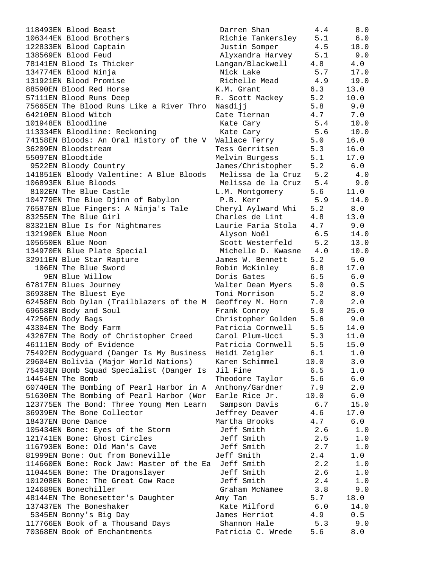| 118493EN Blood Beast                              | Darren Shan                        | 4.4        | 8.0         |
|---------------------------------------------------|------------------------------------|------------|-------------|
| 106344EN Blood Brothers                           | Richie Tankersley                  | 5.1        | 6.0         |
| 122833EN Blood Captain                            | Justin Somper                      | 4.5        | 18.0        |
| 138569EN Blood Feud                               | Alyxandra Harvey 5.1               |            | 9.0         |
| 78141EN Blood Is Thicker                          | Langan/Blackwell                   | 4.8        | 4.0         |
| 134774EN Blood Ninja                              | Nick Lake                          | 5.7        | 17.0        |
| 131921EN Blood Promise                            | Richelle Mead                      | 4.9        | 19.0        |
| 88590EN Blood Red Horse                           | K.M. Grant                         | 6.3        | 13.0        |
| 57111EN Blood Runs Deep                           | R. Scott Mackey                    | 5.2        | 10.0        |
| 75665EN The Blood Runs Like a River Thro          | Nasdijj                            | 5.8        | 9.0         |
| 64210EN Blood Witch                               | Cate Tiernan                       | 4.7        | 7.0         |
| 101948EN Bloodline                                | Kate Cary                          | 5.4        | 10.0        |
| 113334EN Bloodline: Reckoning                     | Kate Cary                          | 5.6        | 10.0        |
| 74158EN Bloods: An Oral History of the V          | Wallace Terry 5.0                  |            | 16.0        |
| 36209EN Bloodstream                               | Tess Gerritsen                     | 5.3        | 16.0        |
| 55097EN Bloodtide                                 | Melvin Burgess                     | 5.1        | 17.0        |
| 9522EN Bloody Country                             | James/Christopher                  | 5.2        | 6.0         |
| 141851EN Bloody Valentine: A Blue Bloods          | Melissa de la Cruz 5.2             |            | 4.0         |
| 106893EN Blue Bloods                              | Melissa de la Cruz 5.4             |            | 9.0         |
| 8102EN The Blue Castle                            | L.M. Montgomery                    | 5.6        | 11.0        |
| 104779EN The Blue Djinn of Babylon                | P.B. Kerr                          |            | $5.9$ 14.0  |
| 76587EN Blue Fingers: A Ninja's Tale              | Cheryl Aylward Whi                 | 5.2        | 8.0         |
| 83255EN The Blue Girl                             | Charles de Lint                    | 4.8        | 13.0        |
| 83321EN Blue Is for Nightmares                    | Laurie Faria Stola                 | 4.7        | 9.0         |
| 132190EN Blue Moon                                | Alyson Noël                        | 6.5        | 14.0        |
| 105650EN Blue Noon                                | Scott Westerfeld                   | 5.2        | 13.0        |
| 134970EN Blue Plate Special                       | Michelle D. Kwasne 4.0             | 5.2        | 10.0<br>5.0 |
| 32911EN Blue Star Rapture<br>106EN The Blue Sword | James W. Bennett                   |            |             |
|                                                   | Robin McKinley 6.8                 |            | 17.0        |
| 9EN Blue Willow                                   | Doris Gates                        | 6.5<br>5.0 | 6.0<br>0.5  |
| 67817EN Blues Journey<br>36938EN The Bluest Eye   | Walter Dean Myers<br>Toni Morrison | 5.2        | 8.0         |
| 62458EN Bob Dylan (Trailblazers of the M          | Geoffrey M. Horn                   | 7.0        | 2.0         |
| 69658EN Body and Soul                             | Frank Conroy                       | 5.0        | 25.0        |
| 47256EN Body Bags                                 | Christopher Golden                 | 5.6        | 9.0         |
| 43304EN The Body Farm                             | Patricia Cornwell                  | 5.5        | 14.0        |
| 43267EN The Body of Christopher Creed             | Carol Plum-Ucci                    | 5.3        | 11.0        |
| 46111EN Body of Evidence                          | Patricia Cornwell                  | 5.5        | 15.0        |
| 75492EN Bodyguard (Danger Is My Business          | Heidi Zeigler                      | 6.1        | 1.0         |
| 29604EN Bolivia (Major World Nations)             | Karen Schimmel                     | 10.0       | 3.0         |
| 75493EN Bomb Squad Specialist (Danger Is          | Jil Fine                           | 6.5        | 1.0         |
| 14454EN The Bomb                                  | Theodore Taylor                    | 5.6        | $6.0$       |
| 60740EN The Bombing of Pearl Harbor in A          | Anthony/Gardner                    | 7.9        | $2.0$       |
| 51630EN The Bombing of Pearl Harbor (Wor          | Earle Rice Jr.                     | 10.0       | $6.0$       |
| 123775EN The Bond: Three Young Men Learn          | Sampson Davis                      | 6.7        | 15.0        |
| 36939EN The Bone Collector                        | Jeffrey Deaver                     | 4.6        | 17.0        |
| 18437EN Bone Dance                                | Martha Brooks                      | 4.7        | 6.0         |
| 105434EN Bone: Eyes of the Storm                  | Jeff Smith                         | 2.6        | 1.0         |
| 121741EN Bone: Ghost Circles                      | Jeff Smith                         | 2.5        | $1.0$       |
| 116793EN Bone: Old Man's Cave                     | Jeff Smith                         | 2.7        | $1.0$       |
| 81999EN Bone: Out from Boneville                  | Jeff Smith                         | 2.4        | 1.0         |
| 114660EN Bone: Rock Jaw: Master of the Ea         | Jeff Smith                         | 2.2        | 1.0         |
| 110445EN Bone: The Dragonslayer                   | Jeff Smith                         | 2.6        | $1.0$       |
| 101208EN Bone: The Great Cow Race                 | Jeff Smith                         | 2.4        | 1.0         |
| 124689EN Bonechiller                              | Graham McNamee                     | 3.8        | 9.0         |
| 48144EN The Bonesetter's Daughter                 | Amy Tan                            | 5.7        | 18.0        |
| 137437EN The Boneshaker                           | Kate Milford                       | 6.0        | 14.0        |
| 5345EN Bonny's Big Day                            | James Herriot                      | 4.9        | 0.5         |
| 117766EN Book of a Thousand Days                  | Shannon Hale                       | 5.3        | 9.0         |
| 70368EN Book of Enchantments                      | Patricia C. Wrede                  | 5.6        | 8.0         |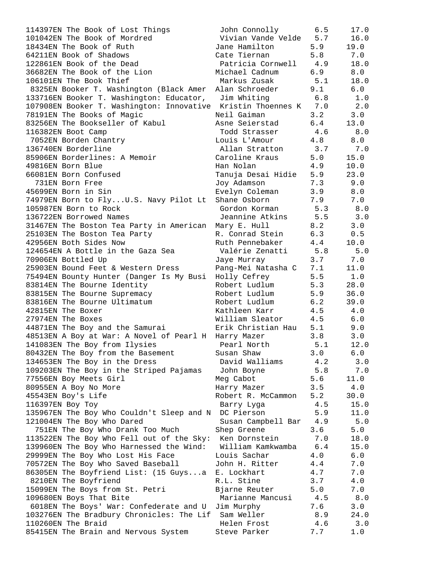| 114397EN The Book of Lost Things                                 | John Connolly          | 6.5 | 17.0 |
|------------------------------------------------------------------|------------------------|-----|------|
| 101042EN The Book of Mordred                                     | Vivian Vande Velde 5.7 |     | 16.0 |
| 18434EN The Book of Ruth                                         | Jane Hamilton          | 5.9 | 19.0 |
| 64211EN Book of Shadows                                          | Cate Tiernan           | 5.8 | 7.0  |
| 122861EN Book of the Dead                                        | Patricia Cornwell 4.9  |     | 18.0 |
| 36682EN The Book of the Lion                                     | Michael Cadnum         | 6.9 | 8.0  |
| 106101EN The Book Thief                                          | Markus Zusak           | 5.1 | 18.0 |
| 8325EN Booker T. Washington (Black Amer                          | Alan Schroeder         | 9.1 | 6.0  |
| 133716EN Booker T. Washington: Educator,                         | Jim Whiting            | 6.8 | 1.0  |
| 107908EN Booker T. Washington: Innovative Kristin Thoennes K 7.0 |                        |     | 2.0  |
| 78191EN The Books of Magic                                       | Neil Gaiman            | 3.2 | 3.0  |
| 83256EN The Bookseller of Kabul                                  | Asne Seierstad         | 6.4 | 13.0 |
| 116382EN Boot Camp                                               | Todd Strasser          | 4.6 | 8.0  |
| 7052EN Borden Chantry                                            | Louis L'Amour          | 4.8 | 8.0  |
| 136740EN Borderline                                              | Allan Stratton         | 3.7 | 7.0  |
| 85906EN Borderlines: A Memoir                                    | Caroline Kraus         | 5.0 | 15.0 |
| 49816EN Born Blue                                                | Han Nolan              | 4.9 | 10.0 |
| 66081EN Born Confused                                            | Tanuja Desai Hidie     | 5.9 | 23.0 |
| 731EN Born Free                                                  | Joy Adamson            | 7.3 | 9.0  |
| 45699EN Born in Sin                                              | Evelyn Coleman         | 3.9 | 8.0  |
| 74979EN Born to FlyU.S. Navy Pilot Lt                            | Shane Osborn           | 7.9 | 7.0  |
| 105987EN Born to Rock                                            | Gordon Korman          | 5.3 | 8.0  |
| 136722EN Borrowed Names                                          | Jeannine Atkins        | 5.5 | 3.0  |
| 31467EN The Boston Tea Party in American Mary E. Hull            |                        | 8.2 | 3.0  |
| 25103EN The Boston Tea Party                                     | R. Conrad Stein        | 6.3 | 0.5  |
| 42956EN Both Sides Now                                           | Ruth Pennebaker        | 4.4 | 10.0 |
| 124654EN A Bottle in the Gaza Sea                                | Valérie Zenatti        | 5.8 | 5.0  |
| 70906EN Bottled Up                                               | Jaye Murray            | 3.7 | 7.0  |
| 25903EN Bound Feet & Western Dress                               | Pang-Mei Natasha C     | 7.1 | 11.0 |
| 75494EN Bounty Hunter (Danger Is My Busi                         | Holly Cefrey           | 5.5 | 1.0  |
| 83814EN The Bourne Identity                                      | Robert Ludlum          | 5.3 | 28.0 |
| 83815EN The Bourne Supremacy                                     | Robert Ludlum          | 5.9 | 36.0 |
| 83816EN The Bourne Ultimatum                                     | Robert Ludlum          | 6.2 | 39.0 |
| 42815EN The Boxer                                                | Kathleen Karr          | 4.5 | 4.0  |
| 27974EN The Boxes                                                | William Sleator        | 4.5 | 6.0  |
| 44871EN The Boy and the Samurai                                  | Erik Christian Hau     | 5.1 | 9.0  |
| 48513EN A Boy at War: A Novel of Pearl H Harry Mazer             |                        | 3.8 | 3.0  |
| 141083EN The Boy from Ilysies                                    | Pearl North            | 5.1 | 12.0 |
| 80432EN The Boy from the Basement                                | Susan Shaw             | 3.0 | 6.0  |
| 134653EN The Boy in the Dress                                    | David Walliams         | 4.2 | 3.0  |
| 109203EN The Boy in the Striped Pajamas                          | John Boyne             | 5.8 | 7.0  |
| 77556EN Boy Meets Girl                                           | Meg Cabot              | 5.6 | 11.0 |
| 80955EN A Boy No More                                            | Harry Mazer            | 3.5 | 4.0  |
| 45543EN Boy's Life                                               | Robert R. McCammon     | 5.2 | 30.0 |
| 116397EN Boy Toy                                                 | Barry Lyga             | 4.5 | 15.0 |
| 135967EN The Boy Who Couldn't Sleep and N DC Pierson             |                        | 5.9 | 11.0 |
| 121004EN The Boy Who Dared                                       | Susan Campbell Bar 4.9 |     | 5.0  |
| 751EN The Boy Who Drank Too Much                                 | Shep Greene            | 3.6 | 5.0  |
| 113522EN The Boy Who Fell out of the Sky: Ken Dornstein          |                        | 7.0 | 18.0 |
| 139960EN The Boy Who Harnessed the Wind: William Kamkwamba       |                        | 6.4 | 15.0 |
| 29999EN The Boy Who Lost His Face                                | Louis Sachar           | 4.0 | 6.0  |
| 70572EN The Boy Who Saved Baseball                               | John H. Ritter         | 4.4 | 7.0  |
| 86305EN The Boyfriend List: (15 Guysa E. Lockhart                |                        | 4.7 | 7.0  |
| 8210EN The Boyfriend                                             | R.L. Stine             | 3.7 | 4.0  |
| 15099EN The Boys from St. Petri                                  | Bjarne Reuter          | 5.0 | 7.0  |
| 109680EN Boys That Bite                                          | Marianne Mancusi       | 4.5 | 8.0  |
| 6018EN The Boys' War: Confederate and U                          | Jim Murphy             | 7.6 | 3.0  |
| 103276EN The Bradbury Chronicles: The Lif Sam Weller             |                        | 8.9 | 24.0 |
| 110260EN The Braid                                               | Helen Frost            | 4.6 | 3.0  |
| 85415EN The Brain and Nervous System                             | Steve Parker           | 7.7 | 1.0  |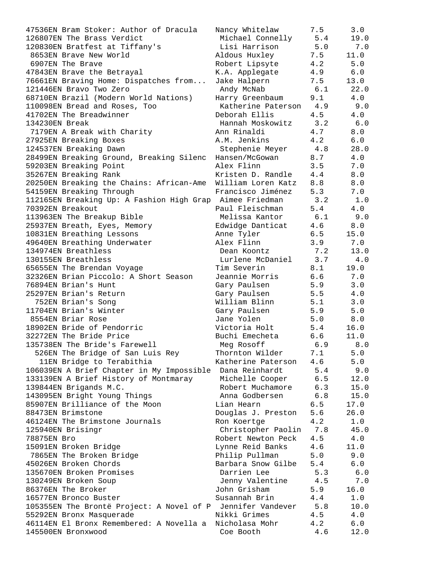| 47536EN Bram Stoker: Author of Dracula                      | Nancy Whitelaw                | 7.5        | 3.0         |
|-------------------------------------------------------------|-------------------------------|------------|-------------|
| 126807EN The Brass Verdict                                  | Michael Connelly              | 5.4        | 19.0        |
| 120830EN Bratfest at Tiffany's                              | Lisi Harrison                 | 5.0        | 7.0         |
| 8653EN Brave New World                                      | Aldous Huxley                 | 7.5        | 11.0        |
| 6907EN The Brave                                            | Robert Lipsyte                | 4.2        | 5.0         |
| 47843EN Brave the Betrayal                                  | K.A. Applegate                | 4.9        | 6.0         |
| 76661EN Braving Home: Dispatches from                       | Jake Halpern                  | 7.5        | 13.0        |
| 121446EN Bravo Two Zero                                     | Andy McNab                    | 6.1        | 22.0        |
| 68710EN Brazil (Modern World Nations)                       | Harry Greenbaum               | 9.1        | 4.0         |
| 110098EN Bread and Roses, Too                               | Katherine Paterson 4.9        |            | 9.0         |
| 41702EN The Breadwinner                                     | Deborah Ellis                 | 4.5        | 4.0         |
| 134230EN Break                                              | Hannah Moskowitz              | 3.2        | 6.0         |
| 7179EN A Break with Charity                                 | Ann Rinaldi                   | 4.7        | 8.0         |
| 27925EN Breaking Boxes                                      | A.M. Jenkins                  | 4.2        | 6.0         |
| 124537EN Breaking Dawn                                      | Stephenie Meyer               | 4.8        | 28.0        |
| 28499EN Breaking Ground, Breaking Silenc Hansen/McGowan     |                               | 8.7        | 4.0         |
| 59203EN Breaking Point                                      | Alex Flinn                    | 3.5        | 7.0         |
| 35267EN Breaking Rank                                       | Kristen D. Randle             | 4.4        | 8.0         |
| 20250EN Breaking the Chains: African-Ame William Loren Katz |                               | 8.8        | 8.0         |
| 54159EN Breaking Through                                    | Francisco Jiménez             | 5.3        | 7.0         |
| 112165EN Breaking Up: A Fashion High Grap Aimee Friedman    |                               | 3.2        | 1.0         |
| 70392EN Breakout                                            | Paul Fleischman               | 5.4        | 4.0         |
| 113963EN The Breakup Bible                                  | Melissa Kantor 6.1            |            | 9.0         |
| 25937EN Breath, Eyes, Memory                                | Edwidge Danticat              | 4.6        | 8.0         |
| 10831EN Breathing Lessons                                   | Anne Tyler                    | 6.5        | 15.0        |
| 49640EN Breathing Underwater                                | Alex Flinn                    | 3.9        | 7.0         |
| 134974EN Breathless                                         | Dean Koontz                   | 7.2        | 13.0        |
| 130155EN Breathless                                         | Lurlene McDaniel 3.7          |            | 4.0         |
| 65655EN The Brendan Voyage                                  | Tim Severin                   | 8.1        | 19.0        |
| 32326EN Brian Piccolo: A Short Season                       | Jeannie Morris                | 6.6        | 7.0         |
| 76894EN Brian's Hunt                                        | Gary Paulsen                  | 5.9        | 3.0         |
| 25297EN Brian's Return                                      |                               |            |             |
|                                                             | Gary Paulsen                  | 5.5        | 4.0         |
| 752EN Brian's Song<br>11704EN Brian's Winter                | William Blinn<br>Gary Paulsen | 5.1<br>5.9 | 3.0         |
| 8554EN Briar Rose                                           |                               |            | 5.0         |
|                                                             | Jane Yolen                    | 5.0        | 8.0         |
| 18902EN Bride of Pendorric                                  | Victoria Holt                 | 5.4        | 16.0        |
| 32272EN The Bride Price                                     | Buchi Emecheta                | 6.6        | 11.0        |
| 135738EN The Bride's Farewell                               | Meg Rosoff                    | 6.9        | $\,8$ . $0$ |
| 526EN The Bridge of San Luis Rey                            | Thornton Wilder               | 7.1        | 5.0         |
| 11EN Bridge to Terabithia                                   | Katherine Paterson            | 4.6        | 5.0         |
| 106039EN A Brief Chapter in My Impossible                   | Dana Reinhardt                | 5.4        | 9.0         |
| 133139EN A Brief History of Montmaray                       | Michelle Cooper               | 6.5        | 12.0        |
| 139844EN Brigands M.C.                                      | Robert Muchamore              | 6.3        | 15.0        |
| 143095EN Bright Young Things                                | Anna Godbersen                | 6.8        | 15.0        |
| 85907EN Brilliance of the Moon                              | Lian Hearn                    | 6.5        | 17.0        |
| 88473EN Brimstone                                           | Douglas J. Preston            | 5.6        | 26.0        |
| 46124EN The Brimstone Journals                              | Ron Koertge                   | 4.2        | $1.0\,$     |
| 125940EN Brisingr                                           | Christopher Paolin            | 7.8        | 45.0        |
| 78875EN Bro                                                 | Robert Newton Peck            | 4.5        | 4.0         |
| 15091EN Broken Bridge                                       | Lynne Reid Banks              | 4.6        | 11.0        |
| 7865EN The Broken Bridge                                    | Philip Pullman                | 5.0        | 9.0         |
| 45026EN Broken Chords                                       | Barbara Snow Gilbe            | 5.4        | 6.0         |
| 135670EN Broken Promises                                    | Darrien Lee                   | 5.3        | $6.0$       |
| 130249EN Broken Soup                                        | Jenny Valentine               | 4.5        | 7.0         |
| 86376EN The Broker                                          | John Grisham                  | 5.9        | 16.0        |
| 16577EN Bronco Buster                                       | Susannah Brin                 | 4.4        | 1.0         |
| 105355EN The Brontë Project: A Novel of P Jennifer Vandever |                               | 5.8        | 10.0        |
| 55292EN Bronx Masquerade                                    | Nikki Grimes                  | 4.5        | 4.0         |
| 46114EN El Bronx Remembered: A Novella a                    | Nicholasa Mohr                | 4.2        | 6.0         |
| 145500EN Bronxwood                                          | Coe Booth                     | 4.6        | 12.0        |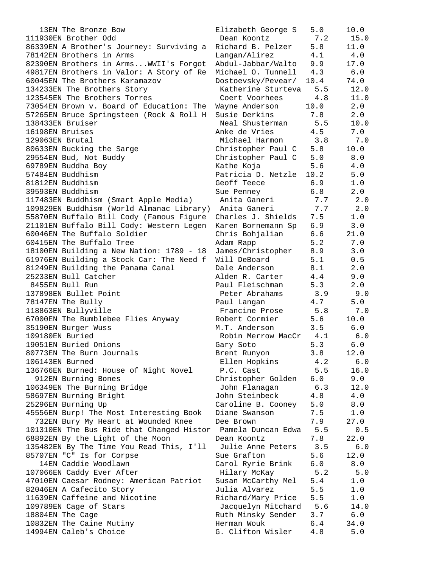13EN The Bronze Bow Elizabeth George S 5.0 10.0 111930EN Brother Odd Dean Koontz 7.2 15.0 86339EN A Brother's Journey: Surviving a Richard B. Pelzer 5.8 11.0 78142EN Brothers in Arms Langan/Alirez 4.1 4.0 82390EN Brothers in Arms...WWII's Forgot Abdul-Jabbar/Walto 9.9 17.0 49817EN Brothers in Valor: A Story of Re Michael O. Tunnell 4.3 6.0 60045EN The Brothers Karamazov Dostoevsky/Pevear/ 10.4 74.0 134233EN The Brothers Story Katherine Sturteva 5.5 12.0 123545EN The Brothers Torres Coert Voorhees 4.8 11.0 73054EN Brown v. Board of Education: The Wayne Anderson 10.0 2.0 57265EN Bruce Springsteen (Rock & Roll H Susie Derkins 7.8 2.0 138433EN Bruiser Neal Shusterman 5.5 10.0 16198EN Bruises Anke de Vries 4.5 7.0 129063EN Brutal Michael Harmon 3.8 7.0 80633EN Bucking the Sarge Christopher Paul C 5.8 10.0 29554EN Bud, Not Buddy Christopher Paul C 5.0 8.0 69789EN Buddha Boy Kathe Koja 5.6 4.0 57484EN Buddhism Patricia D. Netzle 10.2 5.0 81812EN Buddhism Geoff Teece 6.9 1.0 39593EN Buddhism Sue Penney 6.8 2.0 117483EN Buddhism (Smart Apple Media) Anita Ganeri 7.7 2.0 109829EN Buddhism (World Almanac Library) Anita Ganeri 7.7 2.0 55870EN Buffalo Bill Cody (Famous Figure Charles J. Shields 7.5 1.0 21101EN Buffalo Bill Cody: Western Legen Karen Bornemann Sp 6.9 3.0 60046EN The Buffalo Soldier Chris Bohjalian 6.6 21.0 60415EN The Buffalo Tree Adam Rapp 5.2 7.0 18100EN Building a New Nation: 1789 - 18 James/Christopher 8.9 3.0 61976EN Building a Stock Car: The Need f Will DeBoard 5.1 0.5 81249EN Building the Panama Canal Dale Anderson 8.1 2.0 25233EN Bull Catcher Alden R. Carter 4.4 9.0 8455EN Bull Run Paul Fleischman 5.3 2.0 137898EN Bullet Point Peter Abrahams 3.9 9.0 78147EN The Bully Paul Langan 4.7 5.0 118863EN Bullyville Francine Prose 5.8 7.0 67000EN The Bumblebee Flies Anyway Robert Cormier 5.6 10.0 35190EN Burger Wuss M.T. Anderson 3.5 6.0 109180EN Buried Robin Merrow MacCr 4.1 6.0 19051EN Buried Onions Gary Soto 5.3 6.0 80773EN The Burn Journals Brent Runyon 3.8 12.0 106143EN Burned Ellen Hopkins 4.2 6.0 136766EN Burned: House of Night Novel P.C. Cast 5.5 16.0 912EN Burning Bones Christopher Golden 6.0 9.0 106349EN The Burning Bridge John Flanagan 6.3 12.0 58697EN Burning Bright John Steinbeck 4.8 4.0 25296EN Burning Up Caroline B. Cooney 5.0 8.0 45556EN Burp! The Most Interesting Book Diane Swanson 7.5 1.0 732EN Bury My Heart at Wounded Knee Dee Brown 7.9 27.0 101310EN The Bus Ride that Changed Histor Pamela Duncan Edwa 5.5 0.5 68892EN By the Light of the Moon Dean Koontz 7.8 22.0 135482EN By The Time You Read This, I'll Julie Anne Peters 3.5 6.0 85707EN "C" Is for Corpse Sue Grafton 5.6 12.0 14EN Caddie Woodlawn Carol Ryrie Brink 6.0 8.0 107066EN Caddy Ever After Hilary McKay 5.2 5.0 47010EN Caesar Rodney: American Patriot Susan McCarthy Mel 5.4 1.0 82046EN A Cafecito Story Julia Alvarez 5.5 1.0 11639EN Caffeine and Nicotine Richard/Mary Price 5.5 1.0 109789EN Cage of Stars Jacquelyn Mitchard 5.6 14.0 18804EN The Cage **Ruth Minsky Sender** 3.7 6.0 10832EN The Caine Mutiny Herman Wouk 6.4 34.0 14994EN Caleb's Choice G. Clifton Wisler 4.8 5.0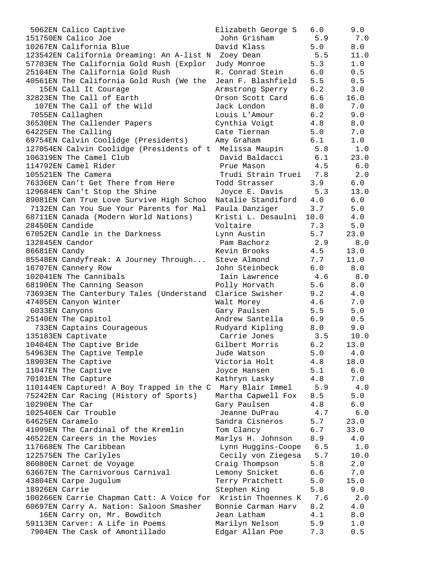| 5062EN Calico Captive                                        | Elizabeth George S      | 6.0        | 9.0     |
|--------------------------------------------------------------|-------------------------|------------|---------|
| 151750EN Calico Joe                                          | John Grisham            | 5.9        | 7.0     |
| 10267EN California Blue                                      | David Klass             | 5.0        | 8.0     |
| 123542EN California Dreaming: An A-list N Zoey Dean          |                         | 5.5        | 11.0    |
| 57703EN The California Gold Rush (Explor                     | Judy Monroe             | 5.3        | 1.0     |
| 25104EN The California Gold Rush                             | R. Conrad Stein         | 6.0        | 0.5     |
| 40561EN The California Gold Rush (We the Jean F. Blashfield  |                         | 5.5        | 0.5     |
| 15EN Call It Courage                                         | Armstrong Sperry        | 6.2        | 3.0     |
| 32823EN The Call of Earth                                    | Orson Scott Card        | 6.6        | 16.0    |
| 107EN The Call of the Wild                                   | Jack London             | 8.0        | 7.0     |
| 7055EN Callaghen                                             | Louis L'Amour           | 6.2        | 9.0     |
| 36530EN The Callender Papers                                 | Cynthia Voigt           | 4.8        | 8.0     |
| 64225EN The Calling                                          | Cate Tiernan            | 5.0        | 7.0     |
| 69754EN Calvin Coolidge (Presidents)                         | Amy Graham              | 6.1        | 1.0     |
| 127054EN Calvin Coolidge (Presidents of t                    | Melissa Maupin          | 5.8        | 1.0     |
| 106319EN The Camel Club                                      | David Baldacci          | 6.1        | 23.0    |
| 114792EN Camel Rider                                         | Prue Mason              | 4.5        | 6.0     |
| 105521EN The Camera                                          | Trudi Strain Truei 7.8  |            | 2.0     |
| 76336EN Can't Get There from Here                            | Todd Strasser           |            | 6.0     |
|                                                              |                         | 3.9        |         |
| 129684EN Can't Stop the Shine                                | Joyce E. Davis          | 5.3        | 13.0    |
| 89081EN Can True Love Survive High Schoo                     | Natalie Standiford 4.0  |            | 6.0     |
| 7132EN Can You Sue Your Parents for Mal                      | Paula Danziger          | 3.7        | 5.0     |
| 68711EN Canada (Modern World Nations)                        | Kristi L. Desaulni 10.0 |            | 4.0     |
| 28450EN Candide                                              | Voltaire                | 7.3        | 5.0     |
| 67052EN Candle in the Darkness                               | Lynn Austin             | 5.7        | 23.0    |
| 132845EN Candor                                              | Pam Bachorz             | 2.9        | 8.0     |
| 86681EN Candy                                                | Kevin Brooks            | 4.5        | 13.0    |
| 85548EN Candyfreak: A Journey Through                        | Steve Almond            | 7.7        | 11.0    |
| 16707EN Cannery Row                                          | John Steinbeck          | 6.0        | 8.0     |
| 102041EN The Cannibals                                       | Iain Lawrence           | 4.6        | 8.0     |
| 68190EN The Canning Season                                   | Polly Horvath           | 5.6        | 8.0     |
| 73693EN The Canterbury Tales (Understand                     | Clarice Swisher         | 9.2        | 4.0     |
| 47405EN Canyon Winter                                        | Walt Morey              | 4.6        | 7.0     |
| 6033EN Canyons                                               | Gary Paulsen            | 5.5        | 5.0     |
| 25140EN The Capitol                                          | Andrew Santella         | 6.9        | 0.5     |
| 733EN Captains Courageous                                    | Rudyard Kipling         | 8.0        | 9.0     |
| 135183EN Captivate                                           | Carrie Jones            | 3.5        | 10.0    |
| 10404EN The Captive Bride                                    | Gilbert Morris          | 6.2        | 13.0    |
| 54963EN The Captive Temple                                   | Jude Watson             | 5.0        | 4.0     |
| 18903EN The Captive                                          | Victoria Holt           | 4.8        | 18.0    |
| 11047EN The Captive                                          | Joyce Hansen            | 5.1        | 6.0     |
| 70101EN The Capture                                          | Kathryn Lasky           | 4.8        | 7.0     |
| 110144EN Captured! A Boy Trapped in the C Mary Blair Immel   |                         | 5.9        | 4.0     |
| 75242EN Car Racing (History of Sports)                       | Martha Capwell Fox      | 8.5        | 5.0     |
| 10290EN The Car                                              | Gary Paulsen            | 4.8        | 6.0     |
| 102546EN Car Trouble                                         | Jeanne DuPrau           | 4.7        | $6.0$   |
| 64625EN Caramelo                                             | Sandra Cisneros         | 5.7        | 23.0    |
| 41099EN The Cardinal of the Kremlin                          | Tom Clancy              | 6.7        | 33.0    |
| 46522EN Careers in the Movies                                | Marlys H. Johnson       | 8.9        | 4.0     |
| 117668EN The Caribbean                                       | Lynn Huggins-Coope      | 6.5        | 1.0     |
| 122575EN The Carlyles                                        | Cecily von Ziegesa      | 5.7        | 10.0    |
| 86080EN Carnet de Voyage                                     | Craig Thompson          |            | 2.0     |
|                                                              |                         | 5.8<br>6.6 | 7.0     |
| 63667EN The Carnivorous Carnival                             | Lemony Snicket          |            |         |
| 43804EN Carpe Jugulum                                        | Terry Pratchett         | 5.0        | 15.0    |
| 18926EN Carrie                                               | Stephen King            | 5.8        | 9.0     |
| 100266EN Carrie Chapman Catt: A Voice for Kristin Thoennes K |                         | 7.6        | 2.0     |
| 60697EN Carry A. Nation: Saloon Smasher                      | Bonnie Carman Harv      | 8.2        | $4.0\,$ |
| 16EN Carry on, Mr. Bowditch                                  | Jean Latham             | 4.1        | 8.0     |
| 59113EN Carver: A Life in Poems                              | Marilyn Nelson          | 5.9        | 1.0     |
| 7904EN The Cask of Amontillado                               | Edgar Allan Poe         | 7.3        | 0.5     |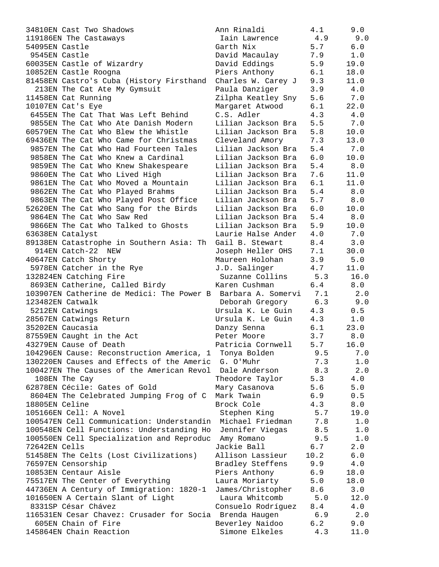| 34810EN Cast Two Shadows                  | Ann Rinaldi        | 4.1  | 9.0  |
|-------------------------------------------|--------------------|------|------|
| 119186EN The Castaways                    | Iain Lawrence      | 4.9  | 9.0  |
| 54095EN Castle                            | Garth Nix          | 5.7  | 6.0  |
| 9545EN Castle                             | David Macaulay     | 7.9  | 1.0  |
| 60035EN Castle of Wizardry                | David Eddings      | 5.9  | 19.0 |
| 10852EN Castle Roogna                     | Piers Anthony      | 6.1  | 18.0 |
| 81458EN Castro's Cuba (History Firsthand  | Charles W. Carey J | 9.3  | 11.0 |
| 213EN The Cat Ate My Gymsuit              | Paula Danziger     | 3.9  | 4.0  |
| 11458EN Cat Running                       | Zilpha Keatley Sny | 5.6  | 7.0  |
| 10107EN Cat's Eye                         | Margaret Atwood    | 6.1  | 22.0 |
| 6455EN The Cat That Was Left Behind       | C.S. Adler         | 4.3  | 4.0  |
| 9855EN The Cat Who Ate Danish Modern      | Lilian Jackson Bra | 5.5  | 7.0  |
| 60579EN The Cat Who Blew the Whistle      | Lilian Jackson Bra | 5.8  | 10.0 |
| 69436EN The Cat Who Came for Christmas    | Cleveland Amory    | 7.3  | 13.0 |
| 9857EN The Cat Who Had Fourteen Tales     | Lilian Jackson Bra | 5.4  | 7.0  |
| 9858EN The Cat Who Knew a Cardinal        | Lilian Jackson Bra | 6.0  | 10.0 |
| 9859EN The Cat Who Knew Shakespeare       | Lilian Jackson Bra | 5.4  | 8.0  |
| 9860EN The Cat Who Lived High             | Lilian Jackson Bra | 7.6  | 11.0 |
| 9861EN The Cat Who Moved a Mountain       | Lilian Jackson Bra | 6.1  | 11.0 |
| 9862EN The Cat Who Played Brahms          | Lilian Jackson Bra | 5.4  | 8.0  |
| 9863EN The Cat Who Played Post Office     | Lilian Jackson Bra | 5.7  | 8.0  |
| 52620EN The Cat Who Sang for the Birds    | Lilian Jackson Bra | 6.0  | 10.0 |
| 9864EN The Cat Who Saw Red                | Lilian Jackson Bra | 5.4  | 8.0  |
| 9866EN The Cat Who Talked to Ghosts       | Lilian Jackson Bra | 5.9  | 10.0 |
| 63638EN Catalyst                          | Laurie Halse Ander | 4.0  | 7.0  |
| 89138EN Catastrophe in Southern Asia: Th  | Gail B. Stewart    | 8.4  | 3.0  |
| 914EN Catch-22 NEW                        | Joseph Heller OHS  | 7.1  | 30.0 |
| 40647EN Catch Shorty                      | Maureen Holohan    | 3.9  | 5.0  |
| 5978EN Catcher in the Rye                 | J.D. Salinger      | 4.7  | 11.0 |
| 132824EN Catching Fire                    | Suzanne Collins    | 5.3  | 16.0 |
| 8693EN Catherine, Called Birdy            | Karen Cushman      | 6.4  | 8.0  |
| 103907EN Catherine de Medici: The Power B | Barbara A. Somervi | 7.1  | 2.0  |
| 123482EN Catwalk                          | Deborah Gregory    | 6.3  | 9.0  |
| 5212EN Catwings                           | Ursula K. Le Guin  | 4.3  | 0.5  |
| 28567EN Catwings Return                   | Ursula K. Le Guin  | 4.3  | 1.0  |
| 35202EN Caucasia                          | Danzy Senna        | 6.1  | 23.0 |
| 87559EN Caught in the Act                 | Peter Moore        | 3.7  | 8.0  |
| 43279EN Cause of Death                    | Patricia Cornwell  | 5.7  | 16.0 |
| 104296EN Cause: Reconstruction America, 1 | Tonya Bolden       | 9.5  | 7.0  |
| 130220EN Causes and Effects of the Americ | G. O'Muhr          | 7.3  | 1.0  |
| 100427EN The Causes of the American Revol | Dale Anderson      | 8.3  | 2.0  |
| 108EN The Cay                             | Theodore Taylor    | 5.3  | 4.0  |
| 62878EN Cécile: Gates of Gold             | Mary Casanova      | 5.6  | 5.0  |
| 8604EN The Celebrated Jumping Frog of C   | Mark Twain         | 6.9  | 0.5  |
| 18805EN Celine                            | Brock Cole         | 4.3  | 8.0  |
| 105166EN Cell: A Novel                    | Stephen King       | 5.7  | 19.0 |
| 100547EN Cell Communication: Understandin | Michael Friedman   | 7.8  | 1.0  |
| 100548EN Cell Functions: Understanding Ho | Jennifer Viegas    | 8.5  | 1.0  |
| 100550EN Cell Specialization and Reproduc | Amy Romano         | 9.5  | 1.0  |
| 72642EN Cells                             | Jackie Ball        | 6.7  | 2.0  |
| 51458EN The Celts (Lost Civilizations)    | Allison Lassieur   | 10.2 | 6.0  |
| 76597EN Censorship                        | Bradley Steffens   | 9.9  | 4.0  |
| 10853EN Centaur Aisle                     | Piers Anthony      | 6.9  | 18.0 |
| 75517EN The Center of Everything          | Laura Moriarty     | 5.0  | 18.0 |
| 44736EN A Century of Immigration: 1820-1  | James/Christopher  | 8.6  | 3.0  |
| 101650EN A Certain Slant of Light         | Laura Whitcomb     | 5.0  | 12.0 |
| 8331SP César Chávez                       | Consuelo Rodríguez | 8.4  | 4.0  |
| 116531EN Cesar Chavez: Crusader for Socia | Brenda Haugen      | 6.9  | 2.0  |
| 605EN Chain of Fire                       | Beverley Naidoo    | 6.2  | 9.0  |
| 145864EN Chain Reaction                   | Simone Elkeles     | 4.3  | 11.0 |
|                                           |                    |      |      |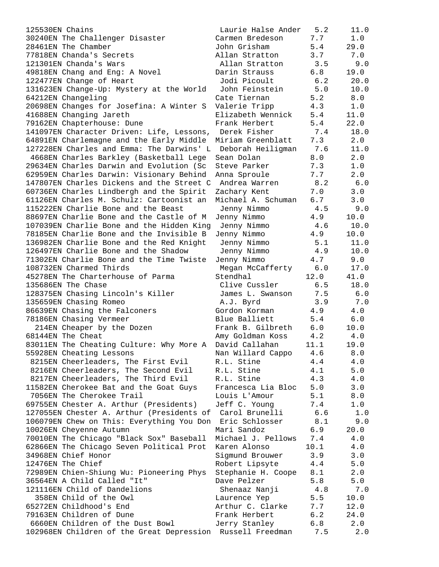125530EN Chains 30240EN The Challenger Disaster Care 28461EN The Chamber June 3.4 2014 77818EN Chanda's Secrets A. 121301EN Chanda's Wars 49818EN Chang and Eng: A Novel Daring Barners 122477EN Change of Heart 131623EN Change-Up: Mystery at the World 64212EN Changeling Cate Tiernan 5.2 8.000 C 20698EN Changes for Josefina: A Winter S V 41688EN Changing Jareth Wennie Black 79162EN Chapterhouse: Dune F 141097EN Character Driven: Life, Lessons, 64891EN Charlemagne and the Early Middle M 127228EN Charles and Emma: The Darwins' L 4668EN Charles Barkley (Basketball Lege S 29634EN Charles Darwin and Evolution (Sc S 62959EN Charles Darwin: Visionary Behind A 147807EN Charles Dickens and the Street C 60736EN Charles Lindbergh and the Spirit Z 61126EN Charles M. Schulz: Cartoonist an M. 115222EN Charlie Bone and the Beast 88697EN Charlie Bone and the Castle of M J 107039EN Charlie Bone and the Hidden King 78185EN Charlie Bone and the Invisible B J 136982EN Charlie Bone and the Red Knight 126497EN Charlie Bone and the Shadow 71302EN Charlie Bone and the Time Twiste J 108732EN Charmed Thirds 45278EN The Charterhouse of Parma 5 135686EN The Chase 128375EN Chasing Lincoln's Killer 135659EN Chasing Romeo 86639EN Chasing the Falconers G 78186EN Chasing Vermeer B 214EN Cheaper by the Dozen F. 68144EN The Cheat Amy Goldman Koss 4.2 4.0 83011EN The Cheating Culture: Why More A Da 55928EN Cheating Lessons Nan Willard Cappo 4.6 8.0 8215EN Cheerleaders, The First Evil R. 8216EN Cheerleaders, The Second Evil R 8217EN Cheerleaders, The Third Evil R. 11582EN Cherokee Bat and the Goat Guys F 7056EN The Cherokee Trail Louis L'Amour 5.1 8.0 69755EN Chester A. Arthur (Presidents)  $J<sub>1</sub>$ 127055EN Chester A. Arthur (Presidents of 106079EN Chew on This: Everything You Don 10026EN Cheyenne Autumn Mari Sandoz 6.9 20.0 70010EN The Chicago "Black Sox" Baseball M. 62866EN The Chicago Seven Political Prot Ka 34968EN Chief Honor Sigmund Brown Sigmund Brown Sigmund Brown Sigmund Brown Sigmund Brown Sigmund Brown Sigmund B 12476EN The Chief Robert Lipsyte 4.4 5.00  $R_1$ 72989EN Chien-Shiung Wu: Pioneering Phys S. 36564EN A Child Called "It" Dave Dave Base of Dave School and The Dave School School and The Dave School School 121116EN Child of Dandelions 358EN Child of the Owl 5.5 10.00 10.00 10.00 10.00 10.00 10.00 10.00 10.00 10.00 10.00 10.00 10.00 10.00 10.00 65272EN Childhood's End Arthur C. Clarke 7.7 12.0 79163EN Children of Dune Frank Herbert 6.2 24.0 6660EN Children of the Dust Bowl Jo 102968EN Children of the Great Depression Russell Freedman 7.5 2.0

| Laurie Halse Ander     | 5.2          | 11.0         |
|------------------------|--------------|--------------|
| armen Bredeson         | 7.7          | $1\,.\,0$    |
| ohn Grisham            | 5.4          | 29.0         |
| llan Stratton          | 3.7          | 7.0          |
| Allan Stratton         | 3.5          | 9.0          |
| arin Strauss           | 6.8          | 19.0         |
| Jodi Picoult           | $6.2$        | 20.0         |
| John Feinstein         | 5.0          | 10.0         |
| ate Tiernan            | 5.2          | $8.0$        |
| alerie Tripp           | 4.3          | 1.0          |
| lizabeth Wennick       | 5.4          | 11.0         |
| rank Herbert           | 5.4          | 22.0         |
| Derek Fisher           |              |              |
|                        | 7.4          | 18.0         |
| iriam Greenblatt       | 7.3          | 2.0          |
| Deborah Heiligman      | 7.6          | 11.0         |
| ean Dolan              | 8.0          | 2.0          |
| teve Parker            | 7.3          | 1.0          |
| nna Sproule            | 7.7          | 2.0          |
| Andrea Warren          | 8.2          | 6.0          |
| achary Kent            | 7.0          | 3.0          |
| ichael A. Schuman      | 6.7          | 3.0          |
| Jenny Nimmo            | 4.5          | 9.0          |
| enny Nimmo             | 4.9          | 10.0         |
| Jenny Nimmo            | 4.6          | 10.0         |
| enny Nimmo             | 4.9          | 10.0         |
| Jenny Nimmo            | 5.1          | 11.0         |
| Jenny Nimmo            | 4.9          | 10.0         |
| enny Nimmo             | 4.7          | 9.0          |
| Megan McCafferty       | $6.0$        | 17.0         |
| tendhal                | 12.0         | 41.0         |
| Clive Cussler          | 6.5          | 18.0         |
| James L. Swanson       | 7.5          | 6.0          |
| A.J. Byrd              | 3.9          | 7.0          |
| ordon Korman           | 4.9          | $4\,.$ $0\,$ |
| lue Balliett           | 5.4          | $6.0$        |
| rank B. Gilbreth       | 6.0          | 10.0         |
| my Goldman Koss        | 4.2          | 4.0          |
| avid Callahan          |              | 19.0         |
|                        | 11.1         |              |
| an Willard Cappo       | 4.6          | 8.0          |
| .L. Stine              | $4\,\ldotp4$ | $4\,.0$      |
| .L. Stine<br>.L. Stine | $4\,.1$      | $5.0$        |
|                        | 4.3          | $4.0\,$      |
| rancesca Lia Bloc      | $5.0$        | 3.0          |
| ouis L'Amour           | 5.1          | $8.0$        |
| eff C. Young           | 7.4          | $1.0\,$      |
| Carol Brunelli         | 6.6          | $1.0$        |
| Eric Schlosser         | 8.1          | 9.0          |
| ari Sandoz             | 6.9          | 20.0         |
| ichael J. Pellows      | $7.4\,$      | 4.0          |
| aren Alonso            | 10.1         | $4.0\,$      |
| igmund Brouwer         | 3.9          | 3.0          |
| obert Lipsyte          | 4.4          | $5.0$        |
| tephanie H. Coope      | 8.1          | 2.0          |
| ave Pelzer             | 5.8          | 5.0          |
| Shenaaz Nanji          | 4.8          | 7.0          |
| aurence Yep            | 5.5          | 10.0         |
| rthur C. Clarke        | 7.7          | 12.0         |
| rank Herbert           | 6.2          | 24.0         |
| erry Stanley           | 6.8          | 2.0          |
|                        |              |              |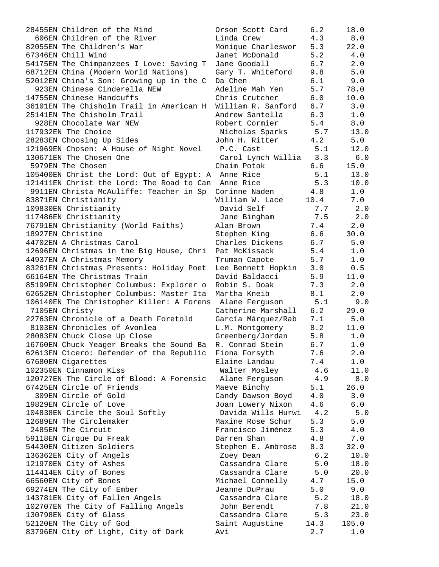| 28455EN Children of the Mind                        | Orson Scott Card   | 6.2  | 18.0  |
|-----------------------------------------------------|--------------------|------|-------|
| 606EN Children of the River                         | Linda Crew         | 4.3  | 8.0   |
| 82055EN The Children's War                          | Monique Charleswor | 5.3  | 22.0  |
| 67346EN Chill Wind                                  | Janet McDonald     | 5.2  | 4.0   |
| 54175EN The Chimpanzees I Love: Saving T            | Jane Goodall       | 6.7  | 2.0   |
| 68712EN China (Modern World Nations)                | Gary T. Whiteford  | 9.8  | 5.0   |
| 52012EN China's Son: Growing up in the C            | Da Chen            | 6.1  | 9.0   |
| 923EN Chinese Cinderella NEW                        | Adeline Mah Yen    | 5.7  | 78.0  |
| 14755EN Chinese Handcuffs                           | Chris Crutcher     | 6.0  | 10.0  |
|                                                     |                    |      |       |
| 36101EN The Chisholm Trail in American H            | William R. Sanford | 6.7  | 3.0   |
| 25141EN The Chisholm Trail                          | Andrew Santella    | 6.3  | 1.0   |
| 928EN Chocolate War NEW                             | Robert Cormier     | 5.4  | 8.0   |
| 117932EN The Choice                                 | Nicholas Sparks    | 5.7  | 13.0  |
| 28283EN Choosing Up Sides                           | John H. Ritter     | 4.2  | 5.0   |
| 121969EN Chosen: A House of Night Novel             | P.C. Cast          | 5.1  | 12.0  |
| 130671EN The Chosen One                             | Carol Lynch Willia | 3.3  | 6.0   |
| 5979EN The Chosen                                   | Chaim Potok        | 6.6  | 15.0  |
| 105400EN Christ the Lord: Out of Egypt: A Anne Rice |                    | 5.1  | 13.0  |
| 121411EN Christ the Lord: The Road to Can Anne Rice |                    | 5.3  | 10.0  |
| 9911EN Christa McAuliffe: Teacher in Sp             | Corinne Naden      | 4.8  | 1.0   |
| 83871EN Christianity                                | William W. Lace    | 10.4 | 7.0   |
| 109830EN Christianity                               | David Self         | 7.7  | 2.0   |
| 117486EN Christianity                               | Jane Bingham       | 7.5  | 2.0   |
|                                                     |                    |      |       |
| 76791EN Christianity (World Faiths)                 | Alan Brown         | 7.4  | 2.0   |
| 18927EN Christine                                   | Stephen King       | 6.6  | 30.0  |
| 44702EN A Christmas Carol                           | Charles Dickens    | 6.7  | 5.0   |
| 12696EN Christmas in the Big House, Chri            | Pat McKissack      | 5.4  | 1.0   |
| 44937EN A Christmas Memory                          | Truman Capote      | 5.7  | 1.0   |
| 83261EN Christmas Presents: Holiday Poet            | Lee Bennett Hopkin | 3.0  | 0.5   |
| 66164EN The Christmas Train                         | David Baldacci     | 5.9  | 11.0  |
| 85199EN Christopher Columbus: Explorer o            | Robin S. Doak      | 7.3  | 2.0   |
| 62652EN Christopher Columbus: Master Ita            | Martha Kneib       | 8.1  | 2.0   |
| 106140EN The Christopher Killer: A Forens           | Alane Ferguson     | 5.1  | 9.0   |
| 7105EN Christy                                      | Catherine Marshall | 6.2  | 29.0  |
| 22763EN Chronicle of a Death Foretold               | García Márquez/Rab | 7.1  | 5.0   |
| 8103EN Chronicles of Avonlea                        | L.M. Montgomery    | 8.2  | 11.0  |
| 28083EN Chuck Close Up Close                        | Greenberg/Jordan   | 5.8  | 1.0   |
| 16760EN Chuck Yeager Breaks the Sound Ba            | R. Conrad Stein    | 6.7  | 1.0   |
| 62613EN Cicero: Defender of the Republic            | Fiona Forsyth      | 7.6  | 2.0   |
| 67680EN Cigarettes                                  | Elaine Landau      | 7.4  | 1.0   |
| 102350EN Cinnamon Kiss                              | Walter Mosley      | 4.6  | 11.0  |
| 120727EN The Circle of Blood: A Forensic            | Alane Ferguson     | 4.9  | 8.0   |
| 67425EN Circle of Friends                           | Maeve Binchy       | 5.1  | 26.0  |
| 309EN Circle of Gold                                | Candy Dawson Boyd  | 4.0  | 3.0   |
| 19829EN Circle of Love                              | Joan Lowery Nixon  | 4.6  | 6.0   |
|                                                     |                    |      |       |
| 104838EN Circle the Soul Softly                     | Davida Wills Hurwi | 4.2  | 5.0   |
| 12689EN The Circlemaker                             | Maxine Rose Schur  | 5.3  | 5.0   |
| 2485EN The Circuit                                  | Francisco Jiménez  | 5.3  | 4.0   |
| 59118EN Cirque Du Freak                             | Darren Shan        | 4.8  | 7.0   |
| 54430EN Citizen Soldiers                            | Stephen E. Ambrose | 8.3  | 32.0  |
| 136362EN City of Angels                             | Zoey Dean          | 6.2  | 10.0  |
| 121970EN City of Ashes                              | Cassandra Clare    | 5.0  | 18.0  |
| 114414EN City of Bones                              | Cassandra Clare    | 5.0  | 20.0  |
| 66560EN City of Bones                               | Michael Connelly   | 4.7  | 15.0  |
| 69274EN The City of Ember                           | Jeanne DuPrau      | 5.0  | 9.0   |
| 143781EN City of Fallen Angels                      | Cassandra Clare    | 5.2  | 18.0  |
| 102707EN The City of Falling Angels                 | John Berendt       | 7.8  | 21.0  |
| 130798EN City of Glass                              | Cassandra Clare    | 5.3  | 23.0  |
| 52120EN The City of God                             | Saint Augustine    | 14.3 | 105.0 |
| 83796EN City of Light, City of Dark                 | Avi                | 2.7  | 1.0   |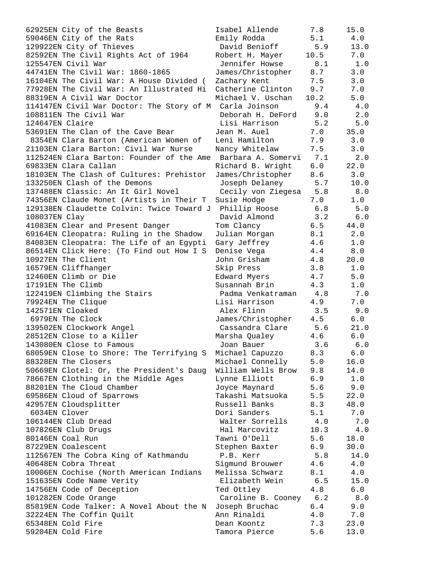| 62925EN City of the Beasts                              | Isabel Allende         | 7.8  | 15.0  |
|---------------------------------------------------------|------------------------|------|-------|
| 59046EN City of the Rats                                | Emily Rodda            | 5.1  | 4.0   |
| 129922EN City of Thieves                                | David Benioff          | 5.9  | 13.0  |
| 82592EN The Civil Rights Act of 1964                    | Robert H. Mayer        | 10.5 | 7.0   |
|                                                         |                        |      |       |
| 125547EN Civil War                                      | Jennifer Howse         | 8.1  | 1.0   |
| 44741EN The Civil War: 1860-1865                        | James/Christopher      | 8.7  | 3.0   |
| 16104EN The Civil War: A House Divided (                | Zachary Kent           | 7.5  | 3.0   |
| 77928EN The Civil War: An Illustrated Hi                | Catherine Clinton      | 9.7  | 7.0   |
| 88319EN A Civil War Doctor                              | Michael V. Uschan      | 10.2 | 5.0   |
| 114147EN Civil War Doctor: The Story of M Carla Joinson |                        | 9.4  | 4.0   |
|                                                         |                        |      |       |
| 108811EN The Civil War                                  | Deborah H. DeFord      | 9.0  | 2.0   |
| 124647EN Claire                                         | Lisi Harrison          | 5.2  | 5.0   |
| 53691EN The Clan of the Cave Bear                       | Jean M. Auel           | 7.0  | 35.0  |
| 8354EN Clara Barton (American Women of                  | Leni Hamilton          | 7.9  | 3.0   |
| 21103EN Clara Barton: Civil War Nurse                   | Nancy Whitelaw         | 7.5  | 3.0   |
|                                                         | Barbara A. Somervi     | 7.1  |       |
| 112524EN Clara Barton: Founder of the Ame               |                        |      | 2.0   |
| 69833EN Clara Callan                                    | Richard B. Wright      | 6.0  | 22.0  |
| 18103EN The Clash of Cultures: Prehistor                | James/Christopher      | 8.6  | 3.0   |
| 133250EN Clash of the Demons                            | Joseph Delaney         | 5.7  | 10.0  |
| 137488EN Classic: An It Girl Novel                      | Cecily von Ziegesa 5.8 |      | 8.0   |
| 74356EN Claude Monet (Artists in Their T                | Susie Hodge            | 7.0  | 1.0   |
|                                                         |                        |      |       |
| 129138EN Claudette Colvin: Twice Toward J               | Phillip Hoose          | 6.8  | 5.0   |
| 108037EN Clay                                           | David Almond           | 3.2  | 6.0   |
| 41083EN Clear and Present Danger                        | Tom Clancy             | 6.5  | 44.0  |
| 69164EN Cleopatra: Ruling in the Shadow                 | Julian Morgan          | 8.1  | 2.0   |
| 84083EN Cleopatra: The Life of an Egypti                | Gary Jeffrey           | 4.6  | 1.0   |
| 86514EN Click Here: (To Find out How I S                | Denise Vega            | 4.4  | 8.0   |
| 10927EN The Client                                      |                        | 4.8  |       |
|                                                         | John Grisham           |      | 20.0  |
| 16579EN Cliffhanger                                     | Skip Press             | 3.8  | 1.0   |
| 12460EN Climb or Die                                    | Edward Myers           | 4.7  | 5.0   |
| 17191EN The Climb                                       | Susannah Brin          | 4.3  | $1.0$ |
| 122419EN Climbing the Stairs                            | Padma Venkatraman      | 4.8  | 7.0   |
| 79924EN The Clique                                      | Lisi Harrison          | 4.9  | 7.0   |
| 142571EN Cloaked                                        | Alex Flinn             | 3.5  | 9.0   |
|                                                         |                        |      |       |
| 6979EN The Clock                                        | James/Christopher      | 4.5  | $6.0$ |
| 139502EN Clockwork Angel                                | Cassandra Clare        | 5.6  | 21.0  |
| 28512EN Close to a Killer                               | Marsha Qualey          | 4.6  | 6.0   |
| 143080EN Close to Famous                                | Joan Bauer             | 3.6  | 6.0   |
| 68059EN Close to Shore: The Terrifying S                | Michael Capuzzo        | 8.3  | 6.0   |
| 88328EN The Closers                                     | Michael Connelly       | 5.0  | 16.0  |
|                                                         |                        |      |       |
| 50669EN Clotel: Or, the President's Daug                | William Wells Brow     | 9.8  | 14.0  |
| 78667EN Clothing in the Middle Ages                     | Lynne Elliott          | 6.9  | 1.0   |
| 88201EN The Cloud Chamber                               | Joyce Maynard          | 5.6  | 9.0   |
| 69586EN Cloud of Sparrows                               | Takashi Matsuoka       | 5.5  | 22.0  |
| 42957EN Cloudsplitter                                   | Russell Banks          | 8.3  | 48.0  |
| 6034EN Clover                                           | Dori Sanders           | 5.1  | 7.0   |
| 106144EN Club Dread                                     | Walter Sorrells        | 4.0  | 7.0   |
|                                                         |                        |      |       |
| 107826EN Club Drugs                                     | Hal Marcovitz          | 10.3 | 4.0   |
| 80146EN Coal Run                                        | Tawni O'Dell           | 5.6  | 18.0  |
| 87229EN Coalescent                                      | Stephen Baxter         | 6.9  | 30.0  |
| 112567EN The Cobra King of Kathmandu                    | P.B. Kerr              | 5.8  | 14.0  |
| 40648EN Cobra Threat                                    | Sigmund Brouwer        | 4.6  | 4.0   |
| 10006EN Cochise (North American Indians                 | Melissa Schwarz        | 8.1  | 4.0   |
|                                                         |                        |      |       |
| 151635EN Code Name Verity                               | Elizabeth Wein         | 6.5  | 15.0  |
| 14756EN Code of Deception                               | Ted Ottley             | 4.8  | 6.0   |
| 101282EN Code Orange                                    | Caroline B. Cooney     | 6.2  | $8.0$ |
| 85819EN Code Talker: A Novel About the N                | Joseph Bruchac         | 6.4  | 9.0   |
| 32224EN The Coffin Quilt                                | Ann Rinaldi            | 4.0  | 7.0   |
| 65348EN Cold Fire                                       | Dean Koontz            | 7.3  | 23.0  |
| 59204EN Cold Fire                                       | Tamora Pierce          | 5.6  | 13.0  |
|                                                         |                        |      |       |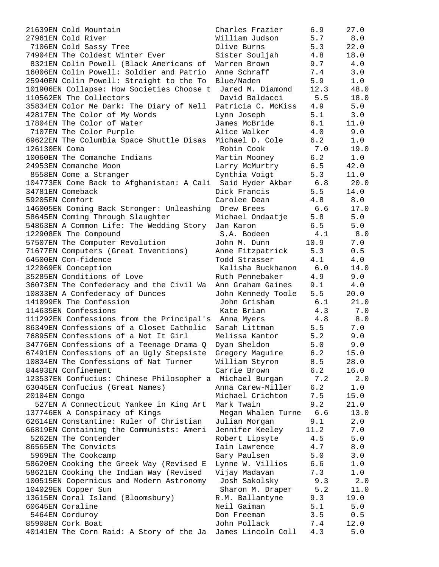| 21639EN Cold Mountain                                       | Charles Frazier        | 6.9  | 27.0  |
|-------------------------------------------------------------|------------------------|------|-------|
| 27961EN Cold River                                          | William Judson         | 5.7  | 8.0   |
| 7106EN Cold Sassy Tree                                      | Olive Burns            | 5.3  | 22.0  |
| 74904EN The Coldest Winter Ever                             | Sister Souljah         | 4.8  | 18.0  |
| 8321EN Colin Powell (Black Americans of                     | Warren Brown           | 9.7  | 4.0   |
| 16006EN Colin Powell: Soldier and Patrio                    | Anne Schraff           | 7.4  | 3.0   |
| 25940EN Colin Powell: Straight to the To                    | Blue/Naden             | 5.9  | 1.0   |
| 101906EN Collapse: How Societies Choose t                   | Jared M. Diamond       | 12.3 | 48.0  |
| 110562EN The Collectors                                     | David Baldacci         | 5.5  | 18.0  |
| 35834EN Color Me Dark: The Diary of Nell                    | Patricia C. McKiss     | 4.9  | 5.0   |
| 42817EN The Color of My Words                               | Lynn Joseph            | 5.1  | 3.0   |
| 17804EN The Color of Water                                  | James McBride          | 6.1  | 11.0  |
| 7107EN The Color Purple                                     | Alice Walker           | 4.0  | 9.0   |
| 69622EN The Columbia Space Shuttle Disas                    | Michael D. Cole        | 6.2  | 1.0   |
| 126130EN Coma                                               | Robin Cook             | 7.0  | 19.0  |
| 10060EN The Comanche Indians                                | Martin Mooney          | 6.2  | 1.0   |
| 24953EN Comanche Moon                                       | Larry McMurtry         | 6.5  | 42.0  |
| 8558EN Come a Stranger                                      | Cynthia Voigt          | 5.3  | 11.0  |
| 104773EN Come Back to Afghanistan: A Cali                   | Said Hyder Akbar 6.8   |      | 20.0  |
| 34781EN Comeback                                            | Dick Francis           | 5.5  | 14.0  |
| 59205EN Comfort                                             | Carolee Dean           | 4.8  | $8.0$ |
| 146005EN Coming Back Stronger: Unleashing Drew Brees        |                        | 6.6  | 17.0  |
| 58645EN Coming Through Slaughter                            | Michael Ondaatje       | 5.8  | 5.0   |
| 54863EN A Common Life: The Wedding Story                    | Jan Karon              | 6.5  | 5.0   |
| 122908EN The Compound                                       | S.A. Bodeen            | 4.1  | 8.0   |
| 57507EN The Computer Revolution                             | John M. Dunn           | 10.9 | 7.0   |
| 71677EN Computers (Great Inventions)                        | Anne Fitzpatrick       | 5.3  | 0.5   |
| 64500EN Con-fidence                                         | Todd Strasser          | 4.1  | $4.0$ |
| 122069EN Conception                                         | Kalisha Buckhanon      | 6.0  | 14.0  |
| 35285EN Conditions of Love                                  | Ruth Pennebaker        | 4.9  | 9.0   |
| 36073EN The Confederacy and the Civil Wa                    | Ann Graham Gaines      | 9.1  | 4.0   |
| 10833EN A Confederacy of Dunces                             | John Kennedy Toole     | 5.5  | 20.0  |
| 141099EN The Confession                                     | John Grisham           | 6.1  | 21.0  |
| 114635EN Confessions                                        | Kate Brian             | 4.3  | 7.0   |
| 111292EN Confessions from the Principal's Anna Myers        |                        | 4.8  | 8.0   |
| 86349EN Confessions of a Closet Catholic                    | Sarah Littman          | 5.5  | 7.0   |
| 76895EN Confessions of a Not It Girl                        | Melissa Kantor         | 5.2  | 9.0   |
| 34776EN Confessions of a Teenage Drama Q                    | Dyan Sheldon           | 5.0  | 9.0   |
| 67491EN Confessions of an Ugly Stepsiste                    | Gregory Maguire        | 6.2  | 15.0  |
| 10834EN The Confessions of Nat Turner                       | William Styron         | 8.5  | 28.0  |
| 84493EN Confinement                                         | Carrie Brown           | 6.2  | 16.0  |
| 123537EN Confucius: Chinese Philosopher a Michael Burgan    |                        | 7.2  | 2.0   |
| 63045EN Confucius (Great Names)                             | Anna Carew-Miller      | 6.2  | $1.0$ |
| 20104EN Congo                                               | Michael Crichton       | 7.5  | 15.0  |
| 527EN A Connecticut Yankee in King Art                      | Mark Twain             | 9.2  | 21.0  |
| 137746EN A Conspiracy of Kings                              | Megan Whalen Turne 6.6 |      | 13.0  |
| 62614EN Constantine: Ruler of Christian                     | Julian Morgan          | 9.1  | 2.0   |
| 66819EN Containing the Communists: Ameri                    | Jennifer Keeley        | 11.2 | 7.0   |
| 5262EN The Contender                                        | Robert Lipsyte         | 4.5  | $5.0$ |
| 86565EN The Convicts                                        | Iain Lawrence          | 4.7  | $8.0$ |
| 5969EN The Cookcamp                                         | Gary Paulsen           | 5.0  | 3.0   |
| 58620EN Cooking the Greek Way (Revised E                    | Lynne W. Villios       | 6.6  | $1.0$ |
| 58621EN Cooking the Indian Way (Revised                     | Vijay Madavan          | 7.3  | 1.0   |
| 100515EN Copernicus and Modern Astronomy                    | Josh Sakolsky          | 9.3  | 2.0   |
| 104029EN Copper Sun                                         | Sharon M. Draper       | 5.2  | 11.0  |
| 13615EN Coral Island (Bloomsbury)                           | R.M. Ballantyne        | 9.3  | 19.0  |
| 60645EN Coraline                                            | Neil Gaiman            | 5.1  | 5.0   |
| 5464EN Corduroy                                             | Don Freeman            | 3.5  | 0.5   |
| 85908EN Cork Boat                                           | John Pollack           | 7.4  | 12.0  |
| 40141EN The Corn Raid: A Story of the Ja James Lincoln Coll |                        | 4.3  | $5.0$ |
|                                                             |                        |      |       |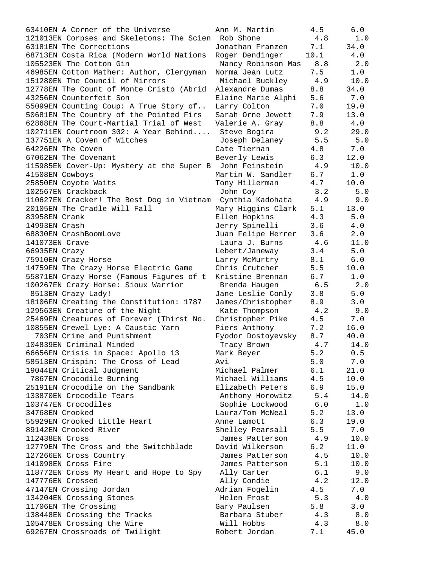| 63410EN A Corner of the Universe                    | Ann M. Martin      | 4.5   | 6.0   |
|-----------------------------------------------------|--------------------|-------|-------|
| 121013EN Corpses and Skeletons: The Scien Rob Shone |                    | 4.8   | $1.0$ |
| 63181EN The Corrections                             | Jonathan Franzen   | 7.1   | 34.0  |
| 68713EN Costa Rica (Modern World Nations            | Roger Dendinger    | 10.1  | 4.0   |
| 105523EN The Cotton Gin                             | Nancy Robinson Mas | 8.8   | 2.0   |
| 46985EN Cotton Mather: Author, Clergyman            | Norma Jean Lutz    | 7.5   | 1.0   |
| 151280EN The Council of Mirrors                     | Michael Buckley    | 4.9   | 10.0  |
| 12778EN The Count of Monte Cristo (Abrid            | Alexandre Dumas    | 8.8   | 34.0  |
| 43256EN Counterfeit Son                             | Elaine Marie Alphi | 5.6   | 7.0   |
| 55099EN Counting Coup: A True Story of              | Larry Colton       | 7.0   | 19.0  |
| 50681EN The Country of the Pointed Firs             | Sarah Orne Jewett  | 7.9   | 13.0  |
| 62868EN The Court-Martial Trial of West             | Valerie A. Gray    | 8.8   | 4.0   |
| 102711EN Courtroom 302: A Year Behind               | Steve Bogira       | 9.2   | 29.0  |
| 137751EN A Coven of Witches                         | Joseph Delaney     | 5.5   | 5.0   |
| 64226EN The Coven                                   | Cate Tiernan       | 4.8   | 7.0   |
| 67062EN The Covenant                                | Beverly Lewis      | 6.3   | 12.0  |
| 115985EN Cover-Up: Mystery at the Super B           | John Feinstein     | 4.9   | 10.0  |
| 41508EN Cowboys                                     | Martin W. Sandler  | 6.7   | 1.0   |
| 25850EN Coyote Waits                                | Tony Hillerman     | 4.7   | 10.0  |
| 102567EN Crackback                                  | John Coy           | 3.2   | 5.0   |
| 110627EN Cracker! The Best Dog in Vietnam           | Cynthia Kadohata   | 4.9   | 9.0   |
| 20105EN The Cradle Will Fall                        | Mary Higgins Clark | 5.1   | 13.0  |
| 83958EN Crank                                       | Ellen Hopkins      | 4.3   | 5.0   |
| 14993EN Crash                                       | Jerry Spinelli     | 3.6   | 4.0   |
| 68830EN CrashBoomLove                               | Juan Felipe Herrer | 3.6   | 2.0   |
| 141073EN Crave                                      | Laura J. Burns     | 4.6   | 11.0  |
| 66935EN Crazy                                       | Lebert/Janeway     | 3.4   | 5.0   |
|                                                     |                    | 8.1   | 6.0   |
| 75910EN Crazy Horse                                 | Larry McMurtry     |       |       |
| 14759EN The Crazy Horse Electric Game               | Chris Crutcher     | 5.5   | 10.0  |
| 55871EN Crazy Horse (Famous Figures of t            | Kristine Brennan   | 6.7   | 1.0   |
| 100267EN Crazy Horse: Sioux Warrior                 | Brenda Haugen      | 6.5   | 2.0   |
| 8513EN Crazy Lady!                                  | Jane Leslie Conly  | 3.8   | 5.0   |
| 18106EN Creating the Constitution: 1787             | James/Christopher  | 8.9   | 3.0   |
| 129563EN Creature of the Night                      | Kate Thompson      | 4.2   | 9.0   |
| 25469EN Creatures of Forever (Thirst No.            | Christopher Pike   | 4.5   | 7.0   |
| 10855EN Crewel Lye: A Caustic Yarn                  | Piers Anthony      | 7.2   | 16.0  |
| 703EN Crime and Punishment                          | Fyodor Dostoyevsky | 8.7   | 40.0  |
| 104839EN Criminal Minded                            | Tracy Brown        | 4.7   | 14.0  |
| 66656EN Crisis in Space: Apollo 13                  | Mark Beyer         | 5.2   | 0.5   |
| 58513EN Crispin: The Cross of Lead                  | Avi                | 5.0   | 7.0   |
| 19044EN Critical Judgment                           | Michael Palmer     | 6.1   | 21.0  |
| 7867EN Crocodile Burning                            | Michael Williams   | 4.5   | 10.0  |
| 25191EN Crocodile on the Sandbank                   | Elizabeth Peters   | 6.9   | 15.0  |
| 133870EN Crocodile Tears                            | Anthony Horowitz   | 5.4   | 14.0  |
| 103747EN Crocodiles                                 | Sophie Lockwood    | $6.0$ | 1.0   |
| 34768EN Crooked                                     | Laura/Tom McNeal   | 5.2   | 13.0  |
| 55929EN Crooked Little Heart                        | Anne Lamott        | 6.3   | 19.0  |
| 89142EN Crooked River                               | Shelley Pearsall   | 5.5   | 7.0   |
| 112438EN Cross                                      | James Patterson    | 4.9   | 10.0  |
| 12779EN The Cross and the Switchblade               | David Wilkerson    | 6.2   | 11.0  |
| 127266EN Cross Country                              | James Patterson    | 4.5   | 10.0  |
| 141098EN Cross Fire                                 | James Patterson    | 5.1   | 10.0  |
| 118772EN Cross My Heart and Hope to Spy             | Ally Carter        | 6.1   | 9.0   |
| 147776EN Crossed                                    | Ally Condie        | 4.2   | 12.0  |
| 47147EN Crossing Jordan                             | Adrian Fogelin     | 4.5   | 7.0   |
| 134204EN Crossing Stones                            | Helen Frost        | 5.3   | $4.0$ |
| 11706EN The Crossing                                | Gary Paulsen       | 5.8   | 3.0   |
| 138448EN Crossing the Tracks                        | Barbara Stuber     | 4.3   | 8.0   |
| 105478EN Crossing the Wire                          | Will Hobbs         | 4.3   | 8.0   |
| 69267EN Crossroads of Twilight                      | Robert Jordan      | 7.1   | 45.0  |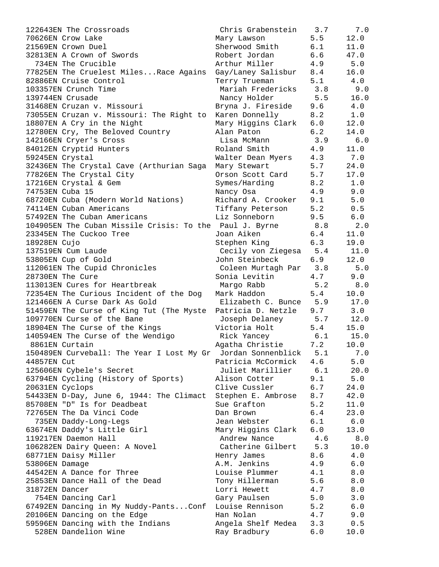| 122643EN The Crossroads                                         | Chris Grabenstein 3.7  |     | 7.0   |
|-----------------------------------------------------------------|------------------------|-----|-------|
| 70626EN Crow Lake                                               | Mary Lawson            | 5.5 | 12.0  |
| 21569EN Crown Duel                                              | Sherwood Smith         | 6.1 | 11.0  |
| 32813EN A Crown of Swords                                       | Robert Jordan          | 6.6 | 47.0  |
| 734EN The Crucible                                              | Arthur Miller          | 4.9 | 5.0   |
| 77825EN The Cruelest MilesRace Agains                           | Gay/Laney Salisbur     | 8.4 | 16.0  |
| 82886EN Cruise Control                                          | Terry Trueman          | 5.1 | 4.0   |
| 103357EN Crunch Time                                            | Mariah Fredericks      | 3.8 | 9.0   |
| 139744EN Crusade                                                | Nancy Holder           | 5.5 | 16.0  |
| 31468EN Cruzan v. Missouri                                      | Bryna J. Fireside      | 9.6 | 4.0   |
| 73055EN Cruzan v. Missouri: The Right to                        | Karen Donnelly         | 8.2 | 1.0   |
| 18807EN A Cry in the Night                                      | Mary Higgins Clark 6.0 |     | 12.0  |
| 12780EN Cry, The Beloved Country                                | Alan Paton             | 6.2 | 14.0  |
| 142166EN Cryer's Cross                                          | Lisa McMann            | 3.9 | 6.0   |
| 84012EN Cryptid Hunters                                         | Roland Smith 4.9       |     | 11.0  |
| 59245EN Crystal                                                 | Walter Dean Myers 4.3  |     | 7.0   |
| 32436EN The Crystal Cave (Arthurian Saga                        | Mary Stewart           | 5.7 | 24.0  |
| 77826EN The Crystal City                                        | Orson Scott Card 5.7   |     | 17.0  |
| 17216EN Crystal & Gem                                           | Symes/Harding          | 8.2 | 1.0   |
| 74753EN Cuba 15                                                 | Nancy Osa              | 4.9 | 9.0   |
| 68720EN Cuba (Modern World Nations)                             | Richard A. Crooker 9.1 |     | 5.0   |
| 74114EN Cuban Americans                                         | Tiffany Peterson       | 5.2 | 0.5   |
| 57492EN The Cuban Americans                                     | Liz Sonneborn          | 9.5 | 6.0   |
| 104905EN The Cuban Missile Crisis: To the Paul J. Byrne 8.8     |                        |     | 2.0   |
| 23345EN The Cuckoo Tree                                         | Joan Aiken             | 6.4 | 11.0  |
| 18928EN Cujo                                                    | Stephen King           | 6.3 | 19.0  |
| 137519EN Cum Laude                                              | Cecily von Ziegesa     | 5.4 | 11.0  |
| 53805EN Cup of Gold                                             | John Steinbeck         | 6.9 | 12.0  |
| 112061EN The Cupid Chronicles                                   | Coleen Murtagh Par 3.8 |     | 5.0   |
| 28730EN The Cure                                                | Sonia Levitin          | 4.7 | 9.0   |
| 113013EN Cures for Heartbreak                                   | Margo Rabb             | 5.2 | 8.0   |
| 72354EN The Curious Incident of the Dog                         | Mark Haddon            | 5.4 | 10.0  |
| 121466EN A Curse Dark As Gold                                   | Elizabeth C. Bunce     | 5.9 | 17.0  |
| 51459EN The Curse of King Tut (The Myste Patricia D. Netzle 9.7 |                        |     | 3.0   |
| 109770EN Curse of the Bane                                      | Joseph Delaney 5.7     |     | 12.0  |
| 18904EN The Curse of the Kings                                  | Victoria Holt 5.4      |     | 15.0  |
| 140594EN The Curse of the Wendigo                               | Rick Yancey            | 6.1 | 15.0  |
| 8861EN Curtain                                                  | Agatha Christie        | 7.2 | 10.0  |
| 150489EN Curveball: The Year I Lost My Gr Jordan Sonnenblick    |                        | 5.1 | 7.0   |
| 44857EN Cut                                                     | Patricia McCormick     | 4.6 | 5.0   |
| 125606EN Cybele's Secret                                        | Juliet Marillier       | 6.1 | 20.0  |
| 63794EN Cycling (History of Sports)                             | Alison Cotter          | 9.1 | $5.0$ |
| 20631EN Cyclops                                                 | Clive Cussler          | 6.7 | 24.0  |
| 54433EN D-Day, June 6, 1944: The Climact                        | Stephen E. Ambrose 8.7 |     | 42.0  |
| 85708EN "D" Is for Deadbeat                                     | Sue Grafton            | 5.2 | 11.0  |
| 72765EN The Da Vinci Code                                       | Dan Brown              | 6.4 | 23.0  |
| 735EN Daddy-Long-Legs                                           | Jean Webster           | 6.1 | $6.0$ |
| 63674EN Daddy's Little Girl                                     | Mary Higgins Clark 6.0 |     | 13.0  |
| 119217EN Daemon Hall                                            | Andrew Nance           | 4.6 | 8.0   |
| 106282EN Dairy Queen: A Novel                                   | Catherine Gilbert      | 5.3 | 10.0  |
| 68771EN Daisy Miller                                            | Henry James            | 8.6 | 4.0   |
| 53806EN Damage                                                  | A.M. Jenkins           | 4.9 | $6.0$ |
| 44542EN A Dance for Three                                       | Louise Plummer         | 4.1 | $8.0$ |
| 25853EN Dance Hall of the Dead                                  | Tony Hillerman         | 5.6 | $8.0$ |
| 31872EN Dancer                                                  | Lorri Hewett           | 4.7 | $8.0$ |
| 754EN Dancing Carl                                              | Gary Paulsen           | 5.0 | 3.0   |
| 67492EN Dancing in My Nuddy-PantsConf                           | Louise Rennison        | 5.2 | $6.0$ |
| 20106EN Dancing on the Edge                                     | Han Nolan              | 4.7 | 9.0   |
| 59596EN Dancing with the Indians                                | Angela Shelf Medea 3.3 |     | 0.5   |
| 528EN Dandelion Wine                                            | Ray Bradbury           | 6.0 | 10.0  |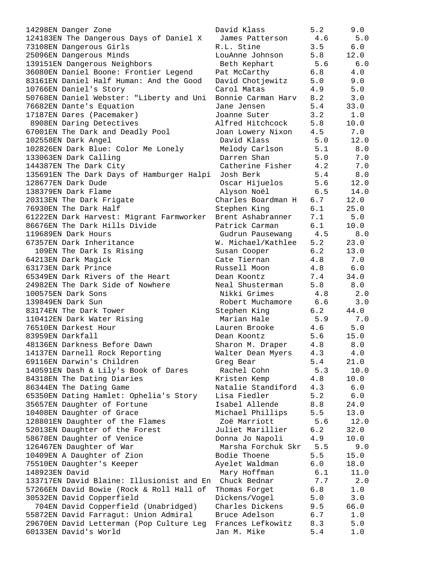| 14298EN Danger Zone                                               | David Klass                      | 5.2        | 9.0          |
|-------------------------------------------------------------------|----------------------------------|------------|--------------|
| 124183EN The Dangerous Days of Daniel X                           | James Patterson 4.6              |            | 5.0          |
|                                                                   |                                  | 3.5        | 6.0          |
| 73108EN Dangerous Girls                                           | R.L. Stine                       |            |              |
| 25096EN Dangerous Minds                                           | LouAnne Johnson                  | 5.8        | 12.0         |
| 139151EN Dangerous Neighbors                                      | Beth Kephart                     |            | 5.6 6.0      |
|                                                                   |                                  |            |              |
| 36080EN Daniel Boone: Frontier Legend                             | Pat McCarthy                     | 6.8        | 4.0          |
| 83161EN Daniel Half Human: And the Good                           | David Chotjewitz                 | 5.0        | 9.0          |
| 10766EN Daniel's Story                                            | Carol Matas                      | 4.9        | 5.0          |
|                                                                   | Bonnie Carman Harv 8.2 3.0       |            |              |
| 50768EN Daniel Webster: "Liberty and Uni                          |                                  |            |              |
| 76682EN Dante's Equation                                          | Jane Jensen                      | 5.4        | 33.0         |
| 17187EN Dares (Pacemaker)                                         | Joanne Suter                     |            | $3.2$ 1.0    |
|                                                                   | Alfred Hitchcock                 | 5.8        | 10.0         |
| 8908EN Daring Detectives                                          |                                  |            |              |
| 67001EN The Dark and Deadly Pool                                  | Joan Lowery Nixon                | 4.5        | 7.0          |
| 102558EN Dark Angel                                               | David Klass                      | 5.0        | 12.0         |
| 102826EN Dark Blue: Color Me Lonely                               | Melody Carlson 5.1 8.0           |            |              |
|                                                                   |                                  |            |              |
| 133063EN Dark Calling                                             | Darren Shan                      |            | 5.0 7.0      |
| 144387EN The Dark City                                            | Catherine Fisher 4.2             |            | 7.0          |
| 135691EN The Dark Days of Hamburger Halpi                         | Josh Berk                        |            | $5.4$ 8.0    |
|                                                                   |                                  |            |              |
| 128677EN Dark Dude                                                | Oscar Hijuelos 5.6 12.0          |            |              |
| 138379EN Dark Flame                                               | Alyson Noël                      |            | $6.5$ 14.0   |
| 20313EN The Dark Frigate                                          | Charles Boardman H 6.7           |            | 12.0         |
| 76930EN The Dark Half                                             | Stephen King                     | 6.1        | 25.0         |
|                                                                   |                                  |            |              |
| 61222EN Dark Harvest: Migrant Farmworker                          | Brent Ashabranner                | 7.1        | 5.0          |
| 86676EN The Dark Hills Divide                                     | Patrick Carman                   | 6.1        | 10.0         |
| 119689EN Dark Hours                                               | Gudrun Pausewang 4.5             |            | 8.0          |
| 67357EN Dark Inheritance                                          | W. Michael/Kathlee               | 5.2        | 23.0         |
|                                                                   |                                  |            |              |
| 109EN The Dark Is Rising                                          | Susan Cooper                     | 6.2        | 13.0         |
| 64213EN Dark Magick                                               | Cate Tiernan                     | 4.8        | 7.0          |
| 63173EN Dark Prince                                               | Russell Moon                     | 4.8        | $6.0$        |
| 65349EN Dark Rivers of the Heart                                  | Dean Koontz                      | 7.4        | 34.0         |
|                                                                   |                                  |            |              |
| 24982EN The Dark Side of Nowhere                                  | Neal Shusterman                  | 5.8        | 8.0          |
| 100575EN Dark Sons                                                | Nikki Grimes                     |            |              |
|                                                                   |                                  | 4.8        | 2.0          |
| 139849EN Dark Sun                                                 |                                  |            |              |
|                                                                   | Robert Muchamore 6.6             |            | 3.0          |
| 83174EN The Dark Tower                                            | Stephen King                     | 6.2        | 44.0         |
| 110412EN Dark Water Rising                                        | Marian Hale                      | 5.9        | 7.0          |
| 76510EN Darkest Hour                                              | Lauren Brooke                    | 4.6        | 5.0          |
| 83959EN Darkfall                                                  | Dean Koontz                      | 5.6        | 15.0         |
|                                                                   |                                  |            |              |
| 48136EN Darkness Before Dawn                                      | Sharon M. Draper                 | 4.8        | 8.0          |
| 14137EN Darnell Rock Reporting                                    | Walter Dean Myers                | 4.3        | 4.0          |
| 69116EN Darwin's Children                                         | Greg Bear                        | 5.4        | 21.0         |
|                                                                   | Rachel Cohn                      | 5.3        |              |
| 140591EN Dash & Lily's Book of Dares                              |                                  |            | 10.0         |
| 84318EN The Dating Diaries                                        | Kristen Kemp                     | 4.8        | 10.0         |
| 86344EN The Dating Game                                           | Natalie Standiford               | 4.3        | 6.0          |
| 65350EN Dating Hamlet: Ophelia's Story                            | Lisa Fiedler                     | 5.2        | $6.0$        |
| 35657EN Daughter of Fortune                                       | Isabel Allende                   | 8.8        | 24.0         |
|                                                                   |                                  |            |              |
| 10408EN Daughter of Grace                                         | Michael Phillips                 | 5.5        | 13.0         |
| 128801EN Daughter of the Flames                                   | Zoë Marriott                     | 5.6        | 12.0         |
| 52013EN Daughter of the Forest                                    | Juliet Marillier                 | 6.2        | 32.0         |
|                                                                   |                                  | 4.9        | 10.0         |
| 58678EN Daughter of Venice                                        | Donna Jo Napoli                  |            |              |
| 126467EN Daughter of War                                          | Marsha Forchuk Skr               | 5.5        | 9.0          |
| 10409EN A Daughter of Zion                                        | Bodie Thoene                     | 5.5        | 15.0         |
| 75510EN Daughter's Keeper                                         | Ayelet Waldman                   | 6.0        | 18.0         |
| 148923EN David                                                    | Mary Hoffman                     | 6.1        | 11.0         |
|                                                                   | Chuck Bednar                     |            |              |
| 133717EN David Blaine: Illusionist and En                         |                                  | 7.7        | 2.0          |
| 57266EN David Bowie (Rock & Roll Hall of                          | Thomas Forget                    | 6.8        | 1.0          |
| 30532EN David Copperfield                                         | Dickens/Vogel                    | 5.0        | 3.0          |
| 704EN David Copperfield (Unabridged)                              | Charles Dickens                  | 9.5        | 66.0         |
|                                                                   | Bruce Adelson                    | 6.7        | 1.0          |
| 55872EN David Farragut: Union Admiral                             |                                  |            |              |
| 29670EN David Letterman (Pop Culture Leg<br>60133EN David's World | Frances Lefkowitz<br>Jan M. Mike | 8.3<br>5.4 | 5.0<br>$1.0$ |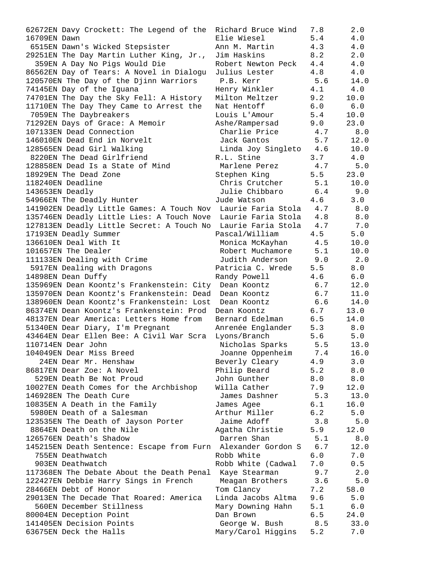| 62672EN Davy Crockett: The Legend of the                         | Richard Bruce Wind     | 7.8 | 2.0  |
|------------------------------------------------------------------|------------------------|-----|------|
| 16709EN Dawn                                                     | Elie Wiesel            | 5.4 | 4.0  |
| 6515EN Dawn's Wicked Stepsister                                  | Ann M. Martin          | 4.3 | 4.0  |
| 29251EN The Day Martin Luther King, Jr.,                         | Jim Haskins            | 8.2 | 2.0  |
| 359EN A Day No Pigs Would Die                                    | Robert Newton Peck     | 4.4 | 4.0  |
| 86562EN Day of Tears: A Novel in Dialogu                         | Julius Lester          | 4.8 | 4.0  |
| 120570EN The Day of the Djinn Warriors                           | P.B. Kerr              | 5.6 | 14.0 |
| 74145EN Day of the Iguana                                        | Henry Winkler          | 4.1 | 4.0  |
| 74701EN The Day the Sky Fell: A History                          | Milton Meltzer         | 9.2 | 10.0 |
| 11710EN The Day They Came to Arrest the                          | Nat Hentoff            | 6.0 | 6.0  |
| 7059EN The Daybreakers                                           | Louis L'Amour          | 5.4 | 10.0 |
| 71292EN Days of Grace: A Memoir                                  | Ashe/Rampersad         | 9.0 | 23.0 |
| 107133EN Dead Connection                                         | Charlie Price          | 4.7 | 8.0  |
| 146010EN Dead End in Norvelt                                     | 5.7<br>Jack Gantos     |     | 12.0 |
| 128565EN Dead Girl Walking                                       | Linda Joy Singleto 4.6 |     | 10.0 |
| 8220EN The Dead Girlfriend                                       | R.L. Stine             | 3.7 | 4.0  |
| 128858EN Dead Is a State of Mind                                 | Marlene Perez          | 4.7 | 5.0  |
| 18929EN The Dead Zone                                            | Stephen King           | 5.5 | 23.0 |
| 118240EN Deadline                                                | Chris Crutcher 5.1     |     | 10.0 |
| 143653EN Deadly                                                  | Julie Chibbaro 6.4     |     | 9.0  |
| 54966EN The Deadly Hunter                                        | Jude Watson            | 4.6 | 3.0  |
| 141902EN Deadly Little Games: A Touch Nov                        | Laurie Faria Stola 4.7 |     | 8.0  |
| 135746EN Deadly Little Lies: A Touch Nove                        | Laurie Faria Stola 4.8 |     | 8.0  |
| 127813EN Deadly Little Secret: A Touch No                        | Laurie Faria Stola     | 4.7 | 7.0  |
| 17193EN Deadly Summer                                            | Pascal/William         | 4.5 | 5.0  |
| 136610EN Deal With It                                            | Monica McKayhan        | 4.5 | 10.0 |
| 101657EN The Dealer                                              | Robert Muchamore       | 5.1 | 10.0 |
| 111133EN Dealing with Crime                                      | Judith Anderson        | 9.0 | 2.0  |
| 5917EN Dealing with Dragons                                      | Patricia C. Wrede      | 5.5 | 8.0  |
| 14898EN Dean Duffy                                               | Randy Powell           | 4.6 | 6.0  |
| 135969EN Dean Koontz's Frankenstein: City Dean Koontz            |                        | 6.7 | 12.0 |
| 135970EN Dean Koontz's Frankenstein: Dead Dean Koontz            |                        | 6.7 | 11.0 |
| 138960EN Dean Koontz's Frankenstein: Lost                        | Dean Koontz            | 6.6 | 14.0 |
| 86374EN Dean Koontz's Frankenstein: Prod                         | Dean Koontz            | 6.7 | 13.0 |
| 48137EN Dear America: Letters Home from                          | Bernard Edelman        | 6.5 | 14.0 |
| 51340EN Dear Diary, I'm Pregnant                                 | Anrenée Englander      | 5.3 | 8.0  |
| 43464EN Dear Ellen Bee: A Civil War Scra                         | Lyons/Branch           | 5.6 | 5.0  |
| 110714EN Dear John                                               | Nicholas Sparks        | 5.5 | 13.0 |
| 104049EN Dear Miss Breed                                         | Joanne Oppenheim       | 7.4 | 16.0 |
| 24EN Dear Mr. Henshaw                                            | Beverly Cleary         | 4.9 | 3.0  |
| 86817EN Dear Zoe: A Novel                                        | Philip Beard           | 5.2 | 8.0  |
| 529EN Death Be Not Proud                                         | John Gunther           | 8.0 | 8.0  |
| 10027EN Death Comes for the Archbishop                           | Willa Cather           | 7.9 | 12.0 |
| 146928EN The Death Cure                                          | James Dashner          | 5.3 | 13.0 |
| 10835EN A Death in the Family                                    | James Agee             | 6.1 | 16.0 |
| 5980EN Death of a Salesman                                       | Arthur Miller          | 6.2 | 5.0  |
| 123535EN The Death of Jayson Porter                              | Jaime Adoff            | 3.8 | 5.0  |
| 8864EN Death on the Nile                                         | Agatha Christie        | 5.9 | 12.0 |
| 126576EN Death's Shadow                                          | Darren Shan            | 5.1 | 8.0  |
| 145215EN Death Sentence: Escape from Furn Alexander Gordon S 6.7 |                        |     | 12.0 |
| 755EN Deathwatch                                                 | Robb White             | 6.0 | 7.0  |
| 903EN Deathwatch                                                 | Robb White (Cadwal     | 7.0 | 0.5  |
| 117368EN The Debate About the Death Penal Kaye Stearman          |                        | 9.7 | 2.0  |
| 122427EN Debbie Harry Sings in French                            | Meagan Brothers        | 3.6 | 5.0  |
| 28466EN Debt of Honor                                            | Tom Clancy             | 7.2 | 58.0 |
| 29013EN The Decade That Roared: America                          | Linda Jacobs Altma     | 9.6 | 5.0  |
| 560EN December Stillness                                         | Mary Downing Hahn      | 5.1 | 6.0  |
| 80004EN Deception Point                                          | Dan Brown              | 6.5 | 24.0 |
| 141405EN Decision Points                                         | George W. Bush         | 8.5 | 33.0 |
| 63675EN Deck the Halls                                           | Mary/Carol Higgins     | 5.2 | 7.0  |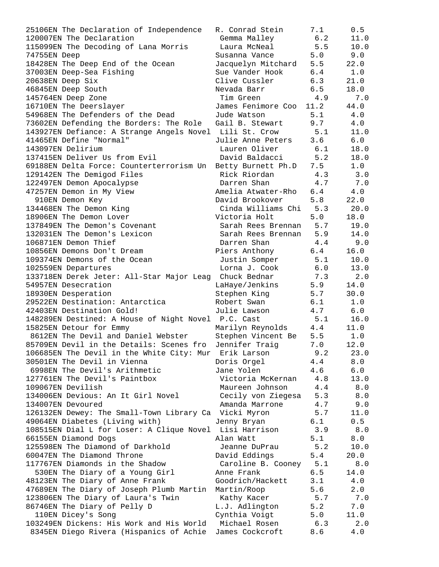| 25106EN The Declaration of Independence                                        | R. Conrad Stein             | 7.1        | 0.5         |
|--------------------------------------------------------------------------------|-----------------------------|------------|-------------|
| 120007EN The Declaration                                                       | Gemma Malley                | 6.2        | 11.0        |
| 115099EN The Decoding of Lana Morris                                           | Laura McNeal                | 5.5        | 10.0        |
| 74755EN Deep                                                                   | Susanna Vance               | 5.0        | 9.0         |
| 18428EN The Deep End of the Ocean                                              | Jacquelyn Mitchard          | 5.5        | 22.0        |
| 37003EN Deep-Sea Fishing                                                       | Sue Vander Hook             | 6.4        | 1.0         |
| 20638EN Deep Six                                                               | Clive Cussler               | 6.3        | 21.0        |
| 46845EN Deep South                                                             | Nevada Barr                 | 6.5        | 18.0        |
| 145764EN Deep Zone                                                             | Tim Green                   | 4.9        | 7.0         |
| 16710EN The Deerslayer                                                         | James Fenimore Coo 11.2     |            | 44.0        |
| 54968EN The Defenders of the Dead                                              | Jude Watson                 | 5.1        | 4.0         |
| 73602EN Defending the Borders: The Role                                        | Gail B. Stewart             | 9.7        | 4.0         |
| 143927EN Defiance: A Strange Angels Novel Lili St. Crow                        |                             | 5.1        | 11.0        |
| 41465EN Define "Normal"                                                        | Julie Anne Peters           | 3.6        | 6.0         |
| 143097EN Delirium                                                              | Lauren Oliver               | 6.1        | 18.0        |
| 137415EN Deliver Us from Evil                                                  | David Baldacci 5.2          |            | 18.0        |
| 69188EN Delta Force: Counterterrorism Un                                       | Betty Burnett Ph.D 7.5      |            | 1.0         |
| 129142EN The Demigod Files                                                     | Rick Riordan                | 4.3        | 3.0         |
| 122497EN Demon Apocalypse                                                      | Darren Shan                 | 4.7        | 7.0         |
| 47257EN Demon in My View                                                       | Amelia Atwater-Rho          | 6.4        | 4.0         |
| 910EN Demon Key                                                                | David Brookover             | 5.8        | 22.0        |
| 134468EN The Demon King                                                        | Cinda Williams Chi          | 5.3        | 20.0        |
| 18906EN The Demon Lover                                                        | Victoria Holt               | 5.0        | 18.0        |
| 137849EN The Demon's Covenant                                                  | Sarah Rees Brennan          | 5.7        | 19.0        |
| 132031EN The Demon's Lexicon                                                   | Sarah Rees Brennan 5.9      |            | 14.0        |
| 106871EN Demon Thief                                                           | Darren Shan                 | 4.4        | 9.0         |
| 10856EN Demons Don't Dream                                                     | Piers Anthony               | 6.4        | 16.0        |
| 109374EN Demons of the Ocean                                                   | Justin Somper               | 5.1        | 10.0        |
| 102559EN Departures                                                            | Lorna J. Cook               | 6.0        | 13.0        |
| 133718EN Derek Jeter: All-Star Major Leag                                      | Chuck Bednar                | 7.3        | 2.0         |
| 54957EN Desecration                                                            | LaHaye/Jenkins              | 5.9        | 14.0        |
| 18930EN Desperation                                                            | Stephen King                | 5.7        | 30.0<br>1.0 |
| 29522EN Destination: Antarctica                                                | Robert Swan<br>Julie Lawson | 6.1<br>4.7 | $6.0$       |
| 42403EN Destination Gold!                                                      |                             | 5.1        | 16.0        |
| 148289EN Destined: A House of Night Novel P.C. Cast<br>15825EN Detour for Emmy | Marilyn Reynolds            | 4.4        | 11.0        |
| 8612EN The Devil and Daniel Webster                                            | Stephen Vincent Be          | 5.5        | 1.0         |
| 85709EN Devil in the Details: Scenes fro                                       | Jennifer Traig              | 7.0        | 12.0        |
| 106685EN The Devil in the White City: Mur Erik Larson                          |                             | 9.2        | 23.0        |
| 30501EN The Devil in Vienna                                                    | Doris Orgel                 | 4.4        | 8.0         |
| 6998EN The Devil's Arithmetic                                                  | Jane Yolen                  | 4.6        | 6.0         |
| 127761EN The Devil's Paintbox                                                  | Victoria McKernan           | 4.8        | 13.0        |
| 109067EN Devilish                                                              | Maureen Johnson             | 4.4        | $8.0$       |
| 134006EN Devious: An It Girl Novel                                             | Cecily von Ziegesa          | 5.3        | $8.0$       |
| 134007EN Devoured                                                              | Amanda Marrone              | 4.7        | 9.0         |
| 126132EN Dewey: The Small-Town Library Ca Vicki Myron                          |                             | 5.7        | 11.0        |
| 49064EN Diabetes (Living with)                                                 | Jenny Bryan                 | 6.1        | 0.5         |
| 108515EN Dial L for Loser: A Clique Novel                                      | Lisi Harrison               | 3.9        | $8.0$       |
| 66155EN Diamond Dogs                                                           | Alan Watt                   | 5.1        | 8.0         |
| 125598EN The Diamond of Darkhold                                               | Jeanne DuPrau               | 5.2        | 10.0        |
| 60047EN The Diamond Throne                                                     | David Eddings               | 5.4        | 20.0        |
| 117767EN Diamonds in the Shadow                                                | Caroline B. Cooney          | 5.1        | $8.0$       |
| 530EN The Diary of a Young Girl                                                | Anne Frank                  | 6.5        | 14.0        |
| 48123EN The Diary of Anne Frank                                                | Goodrich/Hackett            | 3.1        | 4.0         |
| 47689EN The Diary of Joseph Plumb Martin                                       | Martin/Roop                 | 5.6        | 2.0         |
| 123806EN The Diary of Laura's Twin                                             | Kathy Kacer                 | 5.7        | 7.0         |
| 86746EN The Diary of Pelly D                                                   | L.J. Adlington              | 5.2        | 7.0         |
| 110EN Dicey's Song                                                             | Cynthia Voigt               | 5.0        | 11.0        |
| 103249EN Dickens: His Work and His World Michael Rosen                         |                             | 6.3        | 2.0         |
| 8345EN Diego Rivera (Hispanics of Achie                                        | James Cockcroft             | 8.6        | 4.0         |
|                                                                                |                             |            |             |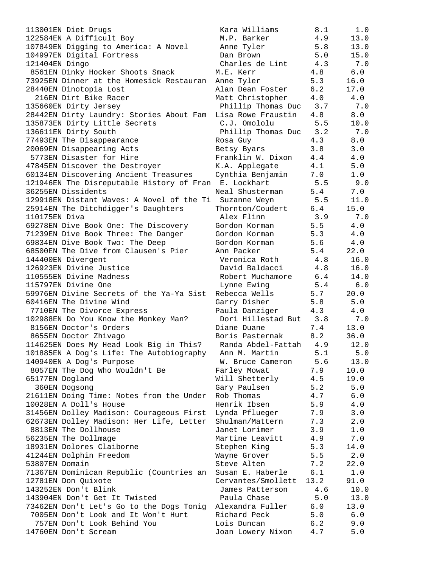| 113001EN Diet Drugs                                    | Kara Williams          | 8.1  | 1.0     |
|--------------------------------------------------------|------------------------|------|---------|
| 122584EN A Difficult Boy                               | M.P. Barker            | 4.9  | 13.0    |
| 107849EN Digging to America: A Novel                   | Anne Tyler             | 5.8  | 13.0    |
| 104997EN Digital Fortress                              | Dan Brown              | 5.0  | 15.0    |
| 121404EN Dingo                                         | Charles de Lint        | 4.3  | 7.0     |
| 8561EN Dinky Hocker Shoots Smack                       | M.E. Kerr              | 4.8  | 6.0     |
| 73925EN Dinner at the Homesick Restauran               | Anne Tyler             | 5.3  | 16.0    |
| 28440EN Dinotopia Lost                                 | Alan Dean Foster       | 6.2  | 17.0    |
| 216EN Dirt Bike Racer                                  | Matt Christopher       | 4.0  | 4.0     |
| 135660EN Dirty Jersey                                  | Phillip Thomas Duc     | 3.7  | 7.0     |
| 28442EN Dirty Laundry: Stories About Fam               | Lisa Rowe Fraustin     | 4.8  | 8.0     |
| 135873EN Dirty Little Secrets                          | C.J. Omololu           | 5.5  | 10.0    |
| 136611EN Dirty South                                   | Phillip Thomas Duc 3.2 |      | 7.0     |
| 77493EN The Disappearance                              | Rosa Guy               | 4.3  | 8.0     |
| 20069EN Disappearing Acts                              | Betsy Byars            | 3.8  | 3.0     |
| 5773EN Disaster for Hire                               | Franklin W. Dixon      | 4.4  | 4.0     |
| 47845EN Discover the Destroyer                         | K.A. Applegate         | 4.1  | 5.0     |
| 60134EN Discovering Ancient Treasures                  | Cynthia Benjamin       | 7.0  | 1.0     |
| 121946EN The Disreputable History of Fran              | E. Lockhart            | 5.5  | 9.0     |
| 36255EN Dissidents                                     | Neal Shusterman        | 5.4  | 7.0     |
| 129918EN Distant Waves: A Novel of the Ti Suzanne Weyn |                        | 5.5  | 11.0    |
|                                                        |                        | 6.4  |         |
| 25914EN The Ditchdigger's Daughters                    | Thornton/Coudert       |      | 15.0    |
| 110175EN Diva                                          | Alex Flinn             | 3.9  | 7.0     |
| 69278EN Dive Book One: The Discovery                   | Gordon Korman          | 5.5  | $4.0\,$ |
| 71239EN Dive Book Three: The Danger                    | Gordon Korman          | 5.3  | 4.0     |
| 69834EN Dive Book Two: The Deep                        | Gordon Korman          | 5.6  | 4.0     |
| 68500EN The Dive from Clausen's Pier                   | Ann Packer             | 5.4  | 22.0    |
| 144400EN Divergent                                     | Veronica Roth          | 4.8  | 16.0    |
| 126923EN Divine Justice                                | David Baldacci         | 4.8  | 16.0    |
| 110555EN Divine Madness                                | Robert Muchamore       | 6.4  | 14.0    |
| 115797EN Divine One                                    | Lynne Ewing            | 5.4  | 6.0     |
| 59976EN Divine Secrets of the Ya-Ya Sist               | Rebecca Wells          | 5.7  | 20.0    |
| 60416EN The Divine Wind                                | Garry Disher           | 5.8  | 5.0     |
| 7710EN The Divorce Express                             | Paula Danziger         | 4.3  | 4.0     |
| 102988EN Do You Know the Monkey Man?                   | Dori Hillestad But     | 3.8  | 7.0     |
| 8156EN Doctor's Orders                                 | Diane Duane            | 7.4  | 13.0    |
| 8655EN Doctor Zhivago                                  | Boris Pasternak        | 8.2  | 36.0    |
| 114625EN Does My Head Look Big in This?                | Randa Abdel-Fattah     | 4.9  | 12.0    |
| 101885EN A Dog's Life: The Autobiography               | Ann M. Martin          | 5.1  | 5.0     |
| 140940EN A Dog's Purpose                               | W. Bruce Cameron       | 5.6  | 13.0    |
| 8057EN The Dog Who Wouldn't Be                         | Farley Mowat           | 7.9  | 10.0    |
| 65177EN Dogland                                        | Will Shetterly         | 4.5  | 19.0    |
| 360EN Dogsong                                          | Gary Paulsen           | 5.2  | 5.0     |
| 21611EN Doing Time: Notes from the Under               | Rob Thomas             | 4.7  | $6.0$   |
| 10028EN A Doll's House                                 | Henrik Ibsen           | 5.9  | $4.0$   |
| 31456EN Dolley Madison: Courageous First               | Lynda Pflueger         | 7.9  | 3.0     |
| 62673EN Dolley Madison: Her Life, Letter               | Shulman/Mattern        | 7.3  | 2.0     |
| 8813EN The Dollhouse                                   | Janet Lorimer          | 3.9  | $1.0$   |
| 56235EN The Dollmage                                   | Martine Leavitt        | 4.9  | 7.0     |
| 18931EN Dolores Claiborne                              | Stephen King           | 5.3  | 14.0    |
| 41244EN Dolphin Freedom                                | Wayne Grover           | 5.5  | 2.0     |
| 53807EN Domain                                         | Steve Alten            | 7.2  | 22.0    |
| 71367EN Dominican Republic (Countries an               | Susan E. Haberle       | 6.1  | 1.0     |
| 12781EN Don Quixote                                    | Cervantes/Smollett     | 13.2 | 91.0    |
| 143252EN Don't Blink                                   | James Patterson        | 4.6  | 10.0    |
| 143904EN Don't Get It Twisted                          | Paula Chase            | 5.0  | 13.0    |
| 73462EN Don't Let's Go to the Dogs Tonig               | Alexandra Fuller       | 6.0  | 13.0    |
| 7005EN Don't Look and It Won't Hurt                    | Richard Peck           | 5.0  | 6.0     |
| 757EN Don't Look Behind You                            | Lois Duncan            | 6.2  | 9.0     |
| 14760EN Don't Scream                                   | Joan Lowery Nixon      | 4.7  | $5.0$   |
|                                                        |                        |      |         |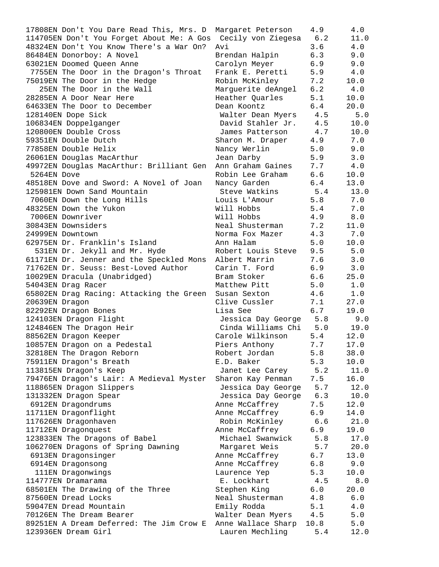| 17808EN Don't You Dare Read This, Mrs. D                     | Margaret Peterson      | 4.9  | 4.0   |
|--------------------------------------------------------------|------------------------|------|-------|
| 114705EN Don't You Forget About Me: A Gos Cecily von Ziegesa |                        | 6.2  | 11.0  |
| 48324EN Don't You Know There's a War On?                     | Avi                    | 3.6  | 4.0   |
| 86484EN Donorboy: A Novel                                    | Brendan Halpin         | 6.3  | 9.0   |
| 63021EN Doomed Queen Anne                                    | Carolyn Meyer          | 6.9  | 9.0   |
| 7755EN The Door in the Dragon's Throat                       | Frank E. Peretti       | 5.9  | 4.0   |
| 75019EN The Door in the Hedge                                | Robin McKinley         | 7.2  | 10.0  |
| 25EN The Door in the Wall                                    | Marguerite deAngel     | 6.2  | 4.0   |
| 28285EN A Door Near Here                                     | Heather Quarles        | 5.1  | 10.0  |
| 64633EN The Door to December                                 | Dean Koontz            | 6.4  | 20.0  |
| 128140EN Dope Sick                                           | Walter Dean Myers      | 4.5  | 5.0   |
| 106834EN Doppelganger                                        | David Stahler Jr. 4.5  |      | 10.0  |
| 120800EN Double Cross                                        | James Patterson        | 4.7  | 10.0  |
| 59351EN Double Dutch                                         | Sharon M. Draper       | 4.9  | 7.0   |
| 77858EN Double Helix                                         | Nancy Werlin           | 5.0  | 9.0   |
| 26061EN Douglas MacArthur                                    | Jean Darby             | 5.9  | 3.0   |
| 49972EN Douglas MacArthur: Brilliant Gen                     | Ann Graham Gaines      | 7.7  | 4.0   |
| 5264EN Dove                                                  | Robin Lee Graham       | 6.6  | 10.0  |
|                                                              |                        | 6.4  |       |
| 48518EN Dove and Sword: A Novel of Joan                      | Nancy Garden           |      | 13.0  |
| 125981EN Down Sand Mountain                                  | Steve Watkins          | 5.4  | 13.0  |
| 7060EN Down the Long Hills                                   | Louis L'Amour          | 5.8  | 7.0   |
| 48325EN Down the Yukon                                       | Will Hobbs             | 5.4  | 7.0   |
| 7006EN Downriver                                             | Will Hobbs             | 4.9  | 8.0   |
| 30843EN Downsiders                                           | Neal Shusterman        | 7.2  | 11.0  |
| 24999EN Downtown                                             | Norma Fox Mazer        | 4.3  | 7.0   |
| 62975EN Dr. Franklin's Island                                | Ann Halam              | 5.0  | 10.0  |
| 531EN Dr. Jekyll and Mr. Hyde                                | Robert Louis Steve     | 9.5  | 5.0   |
| 61171EN Dr. Jenner and the Speckled Mons                     | Albert Marrin          | 7.6  | 3.0   |
| 71762EN Dr. Seuss: Best-Loved Author                         | Carin T. Ford          | 6.9  | 3.0   |
| 10029EN Dracula (Unabridged)                                 | Bram Stoker            | 6.6  | 25.0  |
| 54043EN Drag Racer                                           | Matthew Pitt           | 5.0  | 1.0   |
| 65802EN Drag Racing: Attacking the Green                     | Susan Sexton           | 4.6  | 1.0   |
| 20639EN Dragon                                               | Clive Cussler          | 7.1  | 27.0  |
| 82292EN Dragon Bones                                         | Lisa See               | 6.7  | 19.0  |
| 124103EN Dragon Flight                                       | Jessica Day George 5.8 |      | 9.0   |
| 124846EN The Dragon Heir                                     | Cinda Williams Chi 5.0 |      | 19.0  |
| 88562EN Dragon Keeper                                        | Carole Wilkinson       | 5.4  | 12.0  |
| 10857EN Dragon on a Pedestal                                 | Piers Anthony          | 7.7  | 17.0  |
| 32818EN The Dragon Reborn                                    | Robert Jordan          | 5.8  | 38.0  |
| 75911EN Dragon's Breath                                      | E.D. Baker             | 5.3  | 10.0  |
| 113815EN Dragon's Keep                                       | Janet Lee Carey        | 5.2  | 11.0  |
| 79476EN Dragon's Lair: A Medieval Myster                     | Sharon Kay Penman      | 7.5  | 16.0  |
| 118865EN Dragon Slippers                                     | Jessica Day George     | 5.7  | 12.0  |
| 131332EN Dragon Spear                                        | Jessica Day George     | 6.3  | 10.0  |
| 6912EN Dragondrums                                           | Anne McCaffrey         | 7.5  | 12.0  |
| 11711EN Dragonflight                                         | Anne McCaffrey         | 6.9  | 14.0  |
| 117626EN Dragonhaven                                         | Robin McKinley         | 6.6  | 21.0  |
| 11712EN Dragonquest                                          | Anne McCaffrey         | 6.9  | 19.0  |
|                                                              |                        |      |       |
| 123833EN The Dragons of Babel                                | Michael Swanwick       | 5.8  | 17.0  |
| 106270EN Dragons of Spring Dawning                           | Margaret Weis          | 5.7  | 20.0  |
| 6913EN Dragonsinger                                          | Anne McCaffrey         | 6.7  | 13.0  |
| 6914EN Dragonsong                                            | Anne McCaffrey         | 6.8  | 9.0   |
| 111EN Dragonwings                                            | Laurence Yep           | 5.3  | 10.0  |
| 114777EN Dramarama                                           | E. Lockhart            | 4.5  | $8.0$ |
| 68501EN The Drawing of the Three                             | Stephen King           | 6.0  | 20.0  |
| 87560EN Dread Locks                                          | Neal Shusterman        | 4.8  | 6.0   |
| 59047EN Dread Mountain                                       | Emily Rodda            | 5.1  | 4.0   |
| 70126EN The Dream Bearer                                     | Walter Dean Myers      | 4.5  | 5.0   |
| 89251EN A Dream Deferred: The Jim Crow E                     | Anne Wallace Sharp     | 10.8 | 5.0   |
| 123936EN Dream Girl                                          | Lauren Mechling        | 5.4  | 12.0  |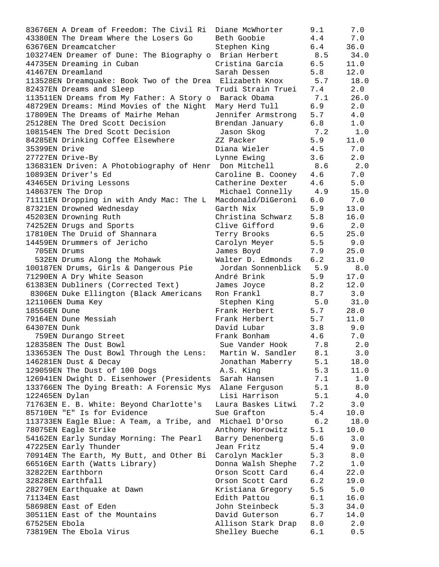| 83676EN A Dream of Freedom: The Civil Ri                 | Diane McWhorter                   | 9.1   | 7.0           |
|----------------------------------------------------------|-----------------------------------|-------|---------------|
| 43380EN The Dream Where the Losers Go                    | Beth Goobie                       | 4.4   | 7.0           |
| 63676EN Dreamcatcher                                     | Stephen King                      | 6.4   | 36.0          |
| 103274EN Dreamer of Dune: The Biography o Brian Herbert  |                                   | 8.5   | 34.0          |
| 44735EN Dreaming in Cuban                                | Cristina García                   | 6.5   | 11.0          |
| 41467EN Dreamland                                        | Sarah Dessen                      | 5.8   | 12.0          |
| 113528EN Dreamquake: Book Two of the Drea Elizabeth Knox |                                   | 5.7   | 18.0          |
| 82437EN Dreams and Sleep                                 | Trudi Strain Truei                | 7.4   | 2.0           |
| 113511EN Dreams from My Father: A Story o Barack Obama   |                                   | 7.1   | 26.0          |
| 48729EN Dreams: Mind Movies of the Night                 | Mary Herd Tull                    | 6.9   | 2.0           |
| 17809EN The Dreams of Mairhe Mehan                       | Jennifer Armstrong                | 5.7   | 4.0           |
| 25128EN The Dred Scott Decision                          | Brendan January                   | 6.8   | 1.0           |
| 108154EN The Dred Scott Decision                         | Jason Skog                        | 7.2   | 1.0           |
| 84285EN Drinking Coffee Elsewhere                        | ZZ Packer                         | 5.9   | 11.0          |
| 35399EN Drive                                            | Diana Wieler                      | 4.5   | 7.0           |
| 27727EN Drive-By                                         | Lynne Ewing                       | 3.6   | 2.0           |
| 136831EN Driven: A Photobiography of Henr Don Mitchell   |                                   | 8.6   | 2.0           |
| 10893EN Driver's Ed                                      | Caroline B. Cooney 4.6            |       | 7.0           |
| 43465EN Driving Lessons                                  | Catherine Dexter                  | 4.6   | 5.0           |
| 148637EN The Drop                                        | Michael Connelly 4.9              |       | 15.0          |
| 71111EN Dropping in with Andy Mac: The L                 | Macdonald/DiGeroni 6.0            |       | 7.0           |
| 87321EN Drowned Wednesday                                | Garth Nix                         | 5.9   | 13.0          |
| 45203EN Drowning Ruth                                    | Christina Schwarz                 | 5.8   | 16.0          |
| 74252EN Drugs and Sports                                 | Clive Gifford                     | 9.6   | 2.0           |
| 17810EN The Druid of Shannara                            | Terry Brooks                      | 6.5   | 25.0          |
| 14459EN Drummers of Jericho                              | Carolyn Meyer                     | 5.5   | 9.0           |
| 705EN Drums                                              | James Boyd                        | 7.9   | 25.0          |
| 532EN Drums Along the Mohawk                             | Walter D. Edmonds                 | 6.2   | 31.0          |
| 100187EN Drums, Girls & Dangerous Pie                    | Jordan Sonnenblick 5.9            |       | 8.0           |
| 71290EN A Dry White Season                               | André Brink                       | 5.9   | 17.0          |
| 61383EN Dubliners (Corrected Text)                       | James Joyce                       | 8.2   | 12.0          |
|                                                          | Ron Frankl                        | 8.7   | 3.0           |
| 8306EN Duke Ellington (Black Americans                   |                                   |       | 31.0          |
| 121106EN Duma Key<br>18556EN Dune                        | Stephen King<br>Frank Herbert 5.7 | 5.0   | 28.0          |
|                                                          | 5.7<br>Frank Herbert              |       |               |
| 79164EN Dune Messiah                                     |                                   |       | 11.0          |
| 64307EN Dunk                                             | David Lubar                       | 3.8   | 9.0           |
| 759EN Durango Street                                     | Frank Bonham                      | 4.6   | 7.0           |
| 128358EN The Dust Bowl                                   | Sue Vander Hook                   | 7.8   | 2.0           |
| 133653EN The Dust Bowl Through the Lens:                 | Martin W. Sandler                 | 8.1   | 3.0           |
| 146281EN Dust & Decay                                    | Jonathan Maberry                  | 5.1   | 18.0          |
| 129059EN The Dust of 100 Dogs                            | A.S. King                         | 5.3   | 11.0<br>$1.0$ |
| 126941EN Dwight D. Eisenhower (Presidents                | Sarah Hansen                      | 7.1   |               |
| 133766EN The Dying Breath: A Forensic Mys                | Alane Ferguson                    | 5.1   | 8.0           |
| 122465EN Dylan                                           | Lisi Harrison                     | 5.1   | 4.0           |
| 71763EN E. B. White: Beyond Charlotte's                  | Laura Baskes Litwi                | 7.2   | 3.0           |
| 85710EN "E" Is for Evidence                              | Sue Grafton                       | 5.4   | 10.0          |
| 113733EN Eagle Blue: A Team, a Tribe, and Michael D'Orso |                                   | $6.2$ | 18.0          |
| 78075EN Eagle Strike                                     | Anthony Horowitz                  | 5.1   | 10.0          |
| 54162EN Early Sunday Morning: The Pearl                  | Barry Denenberg                   | 5.6   | 3.0           |
| 47225EN Early Thunder                                    | Jean Fritz                        | 5.4   | 9.0           |
| 70914EN The Earth, My Butt, and Other Bi                 | Carolyn Mackler                   | 5.3   | 8.0           |
| 66516EN Earth (Watts Library)                            | Donna Walsh Shephe                | 7.2   | $1.0\,$       |
| 32822EN Earthborn                                        | Orson Scott Card                  | 6.4   | 22.0          |
| 32828EN Earthfall                                        | Orson Scott Card                  | 6.2   | 19.0          |
| 28279EN Earthquake at Dawn                               | Kristiana Gregory                 | 5.5   | $5.0$         |
| 71134EN East                                             | Edith Pattou                      | 6.1   | 16.0          |
| 58698EN East of Eden                                     | John Steinbeck                    | 5.3   | 34.0          |
| 30511EN East of the Mountains                            | David Guterson                    | 6.7   | 14.0          |
| 67525EN Ebola                                            | Allison Stark Drap                | 8.0   | 2.0           |
| 73819EN The Ebola Virus                                  | Shelley Bueche                    | 6.1   | 0.5           |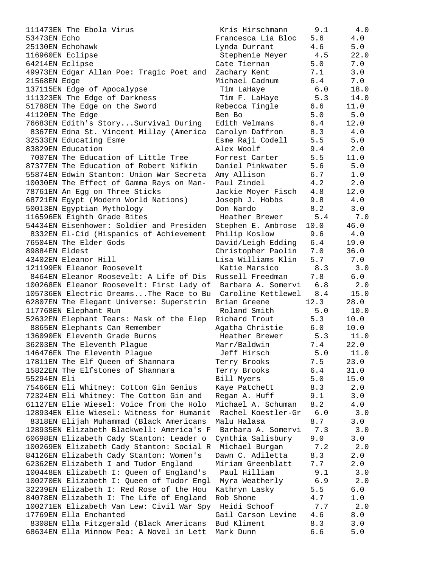111473EN The Ebola Virus 53473EN Echo Francesca Lia Bloc 5.6 4.0  $\mu$ 25130EN Echohawk Lynda Durrant 4.6 5.0 5.0  $\mu$ 116960EN Eclipse 64214EN Eclipse 49973EN Edgar Allan Poe: Tragic Poet and 2 21568EN Edge Michael Cadnum 6.4 7.0 137115EN Edge of Apocalypse 111323EN The Edge of Darkness 51788EN The Edge on the Sword Fig. 41120EN The Edge Ben Books of Ben Books and Books and Books and Books and Books and Books and Books and Books and Books and Books and Books and Books and Books and Books and Books and Books and Books and Books and Books an 76683EN Edith's Story...Survival During E 8367EN Edna St. Vincent Millay (America C 32533EN Educating Esme 83829EN Education 7007EN The Education of Little Tree F 87377EN The Education of Robert Nifkin I 55874EN Edwin Stanton: Union War Secreta 1 10030EN The Effect of Gamma Rays on Man- F 78761EN An Egg on Three Sticks 68721EN Egypt (Modern World Nations) Joseph 50013EN Egyptian Mythology Don Nardo B 116596EN Eighth Grade Bites 54434EN Eisenhower: Soldier and Presiden S 8332EN El-Cid (Hispanics of Achievement Philip 76504EN The Elder Gods David Edding Edding Educational Education Education Education Education Education Education E 89884EN Eldest Christopher Christopher Christopher Christopher Christopher Christopher C 43402EN Eleanor Hill and The Taurus I 121199EN Eleanor Roosevelt 8464EN Eleanor Roosevelt: A Life of Dis R 100268EN Eleanor Roosevelt: First Lady of 105736EN Electric Dreams...The Race to Bu 62807EN The Elegant Universe: Superstrin B 117768EN Elephant Run 52632EN Elephant Tears: Mask of the Elep R 8865EN Elephants Can Remember Agatha Christian Agatha Christian Agatha Christian A 136090EN Eleventh Grade Burns 36203EN The Eleventh Plague Marry Married Marry Marry Married Marry Marry Marry M 146476EN The Eleventh Plaque 17811EN The Elf Queen of Shannara 15822EN The Elfstones of Shannara 55294EN Eli 75466EN Eli Whitney: Cotton Gin Genius K 72324EN Eli Whitney: The Cotton Gin and R 61127EN Elie Wiesel: Voice from the Holo M 128934EN Elie Wiesel: Witness for Humanit 8318EN Elijah Muhammad (Black Americans M 128935EN Elizabeth Blackwell: America's F 60698EN Elizabeth Cady Stanton: Leader o ( 100269EN Elizabeth Cady Stanton: Social R 84126EN Elizabeth Cady Stanton: Women's I 62362EN Elizabeth I and Tudor England M 100448EN Elizabeth I: Queen of England's 100270EN Elizabeth I: Queen of Tudor Engl 32239EN Elizabeth I: Red Rose of the Hou K 84078EN Elizabeth I: The Life of England F 100271EN Elizabeth Van Lew: Civil War Spy 17769EN Ella Enchanted Gail Carson Carson Carson Carson Carson Carson Carson Carson Carson Carson Carson Carson C 8308EN Ella Fitzgerald (Black Americans B 68634EN Ella Minnow Pea: A Novel in Lett Mark Dunn 6.6 5.0

| Kris Hirschmann                          | 9.1        | 4.0   |
|------------------------------------------|------------|-------|
| Francesca Lia Bloc                       | 5.6        | 4.0   |
| Lynda Durrant                            | 4.6        | 5.0   |
| Stephenie Meyer                          | 4.5        | 22.0  |
| Cate Tiernan                             | 5.0        | 7.0   |
| Zachary Kent                             | 7.1        | 3.0   |
| Michael Cadnum                           | 6.4        | 7.0   |
| Tim LaHaye                               | 6.0        | 18.0  |
| Tim F. LaHaye                            | 5.3        | 14.0  |
| Rebecca Tingle                           | 6.6        | 11.0  |
| Ben Bo                                   | 5.0        | 5.0   |
| Edith Velmans                            | 6.4        | 12.0  |
| Carolyn Daffron                          | 8.3        | 4.0   |
| Isme Raji Codell                         | 5.5        | 5.0   |
| Alex Woolf                               | 9.4        | 2.0   |
| Forrest Carter                           | 5.5        | 11.0  |
| Daniel Pinkwater                         | 5.6        | $5.0$ |
|                                          |            | $1.0$ |
| Amy Allison                              | 6.7        |       |
| Paul Zindel                              | 4.2<br>4.8 | 2.0   |
| Jackie Moyer Fisch                       |            | 12.0  |
| Joseph J. Hobbs                          | 9.8        | 4.0   |
| Don Nardo                                | 8.2        | 3.0   |
| Heather Brewer                           | 5.4        | 7.0   |
| Stephen E. Ambrose                       | 10.0       | 46.0  |
| Philip Koslow                            | 9.6        | 4.0   |
| David/Leigh Edding                       | 6.4        | 19.0  |
| Christopher Paolin                       | 7.0        | 36.0  |
| Lisa Williams Klin                       | 5.7        | $7.0$ |
| Katie Marsico                            | 8.3        | 3.0   |
| Russell Freedman                         | 7.8        | 6.0   |
| Barbara A. Somervi<br>Caroline Kettlewel | 6.8        | 2.0   |
|                                          | 8.4        | 15.0  |
| Brian Greene                             | 12.3       | 28.0  |
| Roland Smith                             | $5.0$      | 10.0  |
| Richard Trout                            | 5.3        | 10.0  |
| Agatha Christie                          | 6.0        | 10.0  |
| Heather Brewer                           | 5.3        | 11.0  |
| Marr/Baldwin                             | 7.4        | 22.0  |
| Jeff Hirsch                              | 5.0        | 11.0  |
| Terry Brooks                             | 7.5        | 23.0  |
| Terry Brooks                             | 6.4        | 31.0  |
| Bill Myers                               | 5.0        | 15.0  |
| Kaye Patchett                            | 8.3        | 2.0   |
| Regan A. Huff                            | 9.1        | 3.0   |
| Michael A. Schuman                       | 8.2        | $4.0$ |
| Rachel Koestler-Gr                       | 6.0        | 3.0   |
| Malu Halasa                              | 8.7        | 3.0   |
| Barbara A. Somervi                       | 7.3        | 3.0   |
| Cynthia Salisbury                        | 9.0        | 3.0   |
| Michael Burgan                           | 7.2        | 2.0   |
| Dawn C. Adiletta                         | 8.3        | 2.0   |
| Miriam Greenblatt                        | 7.7        | 2.0   |
| Paul Hilliam                             | 9.1        | 3.0   |
| Myra Weatherly                           | 6.9        | 2.0   |
| Kathryn Lasky                            | 5.5        | $6.0$ |
| Rob Shone                                | 4.7        | 1.0   |
| Heidi Schoof                             | 7.7        | 2.0   |
| Gail Carson Levine                       | 4.6        | 8.0   |
| Bud Kliment                              | 8.3        | 3.0   |
| Mark Dunn                                | ና ና        | 5 N   |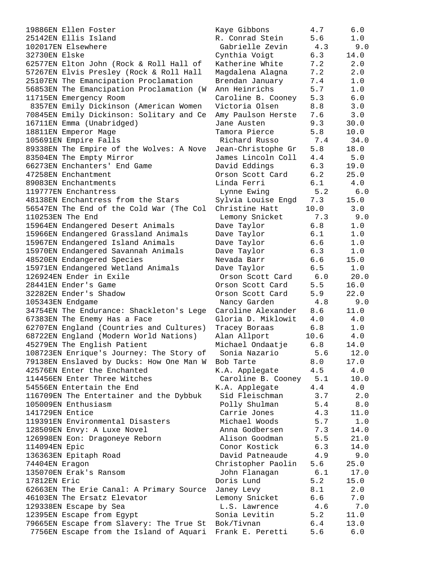| 19886EN Ellen Foster                     | Kaye Gibbons       | 4.7  | 6.0   |
|------------------------------------------|--------------------|------|-------|
| 25142EN Ellis Island                     | R. Conrad Stein    | 5.6  | 1.0   |
| 102017EN Elsewhere                       | Gabrielle Zevin    | 4.3  | 9.0   |
| 32730EN Elske                            | Cynthia Voigt      | 6.3  | 14.0  |
| 62577EN Elton John (Rock & Roll Hall of  | Katherine White    | 7.2  | 2.0   |
| 57267EN Elvis Presley (Rock & Roll Hall  | Magdalena Alagna   | 7.2  | 2.0   |
| 25107EN The Emancipation Proclamation    | Brendan January    | 7.4  | 1.0   |
| 56853EN The Emancipation Proclamation (W | Ann Heinrichs      | 5.7  | 1.0   |
|                                          |                    | 5.3  | 6.0   |
| 11715EN Emergency Room                   | Caroline B. Cooney |      |       |
| 8357EN Emily Dickinson (American Women   | Victoria Olsen     | 8.8  | 3.0   |
| 70845EN Emily Dickinson: Solitary and Ce | Amy Paulson Herste | 7.6  | 3.0   |
| 16711EN Emma (Unabridged)                | Jane Austen        | 9.3  | 30.0  |
| 18811EN Emperor Mage                     | Tamora Pierce      | 5.8  | 10.0  |
| 105691EN Empire Falls                    | Richard Russo      | 7.4  | 34.0  |
| 89338EN The Empire of the Wolves: A Nove | Jean-Christophe Gr | 5.8  | 18.0  |
| 83504EN The Empty Mirror                 | James Lincoln Coll | 4.4  | 5.0   |
| 66273EN Enchanters' End Game             | David Eddings      | 6.3  | 19.0  |
| 47258EN Enchantment                      | Orson Scott Card   | 6.2  | 25.0  |
| 89083EN Enchantments                     | Linda Ferri        | 6.1  | 4.0   |
| 119777EN Enchantress                     | Lynne Ewing        | 5.2  | 6.0   |
| 48138EN Enchantress from the Stars       | Sylvia Louise Engd | 7.3  | 15.0  |
| 56547EN The End of the Cold War (The Col | Christine Hatt     | 10.0 | 3.0   |
| 110253EN The End                         | Lemony Snicket     | 7.3  | 9.0   |
| 15964EN Endangered Desert Animals        | Dave Taylor        | 6.8  | 1.0   |
| 15966EN Endangered Grassland Animals     | Dave Taylor        | 6.1  | 1.0   |
|                                          |                    | 6.6  | 1.0   |
| 15967EN Endangered Island Animals        | Dave Taylor        |      |       |
| 15970EN Endangered Savannah Animals      | Dave Taylor        | 6.3  | 1.0   |
| 48520EN Endangered Species               | Nevada Barr        | 6.6  | 15.0  |
| 15971EN Endangered Wetland Animals       | Dave Taylor        | 6.5  | $1.0$ |
| 126924EN Ender in Exile                  | Orson Scott Card   | 6.0  | 20.0  |
| 28441EN Ender's Game                     | Orson Scott Card   | 5.5  | 16.0  |
| 32282EN Ender's Shadow                   | Orson Scott Card   | 5.9  | 22.0  |
| 105343EN Endgame                         | Nancy Garden       | 4.8  | 9.0   |
| 34754EN The Endurance: Shackleton's Lege | Caroline Alexander | 8.6  | 11.0  |
| 67383EN The Enemy Has a Face             | Gloria D. Miklowit | 4.0  | 4.0   |
| 62707EN England (Countries and Cultures) | Tracey Boraas      | 6.8  | 1.0   |
| 68722EN England (Modern World Nations)   | Alan Allport       | 10.6 | 4.0   |
| 45279EN The English Patient              | Michael Ondaatje   | 6.8  | 14.0  |
| 108723EN Enrique's Journey: The Story of | Sonia Nazario      | 5.6  | 12.0  |
| 79138EN Enslaved by Ducks: How One Man W | Bob Tarte          | 8.0  | 17.0  |
| 42576EN Enter the Enchanted              | K.A. Applegate     | 4.5  | 4.0   |
| 114456EN Enter Three Witches             | Caroline B. Cooney | 5.1  | 10.0  |
| 54556EN Entertain the End                | K.A. Applegate     | 4.4  | 4.0   |
| 116709EN The Entertainer and the Dybbuk  | Sid Fleischman     | 3.7  | 2.0   |
| 105009EN Enthusiasm                      | Polly Shulman      | 5.4  | 8.0   |
| 141729EN Entice                          | Carrie Jones       | 4.3  | 11.0  |
| 119391EN Environmental Disasters         | Michael Woods      | 5.7  | 1.0   |
| 128509EN Envy: A Luxe Novel              | Anna Godbersen     | 7.3  | 14.0  |
| 126998EN Eon: Dragoneye Reborn           | Alison Goodman     | 5.5  | 21.0  |
|                                          | Conor Kostick      |      |       |
| 114094EN Epic                            |                    | 6.3  | 14.0  |
| 136363EN Epitaph Road                    | David Patneaude    | 4.9  | 9.0   |
| 74404EN Eragon                           | Christopher Paolin | 5.6  | 25.0  |
| 135070EN Erak's Ransom                   | John Flanagan      | 6.1  | 17.0  |
| 17812EN Eric                             | Doris Lund         | 5.2  | 15.0  |
| 62663EN The Erie Canal: A Primary Source | Janey Levy         | 8.1  | 2.0   |
| 46103EN The Ersatz Elevator              | Lemony Snicket     | 6.6  | $7.0$ |
| 129338EN Escape by Sea                   | L.S. Lawrence      | 4.6  | 7.0   |
| 12395EN Escape from Egypt                | Sonia Levitin      | 5.2  | 11.0  |
| 79665EN Escape from Slavery: The True St | Bok/Tivnan         | 6.4  | 13.0  |
| 7756EN Escape from the Island of Aquari  | Frank E. Peretti   | 5.6  | $6.0$ |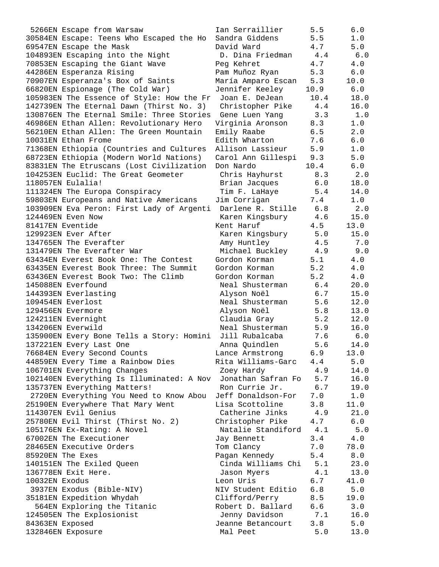5266EN Escape from Warsaw Ian Serraillier 5.5 6.0 30584EN Escape: Teens Who Escaped the Ho Sandra Giddens 5.5 1.0 69547EN Escape the Mask David Ward 4.7 5.0 104893EN Escaping into the Night D. Dina Friedman 4.4 6.0 70853EN Escaping the Giant Wave  $P = P$ eg Kehret  $4.7$   $4.0$ 44286EN Esperanza Rising Pam Muñoz Ryan 5.3 6.0 70907EN Esperanza's Box of Saints María Amparo Escan 5.3 10.0 66820EN Espionage (The Cold War) Jennifer Keeley 10.9 6.0 105983EN The Essence of Style: How the Fr Joan E. DeJean 10.4 18.0 142739EN The Eternal Dawn (Thirst No. 3) Christopher Pike 4.4 16.0 130876EN The Eternal Smile: Three Stories Gene Luen Yang 3.3 1.0 46986EN Ethan Allen: Revolutionary Hero Virginia Aronson 8.3 1.0 56210EN Ethan Allen: The Green Mountain Emily Raabe 6.5 2.0 10031EN Ethan Frome Edith Wharton 7.6 6.0 71368EN Ethiopia (Countries and Cultures Allison Lassieur 5.9 1.0 68723EN Ethiopia (Modern World Nations) Carol Ann Gillespi 9.3 5.0 83831EN The Etruscans (Lost Civilization Don Nardo 10.4 6.0 104253EN Euclid: The Great Geometer Chris Hayhurst 8.3 2.0 118057EN Eulalia! Brian Jacques 6.0 18.0 111324EN The Europa Conspiracy Tim F. LaHaye 5.4 14.0 59803EN Europeans and Native Americans Jim Corrigan 7.4 1.0 103909EN Eva Peron: First Lady of Argenti Darlene R. Stille 6.8 2.0 124469EN Even Now Karen Kingsbury 4.6 15.0 81417EN Eventide Kent Haruf 4.5 13.0 129923EN Ever After **Karen Kingsbury 5.0** 15.0 134765EN The Everafter Amy Huntley 4.5 7.0 131479EN The Everafter War Michael Buckley 4.9 9.0 63434EN Everest Book One: The Contest Gordon Korman 5.1 4.0 63435EN Everest Book Three: The Summit Gordon Korman 5.2 4.0 63436EN Everest Book Two: The Climb Gordon Korman 5.2 4.0 145088EN Everfound Neal Shusterman 6.4 20.0 144393EN Everlasting Alyson Noël 6.7 15.0 109454EN Everlost Neal Shusterman 5.6 12.0 129456EN Evermore Alyson Noël 5.8 13.0 124211EN Evernight Claudia Gray 5.2 12.0 134206EN Everwild Neal Shusterman 5.9 16.0 135900EN Every Bone Tells a Story: Homini Jill Rubalcaba 7.6 6.0 137221EN Every Last One Anna Quindlen 5.6 14.0 76684EN Every Second Counts Lance Armstrong 6.9 13.0 44859EN Every Time a Rainbow Dies Rita Williams-Garc 4.4 5.0 106701EN Everything Changes Zoey Hardy 4.9 14.0 102140EN Everything Is Illuminated: A Nov Jonathan Safran Fo 5.7 16.0 135737EN Everything Matters! Ron Currie Jr. 6.7 19.0 2720EN Everything You Need to Know Abou Jeff Donaldson-For 7.0 1.0 25190EN Everywhere That Mary Went Lisa Scottoline 3.8 11.0 114307EN Evil Genius Catherine Jinks 4.9 21.0 25780EN Evil Thirst (Thirst No. 2) Christopher Pike 4.7 6.0 105176EN Ex-Rating: A Novel Natalie Standiford 4.1 5.0 67002EN The Executioner Jay Bennett 3.4 4.0 28465EN Executive Orders Tom Clancy 7.0 78.0 85920EN The Exes Pagan Kennedy 5.4 8.0 140151EN The Exiled Queen Cinda Williams Chi 5.1 23.0 136778EN Exit Here. Jason Myers 4.1 13.0 10032EN Exodus Leon Uris 6.7 41.0 3937EN Exodus (Bible-NIV) NIV Student Editio 6.8 5.0 35181EN Expedition Whydah Clifford/Perry 8.5 19.0 564EN Exploring the Titanic Robert D. Ballard 6.6 3.0 124505EN The Explosionist Jenny Davidson 7.1 16.0 84363EN Exposed Jeanne Betancourt 3.8 5.0 132846EN Exposure Mal Peet 5.0 13.0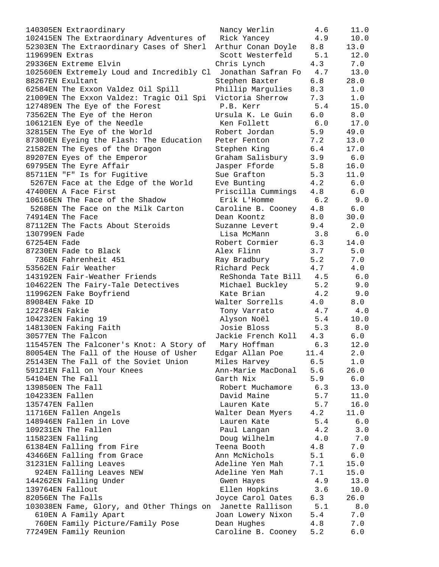| 140305EN Extraordinary                                       | Nancy Werlin           | 4.6   | 11.0  |
|--------------------------------------------------------------|------------------------|-------|-------|
| 102415EN The Extraordinary Adventures of Rick Yancey         |                        | 4.9   | 10.0  |
| 52303EN The Extraordinary Cases of Sherl                     | Arthur Conan Doyle 8.8 |       | 13.0  |
| 119699EN Extras                                              | Scott Westerfeld 5.1   |       | 12.0  |
| 29336EN Extreme Elvin                                        | Chris Lynch            | 4.3   | 7.0   |
| 102560EN Extremely Loud and Incredibly Cl Jonathan Safran Fo |                        | 4.7   | 13.0  |
| 88267EN Exultant                                             | Stephen Baxter         | 6.8   | 28.0  |
| 62584EN The Exxon Valdez Oil Spill                           | Phillip Margulies      | 8.3   | 1.0   |
| 21009EN The Exxon Valdez: Tragic Oil Spi                     | Victoria Sherrow       | 7.3   | 1.0   |
| 127489EN The Eye of the Forest                               | P.B. Kerr              | 5.4   | 15.0  |
| 73562EN The Eye of the Heron                                 | Ursula K. Le Guin      | 6.0   | 8.0   |
| 106121EN Eye of the Needle                                   | Ken Follett            | 6.0   | 17.0  |
| 32815EN The Eye of the World                                 | Robert Jordan          | 5.9   | 49.0  |
| 87300EN Eyeing the Flash: The Education                      | Peter Fenton           | 7.2   | 13.0  |
| 21582EN The Eyes of the Dragon                               | Stephen King           | 6.4   | 17.0  |
| 89207EN Eyes of the Emperor                                  | Graham Salisbury       | 3.9   | 6.0   |
| 69795EN The Eyre Affair                                      | Jasper Fforde          | 5.8   | 16.0  |
| 85711EN "F" Is for Fugitive                                  | Sue Grafton            | 5.3   | 11.0  |
| 5267EN Face at the Edge of the World                         | Eve Bunting            | 4.2   | 6.0   |
| 47400EN A Face First                                         | Priscilla Cummings     | 4.8   | 6.0   |
| 106166EN The Face of the Shadow                              | Erik L'Homme           | 6.2   | 9.0   |
| 5268EN The Face on the Milk Carton                           | Caroline B. Cooney 4.8 |       | 6.0   |
| 74914EN The Face                                             | Dean Koontz            | 8.0   | 30.0  |
| 87112EN The Facts About Steroids                             | Suzanne Levert         | 9.4   | 2.0   |
| 130799EN Fade                                                | Lisa McMann            | 3.8   | 6.0   |
| 67254EN Fade                                                 | Robert Cormier         | 6.3   | 14.0  |
| 87230EN Fade to Black                                        | Alex Flinn             | 3.7   | 5.0   |
| 736EN Fahrenheit 451                                         | Ray Bradbury           | 5.2   | 7.0   |
| 53562EN Fair Weather                                         | Richard Peck           | 4.7   | 4.0   |
| 143192EN Fair-Weather Friends                                | ReShonda Tate Bill 4.5 |       | 6.0   |
| 104622EN The Fairy-Tale Detectives                           | Michael Buckley        | 5.2   | 9.0   |
| 119962EN Fake Boyfriend                                      | Kate Brian             | 4.2   | 9.0   |
| 89084EN Fake ID                                              | Walter Sorrells        | 4.0   | 8.0   |
| 122784EN Fakie                                               | Tony Varrato           | 4.7   | 4.0   |
| 104232EN Faking 19                                           | Alyson Noël            | 5.4   | 10.0  |
| 148130EN Faking Faith                                        | Josie Bloss            | 5.3   | 8.0   |
| 30577EN The Falcon                                           | Jackie French Koll     | 4.3   | 6.0   |
| 115457EN The Falconer's Knot: A Story of                     | Mary Hoffman           | 6.3   | 12.0  |
| 80054EN The Fall of the House of Usher                       | Edgar Allan Poe        | 11.4  | 2.0   |
| 25143EN The Fall of the Soviet Union                         | Miles Harvey           | 6.5   | 1.0   |
| 59121EN Fall on Your Knees                                   | Ann-Marie MacDonal     | 5.6   | 26.0  |
| 54104EN The Fall                                             | Garth Nix              | 5.9   | $6.0$ |
| 139850EN The Fall                                            | Robert Muchamore       | 6.3   | 13.0  |
| 104233EN Fallen                                              | David Maine            | 5.7   | 11.0  |
| 135747EN Fallen                                              | Lauren Kate            | 5.7   | 16.0  |
| 11716EN Fallen Angels                                        | Walter Dean Myers      | 4.2   | 11.0  |
| 148946EN Fallen in Love                                      | Lauren Kate            | 5.4   | $6.0$ |
| 109231EN The Fallen                                          | Paul Langan            | 4.2   | 3.0   |
| 115823EN Falling                                             | Doug Wilhelm           | 4.0   | 7.0   |
| 61384EN Falling from Fire                                    | Teena Booth            | 4.8   | 7.0   |
| 43466EN Falling from Grace                                   | Ann McNichols          | 5.1   | $6.0$ |
| 31231EN Falling Leaves                                       | Adeline Yen Mah        | 7.1   | 15.0  |
| 924EN Falling Leaves NEW                                     | Adeline Yen Mah        | 7.1   | 15.0  |
| 144262EN Falling Under                                       | Gwen Hayes             | 4.9   | 13.0  |
| 139764EN Fallout                                             | Ellen Hopkins          | 3.6   | 10.0  |
| 82056EN The Falls                                            | Joyce Carol Oates      | 6.3   | 26.0  |
| 103038EN Fame, Glory, and Other Things on Janette Rallison   |                        | 5.1   | 8.0   |
| 610EN A Family Apart                                         | Joan Lowery Nixon      | 5.4   | 7.0   |
| 760EN Family Picture/Family Pose                             | Dean Hughes            | 4.8   | 7.0   |
| 77249EN Family Reunion                                       | Caroline B. Cooney     | $5.2$ | $6.0$ |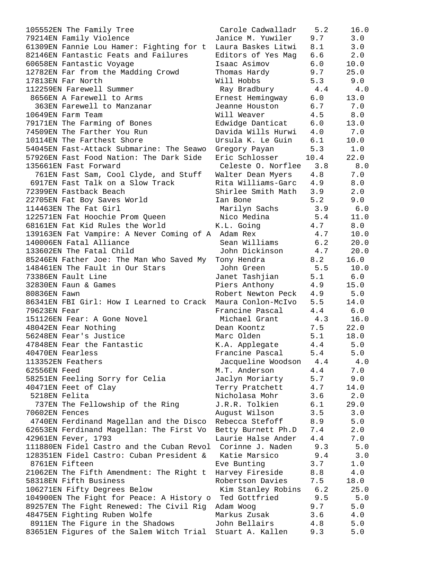105552EN The Family Tree Carole Cadwalladr 5.2 16.0 79214EN Family Violence Janice M. Yuwiler 9.7 3.0 61309EN Fannie Lou Hamer: Fighting for t Laura Baskes Litwi 8.1 3.0 82146EN Fantastic Feats and Failures Editors of Yes Mag 6.6 2.0 60658EN Fantastic Voyage Isaac Asimov 6.0 10.0 12782EN Far from the Madding Crowd Thomas Hardy 9.7 25.0 17813EN Far North Will Hobbs 5.3 9.0 112259EN Farewell Summer Ray Bradbury 4.4 4.0 8656EN A Farewell to Arms Ernest Hemingway 6.0 13.0 363EN Farewell to Manzanar Jeanne Houston 6.7 7.0 10649EN Farm Team Will Weaver 4.5 8.0 79171EN The Farming of Bones Edwidge Danticat 6.0 13.0 74509EN The Farther You Run Davida Wills Hurwi 4.0 7.0 10114EN The Farthest Shore Ursula K. Le Guin 6.1 10.0 54045EN Fast-Attack Submarine: The Seawo Gregory Payan 5.3 1.0 57926EN Fast Food Nation: The Dark Side Eric Schlosser 10.4 22.0 135661EN Fast Forward Celeste O. Norflee 3.8 8.0 761EN Fast Sam, Cool Clyde, and Stuff Walter Dean Myers 4.8 7.0 6917EN Fast Talk on a Slow Track Rita Williams-Garc 4.9 8.0 72399EN Fastback Beach Shirlee Smith Math 3.9 2.0 22705EN Fat Boy Saves World Ian Bone 5.2 9.0 114463EN The Fat Girl Marilyn Sachs 3.9 6.0 122571EN Fat Hoochie Prom Queen Nico Medina 5.4 11.0 68161EN Fat Kid Rules the World K.L. Going 4.7 8.0 139163EN Fat Vampire: A Never Coming of A Adam Rex 4.7 10.0 140006EN Fatal Alliance Sean Williams 6.2 20.0 133602EN The Fatal Child John Dickinson 4.7 20.0 85246EN Father Joe: The Man Who Saved My Tony Hendra 8.2 16.0 148461EN The Fault in Our Stars John Green 5.5 10.0 73386EN Fault Line Janet Tashjian 5.1 6.0 32830EN Faun & Games Piers Anthony 4.9 15.0 80836EN Fawn Robert Newton Peck 4.9 5.0 86341EN FBI Girl: How I Learned to Crack Maura Conlon-McIvo 5.5 14.0 79623EN Fear Francine Pascal 4.4 6.0 151126EN Fear: A Gone Novel Michael Grant 4.3 16.0 48042EN Fear Nothing Dean Koontz 7.5 22.0 56248EN Fear's Justice Marc Olden 5.1 18.0 47848EN Fear the Fantastic K.A. Applegate 4.4 5.0 40470EN Fearless Francine Pascal 5.4 5.0 113352EN Feathers Jacqueline Woodson 4.4 4.0 62556EN Feed M.T. Anderson 4.4 7.0 58251EN Feeling Sorry for Celia Jaclyn Moriarty 5.7 9.0 40471EN Feet of Clay Terry Pratchett 4.7 14.0 5218EN Felita Nicholasa Mohr 3.6 2.0 737EN The Fellowship of the Ring J.R.R. Tolkien 6.1 29.0 70602EN Fences August Wilson 3.5 3.0 4740EN Ferdinand Magellan and the Disco Rebecca Stefoff 8.9 5.0 62653EN Ferdinand Magellan: The First Vo Betty Burnett Ph.D 7.4 2.0 42961EN Fever, 1793 Laurie Halse Ander 4.4 7.0 111880EN Fidel Castro and the Cuban Revol Corinne J. Naden 9.3 5.0 128351EN Fidel Castro: Cuban President & Katie Marsico 9.4 3.0 8761EN Fifteen and Eve Bunting 3.7 and 1.0 21062EN The Fifth Amendment: The Right t Harvey Fireside 8.8 4.0 58318EN Fifth Business Robertson Davies 7.5 18.0 106271EN Fifty Degrees Below Kim Stanley Robins 6.2 25.0 104900EN The Fight for Peace: A History o Ted Gottfried 9.5 5.0 89257EN The Fight Renewed: The Civil Rig Adam Woog 9.7 5.0 48475EN Fighting Ruben Wolfe Markus Zusak 3.6 4.0 8911EN The Figure in the Shadows 50 John Bellairs 4.8 5.0 83651EN Figures of the Salem Witch Trial Stuart A. Kallen 9.3 5.0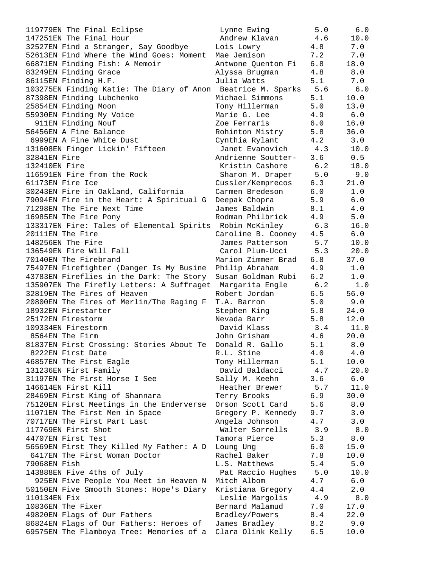| 119779EN The Final Eclipse                                       | Lynne Ewing          | 5.0 | 6.0     |
|------------------------------------------------------------------|----------------------|-----|---------|
| 147251EN The Final Hour                                          | Andrew Klavan        | 4.6 | 10.0    |
| 32527EN Find a Stranger, Say Goodbye                             | Lois Lowry           | 4.8 | 7.0     |
| 52613EN Find Where the Wind Goes: Moment Mae Jemison             |                      | 7.2 | 7.0     |
| 66871EN Finding Fish: A Memoir                                   | Antwone Quenton Fi   | 6.8 | 18.0    |
| 83249EN Finding Grace                                            | Alyssa Brugman       | 4.8 | 8.0     |
| 86115EN Finding H.F.                                             | Julia Watts          | 5.1 | 7.0     |
| 103275EN Finding Katie: The Diary of Anon Beatrice M. Sparks 5.6 |                      |     | 6.0     |
| 87398EN Finding Lubchenko                                        | Michael Simmons      | 5.1 | 10.0    |
| 25854EN Finding Moon                                             | Tony Hillerman       | 5.0 | 13.0    |
| 55930EN Finding My Voice                                         | Marie G. Lee         | 4.9 | 6.0     |
| 911EN Finding Nouf                                               | Zoe Ferraris         | 6.0 | 16.0    |
| 56456EN A Fine Balance                                           | Rohinton Mistry      | 5.8 | 36.0    |
| 6999EN A Fine White Dust                                         | Cynthia Rylant       | 4.2 | 3.0     |
| 131608EN Finger Lickin' Fifteen                                  | Janet Evanovich 4.3  |     | 10.0    |
| 32841EN Fire                                                     | Andrienne Soutter-   | 3.6 | 0.5     |
| 132410EN Fire                                                    | Kristin Cashore 6.2  |     | 18.0    |
| 116591EN Fire from the Rock                                      | Sharon M. Draper 5.0 |     | 9.0     |
| 61173EN Fire Ice                                                 | Cussler/Kemprecos    | 6.3 | 21.0    |
| 30243EN Fire in Oakland, California                              | Carmen Bredeson      | 6.0 | 1.0     |
| 79094EN Fire in the Heart: A Spiritual G                         | Deepak Chopra        | 5.9 | 6.0     |
| 71298EN The Fire Next Time                                       | James Baldwin        | 8.1 | 4.0     |
| 16985EN The Fire Pony                                            | Rodman Philbrick     | 4.9 | 5.0     |
| 133317EN Fire: Tales of Elemental Spirits Robin McKinley         |                      | 6.3 | 16.0    |
| 20111EN The Fire                                                 | Caroline B. Cooney   | 4.5 | 6.0     |
| 148256EN The Fire                                                | James Patterson      | 5.7 | 10.0    |
| 136549EN Fire Will Fall                                          | Carol Plum-Ucci      | 5.3 | 20.0    |
| 70140EN The Firebrand                                            | Marion Zimmer Brad   | 6.8 | 37.0    |
| 75497EN Firefighter (Danger Is My Busine                         | Philip Abraham       | 4.9 | 1.0     |
| 43783EN Fireflies in the Dark: The Story                         | Susan Goldman Rubi   | 6.2 | $1.0$   |
| 135907EN The Firefly Letters: A Suffraget Margarita Engle        |                      | 6.2 | $1.0$   |
| 32819EN The Fires of Heaven                                      | Robert Jordan        | 6.5 | 56.0    |
| 20800EN The Fires of Merlin/The Raging F                         | T.A. Barron          | 5.0 | 9.0     |
| 18932EN Firestarter                                              | Stephen King         | 5.8 | 24.0    |
| 25172EN Firestorm                                                | Nevada Barr          | 5.8 | 12.0    |
| 109334EN Firestorm                                               | David Klass          | 3.4 | 11.0    |
| 8564EN The Firm                                                  | John Grisham         | 4.6 | 20.0    |
| 81837EN First Crossing: Stories About Te                         | Donald R. Gallo      | 5.1 | 8.0     |
| 8222EN First Date                                                | R.L. Stine           | 4.0 | 4.0     |
| 46857EN The First Eagle                                          | Tony Hillerman       | 5.1 | 10.0    |
| 131236EN First Family                                            | David Baldacci       | 4.7 | 20.0    |
| 31197EN The First Horse I See                                    | Sally M. Keehn       | 3.6 | $6.0$   |
| 146614EN First Kill                                              | Heather Brewer       | 5.7 | 11.0    |
| 28469EN First King of Shannara                                   | Terry Brooks         | 6.9 | 30.0    |
| 75120EN First Meetings in the Enderverse                         | Orson Scott Card     | 5.6 | $8.0$   |
| 11071EN The First Men in Space                                   | Gregory P. Kennedy   | 9.7 | 3.0     |
| 70717EN The First Part Last                                      | Angela Johnson       | 4.7 | 3.0     |
| 117769EN First Shot                                              | Walter Sorrells      | 3.9 | 8.0     |
| 44707EN First Test                                               | Tamora Pierce        | 5.3 | 8.0     |
| 56569EN First They Killed My Father: A D                         | Loung Ung            | 6.0 | 15.0    |
| 6417EN The First Woman Doctor                                    | Rachel Baker         | 7.8 | 10.0    |
| 79068EN Fish                                                     | L.S. Matthews        | 5.4 | 5.0     |
| 143888EN Five 4ths of July                                       | Pat Raccio Hughes    | 5.0 | 10.0    |
| 925EN Five People You Meet in Heaven N                           | Mitch Albom          | 4.7 | 6.0     |
| 50150EN Five Smooth Stones: Hope's Diary                         | Kristiana Gregory    | 4.4 | 2.0     |
| 110134EN Fix                                                     | Leslie Margolis      | 4.9 | $8.0\,$ |
| 10836EN The Fixer                                                | Bernard Malamud      | 7.0 | 17.0    |
| 49820EN Flags of Our Fathers                                     | Bradley/Powers       | 8.4 | 22.0    |
| 86824EN Flags of Our Fathers: Heroes of                          | James Bradley        | 8.2 | 9.0     |
| 69575EN The Flamboya Tree: Memories of a Clara Olink Kelly       |                      | 6.5 | 10.0    |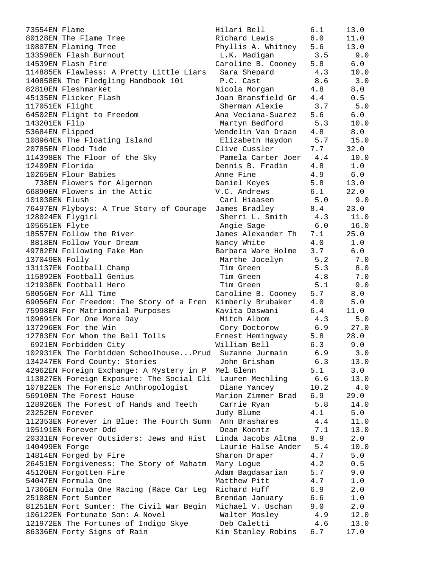| 73554EN Flame                             | Hilari Bell            | 6.1  | 13.0  |
|-------------------------------------------|------------------------|------|-------|
| 80128EN The Flame Tree                    | Richard Lewis          | 6.0  | 11.0  |
| 10807EN Flaming Tree                      | Phyllis A. Whitney     | 5.6  | 13.0  |
| 133598EN Flash Burnout                    | L.K. Madigan           | 3.5  | 9.0   |
| 14539EN Flash Fire                        | Caroline B. Cooney     | 5.8  | 6.0   |
| 114885EN Flawless: A Pretty Little Liars  | Sara Shepard           | 4.3  | 10.0  |
| 140858EN The Fledgling Handbook 101       | P.C. Cast              | 8.6  | 3.0   |
| 82810EN Fleshmarket                       |                        | 4.8  | 8.0   |
|                                           | Nicola Morgan          |      |       |
| 45135EN Flicker Flash                     | Joan Bransfield Gr     | 4.4  | 0.5   |
| 117051EN Flight                           | Sherman Alexie         | 3.7  | 5.0   |
| 64502EN Flight to Freedom                 | Ana Veciana-Suarez     | 5.6  | 6.0   |
| 143201EN Flip                             | Martyn Bedford         | 5.3  | 10.0  |
| 53684EN Flipped                           | Wendelin Van Draan     | 4.8  | 8.0   |
| 108964EN The Floating Island              | Elizabeth Haydon       | 5.7  | 15.0  |
| 20785EN Flood Tide                        | Clive Cussler          | 7.7  | 32.0  |
| 114398EN The Floor of the Sky             | Pamela Carter Joer 4.4 |      | 10.0  |
| 12409EN Florida                           | Dennis B. Fradin       | 4.8  | 1.0   |
| 10265EN Flour Babies                      | Anne Fine              | 4.9  | 6.0   |
| 738EN Flowers for Algernon                | Daniel Keyes           | 5.8  | 13.0  |
| 66890EN Flowers in the Attic              | V.C. Andrews           | 6.1  | 22.0  |
| 101038EN Flush                            | Carl Hiaasen           | 5.0  | 9.0   |
| 76497EN Flyboys: A True Story of Courage  | James Bradley          | 8.4  | 23.0  |
| 128024EN Flygirl                          | Sherri L. Smith        | 4.3  | 11.0  |
|                                           |                        | 6.0  | 16.0  |
| 105651EN Flyte                            | Angie Sage             |      |       |
| 18557EN Follow the River                  | James Alexander Th     | 7.1  | 25.0  |
| 8818EN Follow Your Dream                  | Nancy White            | 4.0  | 1.0   |
| 49782EN Following Fake Man                | Barbara Ware Holme     | 3.7  | $6.0$ |
| 137049EN Folly                            | Marthe Jocelyn         | 5.2  | 7.0   |
| 131137EN Football Champ                   | Tim Green              | 5.3  | 8.0   |
| 115892EN Football Genius                  | Tim Green              | 4.8  | 7.0   |
| 121938EN Football Hero                    | Tim Green              | 5.1  | 9.0   |
| 58056EN For All Time                      | Caroline B. Cooney     | 5.7  | 8.0   |
| 69056EN For Freedom: The Story of a Fren  | Kimberly Brubaker      | 4.0  | 5.0   |
| 75998EN For Matrimonial Purposes          | Kavita Daswani         | 6.4  | 11.0  |
| 109691EN For One More Day                 | Mitch Albom            | 4.3  | 5.0   |
| 137296EN For the Win                      | Cory Doctorow          | 6.9  | 27.0  |
| 12783EN For Whom the Bell Tolls           | Ernest Hemingway       | 5.8  | 28.0  |
| 6921EN Forbidden City                     | William Bell           | 6.3  | 9.0   |
| 102931EN The Forbidden SchoolhousePrud    | Suzanne Jurmain        | 6.9  | 3.0   |
| 134247EN Ford County: Stories             | John Grisham           | 6.3  | 13.0  |
| 42962EN Foreign Exchange: A Mystery in P  | Mel Glenn              | 5.1  | 3.0   |
| 113827EN Foreign Exposure: The Social Cli | Lauren Mechling        | 6.6  | 13.0  |
| 107822EN The Forensic Anthropologist      | Diane Yancey           | 10.2 | 4.0   |
| 56910EN The Forest House                  | Marion Zimmer Brad     |      |       |
|                                           |                        | 6.9  | 29.0  |
| 128926EN The Forest of Hands and Teeth    | Carrie Ryan            | 5.8  | 14.0  |
| 23252EN Forever                           | Judy Blume             | 4.1  | 5.0   |
| 112353EN Forever in Blue: The Fourth Summ | Ann Brashares          | 4.4  | 11.0  |
| 105191EN Forever Odd                      | Dean Koontz            | 7.1  | 13.0  |
| 20331EN Forever Outsiders: Jews and Hist  | Linda Jacobs Altma     | 8.9  | 2.0   |
| 140499EN Forge                            | Laurie Halse Ander     | 5.4  | 10.0  |
| 14814EN Forged by Fire                    | Sharon Draper          | 4.7  | 5.0   |
| 26451EN Forgiveness: The Story of Mahatm  | Mary Logue             | 4.2  | 0.5   |
| 45120EN Forgotten Fire                    | Adam Bagdasarian       | 5.7  | 9.0   |
| 54047EN Formula One                       | Matthew Pitt           | 4.7  | 1.0   |
| 17366EN Formula One Racing (Race Car Leg  | Richard Huff           | 6.9  | 2.0   |
| 25108EN Fort Sumter                       | Brendan January        | 6.6  | 1.0   |
| 81251EN Fort Sumter: The Civil War Begin  | Michael V. Uschan      | 9.0  | 2.0   |
| 106122EN Fortunate Son: A Novel           | Walter Mosley          | 4.9  | 12.0  |
| 121972EN The Fortunes of Indigo Skye      | Deb Caletti            | 4.6  | 13.0  |
| 86336EN Forty Signs of Rain               | Kim Stanley Robins     | 6.7  | 17.0  |
|                                           |                        |      |       |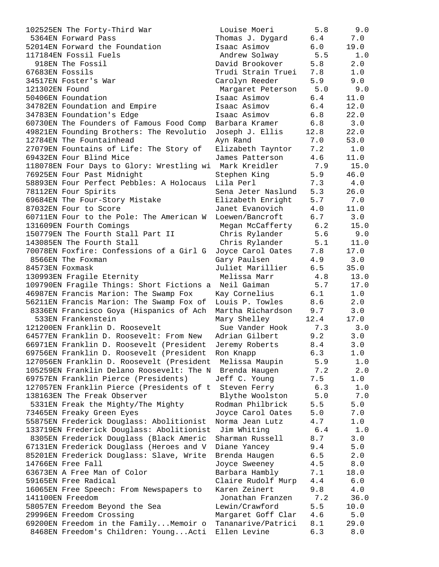102525EN The Forty-Third War 5364EN Forward Pass 52014EN Forward the Foundation 117184EN Fossil Fuels 918EN The Fossil  $67683EN F$ ossils 34517EN Foster's War 121302EN Found 50406EN Foundation 34782EN Foundation and Empire 34783EN Foundation's Edge 60730EN The Founders of Famous Food Comp 49821EN Founding Brothers: The Revolutio 12784EN The Fountainhead 27079EN Fountains of Life: The Story of 69432EN Four Blind Mice 118078EN Four Days to Glory: Wrestling wi 76925EN Four Past Midnight 58893EN Four Perfect Pebbles: A Holocaus 78112EN Four Spirits 69684EN The Four-Story Mistake 87032EN Four to Score 60711EN Four to the Pole: The American W 131609EN Fourth Comings 150779EN The Fourth Stall Part II 143085EN The Fourth Stall 70078EN Foxfire: Confessions of a Girl G 8566EN The Foxman 84573EN Foxmask 130993EN Fragile Eternity 109790EN Fragile Things: Short Fictions a 46987EN Francis Marion: The Swamp Fox 56211EN Francis Marion: The Swamp Fox of 8336EN Francisco Goya (Hispanics of Ach 533EN Frankenstein 121200EN Franklin D. Roosevelt 64577EN Franklin D. Roosevelt: From New 66971EN Franklin D. Roosevelt (President 69756EN Franklin D. Roosevelt (President 127056EN Franklin D. Roosevelt (President 105259EN Franklin Delano Roosevelt: The N 69757EN Franklin Pierce (Presidents) 127057EN Franklin Pierce (Presidents of t 138163EN The Freak Observer 5331EN Freak the Mighty/The Mighty 73465EN Freaky Green Eyes 55875EN Frederick Douglass: Abolitionist 133719EN Frederick Douglass: Abolitionist 8305EN Frederick Douglass (Black Americ 67131EN Frederick Douglass (Heroes and V 85201EN Frederick Douglass: Slave, Write 14766EN Free Fall 63673EN A Free Man of Color 59165EN Free Radical 16065EN Free Speech: From Newspapers to 141100EN Freedom 58057EN Freedom Beyond the Sea 29996EN Freedom Crossing 69200EN Freedom in the Family... Memoir  $\circ$ 8468EN Freedom's Children: Young...Acti Ellen Levine 6.3 8.0

| Louise Moeri       | 5.8          | 9.0          |
|--------------------|--------------|--------------|
| Thomas J. Dygard   | 6.4          | 7.0          |
| Isaac Asimov       | 6.0          | 19.0         |
|                    | 5.5          |              |
| Andrew Solway      |              | 1.0          |
| David Brookover    | 5.8          | 2.0          |
| Trudi Strain Truei | 7.8          | $1.0$        |
| Carolyn Reeder     | 5.9          | 9.0          |
|                    |              |              |
| Margaret Peterson  | 5.0          | 9.0          |
| Isaac Asimov       | 6.4          | 11.0         |
| Isaac Asimov       | 6.4          | 12.0         |
| Isaac Asimov       | $6.8$        | 22.0         |
|                    |              |              |
| Barbara Kramer     | 6.8          | 3.0          |
| Joseph J. Ellis    | 12.8         | 22.0         |
| Ayn Rand           | 7.0          | 53.0         |
| Elizabeth Tayntor  | 7.2          | $1\,.$ $0\,$ |
|                    |              |              |
| James Patterson    | 4.6          | 11.0         |
| Mark Kreidler      | 7.9          | 15.0         |
| Stephen King       | 5.9          | 46.0         |
| Lila Perl          | 7.3          | 4.0          |
|                    |              |              |
| Sena Jeter Naslund | 5.3          | 26.0         |
| Elizabeth Enright  | 5.7          | 7.0          |
| Janet Evanovich    | 4.0          | 11.0         |
|                    | 6.7          |              |
| Loewen/Bancroft    |              | 3.0          |
| Megan McCafferty   | 6.2          | 15.0         |
| Chris Rylander     | 5.6          | 9.0          |
| Chris Rylander     | 5.1          | 11.0         |
|                    | 7.8          | 17.0         |
| Joyce Carol Oates  |              |              |
| Gary Paulsen       | 4.9          | 3.0          |
| Juliet Marillier   | 6.5          | 35.0         |
| Melissa Marr       | 4.8          | 13.0         |
|                    |              |              |
| Neil Gaiman        | 5.7          | 17.0         |
| Kay Cornelius      | 6.1          | $1.0\,$      |
| Louis P. Towles    | 8.6          | 2.0          |
| Martha Richardson  | 9.7          | 3.0          |
|                    |              |              |
| Mary Shelley       | 12.4         | 17.0         |
| Sue Vander Hook    | 7.3          | 3.0          |
| Adrian Gilbert     | 9.2          | 3.0          |
| Jeremy Roberts     | 8.4          | 3.0          |
|                    |              |              |
| Ron Knapp          | 6.3          | 1.0          |
| Melissa Maupin     | 5.9          | 1.0          |
| Brenda Haugen      | 7.2          | 2.0          |
| Jeff C. Young      | 7.5          | 1.0          |
|                    | 6.3          |              |
| Steven Ferry       |              | 1.0          |
| Blythe Woolston    | 5.0          | 7.0          |
| Rodman Philbrick   | 5.5          | $5.0$        |
| Joyce Carol Oates  | 5.0          | 7.0          |
|                    |              |              |
| Norma Jean Lutz    | 4.7          | 1.0          |
| Jim Whiting        | $6.4$        | 1.0          |
| Sharman Russell    | 8.7          | 3.0          |
| Diane Yancey       | 9.4          | 5.0          |
|                    |              |              |
| Brenda Haugen      | 6.5          | 2.0          |
| Joyce Sweeney      | 4.5          | 8.0          |
| Barbara Hambly     | 7.1          | 18.0         |
| Claire Rudolf Murp | $4\,\ldotp4$ | 6.0          |
|                    |              |              |
| Karen Zeinert      | 9.8          | 4.0          |
| Jonathan Franzen   | 7.2          | 36.0         |
| Lewin/Crawford     | 5.5          | 10.0         |
| Margaret Goff Clar | 4.6          | 5.0          |
|                    |              |              |
| Tananarive/Patrici | 8.1          | 29.0         |
| Fllen Levine       | F 3          | $R \cap$     |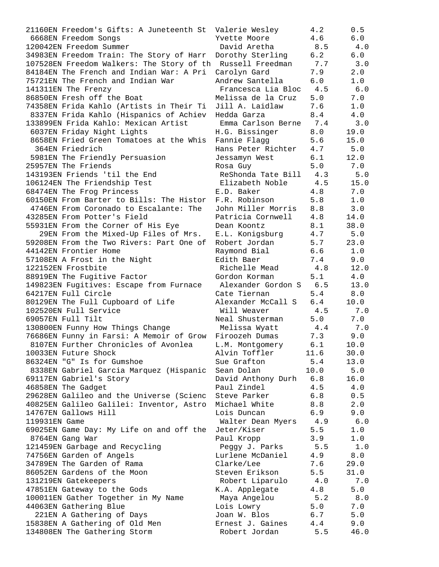21160EN Freedom's Gifts: A Juneteenth St Valerie Wesley 4.2 0.5 6668EN Freedom Songs Yvette Moore 4.6 6.0 120042EN Freedom Summer David Aretha 8.5 4.0 34983EN Freedom Train: The Story of Harr Dorothy Sterling 6.2 6.0 107528EN Freedom Walkers: The Story of th Russell Freedman 7.7 3.0 84184EN The French and Indian War: A Pri Carolyn Gard 7.9 2.0 75721EN The French and Indian War Andrew Santella 6.0 1.0 141311EN The Frenzy Francesca Lia Bloc 4.5 6.0 86850EN Fresh off the Boat Melissa de la Cruz 5.0 7.0 74358EN Frida Kahlo (Artists in Their Ti Jill A. Laidlaw 7.6 1.0 8337EN Frida Kahlo (Hispanics of Achiev Hedda Garza 8.4 4.0 133899EN Frida Kahlo: Mexican Artist Emma Carlson Berne 7.4 3.0 6037EN Friday Night Lights H.G. Bissinger 8.0 19.0 8658EN Fried Green Tomatoes at the Whis Fannie Flagg  $\hspace{1.5cm} 5.6 \hspace{1.5cm} 15.0$  364EN Friedrich Hans Peter Richter 4.7 5.0 5981EN The Friendly Persuasion Jessamyn West 6.1 12.0 25957EN The Friends Rosa Guy 5.0 7.0 143193EN Friends 'til the End ReShonda Tate Bill 4.3 5.0 106124EN The Friendship Test Elizabeth Noble 4.5 15.0 68474EN The Frog Princess E.D. Baker 4.8 7.0 60150EN From Barter to Bills: The Histor F.R. Robinson 5.8 1.0 4746EN From Coronado to Escalante: The John Miller Morris 8.8 3.0 43285EN From Potter's Field Patricia Cornwell 4.8 14.0 55931EN From the Corner of His Eye Dean Koontz 8.1 38.0 29EN From the Mixed-Up Files of Mrs. E.L. Konigsburg 4.7 5.0 59208EN From the Two Rivers: Part One of Robert Jordan 5.7 23.0 44142EN Frontier Home Raymond Bial 6.6 1.0 57108EN A Frost in the Night **Edith Baer** 7.4 9.0 122152EN Frostbite Richelle Mead 4.8 12.0 88919EN The Fugitive Factor Gordon Korman 5.1 4.0 149823EN Fugitives: Escape from Furnace Alexander Gordon S 6.5 13.0 64217EN Full Circle Cate Tiernan 5.4 8.0 80129EN The Full Cupboard of Life Alexander McCall S 6.4 10.0 102520EN Full Service Will Weaver 4.5 7.0 69057EN Full Tilt Neal Shusterman 5.0 7.0 130800EN Funny How Things Change Melissa Wyatt 4.4 7.0 76686EN Funny in Farsi: A Memoir of Grow Firoozeh Dumas 7.3 9.0 8107EN Further Chronicles of Avonlea L.M. Montgomery 6.1 10.0 10033EN Future Shock Alvin Toffler 11.6 30.0 86324EN "G" Is for Gumshoe Sue Grafton 5.4 13.0 8338EN Gabriel Garcia Marquez (Hispanic Sean Dolan 10.0 5.0 69117EN Gabriel's Story David Anthony Durh 6.8 16.0 46858EN The Gadget Paul Zindel 4.5 4.0 29628EN Galileo and the Universe (Scienc Steve Parker 6.8 0.5 40825EN Galileo Galilei: Inventor, Astro Michael White 8.8 2.0 14767EN Gallows Hill Lois Duncan 6.9 9.0 119931EN Game Walter Dean Myers 4.9 6.0 69025EN Game Day: My Life on and off the Jeter/Kiser 5.5 1.0 8764EN Gang War Paul Kropp 3.9 1.0 121459EN Garbage and Recycling Peggy J. Parks 5.5 1.0 74756EN Garden of Angels Lurlene McDaniel 4.9 8.0 34789EN The Garden of Rama Clarke/Lee 7.6 29.0 86052EN Gardens of the Moon Steven Erikson 5.5 31.0 131219EN Gatekeepers Robert Liparulo 4.0 7.0 47851EN Gateway to the Gods The K.A. Applegate  $4.8$  5.0 100011EN Gather Together in My Name Maya Angelou 5.2 8.0 44063EN Gathering Blue Lois Lowry 5.0 7.0 221EN A Gathering of Days Joan W. Blos 6.7 5.0 15838EN A Gathering of Old Men Ernest J. Gaines 4.4 9.0 134808EN The Gathering Storm Robert Jordan 5.5 46.0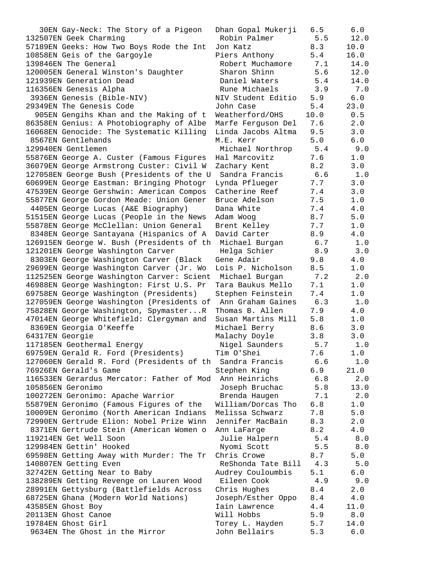$30EN$  Gay-Neck: The Story of a Pigeon 132507EN Geek Charming 57189EN Geeks: How Two Boys Rode the Int 10858EN Geis of the Gargoyle 139846EN The General 120005EN General Winston's Daughter 121939EN Generation Dead 116356EN Genesis Alpha 3936EN Genesis (Bible-NIV) 29349EN The Genesis Code 905EN Gengihs Khan and the Making of t 86358EN Genius: A Photobiography of Albe 16068EN Genocide: The Systematic Killing 8567EN Gentlehands 129940EN Gentlemen 55876EN George A. Custer (Famous Figures 36079EN George Armstrong Custer: Civil W 127058EN George Bush (Presidents of the U 60699EN George Eastman: Bringing Photogr 47539EN George Gershwin: American Compos 55877EN George Gordon Meade: Union Gener 4405EN George Lucas (A&E Biography) 51515EN George Lucas (People in the News 55878EN George McClellan: Union General 8348EN George Santayana (Hispanics of A 126915EN George W. Bush (Presidents of th 121201EN George Washington Carver 8303EN George Washington Carver (Black 29699EN George Washington Carver (Jr. Wo 112525EN George Washington Carver: Scient 46988EN George Washington: First U.S. Pr 69758EN George Washington (Presidents) 127059EN George Washington (Presidents of 75828EN George Washington, Spymaster...R 47014EN George Whitefield: Clergyman and 8369EN Georgia O'Keeffe 64317EN Georgie 117185EN Geothermal Energy 69759EN Gerald R. Ford (Presidents) 127060EN Gerald R. Ford (Presidents of th 76926EN Gerald's Game 116533EN Gerardus Mercator: Father of Mod 105856EN Geronimo 100272EN Geronimo: Apache Warrior 55879EN Geronimo (Famous Figures of the 10009EN Geronimo (North American Indians 72990EN Gertrude Elion: Nobel Prize Winn 8371EN Gertrude Stein (American Women o 119214EN Get Well Soon 129984EN Gettin' Hooked 69598EN Getting Away with Murder: The Tr 140807EN Getting Even 32742EN Getting Near to Baby 138289EN Getting Revenge on Lauren Wood 28991EN Gettysburg (Battlefields Across 68725EN Ghana (Modern World Nations) 43585EN Ghost Boy 20113EN Ghost Canoe 19784EN Ghost Girl 9634EN The Ghost in the Mirror 5.3 John Bellairs 5.3

| Dhan Gopal Mukerji                       | 6.5         | 6.0             |
|------------------------------------------|-------------|-----------------|
| Robin Palmer                             | 5.5         | 12.0            |
| Jon Katz                                 | 8.3         | 10.0            |
| Piers Anthony                            | 5.4         | 16.0            |
| Robert Muchamore                         | 7.1         | 14.0            |
| Sharon Shinn                             | 5.6         | 12.0            |
| Daniel Waters                            | 5.4         | 14.0            |
| Rune Michaels                            | 3.9         | 7.0             |
| NIV Student Editio                       | 5.9         | $6.0$           |
| John Case                                | 5.4<br>10.0 | 23.0<br>$0.5\,$ |
| Weatherford/OHS                          | 7.6         | 2.0             |
| Marfe Ferguson Del<br>Linda Jacobs Altma | 9.5         | 3.0             |
| M.E. Kerr                                | 5.0         | $6.0$           |
| Michael Northrop                         | 5.4         | 9.0             |
| Hal Marcovitz                            | 7.6         | 1.0             |
| Zachary Kent                             | 8.2         | 3.0             |
| Sandra Francis                           | 6.6         | 1.0             |
| Lynda Pflueger                           | 7.7         | 3.0             |
| Catherine Reef                           | 7.4         | 3.0             |
| Bruce Adelson                            | 7.5         | $1.0$           |
| Dana White                               | 7.4         | $4.0$           |
| Adam Woog                                | 8.7         | 5.0             |
| Brent Kelley                             | 7.7         | $1.0$           |
| David Carter                             | 8.9         | $4.0\,$         |
| Michael Burgan                           | 6.7         | 1.0             |
| Helga Schier                             | 8.9         | $3.0$           |
| Gene Adair                               | 9.8         | 4.0             |
| Lois P. Nicholson                        | 8.5         | $1.0$           |
| Michael Burgan                           | 7.2         | 2.0             |
| Tara Baukus Mello                        | 7.1         | $1.0$           |
| Stephen Feinstein                        | 7.4         | 1.0             |
| Ann Graham Gaines                        | 6.3         | 1.0             |
| Thomas B. Allen                          | 7.9         | $4.0\,$         |
| Susan Martins Mill                       | 5.8         | 1.0             |
| Michael Berry                            | 8.6         | 3.0             |
| Malachy Doyle                            | 3.8         | 3.0             |
| Nigel Saunders                           | 5.7         | 1.0             |
| Tim O'Shei                               | 7.6         | 1.0             |
| Sandra Francis                           | 6.6         | 1.0             |
| Stephen King                             | 6.9         | 21.0            |
| Ann Heinrichs                            | 6.8         | 2.0             |
| Joseph Bruchac                           | 5.8         | 13.0            |
| Brenda Haugen                            | 7.1         | 2.0             |
| William/Dorcas Tho                       | 6.8         | 1.0             |
| Melissa Schwarz                          | 7.8         | 5.0             |
| Jennifer MacBain                         | 8.3<br>8.2  | 2.0<br>4.0      |
| Ann LaFarge                              | 5.4         |                 |
| Julie Halpern<br>Nyomi Scott             | 5.5         | 8.0<br>8.0      |
| Chris Crowe                              | 8.7         | 5.0             |
| ReShonda Tate Bill                       | 4.3         | 5.0             |
| Audrey Couloumbis                        | 5.1         | 6.0             |
| Eileen Cook                              | 4.9         | 9.0             |
| Chris Hughes                             | 8.4         | 2.0             |
| Joseph/Esther Oppo                       | 8.4         | $4\,.$ $0\,$    |
| Iain Lawrence                            | 4.4         | 11.0            |
| Will Hobbs                               | 5.9         | 8.0             |
| Torey L. Hayden                          | 5.7         | 14.0            |
| John Bellairs                            | 53          | 6 N             |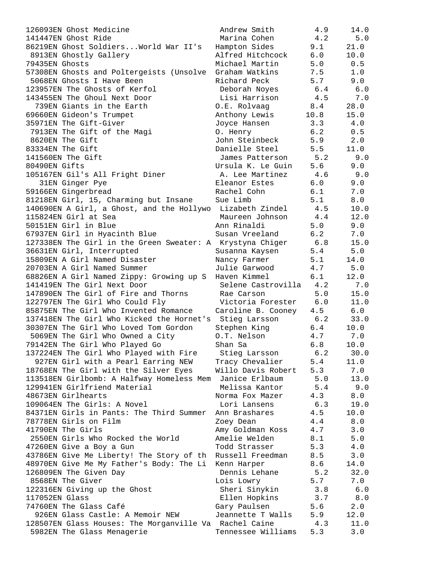| 126093EN Ghost Medicine                                   | Andrew Smith                     | 4.9        | 14.0        |
|-----------------------------------------------------------|----------------------------------|------------|-------------|
| 141447EN Ghost Ride                                       | Marina Cohen                     | 4.2        | 5.0         |
| 86219EN Ghost Soldiers World War II's                     | Hampton Sides                    | 9.1        | 21.0        |
| 8913EN Ghostly Gallery                                    | Alfred Hitchcock                 | 6.0        | 10.0        |
| 79435EN Ghosts                                            | Michael Martin                   | 5.0        | 0.5         |
| 57308EN Ghosts and Poltergeists (Unsolve                  | Graham Watkins                   | 7.5        | 1.0         |
| 5068EN Ghosts I Have Been                                 | Richard Peck                     | 5.7        | 9.0         |
| 123957EN The Ghosts of Kerfol                             | Deborah Noyes                    | 6.4        | 6.0         |
| 143455EN The Ghoul Next Door                              | Lisi Harrison                    | 4.5        | 7.0         |
| 739EN Giants in the Earth                                 | O.E. Rolvaag                     | 8.4        | 28.0        |
| 69660EN Gideon's Trumpet                                  | Anthony Lewis                    | 10.8       | 15.0        |
| 35971EN The Gift-Giver                                    | Joyce Hansen                     | 3.3        | 4.0         |
| 7913EN The Gift of the Magi                               | 0. Henry                         | 6.2        | 0.5         |
| 8620EN The Gift                                           | John Steinbeck                   | 5.9        | 2.0         |
| 83334EN The Gift                                          | Danielle Steel                   | 5.5        | 11.0        |
| 141560EN The Gift                                         | James Patterson                  | 5.2        | 9.0         |
| 80490EN Gifts                                             | Ursula K. Le Guin                | 5.6        | 9.0         |
| 105167EN Gil's All Fright Diner                           | A. Lee Martinez                  | 4.6        | 9.0         |
| 31EN Ginger Pye                                           | Eleanor Estes                    | 6.0        | 9.0         |
| 59166EN Gingerbread                                       | Rachel Cohn                      | 6.1        | 7.0         |
| 81218EN Girl, 15, Charming but Insane                     | Sue Limb                         | 5.1        | 8.0         |
| 140690EN A Girl, a Ghost, and the Hollywo Lizabeth Zindel |                                  | 4.5        | 10.0        |
| 115824EN Girl at Sea                                      | Maureen Johnson                  | 4.4        | 12.0        |
| 50151EN Girl in Blue                                      | Ann Rinaldi                      | 5.0        | 9.0         |
| 67937EN Girl in Hyacinth Blue                             | Susan Vreeland                   | 6.2        | 7.0         |
| 127338EN The Girl in the Green Sweater: A Krystyna Chiger |                                  | 6.8        | 15.0        |
| 36631EN Girl, Interrupted                                 | Susanna Kaysen                   | 5.4        | 5.0         |
| 15809EN A Girl Named Disaster                             | Nancy Farmer                     | 5.1        | 14.0        |
| 20703EN A Girl Named Summer                               | Julie Garwood                    | 4.7        | $5.0$       |
| 68826EN A Girl Named Zippy: Growing up S                  | Haven Kimmel                     | 6.1        | 12.0        |
| 141419EN The Girl Next Door                               | Selene Castrovilla               | 4.2        | 7.0         |
| 147890EN The Girl of Fire and Thorns                      | Rae Carson                       | 5.0        | 15.0        |
| 122797EN The Girl Who Could Fly                           | Victoria Forester                | 6.0        | 11.0        |
| 85875EN The Girl Who Invented Romance                     | Caroline B. Cooney 4.5           |            | 6.0         |
| 137418EN The Girl Who Kicked the Hornet's Stieg Larsson   |                                  | 6.2        | 33.0        |
| 30307EN The Girl Who Loved Tom Gordon                     | Stephen King                     | 6.4        | 10.0        |
| 5069EN The Girl Who Owned a City                          | O.T. Nelson                      | 4.7        | 7.0         |
| 79142EN The Girl Who Played Go                            | Shan Sa                          | 6.8        | 10.0        |
| 137224EN The Girl Who Played with Fire                    | Stieg Larsson                    | 6.2        | 30.0        |
| 927EN Girl with a Pearl Earring NEW                       | Tracy Chevalier                  | 5.4        | 11.0        |
| 18768EN The Girl with the Silver Eyes                     | Willo Davis Robert               | 5.3        | 7.0         |
| 113518EN Girlbomb: A Halfway Homeless Mem                 | Janice Erlbaum<br>Melissa Kantor | 5.0        | 13.0        |
| 129941EN Girlfriend Material<br>48673EN Girlhearts        |                                  | 5.4        | 9.0         |
| 109064EN The Girls: A Novel                               | Norma Fox Mazer<br>Lori Lansens  | 4.3<br>6.3 | 8.0<br>19.0 |
| 84371EN Girls in Pants: The Third Summer                  | Ann Brashares                    | 4.5        | 10.0        |
| 78778EN Girls on Film                                     |                                  | 4.4        |             |
| 41790EN The Girls                                         | Zoey Dean<br>Amy Goldman Koss    | 4.7        | 8.0<br>3.0  |
| 2550EN Girls Who Rocked the World                         | Amelie Welden                    | 8.1        | 5.0         |
| 47260EN Give a Boy a Gun                                  | Todd Strasser                    | 5.3        | 4.0         |
| 43786EN Give Me Liberty! The Story of th                  | Russell Freedman                 | 8.5        | 3.0         |
| 48970EN Give Me My Father's Body: The Li                  | Kenn Harper                      | 8.6        | 14.0        |
| 126809EN The Given Day                                    | Dennis Lehane                    | 5.2        | 32.0        |
| 8568EN The Giver                                          | Lois Lowry                       | 5.7        | 7.0         |
| 122316EN Giving up the Ghost                              | Sheri Sinykin                    | 3.8        | $6.0$       |
| 117052EN Glass                                            | Ellen Hopkins                    | 3.7        | 8.0         |
| 74760EN The Glass Café                                    | Gary Paulsen                     | 5.6        | 2.0         |
| 926EN Glass Castle: A Memoir NEW                          | Jeannette T Walls                | 5.9        | 12.0        |
| 128507EN Glass Houses: The Morganville Va Rachel Caine    |                                  | 4.3        | 11.0        |
| 5982EN The Glass Menagerie                                | Tennessee Williams               | 5.3        | 3.0         |
|                                                           |                                  |            |             |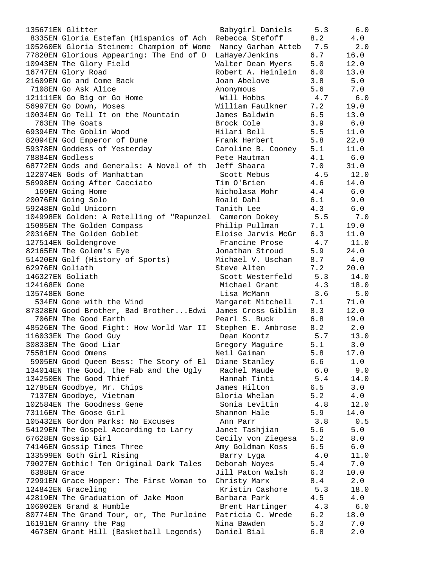| 135671EN Glitter                                             | Babygirl Daniels   | 5.3 | 6.0     |
|--------------------------------------------------------------|--------------------|-----|---------|
| 8335EN Gloria Estefan (Hispanics of Ach                      | Rebecca Stefoff    | 8.2 | 4.0     |
| 105260EN Gloria Steinem: Champion of Wome Nancy Garhan Atteb |                    | 7.5 | 2.0     |
| 77820EN Glorious Appearing: The End of D                     | LaHaye/Jenkins     | 6.7 | 16.0    |
| 10943EN The Glory Field                                      | Walter Dean Myers  | 5.0 | 12.0    |
| 16747EN Glory Road                                           | Robert A. Heinlein | 6.0 | 13.0    |
| 21609EN Go and Come Back                                     | Joan Abelove       | 3.8 | 5.0     |
| 7108EN Go Ask Alice                                          | Anonymous          | 5.6 | 7.0     |
| 121111EN Go Big or Go Home                                   | Will Hobbs         | 4.7 | 6.0     |
| 56997EN Go Down, Moses                                       | William Faulkner   | 7.2 | 19.0    |
| 10034EN Go Tell It on the Mountain                           | James Baldwin      | 6.5 | 13.0    |
| 763EN The Goats                                              | Brock Cole         | 3.9 | 6.0     |
| 69394EN The Goblin Wood                                      | Hilari Bell        | 5.5 | 11.0    |
| 82094EN God Emperor of Dune                                  | Frank Herbert      | 5.8 | 22.0    |
| 59378EN Goddess of Yesterday                                 | Caroline B. Cooney | 5.1 | 11.0    |
| 78884EN Godless                                              | Pete Hautman       | 4.1 | 6.0     |
| 68772EN Gods and Generals: A Novel of th                     | Jeff Shaara        | 7.0 | 31.0    |
| 122074EN Gods of Manhattan                                   | Scott Mebus        | 4.5 | 12.0    |
| 56998EN Going After Cacciato                                 | Tim O'Brien        | 4.6 | 14.0    |
| 169EN Going Home                                             | Nicholasa Mohr     | 4.4 | 6.0     |
| 20076EN Going Solo                                           | Roald Dahl         | 6.1 | 9.0     |
| 59248EN Gold Unicorn                                         | Tanith Lee         | 4.3 | 6.0     |
| 104998EN Golden: A Retelling of "Rapunzel Cameron Dokey      |                    | 5.5 | 7.0     |
| 15085EN The Golden Compass                                   | Philip Pullman     | 7.1 | 19.0    |
| 20316EN The Golden Goblet                                    | Eloise Jarvis McGr | 6.3 | 11.0    |
| 127514EN Goldengrove                                         | Francine Prose     | 4.7 | 11.0    |
| 82165EN The Golem's Eye                                      | Jonathan Stroud    | 5.9 | 24.0    |
| 51420EN Golf (History of Sports)                             | Michael V. Uschan  | 8.7 | 4.0     |
| 62976EN Goliath                                              | Steve Alten        | 7.2 | 20.0    |
| 146327EN Goliath                                             | Scott Westerfeld   | 5.3 | 14.0    |
| 124168EN Gone                                                | Michael Grant      | 4.3 | 18.0    |
| 135748EN Gone                                                | Lisa McMann        | 3.6 | 5.0     |
| 534EN Gone with the Wind                                     | Margaret Mitchell  | 7.1 | 71.0    |
| 87328EN Good Brother, Bad BrotherEdwi                        | James Cross Giblin | 8.3 | 12.0    |
| 706EN The Good Earth                                         | Pearl S. Buck      | 6.8 | 19.0    |
| 48526EN The Good Fight: How World War II                     | Stephen E. Ambrose | 8.2 | 2.0     |
| 116033EN The Good Guy                                        | Dean Koontz        | 5.7 | 13.0    |
| 30833EN The Good Liar                                        | Gregory Maguire    | 5.1 | 3.0     |
| 75581EN Good Omens                                           | Neil Gaiman        | 5.8 | 17.0    |
| 5905EN Good Queen Bess: The Story of El                      | Diane Stanley      | 6.6 | $1.0\,$ |
| 134014EN The Good, the Fab and the Ugly                      | Rachel Maude       | 6.0 | 9.0     |
| 134250EN The Good Thief                                      | Hannah Tinti       | 5.4 | 14.0    |
| 12785EN Goodbye, Mr. Chips                                   | James Hilton       | 6.5 | 3.0     |
| 7137EN Goodbye, Vietnam                                      | Gloria Whelan      | 5.2 | 4.0     |
| 102584EN The Goodness Gene                                   | Sonia Levitin      | 4.8 | 12.0    |
| 73116EN The Goose Girl                                       | Shannon Hale       | 5.9 | 14.0    |
| 105432EN Gordon Parks: No Excuses                            | Ann Parr           | 3.8 | 0.5     |
| 54129EN The Gospel According to Larry                        | Janet Tashjian     | 5.6 | 5.0     |
| 67628EN Gossip Girl                                          | Cecily von Ziegesa | 5.2 | 8.0     |
| 74146EN Gossip Times Three                                   | Amy Goldman Koss   | 6.5 | 6.0     |
| 133599EN Goth Girl Rising                                    | Barry Lyga         | 4.0 | 11.0    |
| 79027EN Gothic! Ten Original Dark Tales                      | Deborah Noyes      | 5.4 | 7.0     |
| 6388EN Grace                                                 | Jill Paton Walsh   | 6.3 | 10.0    |
| 72991EN Grace Hopper: The First Woman to                     | Christy Marx       | 8.4 | 2.0     |
| 124842EN Graceling                                           | Kristin Cashore    | 5.3 | 18.0    |
| 42819EN The Graduation of Jake Moon                          | Barbara Park       | 4.5 | 4.0     |
| 106002EN Grand & Humble                                      | Brent Hartinger    | 4.3 | $6.0$   |
| 80774EN The Grand Tour, or, The Purloine                     | Patricia C. Wrede  | 6.2 | 18.0    |
| 16191EN Granny the Pag                                       | Nina Bawden        | 5.3 | 7.0     |
| 4673EN Grant Hill (Basketball Legends)                       | Daniel Bial        | 6.8 | 2.0     |
|                                                              |                    |     |         |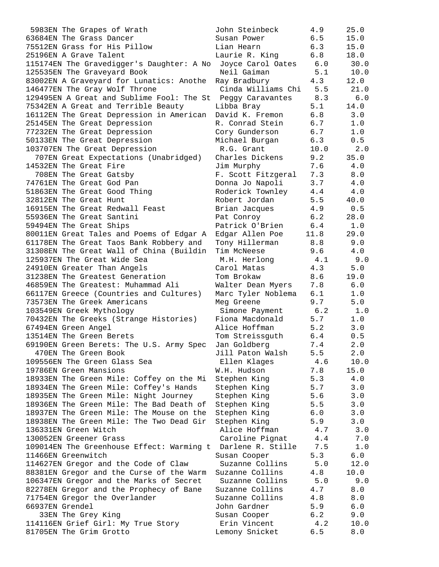| 5983EN The Grapes of Wrath                                      | John Steinbeck     | 4.9  | 25.0  |
|-----------------------------------------------------------------|--------------------|------|-------|
| 63684EN The Grass Dancer                                        | Susan Power        | 6.5  | 15.0  |
| 75512EN Grass for His Pillow                                    | Lian Hearn         | 6.3  | 15.0  |
| 25196EN A Grave Talent                                          | Laurie R. King     | 6.8  | 18.0  |
| 115174EN The Gravedigger's Daughter: A No                       | Joyce Carol Oates  | 6.0  | 30.0  |
| 125535EN The Graveyard Book                                     | Neil Gaiman        | 5.1  | 10.0  |
| 83002EN A Graveyard for Lunatics: Anothe                        | Ray Bradbury       | 4.3  | 12.0  |
| 146477EN The Gray Wolf Throne                                   | Cinda Williams Chi | 5.5  | 21.0  |
| 129495EN A Great and Sublime Fool: The St Peggy Caravantes      |                    | 8.3  | 6.0   |
| 75342EN A Great and Terrible Beauty                             | Libba Bray         | 5.1  | 14.0  |
| 16112EN The Great Depression in American                        | David K. Fremon    | 6.8  | 3.0   |
| 25145EN The Great Depression                                    | R. Conrad Stein    | 6.7  | 1.0   |
| 77232EN The Great Depression                                    | Cory Gunderson     | 6.7  | 1.0   |
| 50133EN The Great Depression                                    | Michael Burgan     | 6.3  | 0.5   |
| 103707EN The Great Depression                                   | R.G. Grant         | 10.0 | 2.0   |
|                                                                 | Charles Dickens    |      | 35.0  |
| 707EN Great Expectations (Unabridged)<br>14532EN The Great Fire |                    | 9.2  | 4.0   |
|                                                                 | Jim Murphy         | 7.6  |       |
| 708EN The Great Gatsby                                          | F. Scott Fitzgeral | 7.3  | 8.0   |
| 74761EN The Great God Pan                                       | Donna Jo Napoli    | 3.7  | 4.0   |
| 51863EN The Great Good Thing                                    | Roderick Townley   | 4.4  | 4.0   |
| 32812EN The Great Hunt                                          | Robert Jordan      | 5.5  | 40.0  |
| 16915EN The Great Redwall Feast                                 | Brian Jacques      | 4.9  | 0.5   |
| 55936EN The Great Santini                                       | Pat Conroy         | 6.2  | 28.0  |
| 59494EN The Great Ships                                         | Patrick O'Brien    | 6.4  | 1.0   |
| 80011EN Great Tales and Poems of Edgar A                        | Edgar Allen Poe    | 11.8 | 29.0  |
| 61178EN The Great Taos Bank Robbery and                         | Tony Hillerman     | 8.8  | 9.0   |
| 31308EN The Great Wall of China (Buildin                        | Tim McNeese        | 9.6  | 4.0   |
| 125937EN The Great Wide Sea                                     | M.H. Herlong       | 4.1  | 9.0   |
| 24910EN Greater Than Angels                                     | Carol Matas        | 4.3  | 5.0   |
| 31238EN The Greatest Generation                                 | Tom Brokaw         | 8.6  | 19.0  |
| 46859EN The Greatest: Muhammad Ali                              | Walter Dean Myers  | 7.8  | 6.0   |
| 66117EN Greece (Countries and Cultures)                         | Marc Tyler Noblema | 6.1  | 1.0   |
| 73573EN The Greek Americans                                     | Meg Greene         | 9.7  | 5.0   |
| 103549EN Greek Mythology                                        | Simone Payment     | 6.2  | 1.0   |
| 70432EN The Greeks (Strange Histories)                          | Fiona Macdonald    | 5.7  | 1.0   |
| 67494EN Green Angel                                             | Alice Hoffman      | 5.2  | 3.0   |
| 13514EN The Green Berets                                        | Tom Streissguth    | 6.4  | 0.5   |
| 69190EN Green Berets: The U.S. Army Spec                        | Jan Goldberg       | 7.4  | 2.0   |
| 470EN The Green Book                                            | Jill Paton Walsh   | 5.5  | 2.0   |
| 109556EN The Green Glass Sea                                    | Ellen Klages       | 4.6  | 10.0  |
| 19786EN Green Mansions                                          | W.H. Hudson        | 7.8  | 15.0  |
| 18933EN The Green Mile: Coffey on the Mi                        | Stephen King       | 5.3  | 4.0   |
| 18934EN The Green Mile: Coffey's Hands                          | Stephen King       | 5.7  | 3.0   |
| 18935EN The Green Mile: Night Journey                           | Stephen King       | 5.6  | 3.0   |
| 18936EN The Green Mile: The Bad Death of                        | Stephen King       | 5.5  | 3.0   |
| 18937EN The Green Mile: The Mouse on the                        | Stephen King       | 6.0  | 3.0   |
| 18938EN The Green Mile: The Two Dead Gir                        | Stephen King       | 5.9  | 3.0   |
| 136331EN Green Witch                                            | Alice Hoffman      | 4.7  | 3.0   |
| 130052EN Greener Grass                                          | Caroline Pignat    | 4.4  | 7.0   |
| 109014EN The Greenhouse Effect: Warming t                       | Darlene R. Stille  | 7.5  | 1.0   |
| 11466EN Greenwitch                                              | Susan Cooper       | 5.3  | 6.0   |
| 114627EN Gregor and the Code of Claw                            | Suzanne Collins    | 5.0  | 12.0  |
| 88381EN Gregor and the Curse of the Warm                        | Suzanne Collins    | 4.8  | 10.0  |
| 106347EN Gregor and the Marks of Secret                         | Suzanne Collins    | 5.0  | 9.0   |
| 82278EN Gregor and the Prophecy of Bane                         | Suzanne Collins    | 4.7  | 8.0   |
| 71754EN Gregor the Overlander                                   | Suzanne Collins    | 4.8  | 8.0   |
| 66937EN Grendel                                                 | John Gardner       | 5.9  | 6.0   |
| 33EN The Grey King                                              | Susan Cooper       | 6.2  | 9.0   |
| 114116EN Grief Girl: My True Story                              | Erin Vincent       | 4.2  | 10.0  |
| 81705EN The Grim Grotto                                         | Lemony Snicket     | 6.5  | $8.0$ |
|                                                                 |                    |      |       |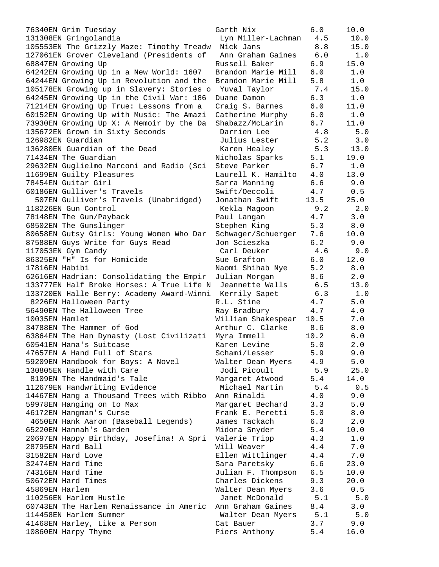76340EN Grim Tuesday Garth Nix 6.0 10.0 131308EN Gringolandia Lyn Miller-Lachman 4.5 10.0 105553EN The Grizzly Maze: Timothy Treadw Nick Jans 8.8 15.0 127061EN Grover Cleveland (Presidents of Ann Graham Gaines 6.0 1.0 68847EN Growing Up Russell Baker 6.9 15.0 64242EN Growing Up in a New World: 1607 Brandon Marie Mill 6.0 1.0 64244EN Growing Up in Revolution and the Brandon Marie Mill 5.8 1.0 105178EN Growing up in Slavery: Stories o Yuval Taylor 7.4 15.0 64245EN Growing Up in the Civil War: 186 Duane Damon 6.3 1.0 71214EN Growing Up True: Lessons from a Craig S. Barnes 6.0 11.0 60152EN Growing Up with Music: The Amazi Catherine Murphy 6.0 1.0 73930EN Growing Up X: A Memoir by the Da Shabazz/McLarin 6.7 11.0 135672EN Grown in Sixty Seconds Darrien Lee 4.8 5.0 126982EN Guardian Julius Lester 5.2 3.0 136280EN Guardian of the Dead Karen Healey 5.3 13.0 71434EN The Guardian Nicholas Sparks 5.1 19.0 29632EN Guglielmo Marconi and Radio (Sci Steve Parker 6.7 1.0 11699EN Guilty Pleasures Laurell K. Hamilto 4.0 13.0 78454EN Guitar Girl Sarra Manning 6.6 9.0 60186EN Gulliver's Travels Swift/Oeccoli 4.7 0.5 507EN Gulliver's Travels (Unabridged) Jonathan Swift 13.5 25.0 118226EN Gun Control Kekla Magoon 9.2 2.0 78148EN The Gun/Payback Paul Langan 4.7 3.0 68502EN The Gunslinger The Stephen King 5.3 8.0 80658EN Gutsy Girls: Young Women Who Dar Schwager/Schuerger 7.6 10.0 87588EN Guys Write for Guys Read Jon Scieszka 6.2 9.0 117053EN Gym Candy Carl Deuker 4.6 9.0 86325EN "H" Is for Homicide Sue Grafton 6.0 12.0 17816EN Habibi Naomi Shihab Nye 5.2 8.0 62616EN Hadrian: Consolidating the Empir Julian Morgan 8.6 2.0 133777EN Half Broke Horses: A True Life N Jeannette Walls 6.5 13.0 133720EN Halle Berry: Academy Award-Winni Kerrily Sapet 6.3 1.0 8226EN Halloween Party R.L. Stine 4.7 5.0 56490EN The Halloween Tree Ray Bradbury 4.7 4.0 10035EN Hamlet William Shakespear 10.5 7.0 34788EN The Hammer of God Arthur C. Clarke 8.6 8.0 63864EN The Han Dynasty (Lost Civilizati Myra Immell 10.2 6.0 60541EN Hana's Suitcase Karen Levine 5.0 2.0 47657EN A Hand Full of Stars Schami/Lesser 5.9 9.0 59209EN Handbook for Boys: A Novel Walter Dean Myers 4.9 5.0 130805EN Handle with Care Jodi Picoult 5.9 25.0 8109EN The Handmaid's Tale Margaret Atwood 5.4 14.0 112679EN Handwriting Evidence Michael Martin 5.4 0.5 14467EN Hang a Thousand Trees with Ribbo Ann Rinaldi 4.0 9.0 59978EN Hanging on to Max Margaret Bechard 3.3 5.0 46172EN Hangman's Curse Frank E. Peretti 5.0 8.0 4650EN Hank Aaron (Baseball Legends) James Tackach 6.3 2.0 65220EN Hannah's Garden Midora Snyder 5.4 10.0 20697EN Happy Birthday, Josefina! A Spri Valerie Tripp 4.3 1.0 28795EN Hard Ball Will Weaver 4.4 7.0 31582EN Hard Love Ellen Wittlinger 4.4 7.0 32474EN Hard Time Sara Paretsky 6.6 23.0 74316EN Hard Time Julian F. Thompson 6.5 10.0 50672EN Hard Times Charles Dickens 9.3 20.0 45869EN Harlem Walter Dean Myers 3.6 0.5 110256EN Harlem Hustle Janet McDonald 5.1 5.0 60743EN The Harlem Renaissance in Americ Ann Graham Gaines 8.4 3.0 114458EN Harlem Summer Walter Dean Myers 5.1 5.0 41468EN Harley, Like a Person Cat Bauer 3.7 9.0 10860EN Harpy Thyme Piers Anthony 5.4 16.0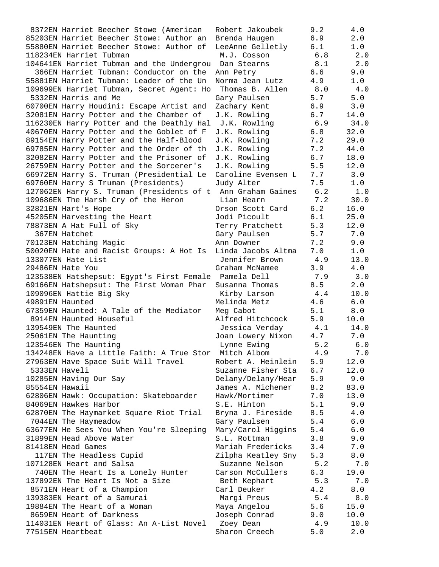8372EN Harriet Beecher Stowe (American Robert Jakoubek 9.2 4.0 85203EN Harriet Beecher Stowe: Author an Brenda Haugen 6.9 2.0 55880EN Harriet Beecher Stowe: Author of LeeAnne Gelletly 6.1 1.0 118234EN Harriet Tubman M.J. Cosson 6.8 2.0 104641EN Harriet Tubman and the Undergrou Dan Stearns 8.1 2.0 366EN Harriet Tubman: Conductor on the Ann Petry 6.6 9.0 55881EN Harriet Tubman: Leader of the Un Norma Jean Lutz 4.9 1.0 109699EN Harriet Tubman, Secret Agent: Ho Thomas B. Allen 8.0 4.0 5332EN Harris and Me Gary Paulsen 5.7 5.0 60700EN Harry Houdini: Escape Artist and Zachary Kent 6.9 3.0 32081EN Harry Potter and the Chamber of J.K. Rowling 6.7 14.0 116230EN Harry Potter and the Deathly Hal J.K. Rowling 6.9 34.0 40670EN Harry Potter and the Goblet of F J.K. Rowling 6.8 32.0 89154EN Harry Potter and the Half-Blood J.K. Rowling 7.2 29.0 69785EN Harry Potter and the Order of th J.K. Rowling 7.2 44.0 32082EN Harry Potter and the Prisoner of J.K. Rowling 6.7 18.0 26759EN Harry Potter and the Sorcerer's J.K. Rowling 5.5 12.0 66972EN Harry S. Truman (Presidential Le Caroline Evensen L 7.7 3.0 69760EN Harry S Truman (Presidents) Judy Alter 7.5 1.0 127062EN Harry S. Truman (Presidents of t Ann Graham Gaines 6.2 1.0 109686EN The Harsh Cry of the Heron Lian Hearn 7.2 30.0 32821EN Hart's Hope Orson Scott Card 6.2 16.0 45205EN Harvesting the Heart Jodi Picoult 6.1 25.0 78873EN A Hat Full of Sky Terry Pratchett 5.3 12.0 367EN Hatchet Gary Paulsen 5.7 7.0 70123EN Hatching Magic Ann Downer 7.2 9.0 50020EN Hate and Racist Groups: A Hot Is Linda Jacobs Altma 7.0 1.0 133077EN Hate List Jennifer Brown 4.9 13.0 29486EN Hate You Graham McNamee 3.9 4.0 123538EN Hatshepsut: Egypt's First Female Pamela Dell 7.9 3.0 69166EN Hatshepsut: The First Woman Phar Susanna Thomas 8.5 2.0 109096EN Hattie Big Sky Kirby Larson 4.4 10.0 49891EN Haunted Melinda Metz 4.6 6.0 67359EN Haunted: A Tale of the Mediator Meg Cabot 5.1 8.0 8914EN Haunted Houseful Alfred Hitchcock 5.9 10.0 139549EN The Haunted Jessica Verday 4.1 14.0 25061EN The Haunting and the Joan Lowery Nixon  $4.7$  7.0 123546EN The Haunting Lynne Ewing 5.2 6.0 134248EN Have a Little Faith: A True Stor Mitch Albom 4.9 7.0 27963EN Have Space Suit Will Travel Robert A. Heinlein 5.9 12.0 5333EN Haveli Suzanne Fisher Sta 6.7 12.0 10285EN Having Our Say Delany/Delany/Hear 5.9 9.0 85554EN Hawaii James A. Michener 8.2 83.0 62806EN Hawk: Occupation: Skateboarder Hawk/Mortimer 7.0 13.0 84069EN Hawkes Harbor S.E. Hinton 5.1 9.0 62870EN The Haymarket Square Riot Trial Bryna J. Fireside 8.5 4.0 7044EN The Haymeadow Gary Paulsen 5.4 6.0 63677EN He Sees You When You're Sleeping Mary/Carol Higgins 5.4 6.0 31899EN Head Above Water S.L. Rottman 3.8 9.0 81418EN Head Games Mariah Fredericks 3.4 7.0 117EN The Headless Cupid Zilpha Keatley Sny 5.3 8.0 107128EN Heart and Salsa Suzanne Nelson 5.2 7.0 740EN The Heart Is a Lonely Hunter Carson McCullers 6.3 19.0 137892EN The Heart Is Not a Size Beth Kephart 5.3 7.0 8571EN Heart of a Champion Carl Deuker 4.2 8.0 139383EN Heart of a Samurai Margi Preus 5.4 8.0 19884EN The Heart of a Woman Maya Angelou 5.6 15.0 8659EN Heart of Darkness Joseph Conrad 9.0 10.0 114031EN Heart of Glass: An A-List Novel Zoey Dean 4.9 10.0 77515EN Heartbeat Sharon Creech 5.0 2.0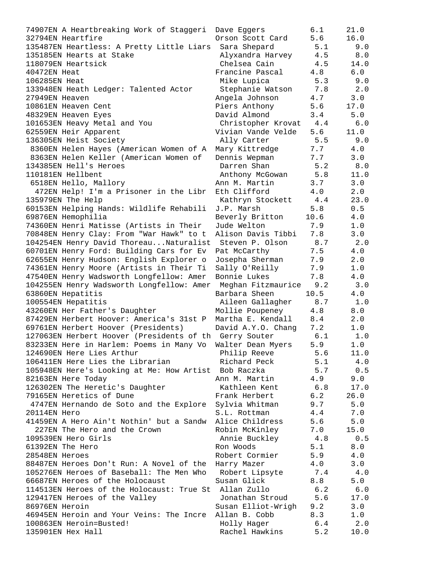| 74907EN A Heartbreaking Work of Staggeri                 | Dave Eggers        | 6.1  | 21.0  |
|----------------------------------------------------------|--------------------|------|-------|
| 32794EN Heartfire                                        | Orson Scott Card   | 5.6  | 16.0  |
| 135487EN Heartless: A Pretty Little Liars                | Sara Shepard       | 5.1  | 9.0   |
| 135185EN Hearts at Stake                                 | Alyxandra Harvey   | 4.5  | 8.0   |
| 118079EN Heartsick                                       | Chelsea Cain       | 4.5  | 14.0  |
| 40472EN Heat                                             | Francine Pascal    | 4.8  | 6.0   |
| 106285EN Heat                                            | Mike Lupica        | 5.3  | 9.0   |
| 133948EN Heath Ledger: Talented Actor                    | Stephanie Watson   | 7.8  | 2.0   |
| 27949EN Heaven                                           | Angela Johnson     | 4.7  | 3.0   |
| 10861EN Heaven Cent                                      | Piers Anthony      | 5.6  | 17.0  |
| 48329EN Heaven Eyes                                      | David Almond       | 3.4  | 5.0   |
| 101653EN Heavy Metal and You                             | Christopher Krovat | 4.4  | $6.0$ |
| 62559EN Heir Apparent                                    | Vivian Vande Velde | 5.6  | 11.0  |
| 136305EN Heist Society                                   | Ally Carter        | 5.5  | 9.0   |
| 8360EN Helen Hayes (American Women of A                  | Mary Kittredge     | 7.7  | 4.0   |
| 8363EN Helen Keller (American Women of                   | Dennis Wepman      | 7.7  | 3.0   |
| 134385EN Hell's Heroes                                   | Darren Shan        | 5.2  | 8.0   |
| 110181EN Hellbent                                        | Anthony McGowan    | 5.8  | 11.0  |
| 6518EN Hello, Mallory                                    | Ann M. Martin      | 3.7  | 3.0   |
|                                                          | Eth Clifford       | 4.0  | 2.0   |
| 472EN Help! I'm a Prisoner in the Libr                   |                    |      |       |
| 135979EN The Help                                        | Kathryn Stockett   | 4.4  | 23.0  |
| 60153EN Helping Hands: Wildlife Rehabili                 | J.P. Marsh         | 5.8  | 0.5   |
| 69876EN Hemophilia                                       | Beverly Britton    | 10.6 | 4.0   |
| 74360EN Henri Matisse (Artists in Their                  | Jude Welton        | 7.9  | 1.0   |
| 70848EN Henry Clay: From "War Hawk" to t                 | Alison Davis Tibbi | 7.8  | 3.0   |
| 104254EN Henry David ThoreauNaturalist                   | Steven P. Olson    | 8.7  | 2.0   |
| 60701EN Henry Ford: Building Cars for Ev                 | Pat McCarthy       | 7.5  | 4.0   |
| 62655EN Henry Hudson: English Explorer o                 | Josepha Sherman    | 7.9  | 2.0   |
| 74361EN Henry Moore (Artists in Their Ti                 | Sally O'Reilly     | 7.9  | $1.0$ |
| 47540EN Henry Wadsworth Longfellow: Amer                 | Bonnie Lukes       | 7.8  | 4.0   |
| 104255EN Henry Wadsworth Longfellow: Amer                | Meghan Fitzmaurice | 9.2  | 3.0   |
| 63860EN Hepatitis                                        | Barbara Sheen      | 10.5 | 4.0   |
| 100554EN Hepatitis                                       | Aileen Gallagher   | 8.7  | 1.0   |
| 43260EN Her Father's Daughter                            | Mollie Poupeney    | 4.8  | 8.0   |
| 87429EN Herbert Hoover: America's 31st P                 | Martha E. Kendall  | 8.4  | 2.0   |
| 69761EN Herbert Hoover (Presidents)                      | David A.Y.O. Chang | 7.2  | 1.0   |
| 127063EN Herbert Hoover (Presidents of th Gerry Souter   |                    | 6.1  | 1.0   |
| 83233EN Here in Harlem: Poems in Many Vo                 | Walter Dean Myers  | 5.9  | 1.0   |
| 124690EN Here Lies Arthur                                | Philip Reeve       | 5.6  | 11.0  |
| 106411EN Here Lies the Librarian                         | Richard Peck       | 5.1  | 4.0   |
| 105948EN Here's Looking at Me: How Artist Bob Raczka     |                    | 5.7  | 0.5   |
| 82163EN Here Today                                       | Ann M. Martin      | 4.9  | 9.0   |
| 126302EN The Heretic's Daughter                          | Kathleen Kent      | 6.8  | 17.0  |
| 79165EN Heretics of Dune                                 | Frank Herbert      | 6.2  | 26.0  |
| 4747EN Hernando de Soto and the Explore Sylvia Whitman   |                    | 9.7  | 5.0   |
| 20114EN Hero                                             | S.L. Rottman       | 4.4  | 7.0   |
| 41459EN A Hero Ain't Nothin' but a Sandw Alice Childress |                    | 5.6  | 5.0   |
| 227EN The Hero and the Crown                             | Robin McKinley     | 7.0  | 15.0  |
| 109539EN Hero Girls                                      | Annie Buckley      | 4.8  | 0.5   |
| 61392EN The Hero                                         | Ron Woods          | 5.1  | 8.0   |
| 28548EN Heroes                                           | Robert Cormier     | 5.9  | 4.0   |
| 88487EN Heroes Don't Run: A Novel of the                 | Harry Mazer        | 4.0  | 3.0   |
| 105276EN Heroes of Baseball: The Men Who                 | Robert Lipsyte     | 7.4  | 4.0   |
| 66687EN Heroes of the Holocaust                          | Susan Glick        | 8.8  | 5.0   |
| 114513EN Heroes of the Holocaust: True St Allan Zullo    |                    | 6.2  | 6.0   |
| 129417EN Heroes of the Valley                            | Jonathan Stroud    | 5.6  | 17.0  |
| 86976EN Heroin                                           | Susan Elliot-Wrigh | 9.2  | 3.0   |
| 46945EN Heroin and Your Veins: The Incre Allan B. Cobb   |                    | 8.3  | 1.0   |
| 100863EN Heroin=Busted!                                  | Holly Hager        | 6.4  | 2.0   |
|                                                          |                    |      |       |
| 135901EN Hex Hall                                        | Rachel Hawkins     | 5.2  | 10.0  |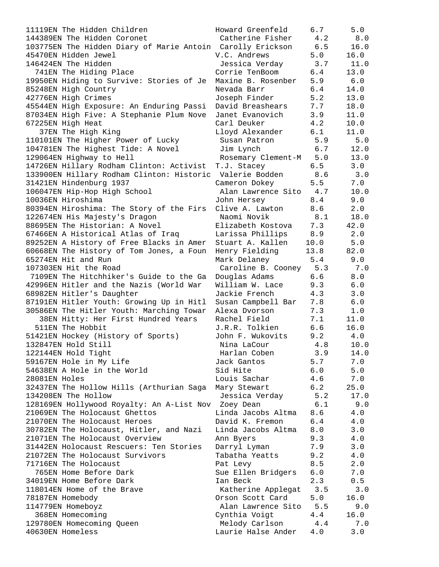11119EN The Hidden Children Howard Greenfeld 6.7 5.0 144389EN The Hidden Coronet Catherine Fisher 4.2 8.0 103775EN The Hidden Diary of Marie Antoin Carolly Erickson 6.5 16.0 45470EN Hidden Jewel V.C. Andrews 5.0 16.0 146424EN The Hidden Jessica Verday 3.7 11.0 741EN The Hiding Place Corrie TenBoom 6.4 13.0 19950EN Hiding to Survive: Stories of Je Maxine B. Rosenber 5.9 6.0 85248EN High Country Nevada Barr 6.4 14.0 42776EN High Crimes Joseph Finder 5.2 13.0 45544EN High Exposure: An Enduring Passi David Breashears 7.7 18.0 87034EN High Five: A Stephanie Plum Nove Janet Evanovich 3.9 11.0 67225EN High Heat Carl Deuker 4.2 10.0 37EN The High King Lloyd Alexander 6.1 11.0 110101EN The Higher Power of Lucky Susan Patron 5.9 5.0 104781EN The Highest Tide: A Novel Jim Lynch 6.7 12.0 129064EN Highway to Hell Rosemary Clement-M 5.0 13.0 14726EN Hillary Rodham Clinton: Activist T.J. Stacey 6.5 3.0 133900EN Hillary Rodham Clinton: Historic Valerie Bodden 8.6 3.0 31421EN Hindenburg 1937 Cameron Dokey 5.5 7.0 106047EN Hip-Hop High School Alan Lawrence Sito 4.7 10.0 10036EN Hiroshima John Hersey 8.4 9.0 80394EN Hiroshima: The Story of the Firs Clive A. Lawton 8.6 2.0 122674EN His Majesty's Dragon Naomi Novik 8.1 18.0 88695EN The Historian: A Novel Elizabeth Kostova 7.3 42.0 67466EN A Historical Atlas of Iraq Larissa Phillips 8.9 2.0 89252EN A History of Free Blacks in Amer Stuart A. Kallen 10.0 5.0 60668EN The History of Tom Jones, a Foun Henry Fielding 13.8 82.0 65274EN Hit and Run Mark Delaney 5.4 9.0 107303EN Hit the Road Caroline B. Cooney 5.3 7.0 7109EN The Hitchhiker's Guide to the Ga Douglas Adams 6.6 8.0 42996EN Hitler and the Nazis (World War William W. Lace 9.3 6.0 68982EN Hitler's Daughter Jackie French 4.3 3.0 87191EN Hitler Youth: Growing Up in Hitl Susan Campbell Bar 7.8 6.0 30586EN The Hitler Youth: Marching Towar Alexa Dvorson 7.3 1.0 38EN Hitty: Her First Hundred Years Rachel Field 7.1 11.0 511EN The Hobbit J.R.R. Tolkien 6.6 16.0 51421EN Hockey (History of Sports) John F. Wukovits 9.2 4.0 132847EN Hold Still Nina LaCour 4.8 10.0 122144EN Hold Tight Harlan Coben 3.9 14.0 59167EN Hole in My Life **1988 Cantos** Jack Gantos 5.7 5.7 5.0 54638EN A Hole in the World Sid Hite 6.0 5.0 28081EN Holes Louis Sachar 4.6 7.0 32437EN The Hollow Hills (Arthurian Saga Mary Stewart 6.2 25.0 134208EN The Hollow Jessica Verday 5.2 17.0 128169EN Hollywood Royalty: An A-List Nov Zoey Dean 6.1 9.0 21069EN The Holocaust Ghettos Linda Jacobs Altma 8.6 4.0 21070EN The Holocaust Heroes David K. Fremon 6.4 4.0 30782EN The Holocaust, Hitler, and Nazi Linda Jacobs Altma 8.0 3.0 21071EN The Holocaust Overview Ann Byers 9.3 4.0 31442EN Holocaust Rescuers: Ten Stories Darryl Lyman 7.9 3.0 21072EN The Holocaust Survivors Tabatha Yeatts 9.2 4.0 71716EN The Holocaust Pat Levy 8.5 2.0 765EN Home Before Dark Sue Ellen Bridgers 6.0 7.0 34019EN Home Before Dark Ian Beck 2.3 0.5 118014EN Home of the Brave **East Communist Contract Applegat** 3.5 3.0 78187EN Homebody Orson Scott Card 5.0 16.0 114779EN Homeboyz Alan Lawrence Sito 5.5 9.0 368EN Homecoming Cynthia Voigt 4.4 16.0 129780EN Homecoming Queen Melody Carlson 4.4 7.0 40630EN Homeless Laurie Halse Ander 4.0 3.0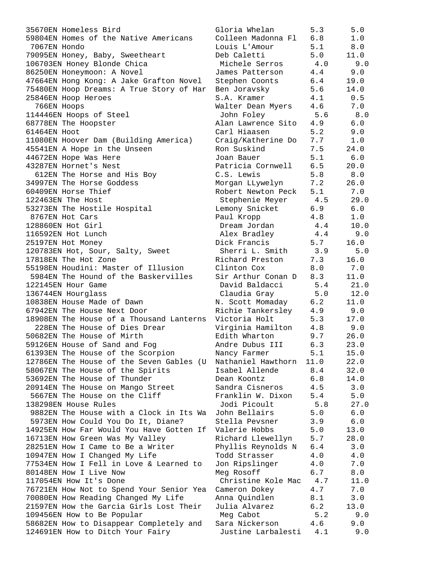| 35670EN Homeless Bird                                  | Gloria Whelan      | 5.3  | 5.0   |
|--------------------------------------------------------|--------------------|------|-------|
| 59804EN Homes of the Native Americans                  | Colleen Madonna Fl | 6.8  | 1.0   |
| 7067EN Hondo                                           | Louis L'Amour      | 5.1  | 8.0   |
| 79095EN Honey, Baby, Sweetheart                        | Deb Caletti        | 5.0  | 11.0  |
| 106703EN Honey Blonde Chica                            | Michele Serros     | 4.0  | 9.0   |
| 86250EN Honeymoon: A Novel                             | James Patterson    | 4.4  | 9.0   |
| 47664EN Hong Kong: A Jake Grafton Novel                | Stephen Coonts     | 6.4  | 19.0  |
| 75480EN Hoop Dreams: A True Story of Har               | Ben Joravsky       | 5.6  | 14.0  |
| 25846EN Hoop Heroes                                    | S.A. Kramer        | 4.1  | 0.5   |
| 766EN Hoops                                            | Walter Dean Myers  | 4.6  | 7.0   |
| 114446EN Hoops of Steel                                | John Foley         | 5.6  | 8.0   |
| 68778EN The Hoopster                                   | Alan Lawrence Sito | 4.9  | 6.0   |
| 61464EN Hoot                                           | Carl Hiaasen       | 5.2  | 9.0   |
| 11080EN Hoover Dam (Building America)                  | Craig/Katherine Do | 7.7  | 1.0   |
| 45541EN A Hope in the Unseen                           | Ron Suskind        | 7.5  | 24.0  |
|                                                        | Joan Bauer         | 5.1  | 6.0   |
| 44672EN Hope Was Here<br>43287EN Hornet's Nest         | Patricia Cornwell  | 6.5  |       |
|                                                        |                    |      | 20.0  |
| 612EN The Horse and His Boy                            | C.S. Lewis         | 5.8  | 8.0   |
| 34997EN The Horse Goddess                              | Morgan LLywelyn    | 7.2  | 26.0  |
| 60409EN Horse Thief                                    | Robert Newton Peck | 5.1  | 7.0   |
| 122463EN The Host                                      | Stephenie Meyer    | 4.5  | 29.0  |
| 53273EN The Hostile Hospital                           | Lemony Snicket     | 6.9  | 6.0   |
| 8767EN Hot Cars                                        | Paul Kropp         | 4.8  | 1.0   |
| 128860EN Hot Girl                                      | Dream Jordan       | 4.4  | 10.0  |
| 116592EN Hot Lunch                                     | Alex Bradley       | 4.4  | 9.0   |
| 25197EN Hot Money                                      | Dick Francis       | 5.7  | 16.0  |
| 120783EN Hot, Sour, Salty, Sweet                       | Sherri L. Smith    | 3.9  | 5.0   |
| 17818EN The Hot Zone                                   | Richard Preston    | 7.3  | 16.0  |
| 55198EN Houdini: Master of Illusion                    | Clinton Cox        | 8.0  | 7.0   |
| 5984EN The Hound of the Baskervilles                   | Sir Arthur Conan D | 8.3  | 11.0  |
| 122145EN Hour Game                                     | David Baldacci     | 5.4  | 21.0  |
| 136744EN Hourglass                                     | Claudia Gray       | 5.0  | 12.0  |
| 10838EN House Made of Dawn                             | N. Scott Momaday   | 6.2  | 11.0  |
| 67942EN The House Next Door                            | Richie Tankersley  | 4.9  | 9.0   |
| 18908EN The House of a Thousand Lanterns Victoria Holt |                    | 5.3  | 17.0  |
| 228EN The House of Dies Drear                          | Virginia Hamilton  | 4.8  | 9.0   |
| 50682EN The House of Mirth                             | Edith Wharton      | 9.7  | 26.0  |
| 59126EN House of Sand and Fog                          | Andre Dubus III    | 6.3  | 23.0  |
| 61393EN The House of the Scorpion                      | Nancy Farmer       | 5.1  | 15.0  |
| 12786EN The House of the Seven Gables (U               | Nathaniel Hawthorn | 11.0 | 22.0  |
| 58067EN The House of the Spirits                       | Isabel Allende     | 8.4  | 32.0  |
| 53692EN The House of Thunder                           | Dean Koontz        | 6.8  | 14.0  |
| 20914EN The House on Mango Street                      | Sandra Cisneros    | 4.5  | 3.0   |
| 5667EN The House on the Cliff                          | Franklin W. Dixon  | 5.4  | 5.0   |
| 138298EN House Rules                                   | Jodi Picoult       | 5.8  | 27.0  |
|                                                        |                    |      |       |
| 9882EN The House with a Clock in Its Wa                | John Bellairs      | 5.0  | $6.0$ |
| 5973EN How Could You Do It, Diane?                     | Stella Pevsner     | 3.9  | $6.0$ |
| 14925EN How Far Would You Have Gotten If               | Valerie Hobbs      | 5.0  | 13.0  |
| 16713EN How Green Was My Valley                        | Richard Llewellyn  | 5.7  | 28.0  |
| 28251EN How I Came to Be a Writer                      | Phyllis Reynolds N | 6.4  | 3.0   |
| 10947EN How I Changed My Life                          | Todd Strasser      | 4.0  | 4.0   |
| 77534EN How I Fell in Love & Learned to                | Jon Ripslinger     | 4.0  | 7.0   |
| 80148EN How I Live Now                                 | Meg Rosoff         | 6.7  | 8.0   |
| 117054EN How It's Done                                 | Christine Kole Mac | 4.7  | 11.0  |
| 76721EN How Not to Spend Your Senior Yea               | Cameron Dokey      | 4.7  | 7.0   |
| 70080EN How Reading Changed My Life                    | Anna Quindlen      | 8.1  | 3.0   |
| 21597EN How the Garcia Girls Lost Their                | Julia Alvarez      | 6.2  | 13.0  |
| 109456EN How to Be Popular                             | Meg Cabot          | 5.2  | 9.0   |
| 58682EN How to Disappear Completely and                | Sara Nickerson     | 4.6  | 9.0   |
| 124691EN How to Ditch Your Fairy                       | Justine Larbalesti | 4.1  | 9.0   |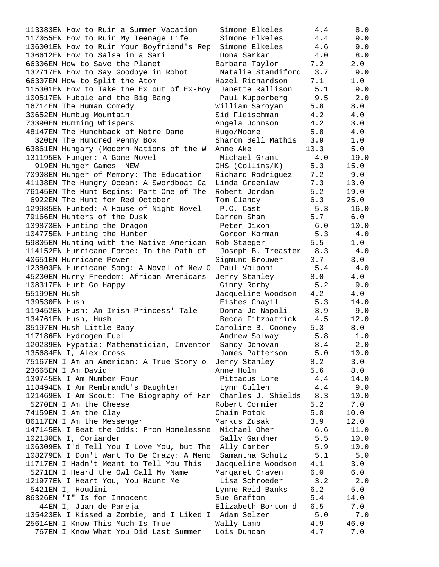113383EN How to Ruin a Summer Vacation 117055EN How to Ruin My Teenage Life 136001EN How to Ruin Your Boyfriend's Rep 136612EN How to Salsa in a Sari 66306EN How to Save the Planet 132717EN How to Say Goodbye in Robot 66307EN How to Split the Atom 115301EN How to Take the Ex out of Ex-Boy 100517EN Hubble and the Big Bang  $16714EN$  The Human Comedy 30652EN Humbug Mountain 73390EN Humming Whispers 48147EN The Hunchback of Notre Dame 320EN The Hundred Penny Box 63861EN Hungary (Modern Nations of the W 131195EN Hunger: A Gone Novel 919EN Hunger Games NEW 70908EN Hunger of Memory: The Education 41138EN The Hungry Ocean: A Swordboat Ca 76145EN The Hunt Begins: Part One of The 6922EN The Hunt for Red October 129985EN Hunted: A House of Night Novel 79166EN Hunters of the Dusk 139873EN Hunting the Dragon 104775EN Hunting the Hunter 59805EN Hunting with the Native American 114152EN Hurricane Force: In the Path of 40651EN Hurricane Power 123803EN Hurricane Song: A Novel of New O 45230EN Hurry Freedom: African Americans 108317EN Hurt Go Happy 55199EN Hush 139530EN Hush 119452EN Hush: An Irish Princess' Tale 134761EN Hush, Hush 35197EN Hush Little Baby 117186EN Hydrogen Fuel 120239EN Hypatia: Mathematician, Inventor 135684EN I, Alex Cross 75167EN I Am an American: A True Story o 23665EN I Am David 139745EN I Am Number Four 118494EN I Am Rembrandt's Daughter 121469EN I Am Scout: The Biography of Har 5270EN I Am the Cheese 74159EN I Am the Clay 86117EN I Am the Messenger 147145EN I Beat the Odds: From Homelessne 102130EN I, Coriander 106309EN I'd Tell You I Love You, but The 108279EN I Don't Want To Be Crazy: A Memo 11717EN I Hadn't Meant to Tell You This 5271EN I Heard the Owl Call My Name 121977EN I Heart You, You Haunt Me 5421EN I, Houdini 86326EN "I" Is for Innocent 44EN I, Juan de Pareja 135423EN I Kissed a Zombie, and I Liked I 25614EN I Know This Much Is True 767EN I Know What You Did Last Summer Lois Duncan 4.7 7.0

| Simone Elkeles     | 4.4            | 8.0            |
|--------------------|----------------|----------------|
| Simone Elkeles     | $4.4$          | 9.0            |
| Simone Elkeles     | $4.6\,$        |                |
|                    |                | 9.0            |
| Dona Sarkar        | 4.0            | 8.0            |
| Barbara Taylor     | 7.2            | 2.0            |
| Natalie Standiford | 3.7            | 9.0            |
| Hazel Richardson   | 7.1            | 1.0            |
| Janette Rallison   | 5.1            | 9.0            |
| Paul Kupperberg    | 9.5            | 2.0            |
| William Saroyan    | 5.8            | $8.0$          |
| Sid Fleischman     | 4.2            | $4.0\,$        |
| Angela Johnson     | 4.2            | 3.0            |
| Hugo/Moore         | 5.8            | $4.0\,$        |
| Sharon Bell Mathis | 3.9            | $1.0$          |
| Anne Ake           | 10.3           | 5.0            |
| Michael Grant      | 4.0            | 19.0           |
| OHS (Collins/K)    | 5.3            | 15.0           |
| Richard Rodriguez  | 7.2            | 9.0            |
| Linda Greenlaw     | 7.3            | 13.0           |
|                    |                |                |
| Robert Jordan      | 5.2            | 19.0           |
| Tom Clancy         | 6.3            | 25.0           |
| P.C. Cast          | 5.3            | 16.0           |
| Darren Shan        | 5.7            | 6.0            |
| Peter Dixon        | 6.0            | 10.0           |
| Gordon Korman      | 5.3            | 4.0            |
| Rob Staeger        | 5.5            | 1.0            |
| Joseph B. Treaster | 8.3            | 4.0            |
| Sigmund Brouwer    | 3.7            | 3.0            |
| Paul Volponi       | 5.4            | 4.0            |
| Jerry Stanley      | 8.0            | 4.0            |
| Ginny Rorby        | 5.2            | 9.0            |
| Jacqueline Woodson | 4.2            | $4\,.$ $0\,$   |
| Eishes Chayil      | 5.3            | 14.0           |
|                    | 3.9            | 9.0            |
| Donna Jo Napoli    |                |                |
| Becca Fitzpatrick  | 4.5            | 12.0           |
| Caroline B. Cooney | 5.3            | 8.0            |
| Andrew Solway      | 5.8            | $1.0$          |
| Sandy Donovan      | 8.4            | 2.0            |
| James Patterson    | 5.0            | 10.0           |
| Jerry Stanley      | 8.2            | 3.0            |
| Anne Holm          | 5.6            | 8.0            |
| Pittacus Lore      | $4.4\,$        | 14.0           |
| Lynn Cullen        | 4.4            | 9.0            |
| Charles J. Shields | 8.3            | 10.0           |
| Robert Cormier     | 5.2            | 7.0            |
| Chaim Potok        | 5.8            | 10.0           |
| Markus Zusak       | 3.9            | 12.0           |
| Michael Oher       | 6.6            | 11.0           |
| Sally Gardner      | 5.5            | 10.0           |
| Ally Carter        | 5.9            | 10.0           |
| Samantha Schutz    | 5.1            | 5.0            |
|                    |                |                |
| Jacqueline Woodson | 4.1            | 3.0            |
| Margaret Craven    | 6.0            | $6.0$          |
| Lisa Schroeder     | 3.2            | 2.0            |
| Lynne Reid Banks   | 6.2            | 5.0            |
| Sue Grafton        | 5.4            | 14.0           |
| Elizabeth Borton d | 6.5            | 7.0            |
| Adam Selzer        | 5.0            | 7.0            |
| Wally Lamb         | 4.9            | 46.0           |
| $\sim$ Dung        | 1 <sub>7</sub> | 7 <sub>0</sub> |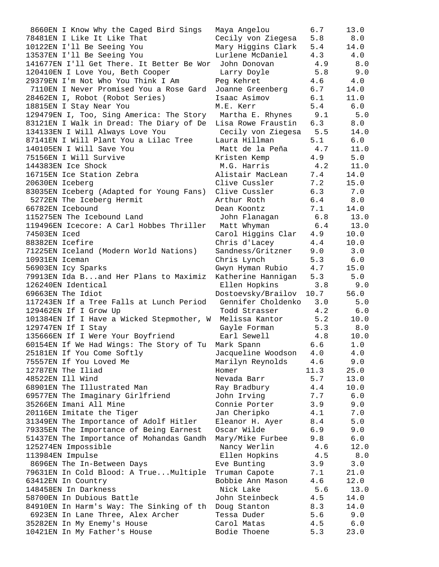| 8660EN I Know Why the Caged Bird Sings    | Maya Angelou       | 6.7  | 13.0  |
|-------------------------------------------|--------------------|------|-------|
| 78481EN I Like It Like That               | Cecily von Ziegesa | 5.8  | 8.0   |
| 10122EN I'll Be Seeing You                | Mary Higgins Clark | 5.4  | 14.0  |
| 13537EN I'll Be Seeing You                | Lurlene McDaniel   | 4.3  | 4.0   |
| 141677EN I'll Get There. It Better Be Wor | John Donovan       | 4.9  | 8.0   |
| 120410EN I Love You, Beth Cooper          | Larry Doyle        | 5.8  | 9.0   |
| 29379EN I'm Not Who You Think I Am        | Peg Kehret         | 4.6  | 4.0   |
| 7110EN I Never Promised You a Rose Gard   | Joanne Greenberg   | 6.7  | 14.0  |
| 28462EN I, Robot (Robot Series)           | Isaac Asimov       | 6.1  | 11.0  |
| 18815EN I Stay Near You                   | M.E. Kerr          | 5.4  | 6.0   |
| 129479EN I, Too, Sing America: The Story  | Martha E. Rhynes   | 9.1  | 5.0   |
| 83121EN I Walk in Dread: The Diary of De  | Lisa Rowe Fraustin | 6.3  | 8.0   |
| 134133EN I Will Always Love You           | Cecily von Ziegesa | 5.5  | 14.0  |
| 87141EN I Will Plant You a Lilac Tree     | Laura Hillman      | 5.1  | $6.0$ |
| 140105EN I Will Save You                  | Matt de la Peña    | 4.7  | 11.0  |
| 75156EN I Will Survive                    | Kristen Kemp       | 4.9  | 5.0   |
| 144383EN Ice Shock                        | M.G. Harris        | 4.2  | 11.0  |
| 16715EN Ice Station Zebra                 | Alistair MacLean   | 7.4  | 14.0  |
| 20630EN Iceberg                           | Clive Cussler      | 7.2  | 15.0  |
| 83035EN Iceberg (Adapted for Young Fans)  | Clive Cussler      | 6.3  | 7.0   |
| 5272EN The Iceberg Hermit                 | Arthur Roth        | 6.4  | 8.0   |
| 66782EN Icebound                          | Dean Koontz        | 7.1  | 14.0  |
| 115275EN The Icebound Land                |                    | 6.8  | 13.0  |
| 119496EN Icecore: A Carl Hobbes Thriller  | John Flanagan      | 6.4  |       |
|                                           | Matt Whyman        |      | 13.0  |
| 74503EN Iced                              | Carol Higgins Clar | 4.9  | 10.0  |
| 88382EN Icefire                           | Chris d'Lacey      | 4.4  | 10.0  |
| 71225EN Iceland (Modern World Nations)    | Sandness/Gritzner  | 9.0  | 3.0   |
| 10931EN Iceman                            | Chris Lynch        | 5.3  | 6.0   |
| 56903EN Icy Sparks                        | Gwyn Hyman Rubio   | 4.7  | 15.0  |
| 79913EN Ida Band Her Plans to Maximiz     | Katherine Hannigan | 5.3  | 5.0   |
| 126240EN Identical                        | Ellen Hopkins      | 3.8  | 9.0   |
| 69663EN The Idiot                         | Dostoevsky/Brailov | 10.7 | 56.0  |
| 117243EN If a Tree Falls at Lunch Period  | Gennifer Choldenko | 3.0  | 5.0   |
| 129462EN If I Grow Up                     | Todd Strasser      | 4.2  | 6.0   |
| 101384EN If I Have a Wicked Stepmother, W | Melissa Kantor     | 5.2  | 10.0  |
| 129747EN If I Stay                        | Gayle Forman       | 5.3  | 8.0   |
| 135666EN If I Were Your Boyfriend         | Earl Sewell        | 4.8  | 10.0  |
| 60154EN If We Had Wings: The Story of Tu  | Mark Spann         | 6.6  | 1.0   |
| 25181EN If You Come Softly                | Jacqueline Woodson | 4.0  | 4.0   |
| 75557EN If You Loved Me                   | Marilyn Reynolds   | 4.6  | 9.0   |
| 12787EN The Iliad                         | Homer              | 11.3 | 25.0  |
| 48522EN Ill Wind                          | Nevada Barr        | 5.7  | 13.0  |
| 68901EN The Illustrated Man               | Ray Bradbury       | 4.4  | 10.0  |
| 69577EN The Imaginary Girlfriend          | John Irving        | 7.7  | 6.0   |
| 35266EN Imani All Mine                    | Connie Porter      | 3.9  | 9.0   |
| 20116EN Imitate the Tiger                 | Jan Cheripko       | 4.1  | 7.0   |
| 31349EN The Importance of Adolf Hitler    | Eleanor H. Ayer    | 8.4  | 5.0   |
| 79335EN The Importance of Being Earnest   | Oscar Wilde        | 6.9  | 9.0   |
| 51437EN The Importance of Mohandas Gandh  | Mary/Mike Furbee   | 9.8  | 6.0   |
| 125274EN Impossible                       | Nancy Werlin       | 4.6  | 12.0  |
| 113984EN Impulse                          | Ellen Hopkins      | 4.5  | 8.0   |
| 8696EN The In-Between Days                | Eve Bunting        | 3.9  | 3.0   |
| 79631EN In Cold Blood: A TrueMultiple     | Truman Capote      | 7.1  | 21.0  |
| 63412EN In Country                        | Bobbie Ann Mason   | 4.6  | 12.0  |
| 148458EN In Darkness                      | Nick Lake          | 5.6  | 13.0  |
| 58700EN In Dubious Battle                 | John Steinbeck     | 4.5  | 14.0  |
| 84910EN In Harm's Way: The Sinking of th  | Doug Stanton       | 8.3  | 14.0  |
| 6923EN In Lane Three, Alex Archer         | Tessa Duder        | 5.6  | 9.0   |
| 35282EN In My Enemy's House               | Carol Matas        | 4.5  | 6.0   |
| 10421EN In My Father's House              | Bodie Thoene       | 5.3  | 23.0  |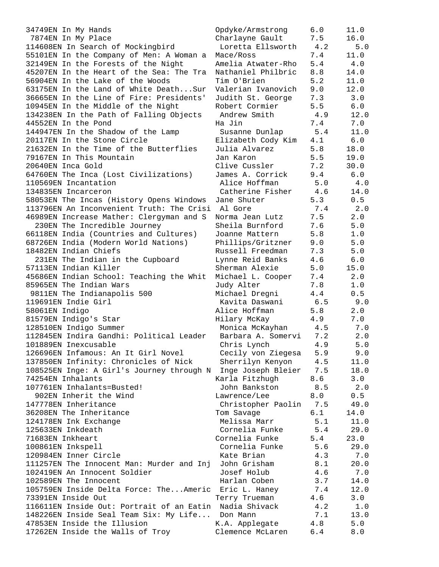34749EN In My Hands Opdyke/Armstrong 6.0 11.0 7874EN In My Place Charlayne Gault 7.5 16.0 114608EN In Search of Mockingbird Loretta Ellsworth 4.2 5.0 55101EN In the Company of Men: A Woman a Mace/Ross 7.4 11.0 32149EN In the Forests of the Night Amelia Atwater-Rho 5.4 4.0 45207EN In the Heart of the Sea: The Tra Nathaniel Philbric 8.8 14.0 56904EN In the Lake of the Woods Tim O'Brien 5.2 11.0 63175EN In the Land of White Death...Sur Valerian Ivanovich 9.0 12.0 36665EN In the Line of Fire: Presidents' Judith St. George 7.3 3.0 10945EN In the Middle of the Night Robert Cormier 5.5 6.0 134238EN In the Path of Falling Objects Andrew Smith 4.9 12.0 44552EN In the Pond Ha Jin 7.4 7.0 144947EN In the Shadow of the Lamp Susanne Dunlap 5.4 11.0 20117EN In the Stone Circle Elizabeth Cody Kim 4.1 6.0 21632EN In the Time of the Butterflies Julia Alvarez 5.8 18.0 79167EN In This Mountain Jan Karon 5.5 19.0 20640EN Inca Gold Clive Cussler 7.2 30.0 64760EN The Inca (Lost Civilizations) James A. Corrick 9.4 6.0 110569EN Incantation Alice Hoffman 5.0 4.0 134835EN Incarceron Catherine Fisher 4.6 14.0 58053EN The Incas (History Opens Windows Jane Shuter 5.3 0.5 113796EN An Inconvenient Truth: The Crisi Al Gore 7.4 2.0 46989EN Increase Mather: Clergyman and S Norma Jean Lutz 7.5 2.0 230EN The Incredible Journey Sheila Burnford 7.6 5.0 66118EN India (Countries and Cultures) Joanne Mattern 5.8 1.0 68726EN India (Modern World Nations) Phillips/Gritzner 9.0 5.0 18482EN Indian Chiefs Russell Freedman 7.3 5.0 231EN The Indian in the Cupboard Lynne Reid Banks 4.6 6.0 57113EN Indian Killer Sherman Alexie 5.0 15.0 45686EN Indian School: Teaching the Whit Michael L. Cooper 7.4 2.0 85965EN The Indian Wars Judy Alter 7.8 1.0 9811EN The Indianapolis 500 Michael Dregni 4.4 0.5 119691EN Indie Girl Kavita Daswani 6.5 9.0 58061EN Indigo Alice Hoffman 5.8 2.0 81579EN Indigo's Star Hilary McKay 4.9 7.0 128510EN Indigo Summer Monica McKayhan 4.5 7.0 112845EN Indira Gandhi: Political Leader Barbara A. Somervi 7.2 2.0 101889EN Inexcusable Chris Lynch 4.9 5.0 126696EN Infamous: An It Girl Novel Cecily von Ziegesa 5.9 9.0 137850EN Infinity: Chronicles of Nick Sherrilyn Kenyon 4.5 11.0 108525EN Inge: A Girl's Journey through N Inge Joseph Bleier 7.5 18.0 74254EN Inhalants Karla Fitzhugh 8.6 3.0 107761EN Inhalants=Busted! John Bankston 8.5 2.0 902EN Inherit the Wind Lawrence/Lee 8.0 0.5 147778EN Inheritance Christopher Paolin 7.5 49.0 36208EN The Inheritance Tom Savage 6.1 14.0 124178EN Ink Exchange Melissa Marr 5.1 11.0 125633EN Inkdeath Cornelia Funke 5.4 29.0 71683EN Inkheart Cornelia Funke 5.4 23.0 100861EN Inkspell Cornelia Funke 5.6 29.0 120984EN Inner Circle Kate Brian 4.3 7.0 111257EN The Innocent Man: Murder and Inj John Grisham 8.1 20.0 102419EN An Innocent Soldier Josef Holub 4.6 7.0 102589EN The Innocent Harlan Coben 3.7 14.0 105759EN Inside Delta Force: The...Americ Eric L. Haney 7.4 12.0 73391EN Inside Out Terry Trueman 4.6 3.0 116611EN Inside Out: Portrait of an Eatin Nadia Shivack 4.2 1.0 148226EN Inside Seal Team Six: My Life... Don Mann 7.1 13.0 47853EN Inside the Illusion The K.A. Applegate  $4.8$  5.0 17262EN Inside the Walls of Troy Clemence McLaren 6.4 8.0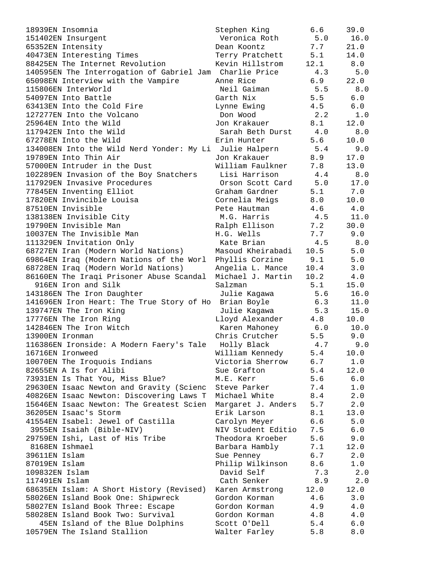| 18939EN Insomnia                                     | Stephen King       | 6.6  | 39.0 |
|------------------------------------------------------|--------------------|------|------|
| 151402EN Insurgent                                   | Veronica Roth      | 5.0  | 16.0 |
| 65352EN Intensity                                    | Dean Koontz        | 7.7  | 21.0 |
| 40473EN Interesting Times                            | Terry Pratchett    | 5.1  | 14.0 |
| 88425EN The Internet Revolution                      | Kevin Hillstrom    | 12.1 | 8.0  |
| 140595EN The Interrogation of Gabriel Jam            | Charlie Price      | 4.3  | 5.0  |
| 65098EN Interview with the Vampire                   | Anne Rice          | 6.9  | 22.0 |
| 115806EN InterWorld                                  | Neil Gaiman        | 5.5  | 8.0  |
| 54097EN Into Battle                                  | Garth Nix          | 5.5  | 6.0  |
| 63413EN Into the Cold Fire                           | Lynne Ewing        | 4.5  | 6.0  |
| 127277EN Into the Volcano                            | Don Wood           | 2.2  | 1.0  |
| 25964EN Into the Wild                                | Jon Krakauer       | 8.1  | 12.0 |
| 117942EN Into the Wild                               | Sarah Beth Durst   | 4.0  | 8.0  |
| 67278EN Into the Wild                                | Erin Hunter        | 5.6  | 10.0 |
| 134008EN Into the Wild Nerd Yonder: My Li            | Julie Halpern      | 5.4  | 9.0  |
| 19789EN Into Thin Air                                | Jon Krakauer       | 8.9  | 17.0 |
| 57000EN Intruder in the Dust                         | William Faulkner   | 7.8  | 13.0 |
| 102289EN Invasion of the Boy Snatchers               | Lisi Harrison      | 4.4  | 8.0  |
| 117929EN Invasive Procedures                         | Orson Scott Card   | 5.0  | 17.0 |
| 77845EN Inventing Elliot                             | Graham Gardner     | 5.1  | 7.0  |
| 17820EN Invincible Louisa                            | Cornelia Meigs     | 8.0  | 10.0 |
| 87510EN Invisible                                    | Pete Hautman       | 4.6  | 4.0  |
| 138138EN Invisible City                              | M.G. Harris        | 4.5  | 11.0 |
| 19790EN Invisible Man                                |                    | 7.2  | 30.0 |
|                                                      | Ralph Ellison      |      |      |
| 10037EN The Invisible Man                            | H.G. Wells         | 7.7  | 9.0  |
| 111329EN Invitation Only                             | Kate Brian         | 4.5  | 8.0  |
| 68727EN Iran (Modern World Nations)                  | Masoud Kheirabadi  | 10.5 | 5.0  |
| 69864EN Iraq (Modern Nations of the Worl             | Phyllis Corzine    | 9.1  | 5.0  |
| 68728EN Iraq (Modern World Nations)                  | Angelia L. Mance   | 10.4 | 3.0  |
| 86160EN The Iraqi Prisoner Abuse Scandal             | Michael J. Martin  | 10.2 | 4.0  |
| 916EN Iron and Silk                                  | Salzman            | 5.1  | 15.0 |
| 143186EN The Iron Daughter                           | Julie Kagawa       | 5.6  | 16.0 |
| 141696EN Iron Heart: The True Story of Ho            | Brian Boyle        | 6.3  | 11.0 |
| 139747EN The Iron King                               | Julie Kagawa       | 5.3  | 15.0 |
| 17776EN The Iron Ring                                | Lloyd Alexander    | 4.8  | 10.0 |
| 142846EN The Iron Witch                              | Karen Mahoney      | 6.0  | 10.0 |
| 13900EN Ironman                                      | Chris Crutcher     | 5.5  | 9.0  |
| 116386EN Ironside: A Modern Faery's Tale Holly Black |                    | 4.7  | 9.0  |
| 16716EN Ironweed                                     | William Kennedy    | 5.4  | 10.0 |
| 10070EN The Iroquois Indians                         | Victoria Sherrow   | 6.7  | 1.0  |
| 82655EN A Is for Alibi                               | Sue Grafton        | 5.4  | 12.0 |
| 73931EN Is That You, Miss Blue?                      | M.E. Kerr          | 5.6  | 6.0  |
| 29630EN Isaac Newton and Gravity (Scienc             | Steve Parker       | 7.4  | 1.0  |
| 40826EN Isaac Newton: Discovering Laws T             | Michael White      | 8.4  | 2.0  |
| 15646EN Isaac Newton: The Greatest Scien             | Margaret J. Anders | 5.7  | 2.0  |
| 36205EN Isaac's Storm                                | Erik Larson        | 8.1  | 13.0 |
| 41554EN Isabel: Jewel of Castilla                    | Carolyn Meyer      | 6.6  | 5.0  |
| 3955EN Isaiah (Bible-NIV)                            | NIV Student Editio | 7.5  | 6.0  |
| 29759EN Ishi, Last of His Tribe                      | Theodora Kroeber   | 5.6  | 9.0  |
| 8168EN Ishmael                                       | Barbara Hambly     | 7.1  | 12.0 |
| 39611EN Islam                                        | Sue Penney         | 6.7  | 2.0  |
| 87019EN Islam                                        | Philip Wilkinson   | 8.6  | 1.0  |
| 109832EN Islam                                       | David Self         | 7.3  | 2.0  |
| 117491EN Islam                                       | Cath Senker        | 8.9  | 2.0  |
| 68635EN Islam: A Short History (Revised)             | Karen Armstrong    | 12.0 | 12.0 |
| 58026EN Island Book One: Shipwreck                   | Gordon Korman      | 4.6  | 3.0  |
| 58027EN Island Book Three: Escape                    | Gordon Korman      | 4.9  | 4.0  |
| 58028EN Island Book Two: Survival                    | Gordon Korman      | 4.8  | 4.0  |
| 45EN Island of the Blue Dolphins                     | Scott O'Dell       | 5.4  | 6.0  |
| 10579EN The Island Stallion                          | Walter Farley      | 5.8  | 8.0  |
|                                                      |                    |      |      |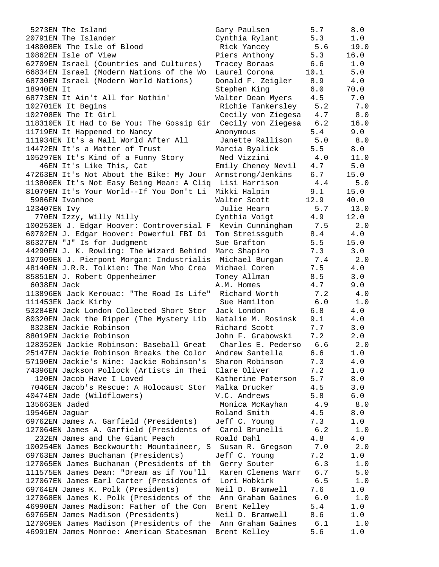5273EN The Island 20791EN The Islander 148008EN The Isle of Blood 10862EN Isle of View 62709EN Israel (Countries and Cultures) 66834EN Israel (Modern Nations of the Wo 68730EN Israel (Modern World Nations) 18940EN It 68773EN It Ain't All for Nothin' 102701EN It Begins  $102708$ EN The It Girl 118310EN It Had to Be You: The Gossip Gir 11719EN It Happened to Nancy 111934EN It's a Mall World After All 14472EN It's a Matter of Trust 105297EN It's Kind of a Funny Story 46EN It's Like This, Cat 47263EN It's Not About the Bike: My Jour 113800EN It's Not Easy Being Mean: A Clig 81079EN It's Your World--If You Don't Li 5986EN Ivanhoe 123407EN Ivy 770EN Izzy, Willy Nilly 100253EN J. Edgar Hoover: Controversial F 60702EN J. Edgar Hoover: Powerful FBI Di 86327EN "J" Is for Judgment 44290EN J. K. Rowling: The Wizard Behind 107909EN J. Pierpont Morgan: Industrialis 48140EN J.R.R. Tolkien: The Man Who Crea 85851EN J. Robert Oppenheimer  $6038$ EN Jack 113896EN Jack Kerouac: "The Road Is Life" 111453EN Jack Kirby 53284EN Jack London Collected Short Stor 80320EN Jack the Ripper (The Mystery Lib 8323EN Jackie Robinson 88019EN Jackie Robinson 128352EN Jackie Robinson: Baseball Great 25147EN Jackie Robinson Breaks the Color 57190EN Jackie's Nine: Jackie Robinson's 74396EN Jackson Pollock (Artists in Thei 120EN Jacob Have I Loved 7046EN Jacob's Rescue: A Holocaust Stor 40474EN Jade (Wildflowers) 135663EN Jaded 19546EN Jaguar 69762EN James A. Garfield (Presidents) 127064EN James A. Garfield (Presidents of 232EN James and the Giant Peach 100254EN James Beckwourth: Mountaineer, S 69763EN James Buchanan (Presidents) 127065EN James Buchanan (Presidents of th 111575EN James Dean: "Dream as if You'll 127067EN James Earl Carter (Presidents of 69764EN James K. Polk (Presidents) 127068EN James K. Polk (Presidents of the 46990EN James Madison: Father of the Con 69765EN James Madison (Presidents) 127069EN James Madison (Presidents of the 46991EN James Monroe: American Statesman

| Gary Paulsen       | 5.7   | 8.0     |
|--------------------|-------|---------|
|                    |       |         |
| Cynthia Rylant     | 5.3   | 1.0     |
| Rick Yancey        | 5.6   | 19.0    |
| Piers Anthony      | 5.3   | 16.0    |
| Tracey Boraas      | 6.6   | 1.0     |
|                    |       |         |
| Laurel Corona      | 10.1  | 5.0     |
| Donald F. Zeigler  | 8.9   | $4.0\,$ |
| Stephen King       | 6.0   | 70.0    |
| Walter Dean Myers  | 4.5   | 7.0     |
|                    |       |         |
| Richie Tankersley  | 5.2   | 7.0     |
| Cecily von Ziegesa | $4.7$ | 8.0     |
| Cecily von Ziegesa | 6.2   | 16.0    |
| Anonymous          | 5.4   | 9.0     |
|                    |       |         |
| Janette Rallison   | 5.0   | 8.0     |
| Marcia Byalick     | 5.5   | 8.0     |
| Ned Vizzini        | 4.0   | 11.0    |
| Emily Cheney Nevil | 4.7   | 5.0     |
| Armstrong/Jenkins  | 6.7   | 15.0    |
|                    |       |         |
| Lisi Harrison      | 4.4   | 5.0     |
| Mikki Halpin       | 9.1   | 15.0    |
| Walter Scott       | 12.9  | 40.0    |
| Julie Hearn        | $5.7$ | 13.0    |
|                    |       |         |
| Cynthia Voigt      | 4.9   | 12.0    |
| Kevin Cunningham   | 7.5   | 2.0     |
| Tom Streissguth    | 8.4   | $4.0\,$ |
| Sue Grafton        | 5.5   | 15.0    |
| Marc Shapiro       | 7.3   | 3.0     |
|                    |       |         |
| Michael Burgan     | 7.4   | 2.0     |
| Michael Coren      | 7.5   | 4.0     |
| Toney Allman       | 8.5   | 3.0     |
| A.M. Homes         | 4.7   | 9.0     |
| Richard Worth      | 7.2   | 4.0     |
|                    |       |         |
| Sue Hamilton       | 6.0   | $1.0$   |
| Jack London        | 6.8   | $4.0$   |
| Natalie M. Rosinsk | 9.1   | $4.0$   |
| Richard Scott      | 7.7   | 3.0     |
| John F. Grabowski  | 7.2   | 2.0     |
|                    |       |         |
| Charles E. Pederso | 6.6   | 2.0     |
| Andrew Santella    | 6.6   | $1.0$   |
| Sharon Robinson    | 7.3   | 4.0     |
| Clare Oliver       | 7.2   | 1.0     |
| Katherine Paterson | 5.7   | 8.0     |
|                    |       |         |
| Malka Drucker      | 4.5   | 3.0     |
| V.C. Andrews       | 5.8   | 6.0     |
| Monica McKayhan    | 4.9   | 8.0     |
| Roland Smith       | 4.5   | 8.0     |
| Jeff C. Young      | 7.3   | 1.0     |
|                    |       |         |
| Carol Brunelli     | 6.2   | 1.0     |
| Roald Dahl         | 4.8   | $4.0$   |
| Susan R. Gregson   | 7.0   | 2.0     |
| Jeff C. Young      | 7.2   | 1.0     |
|                    |       |         |
| Gerry Souter       | 6.3   | 1.0     |
| Karen Clemens Warr | $6.7$ | 5.0     |
| Lori Hobkirk       | 6.5   | 1.0     |
| Neil D. Bramwell   | 7.6   | 1.0     |
| Ann Graham Gaines  | 6.0   | 1.0     |
|                    |       |         |
| Brent Kelley       | 5.4   | 1.0     |
| Neil D. Bramwell   | 8.6   | 1.0     |
| Ann Graham Gaines  | 6.1   | 1.0     |
| Brent Kelley       | 5.6   | 1.0     |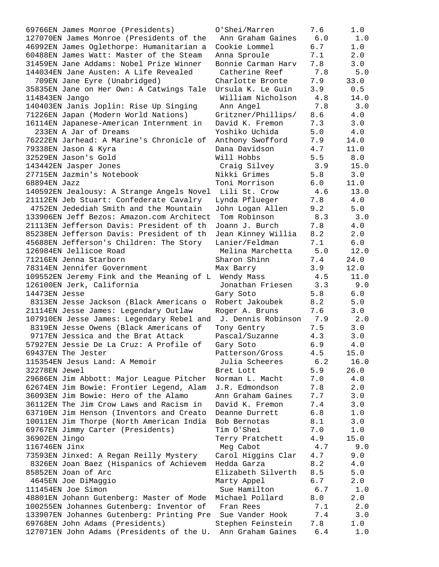69766EN James Monroe (Presidents) 127070EN James Monroe (Presidents of the 46992EN James Oglethorpe: Humanitarian a 60488EN James Watt: Master of the Steam 31459EN Jane Addams: Nobel Prize Winner 144034EN Jane Austen: A Life Revealed 709EN Jane Eyre (Unabridged) 35835EN Jane on Her Own: A Catwings Tale 114843EN Jango 140403EN Janis Joplin: Rise Up Singing 71226EN Japan (Modern World Nations) 16114EN Japanese-American Internment in 233EN A Jar of Dreams 76222EN Jarhead: A Marine's Chronicle of 79338EN Jason & Kyra 32529EN Jason's Gold 143442EN Jasper Jones 27715EN Jazmin's Notebook  $68894EN$  Jazz 140592EN Jealousy: A Strange Angels Novel 21112EN Jeb Stuart: Confederate Cavalry 4752EN Jedediah Smith and the Mountain 133906EN Jeff Bezos: Amazon.com Architect 21113EN Jefferson Davis: President of th 85238EN Jefferson Davis: President of th 45688EN Jefferson's Children: The Story 126984EN Jellicoe Road 71216EN Jenna Starborn 78314EN Jennifer Government 109552EN Jeremy Fink and the Meaning of L 126100EN Jerk, California 14473EN Jesse 8313EN Jesse Jackson (Black Americans o 21114EN Jesse James: Legendary Outlaw 107910EN Jesse James: Legendary Rebel and 8319EN Jesse Owens (Black Americans of 9717EN Jessica and the Brat Attack 57927EN Jessie De La Cruz: A Profile of 69437EN The Jester 115354EN Jesus Land: A Memoir 32278EN Jewel 29686EN Jim Abbott: Major League Pitcher 62674EN Jim Bowie: Frontier Legend, Alam 36093EN Jim Bowie: Hero of the Alamo 36112EN The Jim Crow Laws and Racism in 63710EN Jim Henson (Inventors and Creato 10011EN Jim Thorpe (North American India 69767EN Jimmy Carter (Presidents) 36902EN Jingo 116746EN Jinx 73593EN Jinxed: A Regan Reilly Mystery 8326EN Joan Baez (Hispanics of Achievem 85852EN Joan of Arc 4645EN Joe DiMaggio  $111454EN$  Joe Simon 48801EN Johann Gutenberg: Master of Mode 100255EN Johannes Gutenberg: Inventor of 133907EN Johannes Gutenberg: Printing Pre 69768EN John Adams (Presidents) 127071EN John Adams (Presidents of the U.

| O'Shei/Marren      | 7.6     | 1.0   |
|--------------------|---------|-------|
| Ann Graham Gaines  | 6.0     | $1.0$ |
| Cookie Lommel      | 6.7     | $1.0$ |
| Anna Sproule       | 7.1     | 2.0   |
| Bonnie Carman Harv | 7.8     | 3.0   |
| Catherine Reef     | 7.8     | 5.0   |
| Charlotte Bronte   | 7.9     | 33.0  |
|                    |         |       |
| Ursula K. Le Guin  | 3.9     | 0.5   |
| William Nicholson  | 4.8     | 14.0  |
| Ann Angel          | 7.8     | 3.0   |
| Gritzner/Phillips/ | 8.6     | 4.0   |
| David K. Fremon    | 7.3     | 3.0   |
| Yoshiko Uchida     | 5.0     | 4.0   |
| Anthony Swofford   | 7.9     | 14.0  |
| Dana Davidson      | $4.7$   | 11.0  |
| Will Hobbs         | 5.5     | 8.0   |
| Craig Silvey       | 3.9     | 15.0  |
| Nikki Grimes       | 5.8     | 3.0   |
| Toni Morrison      | 6.0     | 11.0  |
| Lili St. Crow      | 4.6     | 13.0  |
| Lynda Pflueger     | 7.8     | 4.0   |
|                    | 9.2     | 5.0   |
| John Logan Allen   |         |       |
| Tom Robinson       | 8.3     | 3.0   |
| Joann J. Burch     | 7.8     | $4.0$ |
| Jean Kinney Willia | 8.2     | 2.0   |
| Lanier/Feldman     | 7.1     | $6.0$ |
| Melina Marchetta   | 5.0     | 12.0  |
| Sharon Shinn       | 7.4     | 24.0  |
| Max Barry          | 3.9     | 12.0  |
| Wendy Mass         | 4.5     | 11.0  |
| Jonathan Friesen   | 3.3     | 9.0   |
| Gary Soto          | 5.8     | $6.0$ |
| Robert Jakoubek    | 8.2     | 5.0   |
| Roger A. Bruns     | 7.6     | 3.0   |
| J. Dennis Robinson | 7.9     | 2.0   |
| Tony Gentry        | 7.5     | 3.0   |
| Pascal/Suzanne     | 4.3     | 3.0   |
| Gary Soto          | 6.9     | 4.0   |
| Patterson/Gross    | 4.5     | 15.0  |
| Julia Scheeres     | 6.2     | 16.0  |
| Bret Lott          | 5.9     | 26.0  |
| Norman L. Macht    | 7.0     | 4.0   |
| J.R. Edmondson     | 7.8     | 2.0   |
| Ann Graham Gaines  | 7.7     | 3.0   |
|                    |         |       |
| David K. Fremon    | $7.4\,$ | 3.0   |
| Deanne Durrett     | 6.8     | 1.0   |
| Bob Bernotas       | 8.1     | 3.0   |
| Tim O'Shei         | 7.0     | 1.0   |
| Terry Pratchett    | 4.9     | 15.0  |
| Meg Cabot          | 4.7     | 9.0   |
| Carol Higgins Clar | 4.7     | 9.0   |
| Hedda Garza        | 8.2     | 4.0   |
| Elizabeth Silverth | 8.5     | 5.0   |
| Marty Appel        | 6.7     | 2.0   |
| Sue Hamilton       | 6.7     | 1.0   |
| Michael Pollard    | 8.0     | 2.0   |
| Fran Rees          | 7.1     | 2.0   |
| Sue Vander Hook    | 7.4     | 3.0   |
| Stephen Feinstein  | 7.8     | 1.0   |
| Ann Graham Gaines  | 6.4     | 1.0   |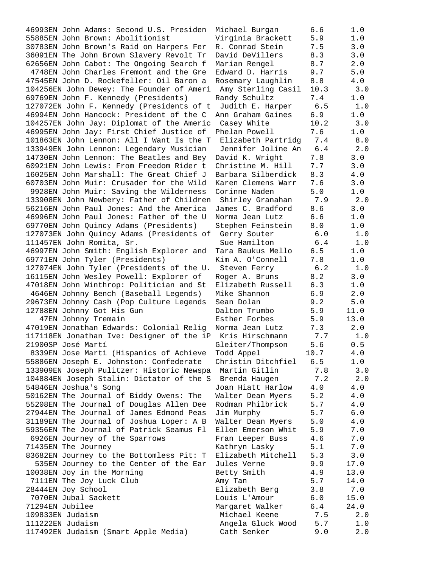46993EN John Adams: Second U.S. Presiden Michael Burgan 6.6 1.0 55885EN John Brown: Abolitionist Virginia Brackett 5.9 1.0 30783EN John Brown's Raid on Harpers Fer R. Conrad Stein 7.5 3.0 36091EN The John Brown Slavery Revolt Tr David DeVillers 8.3 3.0 62656EN John Cabot: The Ongoing Search f Marian Rengel 8.7 2.0 4748EN John Charles Fremont and the Gre Edward D. Harris 9.7 5.0 47545EN John D. Rockefeller: Oil Baron a Rosemary Laughlin 8.8 4.0 104256EN John Dewey: The Founder of Ameri Amy Sterling Casil 10.3 3.0 69769EN John F. Kennedy (Presidents) Randy Schultz 7.4 1.0 127072EN John F. Kennedy (Presidents of t Judith E. Harper 6.5 1.0 46994EN John Hancock: President of the C Ann Graham Gaines 6.9 1.0 104257EN John Jay: Diplomat of the Americ Casey White 10.2 3.0 46995EN John Jay: First Chief Justice of Phelan Powell 7.6 1.0 101863EN John Lennon: All I Want Is the T Elizabeth Partridg 7.4 8.0 133949EN John Lennon: Legendary Musician Jennifer Joline An 6.4 2.0 14730EN John Lennon: The Beatles and Bey David K. Wright 7.8 3.0 60921EN John Lewis: From Freedom Rider t Christine M. Hill 7.7 3.0 16025EN John Marshall: The Great Chief J Barbara Silberdick 8.3 4.0 60703EN John Muir: Crusader for the Wild Karen Clemens Warr 7.6 3.0 9928EN John Muir: Saving the Wilderness Corinne Naden 5.0 1.0 133908EN John Newbery: Father of Children Shirley Granahan 7.9 2.0 56216EN John Paul Jones: And the America James C. Bradford 8.6 3.0 46996EN John Paul Jones: Father of the U Norma Jean Lutz 6.6 1.0 69770EN John Quincy Adams (Presidents) Stephen Feinstein 8.0 1.0 127073EN John Quincy Adams (Presidents of Gerry Souter 6.0 1.0 111457EN John Romita, Sr. Sue Hamilton 6.4 1.0 46997EN John Smith: English Explorer and Tara Baukus Mello 6.5 1.0 69771EN John Tyler (Presidents) Kim A. O'Connell 7.8 1.0 127074EN John Tyler (Presidents of the U. Steven Ferry 6.2 1.0 16115EN John Wesley Powell: Explorer of Roger A. Bruns 8.2 3.0 47018EN John Winthrop: Politician and St Elizabeth Russell 6.3 1.0 4646EN Johnny Bench (Baseball Legends) Mike Shannon 6.9 2.0 29673EN Johnny Cash (Pop Culture Legends Sean Dolan 9.2 5.0 12788EN Johnny Got His Gun Dalton Trumbo 5.9 11.0 47EN Johnny Tremain Esther Forbes 5.9 13.0 47019EN Jonathan Edwards: Colonial Relig Norma Jean Lutz 7.3 2.0 117118EN Jonathan Ive: Designer of the iP Kris Hirschmann 7.7 1.0 21900SP José Martí Gleiter/Thompson 5.6 0.5 8339EN Jose Marti (Hispanics of Achieve Todd Appel  $10.7$  4.0 55886EN Joseph E. Johnston: Confederate Christin Ditchfiel 6.5 1.0 133909EN Joseph Pulitzer: Historic Newspa Martin Gitlin 7.8 3.0 104884EN Joseph Stalin: Dictator of the S Brenda Haugen 7.2 2.0 54846EN Joshua's Song Joan Hiatt Harlow 4.0 4.0 50162EN The Journal of Biddy Owens: The Walter Dean Myers 5.2 4.0 55208EN The Journal of Douglas Allen Dee Rodman Philbrick 5.7 4.0 27944EN The Journal of James Edmond Peas Jim Murphy 5.7 6.0 31189EN The Journal of Joshua Loper: A B Walter Dean Myers 5.0 4.0 59356EN The Journal of Patrick Seamus Fl Ellen Emerson Whit 5.9 7.0 6926EN Journey of the Sparrows Fran Leeper Buss 4.6 7.0 71435EN The Journey Kathryn Lasky 5.1 7.0 83682EN Journey to the Bottomless Pit: T Elizabeth Mitchell 5.3 3.0 535EN Journey to the Center of the Ear Jules Verne 9.9 17.0 10038EN Joy in the Morning Betty Smith 4.9 13.0 7111EN The Joy Luck Club Amy Tan 5.7 14.0 28444EN Joy School Elizabeth Berg 3.8 7.0 7070EN Jubal Sackett Louis L'Amour 6.0 15.0 71294EN Jubilee Margaret Walker 6.4 24.0 109833EN Judaism Michael Keene 7.5 2.0 111222EN Judaism Angela Gluck Wood 5.7 1.0 117492EN Judaism (Smart Apple Media) Cath Senker 9.0 2.0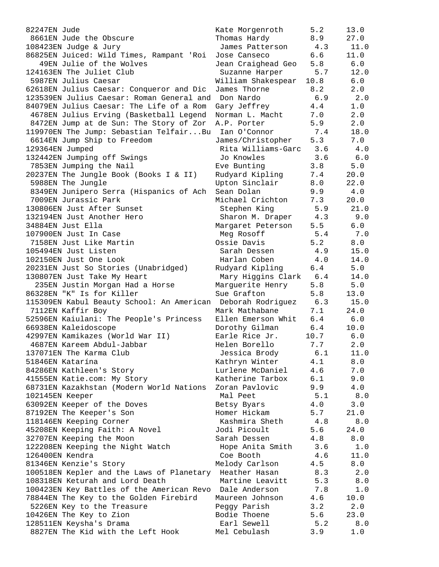| 82247EN Jude                                                | Kate Morgenroth        | 5.2   | 13.0        |
|-------------------------------------------------------------|------------------------|-------|-------------|
| 8661EN Jude the Obscure                                     | Thomas Hardy           | 8.9   | 27.0        |
| 108423EN Judge & Jury                                       | James Patterson        | 4.3   | 11.0        |
| 86825EN Juiced: Wild Times, Rampant 'Roi                    | Jose Canseco           | 6.6   | 11.0        |
| 49EN Julie of the Wolves                                    | Jean Craighead Geo     | 5.8   | 6.0         |
| 124163EN The Juliet Club                                    | Suzanne Harper         | 5.7   | 12.0        |
| 5987EN Julius Caesar                                        | William Shakespear     | 10.8  | 6.0         |
| 62618EN Julius Caesar: Conqueror and Dic                    | James Thorne           | 8.2   | 2.0         |
| 123539EN Julius Caesar: Roman General and Don Nardo         |                        | 6.9   | 2.0         |
| 84079EN Julius Caesar: The Life of a Rom                    | Gary Jeffrey           | 4.4   | 1.0         |
| 4678EN Julius Erving (Basketball Legend                     | Norman L. Macht        | 7.0   | 2.0         |
| 8472EN Jump at de Sun: The Story of Zor                     | A.P. Porter            | 5.9   | 2.0         |
| 119970EN The Jump: Sebastian TelfairBu                      | Ian O'Connor           | 7.4   | 18.0        |
| 6614EN Jump Ship to Freedom                                 | James/Christopher      | 5.3   | 7.0         |
| 129364EN Jumped                                             | Rita Williams-Garc 3.6 |       | 4.0         |
| 132442EN Jumping off Swings                                 | Jo Knowles             | 3.6   | 6.0         |
| 7853EN Jumping the Nail                                     | Eve Bunting            | 3.8   | 5.0         |
| 20237EN The Jungle Book (Books I & II)                      | Rudyard Kipling        | 7.4   | 20.0        |
| 5988EN The Jungle                                           | Upton Sinclair         | 8.0   | 22.0        |
|                                                             |                        |       |             |
| 8349EN Junipero Serra (Hispanics of Ach                     | Sean Dolan             | 9.9   | 4.0         |
| 7009EN Jurassic Park                                        | Michael Crichton       | 7.3   | 20.0        |
| 130806EN Just After Sunset                                  | Stephen King           | 5.9   | 21.0        |
| 132194EN Just Another Hero                                  | Sharon M. Draper       | 4.3   | 9.0         |
| 34884EN Just Ella                                           | Margaret Peterson      | 5.5   | 6.0         |
| 107900EN Just In Case                                       | Meg Rosoff             | 5.4   | 7.0         |
| 7158EN Just Like Martin                                     | Ossie Davis            | 5.2   | 8.0         |
| 105494EN Just Listen                                        | Sarah Dessen           | 4.9   | 15.0        |
| 102150EN Just One Look                                      | Harlan Coben           | 4.0   | 14.0        |
| 20231EN Just So Stories (Unabridged)                        | Rudyard Kipling        | 6.4   | 5.0         |
| 130807EN Just Take My Heart                                 | Mary Higgins Clark     | 6.4   | 14.0        |
| 235EN Justin Morgan Had a Horse                             | Marguerite Henry       | 5.8   | 5.0         |
| 86328EN "K" Is for Killer                                   | Sue Grafton            | 5.8   | 13.0        |
| 115309EN Kabul Beauty School: An American Deborah Rodriguez |                        | 6.3   | 15.0        |
| 7112EN Kaffir Boy                                           | Mark Mathabane         | 7.1   | 24.0        |
| 52596EN Kaiulani: The People's Princess                     | Ellen Emerson Whit     | 6.4   | 6.0         |
| 66938EN Kaleidoscope                                        | Dorothy Gilman         | 6.4   | 10.0        |
| 42997EN Kamikazes (World War II)                            | Earle Rice Jr.         | 10.7  | $6.0$       |
| 4687EN Kareem Abdul-Jabbar                                  | Helen Borello          | 7.7   | 2.0         |
| 137071EN The Karma Club                                     | Jessica Brody          | 6.1   | 11.0        |
| 51846EN Katarína                                            | Kathryn Winter         | 4.1   | 8.0         |
| 84286EN Kathleen's Story                                    | Lurlene McDaniel       | 4.6   | 7.0         |
| 41555EN Katie.com: My Story                                 | Katherine Tarbox       | 6.1   | 9.0         |
| 68731EN Kazakhstan (Modern World Nations                    | Zoran Pavlovic         | 9.9   | 4.0         |
| 102145EN Keeper                                             | Mal Peet               | 5.1   | 8.0         |
| 63092EN Keeper of the Doves                                 | Betsy Byars            | 4.0   | 3.0         |
| 87192EN The Keeper's Son                                    | Homer Hickam           | 5.7   | 21.0        |
| 118146EN Keeping Corner                                     | Kashmira Sheth         | 4.8   | 8.0         |
| 45208EN Keeping Faith: A Novel                              | Jodi Picoult           | 5.6   | 24.0        |
| 32707EN Keeping the Moon                                    | Sarah Dessen           | 4.8   | 8.0         |
| 122208EN Keeping the Night Watch                            | Hope Anita Smith       | 3.6   |             |
| 126400EN Kendra                                             | Coe Booth              |       | 1.0<br>11.0 |
|                                                             |                        | 4.6   |             |
| 81346EN Kenzie's Story                                      | Melody Carlson         | 4.5   | 8.0         |
| 100518EN Kepler and the Laws of Planetary                   | Heather Hasan          | 8.3   | 2.0         |
| 108318EN Keturah and Lord Death                             | Martine Leavitt        | 5.3   | 8.0         |
| 100423EN Key Battles of the American Revo                   | Dale Anderson          | $7.8$ | 1.0         |
| 78844EN The Key to the Golden Firebird                      | Maureen Johnson        | 4.6   | 10.0        |
| 5226EN Key to the Treasure                                  | Peggy Parish           | 3.2   | 2.0         |
| 10426EN The Key to Zion                                     | Bodie Thoene           | 5.6   | 23.0        |
| 128511EN Keysha's Drama                                     | Earl Sewell            | 5.2   | 8.0         |
| 8827EN The Kid with the Left Hook                           | Mel Cebulash           | 3.9   | $1.0$       |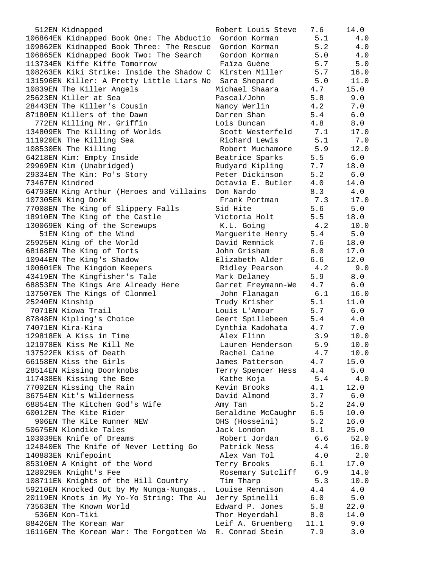| 512EN Kidnapped                                          | Robert Louis Steve | 7.6  | 14.0  |
|----------------------------------------------------------|--------------------|------|-------|
| 106864EN Kidnapped Book One: The Abductio Gordon Korman  |                    | 5.1  | 4.0   |
| 109862EN Kidnapped Book Three: The Rescue                | Gordon Korman      | 5.2  | 4.0   |
| 106865EN Kidnapped Book Two: The Search                  | Gordon Korman      | 5.0  | 4.0   |
| 113734EN Kiffe Kiffe Tomorrow                            | Faiza Guène        | 5.7  | 5.0   |
| 108263EN Kiki Strike: Inside the Shadow C                | Kirsten Miller     | 5.7  | 16.0  |
| 131596EN Killer: A Pretty Little Liars No                | Sara Shepard       | 5.0  | 11.0  |
| 10839EN The Killer Angels                                | Michael Shaara     | 4.7  | 15.0  |
| 25623EN Killer at Sea                                    | Pascal/John        | 5.8  | 9.0   |
| 28443EN The Killer's Cousin                              | Nancy Werlin       | 4.2  | 7.0   |
| 87180EN Killers of the Dawn                              | Darren Shan        | 5.4  | 6.0   |
| 772EN Killing Mr. Griffin                                | Lois Duncan        | 4.8  | 8.0   |
| 134809EN The Killing of Worlds                           | Scott Westerfeld   | 7.1  | 17.0  |
| 111920EN The Killing Sea                                 | Richard Lewis      | 5.1  | 7.0   |
| 108530EN The Killing                                     | Robert Muchamore   | 5.9  | 12.0  |
| 64218EN Kim: Empty Inside                                | Beatrice Sparks    | 5.5  | $6.0$ |
| 29969EN Kim (Unabridged)                                 | Rudyard Kipling    | 7.7  | 18.0  |
| 29334EN The Kin: Po's Story                              | Peter Dickinson    | 5.2  | 6.0   |
| 73467EN Kindred                                          | Octavia E. Butler  | 4.0  | 14.0  |
| 64793EN King Arthur (Heroes and Villains                 | Don Nardo          | 8.3  | 4.0   |
| 107305EN King Dork                                       | Frank Portman      | 7.3  | 17.0  |
| 77008EN The King of Slippery Falls                       | Sid Hite           | 5.6  | $5.0$ |
| 18910EN The King of the Castle                           | Victoria Holt      | 5.5  | 18.0  |
| 130069EN King of the Screwups                            | K.L. Going         | 4.2  | 10.0  |
| 51EN King of the Wind                                    | Marguerite Henry   | 5.4  | 5.0   |
| 25925EN King of the World                                | David Remnick      | 7.6  | 18.0  |
| 68168EN The King of Torts                                | John Grisham       | 6.0  | 17.0  |
| 10944EN The King's Shadow                                | Elizabeth Alder    | 6.6  | 12.0  |
| 100601EN The Kingdom Keepers                             | Ridley Pearson     | 4.2  | 9.0   |
| 43419EN The Kingfisher's Tale                            | Mark Delaney       | 5.9  | 8.0   |
| 68853EN The Kings Are Already Here                       | Garret Freymann-We | 4.7  | 6.0   |
| 137507EN The Kings of Clonmel                            | John Flanagan      | 6.1  | 16.0  |
| 25240EN Kinship                                          | Trudy Krisher      | 5.1  | 11.0  |
| 7071EN Kiowa Trail                                       | Louis L'Amour      | 5.7  | 6.0   |
| 87848EN Kipling's Choice                                 | Geert Spillebeen   | 5.4  | 4.0   |
| 74071EN Kira-Kira                                        | Cynthia Kadohata   | 4.7  | 7.0   |
| 129818EN A Kiss in Time                                  | Alex Flinn         | 3.9  | 10.0  |
| 121978EN Kiss Me Kill Me                                 | Lauren Henderson   | 5.9  | 10.0  |
| 137522EN Kiss of Death                                   | Rachel Caine       | 4.7  | 10.0  |
| 66158EN Kiss the Girls                                   | James Patterson    | 4.7  | 15.0  |
| 28514EN Kissing Doorknobs                                | Terry Spencer Hess | 4.4  | 5.0   |
| 117438EN Kissing the Bee                                 | Kathe Koja         | 5.4  | 4.0   |
| 77002EN Kissing the Rain                                 | Kevin Brooks       | 4.1  | 12.0  |
| 36754EN Kit's Wilderness                                 | David Almond       | 3.7  | 6.0   |
| 68854EN The Kitchen God's Wife                           | Amy Tan            | 5.2  | 24.0  |
| 60012EN The Kite Rider                                   | Geraldine McCaughr | 6.5  | 10.0  |
| 906EN The Kite Runner NEW                                | OHS (Hosseini)     | 5.2  | 16.0  |
| 50675EN Klondike Tales                                   | Jack London        | 8.1  | 25.0  |
| 103039EN Knife of Dreams                                 | Robert Jordan      | 6.6  | 52.0  |
| 124840EN The Knife of Never Letting Go                   | Patrick Ness       | 4.4  | 16.0  |
| 140883EN Knifepoint                                      | Alex Van Tol       | 4.0  | 2.0   |
| 85310EN A Knight of the Word                             | Terry Brooks       | 6.1  | 17.0  |
| 128029EN Knight's Fee                                    | Rosemary Sutcliff  | 6.9  | 14.0  |
| 108711EN Knights of the Hill Country                     | Tim Tharp          | 5.3  | 10.0  |
| 59210EN Knocked Out by My Nunga-Nungas                   | Louise Rennison    | 4.4  | 4.0   |
| 20119EN Knots in My Yo-Yo String: The Au                 | Jerry Spinelli     | 6.0  | 5.0   |
| 73563EN The Known World                                  | Edward P. Jones    | 5.8  | 22.0  |
| 536EN Kon-Tiki                                           | Thor Heyerdahl     | 8.0  | 14.0  |
| 88426EN The Korean War                                   | Leif A. Gruenberg  | 11.1 | 9.0   |
| 16116EN The Korean War: The Forgotten Wa R. Conrad Stein |                    | 7.9  | 3.0   |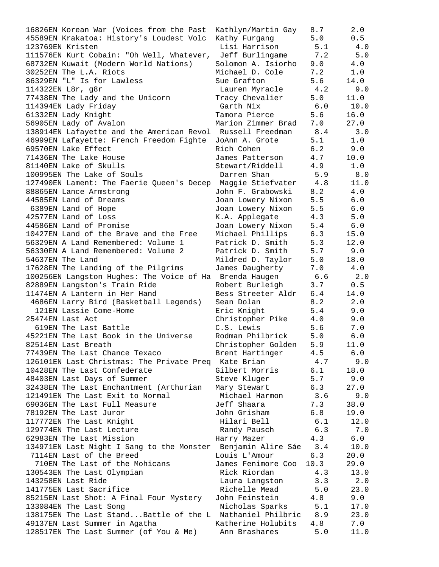| 16826EN Korean War (Voices from the Past                     | Kathlyn/Martin Gay | 8.7   | 2.0   |
|--------------------------------------------------------------|--------------------|-------|-------|
| 45589EN Krakatoa: History's Loudest Volc                     | Kathy Furgang      | 5.0   | 0.5   |
| 123769EN Kristen                                             | Lisi Harrison      | 5.1   | 4.0   |
| 111576EN Kurt Cobain: "Oh Well, Whatever,                    | Jeff Burlingame    | 7.2   | 5.0   |
| 68732EN Kuwait (Modern World Nations)                        | Solomon A. Isiorho | 9.0   | 4.0   |
| 30252EN The L.A. Riots                                       | Michael D. Cole    | 7.2   | 1.0   |
| 86329EN "L" Is for Lawless                                   | Sue Grafton        | 5.6   | 14.0  |
| 114322EN L8r, g8r                                            | Lauren Myracle     | 4.2   | 9.0   |
| 77438EN The Lady and the Unicorn                             | Tracy Chevalier    | 5.0   | 11.0  |
| 114394EN Lady Friday                                         | Garth Nix          | 6.0   | 10.0  |
| 61332EN Lady Knight                                          | Tamora Pierce      | 5.6   | 16.0  |
| 56905EN Lady of Avalon                                       | Marion Zimmer Brad | 7.0   | 27.0  |
|                                                              |                    |       |       |
| 138914EN Lafayette and the American Revol Russell Freedman   |                    | 8.4   | 3.0   |
| 46999EN Lafayette: French Freedom Fighte                     | JoAnn A. Grote     | 5.1   | 1.0   |
| 69570EN Lake Effect                                          | Rich Cohen         | 6.2   | 9.0   |
| 71436EN The Lake House                                       | James Patterson    | 4.7   | 10.0  |
| 81140EN Lake of Skulls                                       | Stewart/Riddell    | 4.9   | 1.0   |
| 100995EN The Lake of Souls                                   | Darren Shan        | 5.9   | 8.0   |
| 127490EN Lament: The Faerie Queen's Decep Maggie Stiefvater  |                    | 4.8   | 11.0  |
| 88865EN Lance Armstrong                                      | John F. Grabowski  | 8.2   | 4.0   |
| 44585EN Land of Dreams                                       | Joan Lowery Nixon  | 5.5   | 6.0   |
| 6389EN Land of Hope                                          | Joan Lowery Nixon  | 5.5   | $6.0$ |
| 42577EN Land of Loss                                         | K.A. Applegate     | 4.3   | 5.0   |
| 44586EN Land of Promise                                      | Joan Lowery Nixon  | 5.4   | 6.0   |
| 10427EN Land of the Brave and the Free                       | Michael Phillips   | 6.3   | 15.0  |
| 56329EN A Land Remembered: Volume 1                          | Patrick D. Smith   | 5.3   | 12.0  |
| 56330EN A Land Remembered: Volume 2                          | Patrick D. Smith   | 5.7   | 9.0   |
| 54637EN The Land                                             | Mildred D. Taylor  | 5.0   | 18.0  |
| 17628EN The Landing of the Pilgrims                          | James Daugherty    | 7.0   | 4.0   |
| 100256EN Langston Hughes: The Voice of Ha Brenda Haugen      |                    | 6.6   | 2.0   |
| 82889EN Langston's Train Ride                                | Robert Burleigh    | 3.7   | 0.5   |
| 11474EN A Lantern in Her Hand                                | Bess Streeter Aldr | 6.4   | 14.0  |
| 4686EN Larry Bird (Basketball Legends)                       | Sean Dolan         | 8.2   | 2.0   |
| 121EN Lassie Come-Home                                       | Eric Knight        | 5.4   | 9.0   |
| 25474EN Last Act                                             | Christopher Pike   | 4.0   | 9.0   |
| 619EN The Last Battle                                        | C.S. Lewis         | 5.6   | 7.0   |
|                                                              | Rodman Philbrick   | 5.0   | $6.0$ |
| 45221EN The Last Book in the Universe                        |                    | 5.9   |       |
| 82514EN Last Breath                                          | Christopher Golden |       | 11.0  |
| 77439EN The Last Chance Texaco                               | Brent Hartinger    | 4.5   | 6.0   |
| 126101EN Last Christmas: The Private Preq Kate Brian         |                    | 4.7   | 9.0   |
| 10428EN The Last Confederate                                 | Gilbert Morris     | 6.1   | 18.0  |
| 48403EN Last Days of Summer                                  | Steve Kluger       | 5.7   | 9.0   |
| 32438EN The Last Enchantment (Arthurian                      | Mary Stewart       | 6.3   | 27.0  |
| 121491EN The Last Exit to Normal                             | Michael Harmon     | 3.6   | 9.0   |
| 69036EN The Last Full Measure                                | Jeff Shaara        | 7.3   | 38.0  |
| 78192EN The Last Juror                                       | John Grisham       | 6.8   | 19.0  |
| 117772EN The Last Knight                                     | Hilari Bell        | 6.1   | 12.0  |
| 129774EN The Last Lecture                                    | Randy Pausch       | 6.3   | 7.0   |
| 62983EN The Last Mission                                     | Harry Mazer        | 4.3   | $6.0$ |
| 134971EN Last Night I Sang to the Monster Benjamin Alire Sáe |                    | 3.4   | 10.0  |
| 7114EN Last of the Breed                                     | Louis L'Amour      | 6.3   | 20.0  |
| 710EN The Last of the Mohicans                               | James Fenimore Coo | 10.3  | 29.0  |
| 130543EN The Last Olympian                                   | Rick Riordan       | 4.3   | 13.0  |
| 143258EN Last Ride                                           | Laura Langston     | 3.3   | 2.0   |
| 141775EN Last Sacrifice                                      | Richelle Mead      | 5.0   | 23.0  |
| 85215EN Last Shot: A Final Four Mystery                      | John Feinstein     | 4.8   | 9.0   |
| 133084EN The Last Song                                       | Nicholas Sparks    | 5.1   | 17.0  |
| 138175EN The Last Stand Battle of the L Nathaniel Philbric   |                    | 8.9   | 23.0  |
| 49137EN Last Summer in Agatha                                | Katherine Holubits | 4.8   | 7.0   |
| 128517EN The Last Summer (of You & Me)                       | Ann Brashares      | $5.0$ | 11.0  |
|                                                              |                    |       |       |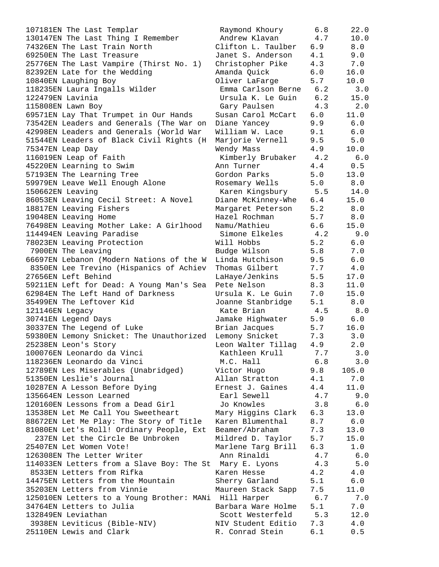107181EN The Last Templar 130147EN The Last Thing I Remember 74326EN The Last Train North 69250EN The Last Treasure  $25776EN$  The Last Vampire (Thirst No. 1) 82392EN Late for the Wedding 10840EN Laughing Boy 118235EN Laura Ingalls Wilder 122479EN Lavinia 115808EN Lawn Boy 69571EN Lay That Trumpet in Our Hands 73542EN Leaders and Generals (The War on 42998EN Leaders and Generals (World War 51544EN Leaders of Black Civil Rights (H 75347EN Leap Day 116019EN Leap of Faith 45220EN Learning to Swim 57193EN The Learning Tree 59979EN Leave Well Enough Alone  $150662EN$  Leaving 86053EN Leaving Cecil Street: A Novel 18817EN Leaving Fishers 19048EN Leaving Home 76498EN Leaving Mother Lake: A Girlhood 114494EN Leaving Paradise 78023EN Leaving Protection 7900EN The Leaving 66697EN Lebanon (Modern Nations of the W 8350EN Lee Trevino (Hispanics of Achiev 27656EN Left Behind 59211EN Left for Dead: A Young Man's Sea 62984EN The Left Hand of Darkness 35499EN The Leftover Kid 121146EN Legacy 30741EN Legend Days 30337EN The Legend of Luke 59380EN Lemony Snicket: The Unauthorized 25238EN Leon's Story 100076EN Leonardo da Vinci 118236EN Leonardo da Vinci 12789EN Les Miserables (Unabridged) 51350EN Leslie's Journal 10287EN A Lesson Before Dying 135664EN Lesson Learned 120160EN Lessons from a Dead Girl 13538EN Let Me Call You Sweetheart 88672EN Let Me Play: The Story of Title 81080EN Let's Roll! Ordinary People, Ext 237EN Let the Circle Be Unbroken 25407EN Let Women Vote! 126308EN The Letter Writer 114033EN Letters from a Slave Boy: The St 8533EN Letters from Rifka 14475EN Letters from the Mountain 35203EN Letters from Vinnie 125010EN Letters to a Young Brother: MANi 34764EN Letters to Julia 132849EN Leviathan 3938EN Leviticus (Bible-NIV) 25110EN Lewis and Clark The R. Conrad Stein 6.1 0.5

| Raymond Khoury     | 6.8        | 22.0  |
|--------------------|------------|-------|
| Andrew Klavan      | 4.7        | 10.0  |
| Clifton L. Taulber | 6.9        | $8.0$ |
|                    |            |       |
| Janet S. Anderson  | 4.1        | 9.0   |
| Christopher Pike   | 4.3        | 7.0   |
| Amanda Quick       | 6.0        | 16.0  |
| Oliver LaFarge     | 5.7        | 10.0  |
|                    |            |       |
| Emma Carlson Berne | 6.2        | 3.0   |
| Ursula K. Le Guin  | $6.2$      | 15.0  |
| Gary Paulsen       | 4.3        | 2.0   |
| Susan Carol McCart | 6.0        | 11.0  |
|                    |            |       |
| Diane Yancey       | 9.9        | $6.0$ |
| William W. Lace    | 9.1        | $6.0$ |
| Marjorie Vernell   | 9.5        | $5.0$ |
| Wendy Mass         | 4.9        | 10.0  |
| Kimberly Brubaker  | 4.2        | 6.0   |
|                    |            |       |
| Ann Turner         | 4.4        | $0.5$ |
| Gordon Parks       | 5.0        | 13.0  |
| Rosemary Wells     | 5.0        | $8.0$ |
| Karen Kingsbury    | 5.5        | 14.0  |
|                    |            |       |
| Diane McKinney-Whe | 6.4        | 15.0  |
| Margaret Peterson  | 5.2        | $8.0$ |
| Hazel Rochman      | 5.7        | 8.0   |
| Namu/Mathieu       | 6.6        | 15.0  |
| Simone Elkeles     | 4.2        | 9.0   |
|                    |            |       |
| Will Hobbs         | 5.2        | $6.0$ |
| Budge Wilson       | 5.8        | 7.0   |
| Linda Hutchison    | 9.5        | $6.0$ |
| Thomas Gilbert     | 7.7        | $4.0$ |
| LaHaye/Jenkins     | 5.5        | 17.0  |
|                    |            |       |
| Pete Nelson        | 8.3        | 11.0  |
| Ursula K. Le Guin  | 7.0        | 15.0  |
| Joanne Stanbridge  | 5.1        | 8.0   |
| Kate Brian         | 4.5        | 8.0   |
| Jamake Highwater   | 5.9        | 6.0   |
|                    |            |       |
| Brian Jacques      | 5.7        | 16.0  |
| Lemony Snicket     | 7.3        | 3.0   |
| Leon Walter Tillag | 4.9        | 2.0   |
| Kathleen Krull     | 7.7        | 3.0   |
| M.C. Hall          | 6.8        | 3.0   |
|                    |            |       |
| Victor Hugo        | 9.8        | 105.0 |
| Allan Stratton     | 4.1        | 7.0   |
| Ernest J. Gaines   | 4.4        | 11.0  |
| Earl Sewell        | 4.7        | 9.0   |
| Jo Knowles         | 3.8        | 6.0   |
|                    |            |       |
| Mary Higgins Clark | 6.3        | 13.0  |
| Karen Blumenthal   | 8.7        | 6.0   |
| Beamer/Abraham     | 7.3        | 13.0  |
| Mildred D. Taylor  | 5.7        | 15.0  |
|                    | 6.3        | 1.0   |
| Marlene Targ Brill |            |       |
| Ann Rinaldi        | 4.7        | 6.0   |
| Mary E. Lyons      | 4.3        | 5.0   |
| Karen Hesse        | 4.2        | 4.0   |
| Sherry Garland     | 5.1        | 6.0   |
|                    | 7.5        | 11.0  |
| Maureen Stack Sapp |            |       |
| Hill Harper        | 6.7        | 7.0   |
| Barbara Ware Holme | 5.1        | 7.0   |
| Scott Westerfeld   | 5.3        | 12.0  |
| NIV Student Editio | 7.3        | 4.0   |
| P Conrad Stain     | <b>6</b> 1 | Λ 5   |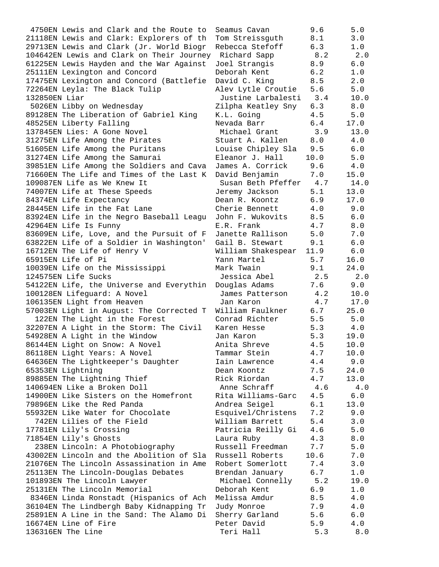4750EN Lewis and Clark and the Route to 21118EN Lewis and Clark: Explorers of th 29713EN Lewis and Clark (Jr. World Biogr 104642EN Lewis and Clark on Their Journey 61225EN Lewis Hayden and the War Against 25111EN Lexington and Concord 17475EN Lexington and Concord (Battlefie 72264EN Leyla: The Black Tulip 132850EN Liar 5026EN Libby on Wednesday 89128EN The Liberation of Gabriel King 48525EN Liberty Falling 137845EN Lies: A Gone Novel 31275EN Life Among the Pirates 51605EN Life Among the Puritans 31274EN Life Among the Samurai 39851EN Life Among the Soldiers and Cava 71660EN The Life and Times of the Last K 109087EN Life as We Knew It 74007EN Life at These Speeds 84374EN Life Expectancy 28445EN Life in the Fat Lane 83924EN Life in the Negro Baseball Leagu 42964EN Life Is Funny 83609EN Life, Love, and the Pursuit of F 63822EN Life of a Soldier in Washington' 16712EN The Life of Henry V 65915EN Life of Pi 10039EN Life on the Mississippi 124575EN Life Sucks 54122EN Life, the Universe and Everythin 100128EN Lifeguard: A Novel 106135EN Light from Heaven 57003EN Light in August: The Corrected T 122EN The Light in the Forest 32207EN A Light in the Storm: The Civil 54928EN A Light in the Window 86144EN Light on Snow: A Novel 86118EN Light Years: A Novel 64636EN The Lightkeeper's Daughter 65353EN Lightning 89885EN The Lightning Thief 140694EN Like a Broken Doll 14900EN Like Sisters on the Homefront 79896EN Like the Red Panda 55932EN Like Water for Chocolate 742EN Lilies of the Field 17781EN Lily's Crossing 71854EN Lily's Ghosts 238EN Lincoln: A Photobiography 43002EN Lincoln and the Abolition of Sla 21076EN The Lincoln Assassination in Ame 25113EN The Lincoln-Douglas Debates 101893EN The Lincoln Lawyer 25131EN The Lincoln Memorial 8346EN Linda Ronstadt (Hispanics of Ach 36104EN The Lindbergh Baby Kidnapping Tr 25891EN A Line in the Sand: The Alamo Di 16674EN Line of Fire 136316EN The Line Teri Hall 5.3 8.0

| Seamus Cavan                      | 9.6                 | 5.0         |
|-----------------------------------|---------------------|-------------|
| Tom Streissguth                   | 8.1                 | 3.0         |
| Rebecca Stefoff                   | 6.3                 | 1.0         |
| Richard Sapp                      | 8.2                 | 2.0         |
| Joel Strangis                     | 8.9                 | 6.0         |
| Deborah Kent                      | 6.2                 | 1.0         |
| David C. King                     | 8.5                 | 2.0         |
| Alev Lytle Croutie                | 5.6                 | 5.0         |
| Justine Larbalesti                | 3.4                 | 10.0        |
| Zilpha Keatley Sny                | 6.3                 | 8.0         |
| K.L. Going                        | 4.5                 | 5.0         |
| Nevada Barr                       | 6.4                 | 17.0        |
| Michael Grant                     | 3.9                 | 13.0        |
| Stuart A. Kallen                  | 8.0                 | $4.0$       |
| Louise Chipley Sla                | 9.5                 | $6.0$       |
| Eleanor J. Hall                   | 10.0                | 5.0         |
| James A. Corrick                  | 9.6                 | $4.0\,$     |
| David Benjamin                    | 7.0                 | 15.0        |
| Susan Beth Pfeffer                | 4.7                 | 14.0        |
| Jeremy Jackson                    | 5.1                 | 13.0        |
| Dean R. Koontz                    | 6.9                 | 17.0        |
| Cherie Bennett                    | 4.0                 | 9.0         |
| John F. Wukovits                  | 8.5                 | 6.0         |
| E.R. Frank                        | 4.7                 | $8.0$       |
| Janette Rallison                  | 5.0                 | 7.0         |
| Gail B. Stewart                   | 9.1                 | $6.0$       |
| William Shakespear                | 11.9                | 6.0         |
| Yann Martel                       | 5.7                 | 16.0        |
| Mark Twain                        | 9.1                 | 24.0        |
| Jessica Abel                      | 2.5                 | 2.0         |
| Douglas Adams                     | 7.6                 | 9.0         |
| James Patterson                   | 4.2                 | 10.0        |
| Jan Karon                         | 4.7                 | 17.0        |
| William Faulkner                  | 6.7                 | 25.0        |
| Conrad Richter                    | 5.5                 | 5.0         |
| Karen Hesse                       | 5.3                 | 4.0         |
| Jan Karon                         | 5.3<br>4.5          | 19.0        |
| Anita Shreve                      |                     | 10.0        |
| Tammar Stein                      | 4.7<br>$4\,\ldotp4$ | 10.0        |
| Iain Lawrence<br>Dean Koontz      | 7.5                 | 9.0<br>24.0 |
| Rick Riordan                      | 4.7                 | 13.0        |
| Anne Schraff                      | 4.6                 | 4.0         |
| Rita Williams-Garc                | 4.5                 | 6.0         |
| Andrea Seigel                     | 6.1                 | 13.0        |
| Esquivel/Christens                | 7.2                 | 9.0         |
| William Barrett                   | 5.4                 | 3.0         |
| Patricia Reilly Gi                | $4\,.6$             | 5.0         |
| Laura Ruby                        | 4.3                 | 8.0         |
| Russell Freedman                  | 7.7                 | 5.0         |
| Russell Roberts                   | 10.6                | 7.0         |
| Robert Somerlott                  | 7.4                 | 3.0         |
| Brendan January                   | 6.7                 | 1.0         |
| Michael Connelly                  | 5.2                 | 19.0        |
| Deborah Kent                      | 6.9                 | 1.0         |
| Melissa Amdur                     | 8.5                 | 4.0         |
| Judy Monroe                       | 7.9                 | 4.0         |
| Sherry Garland                    | 5.6                 | 6.0         |
| Peter David                       | 5.9                 | 4.0         |
| $T_{\text{ext}}$ $T_{\text{ext}}$ |                     | $\circ$     |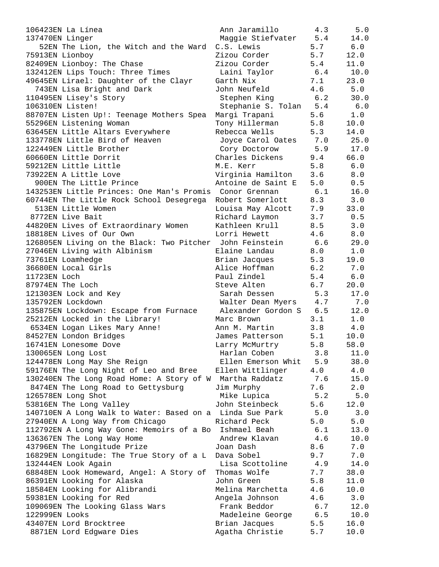| 106423EN La Línea                                        | Ann Jaramillo                    | 4.3        | 5.0        |
|----------------------------------------------------------|----------------------------------|------------|------------|
| 137470EN Linger                                          | Maggie Stiefvater 5.4            |            | 14.0       |
| 52EN The Lion, the Witch and the Ward                    | C.S. Lewis                       | 5.7        | 6.0        |
| 75913EN Lionboy                                          | Zizou Corder                     | 5.7        | 12.0       |
| 82409EN Lionboy: The Chase                               | Zizou Corder                     | 5.4        | 11.0       |
| 132412EN Lips Touch: Three Times                         | Laini Taylor                     | 6.4        | 10.0       |
| 49645EN Lirael: Daughter of the Clayr                    | Garth Nix                        | 7.1        | 23.0       |
| 743EN Lisa Bright and Dark                               | John Neufeld                     | 4.6        | 5.0        |
| 110495EN Lisey's Story                                   | Stephen King                     | 6.2        | 30.0       |
| 106310EN Listen!                                         | Stephanie S. Tolan 5.4           |            | 6.0        |
| 88707EN Listen Up!: Teenage Mothers Spea                 | Margi Trapani                    | 5.6        | 1.0        |
| 55296EN Listening Woman                                  | Tony Hillerman                   | 5.8        | 10.0       |
| 63645EN Little Altars Everywhere                         | Rebecca Wells                    | 5.3        | 14.0       |
| 133778EN Little Bird of Heaven                           | Joyce Carol Oates 7.0            |            | 25.0       |
| 122449EN Little Brother                                  | Cory Doctorow                    | 5.9        | 17.0       |
| 60660EN Little Dorrit                                    | Charles Dickens                  | 9.4        | 66.0       |
| 59212EN Little Little                                    | M.E. Kerr                        | 5.8        | 6.0        |
| 73922EN A Little Love                                    | Virginia Hamilton                | 3.6        | 8.0        |
| 900EN The Little Prince                                  | Antoine de Saint E               | 5.0        | 0.5        |
| 143253EN Little Princes: One Man's Promis Conor Grennan  |                                  | 6.1        | 16.0       |
| 60744EN The Little Rock School Desegrega                 | Robert Somerlott                 | 8.3        | 3.0        |
| 513EN Little Women                                       | Louisa May Alcott 7.9            |            | 33.0       |
| 8772EN Live Bait                                         |                                  |            |            |
|                                                          | Richard Laymon<br>Kathleen Krull | 3.7<br>8.5 | 0.5<br>3.0 |
| 44820EN Lives of Extraordinary Women                     |                                  |            |            |
| 18818EN Lives of Our Own                                 | Lorri Hewett                     | 4.6        | 8.0        |
| 126805EN Living on the Black: Two Pitcher John Feinstein |                                  | 6.6        | 29.0       |
| 27046EN Living with Albinism                             | Elaine Landau                    | 8.0        | 1.0        |
| 73761EN Loamhedge                                        | Brian Jacques                    | 5.3        | 19.0       |
| 36680EN Local Girls                                      | Alice Hoffman                    | 6.2        | 7.0        |
| 11723EN Loch                                             | Paul Zindel                      | 5.4        | $6.0$      |
| 87974EN The Loch                                         | Steve Alten                      | 6.7        | 20.0       |
| 121303EN Lock and Key                                    | Sarah Dessen                     | 5.3        | 17.0       |
| 135792EN Lockdown                                        | Walter Dean Myers 4.7            |            | 7.0        |
| 135875EN Lockdown: Escape from Furnace                   | Alexander Gordon S 6.5           |            | 12.0       |
| 25212EN Locked in the Library!                           | Marc Brown                       | 3.1        | 1.0        |
| 6534EN Logan Likes Mary Anne!                            | Ann M. Martin                    | 3.8        | 4.0        |
| 84527EN London Bridges                                   | James Patterson                  | 5.1        | 10.0       |
| 16741EN Lonesome Dove                                    | Larry McMurtry                   | 5.8        | 58.0       |
| 130065EN Long Lost                                       | Harlan Coben                     | 3.8        | 11.0       |
| 124478EN Long May She Reign                              | Ellen Emerson Whit               | 5.9        | 38.0       |
| 59176EN The Long Night of Leo and Bree                   | Ellen Wittlinger                 | 4.0        | 4.0        |
| 130240EN The Long Road Home: A Story of W Martha Raddatz |                                  | 7.6        | 15.0       |
| 8474EN The Long Road to Gettysburg                       | Jim Murphy                       | 7.6        | 2.0        |
| 126578EN Long Shot                                       | Mike Lupica                      | 5.2        | 5.0        |
| 53816EN The Long Valley                                  | John Steinbeck                   | 5.6        | 12.0       |
| 140710EN A Long Walk to Water: Based on a Linda Sue Park |                                  | 5.0        | 3.0        |
| 27940EN A Long Way from Chicago                          | Richard Peck                     | 5.0        | 5.0        |
| 112792EN A Long Way Gone: Memoirs of a Bo                | Ishmael Beah                     | 6.1        | 13.0       |
| 136367EN The Long Way Home                               | Andrew Klavan                    | 4.6        | 10.0       |
| 43796EN The Longitude Prize                              | Joan Dash                        | 8.6        | 7.0        |
| 16829EN Longitude: The True Story of a L                 | Dava Sobel                       | 9.7        | 7.0        |
| 132444EN Look Again                                      | Lisa Scottoline                  | 4.9        | 14.0       |
| 68848EN Look Homeward, Angel: A Story of                 | Thomas Wolfe                     | 7.7        | 38.0       |
| 86391EN Looking for Alaska                               | John Green                       | 5.8        | 11.0       |
| 18584EN Looking for Alibrandi                            | Melina Marchetta                 | 4.6        | 10.0       |
| 59381EN Looking for Red                                  | Angela Johnson                   | 4.6        | 3.0        |
| 109069EN The Looking Glass Wars                          | Frank Beddor                     | 6.7        | 12.0       |
| 122999EN Looks                                           | Madeleine George                 | 6.5        | 10.0       |
| 43407EN Lord Brocktree                                   | Brian Jacques                    | 5.5        | 16.0       |
| 8871EN Lord Edgware Dies                                 | Agatha Christie                  | 5.7        | 10.0       |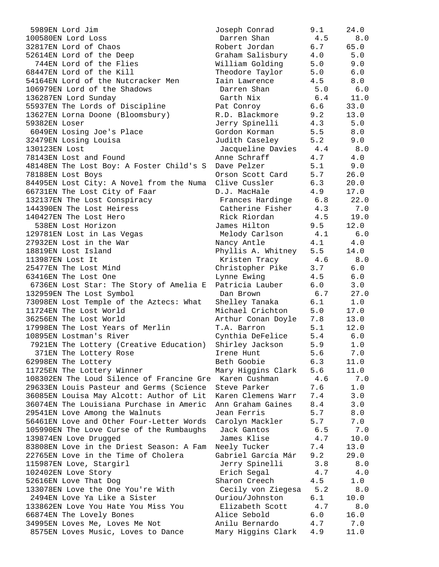| 5989EN Lord Jim                                         | Joseph Conrad          | 9.1 | 24.0  |
|---------------------------------------------------------|------------------------|-----|-------|
| 100580EN Lord Loss                                      | Darren Shan            | 4.5 | 8.0   |
| 32817EN Lord of Chaos                                   | Robert Jordan          | 6.7 | 65.0  |
| 52614EN Lord of the Deep                                | Graham Salisbury       | 4.0 | 5.0   |
| 744EN Lord of the Flies                                 | William Golding        | 5.0 | 9.0   |
| 68447EN Lord of the Kill                                | Theodore Taylor        | 5.0 | 6.0   |
| 54164EN Lord of the Nutcracker Men                      | Iain Lawrence          | 4.5 | 8.0   |
| 106979EN Lord of the Shadows                            | Darren Shan            | 5.0 | 6.0   |
| 136287EN Lord Sunday                                    | Garth Nix              | 6.4 | 11.0  |
| 55937EN The Lords of Discipline                         | Pat Conroy             | 6.6 | 33.0  |
| 13627EN Lorna Doone (Bloomsbury)                        | R.D. Blackmore         | 9.2 | 13.0  |
| 59382EN Loser                                           | Jerry Spinelli         | 4.3 | 5.0   |
| 6049EN Losing Joe's Place                               | Gordon Korman          | 5.5 | 8.0   |
| 32479EN Losing Louisa                                   | Judith Caseley         | 5.2 | 9.0   |
| 130123EN Lost                                           | Jacqueline Davies 4.4  |     | 8.0   |
| 78143EN Lost and Found                                  | Anne Schraff           | 4.7 | 4.0   |
| 48148EN The Lost Boy: A Foster Child's S                | Dave Pelzer            | 5.1 | 9.0   |
| 78188EN Lost Boys                                       | Orson Scott Card       | 5.7 | 26.0  |
| 84495EN Lost City: A Novel from the Numa                | Clive Cussler          | 6.3 | 20.0  |
| 66731EN The Lost City of Faar                           | D.J. MacHale           | 4.9 | 17.0  |
| 132137EN The Lost Conspiracy                            | Frances Hardinge 6.8   |     | 22.0  |
| 144390EN The Lost Heiress                               | Catherine Fisher 4.3   |     | 7.0   |
| 140427EN The Lost Hero                                  | Rick Riordan           | 4.5 | 19.0  |
| 538EN Lost Horizon                                      | James Hilton           | 9.5 | 12.0  |
| 129781EN Lost in Las Vegas                              | Melody Carlson         | 4.1 | 6.0   |
| 27932EN Lost in the War                                 | Nancy Antle            | 4.1 | 4.0   |
| 18819EN Lost Island                                     | Phyllis A. Whitney     | 5.5 | 14.0  |
| 113987EN Lost It                                        | Kristen Tracy          | 4.6 | 8.0   |
| 25477EN The Lost Mind                                   | Christopher Pike       | 3.7 | $6.0$ |
| 63416EN The Lost One                                    | Lynne Ewing            | 4.5 | $6.0$ |
| 6736EN Lost Star: The Story of Amelia E                 | Patricia Lauber        | 6.0 | 3.0   |
| 132959EN The Lost Symbol                                | Dan Brown              | 6.7 | 27.0  |
| 73098EN Lost Temple of the Aztecs: What                 | Shelley Tanaka         | 6.1 | 1.0   |
| 11724EN The Lost World                                  | Michael Crichton       | 5.0 | 17.0  |
| 36256EN The Lost World                                  | Arthur Conan Doyle 7.8 |     | 13.0  |
| 17998EN The Lost Years of Merlin                        | T.A. Barron            | 5.1 | 12.0  |
| 10895EN Lostman's River                                 | Cynthia DeFelice       | 5.4 | $6.0$ |
| 7921EN The Lottery (Creative Education)                 | Shirley Jackson        | 5.9 | 1.0   |
| 371EN The Lottery Rose                                  | Irene Hunt             | 5.6 | 7.0   |
| 62998EN The Lottery                                     | Beth Goobie            | 6.3 | 11.0  |
| 11725EN The Lottery Winner                              | Mary Higgins Clark     | 5.6 | 11.0  |
| 108302EN The Loud Silence of Francine Gre Karen Cushman |                        | 4.6 | 7.0   |
| 29633EN Louis Pasteur and Germs (Science                | Steve Parker           | 7.6 | 1.0   |
| 36085EN Louisa May Alcott: Author of Lit                | Karen Clemens Warr     | 7.4 | 3.0   |
| 36074EN The Louisiana Purchase in Americ                | Ann Graham Gaines      | 8.4 | 3.0   |
| 29541EN Love Among the Walnuts                          | Jean Ferris            | 5.7 | $8.0$ |
| 56461EN Love and Other Four-Letter Words                | Carolyn Mackler        | 5.7 | 7.0   |
| 105990EN The Love Curse of the Rumbaughs                | Jack Gantos            | 6.5 | 7.0   |
| 139874EN Love Drugged                                   | James Klise            | 4.7 | 10.0  |
| 83808EN Love in the Driest Season: A Fam                | Neely Tucker           | 7.4 | 13.0  |
| 22765EN Love in the Time of Cholera                     | Gabriel García Már     | 9.2 | 29.0  |
| 115987EN Love, Stargirl                                 | Jerry Spinelli         | 3.8 | $8.0$ |
| 102402EN Love Story                                     | Erich Segal            | 4.7 | 4.0   |
| 52616EN Love That Dog                                   | Sharon Creech          | 4.5 | 1.0   |
| 133078EN Love the One You're With                       | Cecily von Ziegesa     | 5.2 | 8.0   |
| 2494EN Love Ya Like a Sister                            | Ouriou/Johnston        | 6.1 | 10.0  |
| 133862EN Love You Hate You Miss You                     | Elizabeth Scott        | 4.7 | 8.0   |
| 66874EN The Lovely Bones                                | Alice Sebold           | 6.0 | 16.0  |
| 34995EN Loves Me, Loves Me Not                          | Anilu Bernardo         | 4.7 | 7.0   |
| 8575EN Loves Music, Loves to Dance                      | Mary Higgins Clark     | 4.9 | 11.0  |
|                                                         |                        |     |       |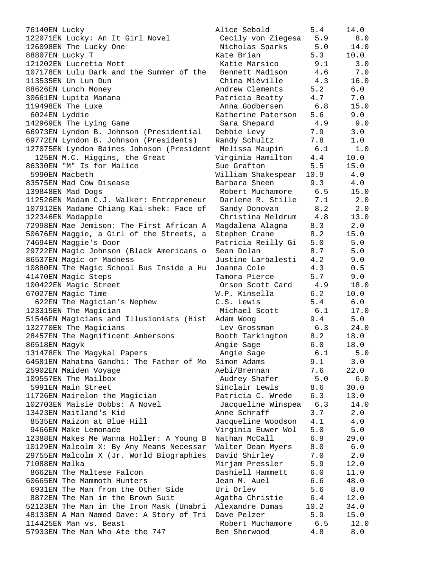| 76140EN Lucky                                                                | Alice Sebold                        | 5.4         | 14.0         |
|------------------------------------------------------------------------------|-------------------------------------|-------------|--------------|
| 122071EN Lucky: An It Girl Novel                                             | Cecily von Ziegesa                  | 5.9         | 8.0          |
| 126098EN The Lucky One                                                       | Nicholas Sparks                     | 5.0         | 14.0         |
| 88807EN Lucky T                                                              | Kate Brian                          | 5.3         | 10.0         |
| 121202EN Lucretia Mott                                                       | Katie Marsico                       | 9.1         | 3.0          |
| 107178EN Lulu Dark and the Summer of the                                     | Bennett Madison                     | 4.6         | 7.0          |
| 113535EN Un Lun Dun                                                          | China Miéville                      | 4.3         | 16.0         |
| 88626EN Lunch Money                                                          | Andrew Clements                     | 5.2         | 6.0          |
| 30661EN Lupita Manana                                                        | Patricia Beatty                     | 4.7         | 7.0          |
| 119498EN The Luxe                                                            | Anna Godbersen                      | 6.8         | 15.0         |
| 6024EN Lyddie                                                                | Katherine Paterson                  | 5.6         | 9.0          |
| 142969EN The Lying Game                                                      | Sara Shepard                        | 4.9         | 9.0          |
| 66973EN Lyndon B. Johnson (Presidential                                      | Debbie Levy                         | 7.9         | 3.0          |
| 69772EN Lyndon B. Johnson (Presidents)                                       | Randy Schultz                       | 7.8         | 1.0          |
| 127075EN Lyndon Baines Johnson (President                                    | Melissa Maupin                      | 6.1         | 1.0          |
| 125EN M.C. Higgins, the Great                                                | Virginia Hamilton                   | 4.4         | 10.0         |
| 86330EN "M" Is for Malice<br>5990EN Macbeth                                  | Sue Grafton                         | 5.5         | 15.0<br>4.0  |
| 83575EN Mad Cow Disease                                                      | William Shakespear<br>Barbara Sheen | 10.9<br>9.3 | 4.0          |
| 139848EN Mad Dogs                                                            | Robert Muchamore                    | 6.5         | 15.0         |
| 112526EN Madam C.J. Walker: Entrepreneur                                     | Darlene R. Stille                   | 7.1         | 2.0          |
| 107912EN Madame Chiang Kai-shek: Face of                                     | Sandy Donovan                       | 8.2         | 2.0          |
| 122346EN Madapple                                                            | Christina Meldrum                   | 4.8         | 13.0         |
| 72998EN Mae Jemison: The First African A                                     | Magdalena Alagna                    | 8.3         | 2.0          |
| 50676EN Maggie, a Girl of the Streets, a                                     | Stephen Crane                       | 8.2         | 15.0         |
| 74694EN Maggie's Door                                                        | Patricia Reilly Gi                  | 5.0         | 5.0          |
| 29722EN Magic Johnson (Black Americans o                                     | Sean Dolan                          | 8.7         | 5.0          |
| 86537EN Magic or Madness                                                     | Justine Larbalesti                  | 4.2         | 9.0          |
| 10880EN The Magic School Bus Inside a Hu                                     | Joanna Cole                         | 4.3         | 0.5          |
| 41470EN Magic Steps                                                          | Tamora Pierce                       | 5.7         | 9.0          |
| 100422EN Magic Street                                                        | Orson Scott Card                    | 4.9         | 18.0         |
| 67027EN Magic Time                                                           | W.P. Kinsella                       | 6.2         | 10.0         |
| 622EN The Magician's Nephew                                                  | C.S. Lewis                          | 5.4         | 6.0          |
| 123315EN The Magician                                                        | Michael Scott                       | 6.1         | 17.0         |
| 51546EN Magicians and Illusionists (Hist Adam Woog                           |                                     | 9.4         | 5.0          |
| 132770EN The Magicians                                                       | Lev Grossman                        | 6.3         | 24.0         |
| 28457EN The Magnificent Ambersons                                            | Booth Tarkington                    | 8.2         | 18.0         |
| 86518EN Magyk                                                                | Angie Sage                          | 6.0         | 18.0         |
| 131478EN The Magykal Papers                                                  | Angie Sage                          | 6.1         | 5.0          |
| 64581EN Mahatma Gandhi: The Father of Mo                                     | Simon Adams                         | 9.1         | 3.0          |
| 25902EN Maiden Voyage                                                        | Aebi/Brennan                        | 7.6         | 22.0         |
| 109557EN The Mailbox                                                         | Audrey Shafer                       | 5.0         | 6.0          |
| 5991EN Main Street                                                           | Sinclair Lewis                      | 8.6         | 30.0         |
| 11726EN Mairelon the Magician                                                | Patricia C. Wrede                   | 6.3         | 13.0         |
| 102703EN Maisie Dobbs: A Novel                                               | Jacqueline Winspea                  | 6.3         | 14.0         |
| 13423EN Maitland's Kid                                                       | Anne Schraff                        | 3.7         | 2.0          |
| 8535EN Maizon at Blue Hill                                                   | Jacqueline Woodson                  | 4.1         | 4.0          |
| 9466EN Make Lemonade                                                         | Virginia Euwer Wol                  | 5.0         | 5.0          |
| 12388EN Makes Me Wanna Holler: A Young B                                     | Nathan McCall                       | 6.9         | 29.0         |
| 10129EN Malcolm X: By Any Means Necessar                                     | Walter Dean Myers                   | 8.0         | $6.0\,$      |
| 29755EN Malcolm X (Jr. World Biographies                                     | David Shirley                       | 7.0         | 2.0          |
| 71088EN Malka                                                                | Mirjam Pressler                     | 5.9         | 12.0         |
| 8662EN The Maltese Falcon                                                    | Dashiell Hammett                    | 6.0         | 11.0         |
| 60665EN The Mammoth Hunters                                                  | Jean M. Auel                        | 6.6         | 48.0         |
| 6931EN The Man from the Other Side                                           | Uri Orlev                           | 5.6         | $8.0$        |
| 8872EN The Man in the Brown Suit<br>52123EN The Man in the Iron Mask (Unabri | Agatha Christie<br>Alexandre Dumas  | 6.4<br>10.2 | 12.0<br>34.0 |
| 48133EN A Man Named Dave: A Story of Tri                                     | Dave Pelzer                         | 5.9         | 15.0         |
| 114425EN Man vs. Beast                                                       | Robert Muchamore                    | 6.5         | 12.0         |
| 57933EN The Man Who Ate the 747                                              | Ben Sherwood                        | 4.8         | $8.0$        |
|                                                                              |                                     |             |              |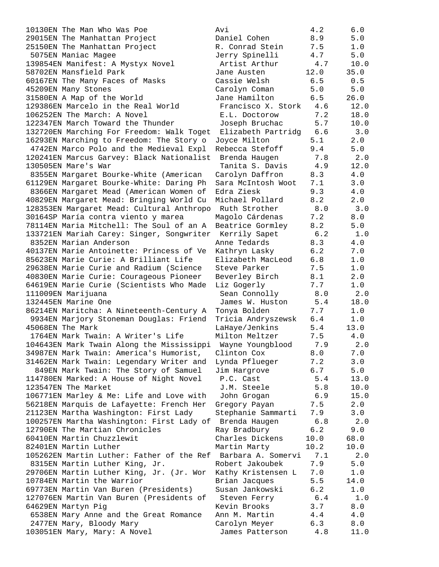29015EN The Manhattan Project Daniel Cohen 8.9 5.0 25150EN The Manhattan Project R. Conrad Stein 7.5 1.0 5075EN Maniac Magee Jerry Spinelli 4.7 5.0 139854EN Manifest: A Mystyx Novel Artist Arthur 4.7 10.0 58702EN Mansfield Park Jane Austen 12.0 35.0 60167EN The Many Faces of Masks Cassie Welsh 6.5 0.5 45209EN Many Stones Carolyn Coman 5.0 5.0 31580EN A Map of the World Jane Hamilton 6.5 26.0 129386EN Marcelo in the Real World Francisco X. Stork 4.6 12.0 106252EN The March: A Novel E.L. Doctorow 7.2 18.0 122347EN March Toward the Thunder Joseph Bruchac 5.7 10.0 132720EN Marching For Freedom: Walk Toget Elizabeth Partridg 6.6 3.0 16293EN Marching to Freedom: The Story o Joyce Milton 5.1 2.0 4742EN Marco Polo and the Medieval Expl Rebecca Stefoff 9.4 5.0 120241EN Marcus Garvey: Black Nationalist Brenda Haugen 7.8 2.0 130505EN Mare's War Tanita S. Davis 4.9 12.0 8355EN Margaret Bourke-White (American Carolyn Daffron 8.3 4.0 61129EN Margaret Bourke-White: Daring Ph Sara McIntosh Woot 7.1 3.0 8366EN Margaret Mead (American Women of Edra Ziesk 9.3 4.0 40829EN Margaret Mead: Bringing World Cu Michael Pollard 8.2 2.0 128353EN Margaret Mead: Cultural Anthropo Ruth Strother 8.0 3.0 30164SP María contra viento y marea Magolo Cárdenas 7.2 8.0 78114EN Maria Mitchell: The Soul of an A Beatrice Gormley 8.2 5.0 133721EN Mariah Carey: Singer, Songwriter Kerrily Sapet 6.2 1.0 8352EN Marian Anderson Anne Tedards 8.3 4.0 40137EN Marie Antoinette: Princess of Ve Kathryn Lasky 6.2 7.0 85623EN Marie Curie: A Brilliant Life Elizabeth MacLeod 6.8 1.0 29638EN Marie Curie and Radium (Science Steve Parker 7.5 1.0 40830EN Marie Curie: Courageous Pioneer Beverley Birch 8.1 2.0 64619EN Marie Curie (Scientists Who Made Liz Gogerly 7.7 1.0 111009EN Marijuana Sean Connolly 8.0 2.0 132445EN Marine One James W. Huston 5.4 18.0 86214EN Maritcha: A Nineteenth-Century A Tonya Bolden 7.7 1.0 9934EN Marjory Stoneman Douglas: Friend Tricia Andryszewsk 6.4 1.0 45068EN The Mark LaHaye/Jenkins 5.4 13.0 1764EN Mark Twain: A Writer's Life Milton Meltzer 7.5 4.0 104643EN Mark Twain Along the Mississippi Wayne Youngblood 7.9 2.0 34987EN Mark Twain: America's Humorist, Clinton Cox 8.0 7.0 31462EN Mark Twain: Legendary Writer and Lynda Pflueger 7.2 3.0 849EN Mark Twain: The Story of Samuel Jim Hargrove 6.7 5.0 114780EN Marked: A House of Night Novel P.C. Cast 5.4 13.0 123547EN The Market J.M. Steele 5.8 10.0 106771EN Marley & Me: Life and Love with John Grogan 6.9 15.0 56218EN Marquis de Lafayette: French Her Gregory Payan 7.5 2.0 21123EN Martha Washington: First Lady Stephanie Sammarti 7.9 3.0 100257EN Martha Washington: First Lady of Brenda Haugen 6.8 2.0 12790EN The Martian Chronicles Ray Bradbury 6.2 9.0 60410EN Martin Chuzzlewit Charles Dickens 10.0 68.0 82401EN Martin Luther Martin Marty 10.2 10.0 105262EN Martin Luther: Father of the Ref Barbara A. Somervi 7.1 2.0 8315EN Martin Luther King, Jr. Robert Jakoubek 7.9 5.0 29706EN Martin Luther King, Jr. (Jr. Wor Kathy Kristensen L 7.0 1.0 10784EN Martin the Warrior Brian Jacques 5.5 14.0 69773EN Martin Van Buren (Presidents) Susan Jankowski 6.2 1.0 127076EN Martin Van Buren (Presidents of Steven Ferry 6.4 1.0 64629EN Martyn Pig Kevin Brooks 3.7 8.0 6538EN Mary Anne and the Great Romance Ann M. Martin 4.4 4.0 2477EN Mary, Bloody Mary Carolyn Meyer 6.3 8.0 103051EN Mary, Mary: A Novel James Patterson 4.8 11.0

10130EN The Man Who Was Poe Avi 4.2 6.0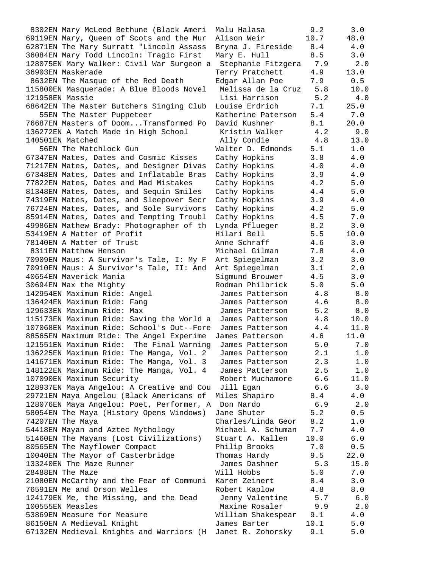8302EN Mary McLeod Bethune (Black Ameri Malu Halasa 9.2 3.0 69119EN Mary, Queen of Scots and the Mur Alison Weir 10.7 48.0 62871EN The Mary Surratt "Lincoln Assass Bryna J. Fireside 8.4 4.0 36084EN Mary Todd Lincoln: Tragic First Mary E. Hull 8.5 3.0 128075EN Mary Walker: Civil War Surgeon a Stephanie Fitzgera 7.9 2.0 36903EN Maskerade Terry Pratchett 4.9 13.0 8632EN The Masque of the Red Death Edgar Allan Poe 7.9 0.5 115800EN Masquerade: A Blue Bloods Novel Melissa de la Cruz 5.8 10.0 121958EN Massie Lisi Harrison 5.2 4.0 68642EN The Master Butchers Singing Club Louise Erdrich 7.1 25.0 55EN The Master Puppeteer Katherine Paterson 5.4 7.0 76687EN Masters of Doom...Transformed Po David Kushner 8.1 20.0 136272EN A Match Made in High School Kristin Walker 4.2 9.0 140501EN Matched Ally Condie 4.8 13.0 56EN The Matchlock Gun Walter D. Edmonds 5.1 1.0 67347EN Mates, Dates and Cosmic Kisses Cathy Hopkins 3.8 4.0 71217EN Mates, Dates, and Designer Divas Cathy Hopkins 4.0 4.0 67348EN Mates, Dates and Inflatable Bras Cathy Hopkins 3.9 4.0 77822EN Mates, Dates and Mad Mistakes Cathy Hopkins 4.2 5.0 81348EN Mates, Dates, and Sequin Smiles Cathy Hopkins 4.4 5.0 74319EN Mates, Dates, and Sleepover Secr Cathy Hopkins 3.9 4.0 76724EN Mates, Dates, and Sole Survivors Cathy Hopkins 4.2 5.0 85914EN Mates, Dates and Tempting Troubl Cathy Hopkins 4.5 7.0 49986EN Mathew Brady: Photographer of th Lynda Pflueger 8.2 3.0 53419EN A Matter of Profit Hilari Bell 5.5 10.0 78140EN A Matter of Trust Anne Schraff 4.6 3.0 8311EN Matthew Henson The Michael Gilman 7.8 4.0 70909EN Maus: A Survivor's Tale, I: My F Art Spiegelman 3.2 3.0 70910EN Maus: A Survivor's Tale, II: And Art Spiegelman 3.1 2.0 40654EN Maverick Mania Sigmund Brouwer 4.5 3.0 30694EN Max the Mighty Rodman Philbrick 5.0 5.0 142954EN Maximum Ride: Angel James Patterson 4.8 8.0 136424EN Maximum Ride: Fang James Patterson 4.6 8.0 129633EN Maximum Ride: Max James Patterson 5.2 8.0 115173EN Maximum Ride: Saving the World a James Patterson 4.8 10.0 107068EN Maximum Ride: School's Out--Fore James Patterson 4.4 11.0 88565EN Maximum Ride: The Angel Experime James Patterson 4.6 11.0 121551EN Maximum Ride: The Final Warning James Patterson 5.0 7.0 136225EN Maximum Ride: The Manga, Vol. 2 James Patterson 2.1 1.0 141671EN Maximum Ride: The Manga, Vol. 3 James Patterson 2.3 1.0 148122EN Maximum Ride: The Manga, Vol. 4 James Patterson 2.5 1.0 107090EN Maximum Security Robert Muchamore 6.6 11.0 128937EN Maya Angelou: A Creative and Cou Jill Egan 6.6 3.0 29721EN Maya Angelou (Black Americans of Miles Shapiro 8.4 4.0 128076EN Maya Angelou: Poet, Performer, A Don Nardo 6.9 2.0 58054EN The Maya (History Opens Windows) Jane Shuter 5.2 0.5 74207EN The Maya Charles/Linda Geor 8.2 1.0 54418EN Mayan and Aztec Mythology Michael A. Schuman 7.7 4.0 51460EN The Mayans (Lost Civilizations) Stuart A. Kallen 10.0 6.0 80565EN The Mayflower Compact Philip Brooks 7.0 0.5 10040EN The Mayor of Casterbridge Thomas Hardy 9.5 22.0 133240EN The Maze Runner James Dashner 5.3 15.0 28488EN The Maze Will Hobbs 5.0 7.0 21080EN McCarthy and the Fear of Communi Karen Zeinert 8.4 3.0 76591EN Me and Orson Welles Robert Kaplow 4.8 8.0 124179EN Me, the Missing, and the Dead Jenny Valentine 5.7 6.0 100555EN Measles Maxine Rosaler 9.9 2.0 53869EN Measure for Measure William Shakespear 9.1 4.0 86150EN A Medieval Knight James Barter 10.1 5.0 67132EN Medieval Knights and Warriors (H Janet R. Zohorsky 9.1 5.0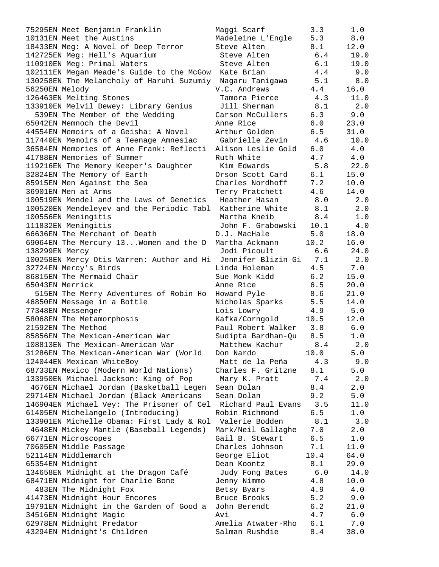75295EN Meet Benjamin Franklin Maggi Scarf 3.3 1.0 10131EN Meet the Austins Madeleine L'Engle 5.3 8.0 18433EN Meg: A Novel of Deep Terror Steve Alten 8.1 12.0 142725EN Meg: Hell's Aquarium Steve Alten 6.4 19.0 110910EN Meg: Primal Waters Steve Alten 6.1 19.0 102111EN Megan Meade's Guide to the McGow Kate Brian 4.4 9.0 130258EN The Melancholy of Haruhi Suzumiy Nagaru Tanigawa 5.1 8.0 56250EN Melody V.C. Andrews 4.4 16.0 126463EN Melting Stones Tamora Pierce 4.3 11.0 133910EN Melvil Dewey: Library Genius Jill Sherman 8.1 2.0 539EN The Member of the Wedding Carson McCullers 6.3 9.0 65042EN Memnoch the Devil Anne Rice 6.0 23.0 44554EN Memoirs of a Geisha: A Novel Arthur Golden 6.5 31.0 117440EN Memoirs of a Teenage Amnesiac Gabrielle Zevin 4.6 10.0 36584EN Memories of Anne Frank: Reflecti Alison Leslie Gold 6.0 4.0 41788EN Memories of Summer The Ruth White  $4.7$  4.0 119216EN The Memory Keeper's Daughter Kim Edwards 5.8 22.0 32824EN The Memory of Earth Orson Scott Card 6.1 15.0 85915EN Men Against the Sea Charles Nordhoff 7.2 10.0 36901EN Men at Arms Terry Pratchett 4.6 14.0 100519EN Mendel and the Laws of Genetics Heather Hasan 8.0 2.0 100520EN Mendeleyev and the Periodic Tabl Katherine White 8.1 2.0 100556EN Meningitis Martha Kneib 8.4 1.0 111832EN Meningitis John F. Grabowski 10.1 4.0 66636EN The Merchant of Death D.J. MacHale 5.0 18.0 69064EN The Mercury 13...Women and the D Martha Ackmann 10.2 16.0 138299EN Mercy Jodi Picoult 6.6 24.0 100258EN Mercy Otis Warren: Author and Hi Jennifer Blizin Gi 7.1 2.0 32724EN Mercy's Birds Linda Holeman 4.5 7.0 86815EN The Mermaid Chair **Sue Monk Kidd** 6.2 15.0 65043EN Merrick Anne Rice 6.5 20.0 515EN The Merry Adventures of Robin Ho Howard Pyle 8.6 21.0 46850EN Message in a Bottle Nicholas Sparks 5.5 14.0 77348EN Messenger Lois Lowry 4.9 5.0 58068EN The Metamorphosis Kafka/Corngold 10.5 12.0 21592EN The Method Paul Robert Walker 3.8 6.0 85856EN The Mexican-American War Sudipta Bardhan-Qu 8.5 1.0 108813EN The Mexican-American War Matthew Kachur 8.4 2.0 31286EN The Mexican-American War (World Don Nardo 10.0 5.0 124044EN Mexican WhiteBoy Matt de la Peña 4.3 9.0 68733EN Mexico (Modern World Nations) Charles F. Gritzne 8.1 5.0 133950EN Michael Jackson: King of Pop Mary K. Pratt 7.4 2.0 4676EN Michael Jordan (Basketball Legen Sean Dolan 8.4 2.0 29714EN Michael Jordan (Black Americans Sean Dolan 9.2 5.0 146904EN Michael Vey: The Prisoner of Cel Richard Paul Evans 3.5 11.0 61405EN Michelangelo (Introducing) Robin Richmond 6.5 1.0 133901EN Michelle Obama: First Lady & Rol Valerie Bodden 8.1 3.0 4648EN Mickey Mantle (Baseball Legends) Mark/Neil Gallaghe 7.0 2.0 66771EN Microscopes Gail B. Stewart 6.5 1.0 70605EN Middle Passage Charles Johnson 7.1 11.0 52114EN Middlemarch George Eliot 10.4 64.0 65354EN Midnight Dean Koontz 8.1 29.0 134658EN Midnight at the Dragon Café Judy Fong Bates 6.0 14.0 68471EN Midnight for Charlie Bone Jenny Nimmo 4.8 10.0 483EN The Midnight Fox Betsy Byars 4.9 4.0 41473EN Midnight Hour Encores Bruce Brooks 5.2 9.0 19791EN Midnight in the Garden of Good a John Berendt 6.2 21.0 34516EN Midnight Magic Avi 4.7 6.0 62978EN Midnight Predator Amelia Atwater-Rho 6.1 7.0 43294EN Midnight's Children Salman Rushdie 8.4 38.0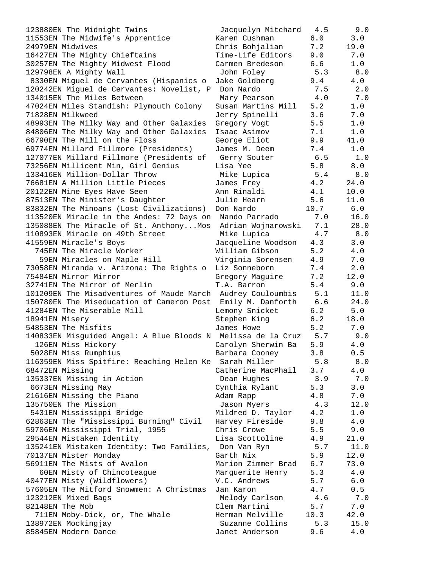| 123880EN The Midnight Twins                                  | Jacquelyn Mitchard               | 4.5  | 9.0   |
|--------------------------------------------------------------|----------------------------------|------|-------|
| 11553EN The Midwife's Apprentice                             | Karen Cushman                    | 6.0  | 3.0   |
| 24979EN Midwives                                             | Chris Bohjalian                  | 7.2  | 19.0  |
| 16427EN The Mighty Chieftains                                | Time-Life Editors                | 9.0  | 7.0   |
| 30257EN The Mighty Midwest Flood                             | Carmen Bredeson                  | 6.6  | 1.0   |
| 129798EN A Mighty Wall                                       | John Foley                       | 5.3  | 8.0   |
| 8330EN Miguel de Cervantes (Hispanics o                      | Jake Goldberg                    | 9.4  | 4.0   |
| 120242EN Miguel de Cervantes: Novelist, P                    | Don Nardo                        | 7.5  | 2.0   |
| 134015EN The Miles Between                                   | Mary Pearson                     | 4.0  | 7.0   |
| 47024EN Miles Standish: Plymouth Colony                      | Susan Martins Mill               | 5.2  | 1.0   |
| 71828EN Milkweed                                             | Jerry Spinelli                   | 3.6  | 7.0   |
| 48993EN The Milky Way and Other Galaxies                     | Gregory Vogt                     | 5.5  | 1.0   |
| 84806EN The Milky Way and Other Galaxies                     | Isaac Asimov                     | 7.1  | 1.0   |
| 66790EN The Mill on the Floss                                | George Eliot                     | 9.9  | 41.0  |
| 69774EN Millard Fillmore (Presidents)                        | James M. Deem                    | 7.4  | 1.0   |
| 127077EN Millard Fillmore (Presidents of                     | Gerry Souter                     | 6.5  | 1.0   |
| 73256EN Millicent Min, Girl Genius                           | Lisa Yee                         | 5.8  | 8.0   |
| 133416EN Million-Dollar Throw                                | Mike Lupica                      | 5.4  | 8.0   |
| 76681EN A Million Little Pieces                              |                                  | 4.2  | 24.0  |
|                                                              | James Frey                       |      | 10.0  |
| 20122EN Mine Eyes Have Seen                                  | Ann Rinaldi                      | 4.1  | 11.0  |
| 87513EN The Minister's Daughter                              | Julie Hearn                      | 5.6  |       |
| 83832EN The Minoans (Lost Civilizations)                     | Don Nardo                        | 10.7 | 6.0   |
| 113520EN Miracle in the Andes: 72 Days on                    | Nando Parrado                    | 7.0  | 16.0  |
| 135088EN The Miracle of St. AnthonyMos                       | Adrian Wojnarowski               | 7.1  | 28.0  |
| 110893EN Miracle on 49th Street                              | Mike Lupica                      | 4.7  | 8.0   |
| 41559EN Miracle's Boys                                       | Jacqueline Woodson               | 4.3  | 3.0   |
| 745EN The Miracle Worker                                     | William Gibson                   | 5.2  | 4.0   |
| 59EN Miracles on Maple Hill                                  | Virginia Sorensen                | 4.9  | 7.0   |
| 73058EN Miranda v. Arizona: The Rights o                     | Liz Sonneborn                    | 7.4  | 2.0   |
| 75484EN Mirror Mirror                                        | Gregory Maguire                  | 7.2  | 12.0  |
| 32741EN The Mirror of Merlin                                 | T.A. Barron                      | 5.4  | 9.0   |
| 101209EN The Misadventures of Maude March Audrey Couloumbis  |                                  | 5.1  | 11.0  |
| 150780EN The Miseducation of Cameron Post                    | Emily M. Danforth                | 6.6  | 24.0  |
| 41284EN The Miserable Mill                                   | Lemony Snicket                   | 6.2  | 5.0   |
| 18941EN Misery                                               | Stephen King                     | 6.2  | 18.0  |
| 54853EN The Misfits                                          | James Howe                       | 5.2  | 7.0   |
| 140833EN Misguided Angel: A Blue Bloods N Melissa de la Cruz |                                  | 5.7  | 9.0   |
| 126EN Miss Hickory                                           | Carolyn Sherwin Ba               | 5.9  | 4.0   |
| 5028EN Miss Rumphius                                         | Barbara Cooney                   | 3.8  | 0.5   |
| 116359EN Miss Spitfire: Reaching Helen Ke                    | Sarah Miller                     | 5.8  | 8.0   |
| 68472EN Missing                                              | Catherine MacPhail               | 3.7  | 4.0   |
| 135337EN Missing in Action                                   | Dean Hughes                      | 3.9  | 7.0   |
| 6673EN Missing May                                           | Cynthia Rylant                   | 5.3  | 3.0   |
| 21616EN Missing the Piano                                    | Adam Rapp                        | 4.8  | 7.0   |
| 135750EN The Mission                                         | Jason Myers                      | 4.3  | 12.0  |
| 5431EN Mississippi Bridge                                    | Mildred D. Taylor                | 4.2  | 1.0   |
| 62863EN The "Mississippi Burning" Civil                      | Harvey Fireside                  | 9.8  | 4.0   |
| 59706EN Mississippi Trial, 1955                              | Chris Crowe                      | 5.5  | 9.0   |
| 29544EN Mistaken Identity                                    | Lisa Scottoline                  | 4.9  | 21.0  |
| 135241EN Mistaken Identity: Two Families,                    | Don Van Ryn                      | 5.7  | 11.0  |
| 70137EN Mister Monday                                        | Garth Nix                        | 5.9  | 12.0  |
| 56911EN The Mists of Avalon                                  | Marion Zimmer Brad               | 6.7  | 73.0  |
| 60EN Misty of Chincoteague                                   |                                  | 5.3  | 4.0   |
|                                                              | Marguerite Henry<br>V.C. Andrews |      |       |
| 40477EN Misty (Wildflowers)                                  |                                  | 5.7  | 6.0   |
| 57605EN The Mitford Snowmen: A Christmas                     | Jan Karon                        | 4.7  | 0.5   |
| 123212EN Mixed Bags                                          | Melody Carlson                   | 4.6  | 7.0   |
| 82148EN The Mob                                              | Clem Martini                     | 5.7  | 7.0   |
| 711EN Moby-Dick, or, The Whale                               | Herman Melville                  | 10.3 | 42.0  |
| 138972EN Mockingjay                                          | Suzanne Collins                  | 5.3  | 15.0  |
| 85845EN Modern Dance                                         | Janet Anderson                   | 9.6  | $4.0$ |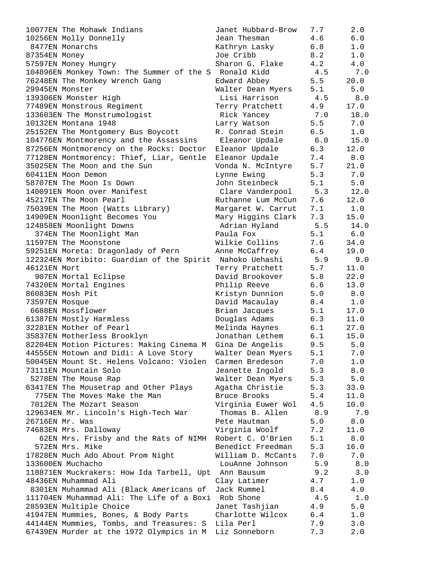| 10077EN The Mohawk Indians                                                   | Janet Hubbard-Brow            | 7.7        | 2.0        |
|------------------------------------------------------------------------------|-------------------------------|------------|------------|
| 10256EN Molly Donnelly                                                       | Jean Thesman                  | 4.6        | 6.0        |
| 8477EN Monarchs                                                              | Kathryn Lasky                 | 6.8        | 1.0        |
| 87354EN Money                                                                | Joe Cribb                     | 8.2        | 1.0        |
| 57597EN Money Hungry                                                         | Sharon G. Flake               | 4.2        | 4.0        |
| 104896EN Monkey Town: The Summer of the S Ronald Kidd                        |                               | 4.5        | 7.0        |
| 76248EN The Monkey Wrench Gang                                               | Edward Abbey                  | 5.5        | 20.0       |
| 29945EN Monster                                                              | Walter Dean Myers             | 5.1        | 5.0        |
| 139306EN Monster High                                                        | Lisi Harrison                 | 4.5        | 8.0        |
| 77489EN Monstrous Regiment                                                   | Terry Pratchett               | 4.9        | 17.0       |
| 133603EN The Monstrumologist                                                 | Rick Yancey                   | 7.0        | 18.0       |
| 10132EN Montana 1948                                                         | Larry Watson                  | 5.5        | 7.0        |
| 25152EN The Montgomery Bus Boycott                                           | R. Conrad Stein               | 6.5        | 1.0        |
| 104776EN Montmorency and the Assassins                                       | Eleanor Updale                | 6.0        | 15.0       |
| 87256EN Montmorency on the Rocks: Doctor                                     | Eleanor Updale                | 6.3        | 12.0       |
| 77128EN Montmorency: Thief, Liar, Gentle                                     | Eleanor Updale                | 7.4        | 8.0        |
| 35025EN The Moon and the Sun                                                 | Vonda N. McIntyre             | 5.7        | 21.0       |
| 60411EN Moon Demon                                                           | Lynne Ewing                   | 5.3        | 7.0        |
| 58707EN The Moon Is Down                                                     | John Steinbeck                | 5.1        | 5.0        |
| 140091EN Moon over Manifest                                                  | Clare Vanderpool              | 5.3        | 12.0       |
| 45217EN The Moon Pearl                                                       | Ruthanne Lum McCun            | 7.6        | 12.0       |
| 75039EN The Moon (Watts Library)                                             | Margaret W. Carrut            | 7.1        | 1.0        |
| 14909EN Moonlight Becomes You                                                | Mary Higgins Clark            | 7.3        | 15.0       |
| 124858EN Moonlight Downs                                                     | Adrian Hyland                 | 5.5        | 14.0       |
| 374EN The Moonlight Man                                                      | Paula Fox                     | 5.1        | 6.0        |
| 11597EN The Moonstone                                                        | Wilkie Collins                | 7.6        | 34.0       |
| 59251EN Moreta: Dragonlady of Pern                                           | Anne McCaffrey                | 6.4        | 19.0       |
| 122324EN Moribito: Guardian of the Spirit Nahoko Uehashi                     |                               | 5.9        | 9.0        |
| 46121EN Mort                                                                 | Terry Pratchett               | 5.7        | 11.0       |
| 907EN Mortal Eclipse                                                         | David Brookover               | 5.8        | 22.0       |
| 74320EN Mortal Engines                                                       | Philip Reeve                  | 6.6        | 13.0       |
| 86083EN Mosh Pit                                                             | Kristyn Dunnion               | 5.0        | 8.0        |
| 73597EN Mosque                                                               | David Macaulay                | 8.4        | $1.0$      |
| 6688EN Mossflower                                                            | Brian Jacques                 | 5.1        | 17.0       |
| 61387EN Mostly Harmless                                                      | Douglas Adams                 | 6.3        | 11.0       |
| 32281EN Mother of Pearl                                                      | Melinda Haynes                | 6.1        | 27.0       |
| 35837EN Motherless Brooklyn                                                  | Jonathan Lethem               | 6.1        | 15.0       |
| 82204EN Motion Pictures: Making Cinema M                                     | Gina De Angelis               | 9.5        | 5.0        |
| 44555EN Motown and Didi: A Love Story                                        | Walter Dean Myers             | 5.1        | 7.0        |
| 50045EN Mount St. Helens Volcano: Violen                                     | Carmen Bredeson               | 7.0        | 1.0        |
| 73111EN Mountain Solo                                                        | Jeanette Ingold               | 5.3        | $8.0$      |
| 5278EN The Mouse Rap                                                         | Walter Dean Myers             | 5.3        | $5.0$      |
| 63417EN The Mousetrap and Other Plays                                        | Agatha Christie               | 5.3        | 33.0       |
| 775EN The Moves Make the Man                                                 | Bruce Brooks                  | 5.4        | 11.0       |
| 7012EN The Mozart Season                                                     | Virginia Euwer Wol            | 4.5        | 10.0       |
| 129634EN Mr. Lincoln's High-Tech War                                         | Thomas B. Allen               | 8.9        | 7.0        |
| 26716EN Mr. Was                                                              | Pete Hautman                  | 5.0        | $8.0$      |
| 74683EN Mrs. Dalloway                                                        | Virginia Woolf                | 7.2        | 11.0       |
| 62EN Mrs. Frisby and the Rats of NIMH Robert C. O'Brien                      |                               | 5.1        | 8.0        |
| 572EN Mrs. Mike                                                              | Benedict Freedman             | 5.3        | 16.0       |
|                                                                              | William D. McCants            | 7.0        | 7.0        |
| 17828EN Much Ado About Prom Night                                            |                               |            |            |
| 133600EN Muchacho                                                            | LouAnne Johnson               | 5.9<br>9.2 | 8.0<br>3.0 |
| 118871EN Muckrakers: How Ida Tarbell, Upt Ann Bausum<br>48436EN Muhammad Ali |                               |            |            |
| 8301EN Muhammad Ali (Black Americans of                                      | Clay Latimer                  | 4.7        | 1.0        |
| 111704EN Muhammad Ali: The Life of a Boxi Rob Shone                          | Jack Rummel                   | 8.4<br>4.5 | 4.0<br>1.0 |
|                                                                              |                               |            |            |
| 28593EN Multiple Choice<br>41947EN Mummies, Bones, & Body Parts              | Janet Tashjian                | 4.9<br>6.4 | 5.0<br>1.0 |
| 44144EN Mummies, Tombs, and Treasures: S                                     | Charlotte Wilcox<br>Lila Perl | 7.9        | 3.0        |
| 67439EN Murder at the 1972 Olympics in M Liz Sonneborn                       |                               | 7.3        | 2.0        |
|                                                                              |                               |            |            |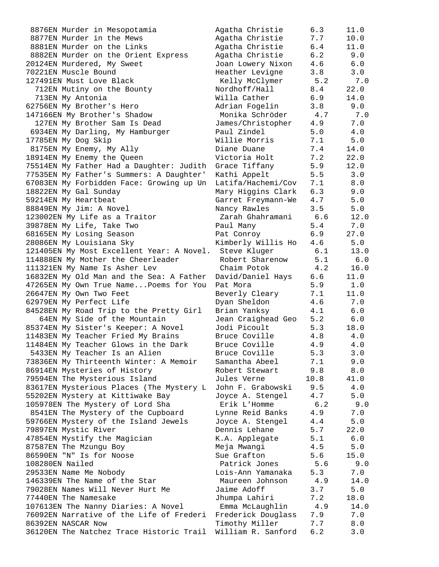| 8876EN Murder in Mesopotamia              | Agatha Christie    | 6.3  | 11.0 |
|-------------------------------------------|--------------------|------|------|
| 8877EN Murder in the Mews                 | Agatha Christie    | 7.7  | 10.0 |
| 8881EN Murder on the Links                | Agatha Christie    | 6.4  | 11.0 |
| 8882EN Murder on the Orient Express       | Agatha Christie    | 6.2  | 9.0  |
| 20124EN Murdered, My Sweet                | Joan Lowery Nixon  | 4.6  | 6.0  |
| 70221EN Muscle Bound                      | Heather Levigne    | 3.8  | 3.0  |
| 127491EN Must Love Black                  | Kelly McClymer     | 5.2  | 7.0  |
| 712EN Mutiny on the Bounty                | Nordhoff/Hall      | 8.4  | 22.0 |
| 713EN My Antonia                          | Willa Cather       | 6.9  | 14.0 |
| 62756EN My Brother's Hero                 | Adrian Fogelin     | 3.8  | 9.0  |
| 147166EN My Brother's Shadow              | Monika Schröder    | 4.7  | 7.0  |
|                                           |                    |      |      |
| 127EN My Brother Sam Is Dead              | James/Christopher  | 4.9  | 7.0  |
| 6934EN My Darling, My Hamburger           | Paul Zindel        | 5.0  | 4.0  |
| 17785EN My Dog Skip                       | Willie Morris      | 7.1  | 5.0  |
| 8175EN My Enemy, My Ally                  | Diane Duane        | 7.4  | 14.0 |
| 18914EN My Enemy the Queen                | Victoria Holt      | 7.2  | 22.0 |
| 75514EN My Father Had a Daughter: Judith  | Grace Tiffany      | 5.9  | 12.0 |
| 77535EN My Father's Summers: A Daughter'  | Kathi Appelt       | 5.5  | 3.0  |
| 67083EN My Forbidden Face: Growing up Un  | Latifa/Hachemi/Cov | 7.1  | 8.0  |
| 18822EN My Gal Sunday                     | Mary Higgins Clark | 6.3  | 9.0  |
| 59214EN My Heartbeat                      | Garret Freymann-We | 4.7  | 5.0  |
| 88849EN My Jim: A Novel                   | Nancy Rawles       | 3.5  | 5.0  |
| 123002EN My Life as a Traitor             | Zarah Ghahramani   | 6.6  | 12.0 |
| 39878EN My Life, Take Two                 | Paul Many          | 5.4  | 7.0  |
| 68165EN My Losing Season                  | Pat Conroy         | 6.9  | 27.0 |
| 28086EN My Louisiana Sky                  | Kimberly Willis Ho | 4.6  | 5.0  |
| 121405EN My Most Excellent Year: A Novel. | Steve Kluger       | 6.1  | 13.0 |
| 114888EN My Mother the Cheerleader        | Robert Sharenow    | 5.1  | 6.0  |
| 111321EN My Name Is Asher Lev             | Chaim Potok        | 4.2  | 16.0 |
| 16832EN My Old Man and the Sea: A Father  | David/Daniel Hays  | 6.6  | 11.0 |
| 47265EN My Own True NamePoems for You     | Pat Mora           | 5.9  | 1.0  |
| 26647EN My Own Two Feet                   |                    | 7.1  | 11.0 |
|                                           | Beverly Cleary     | 4.6  | 7.0  |
| 62979EN My Perfect Life                   | Dyan Sheldon       | 4.1  |      |
| 84528EN My Road Trip to the Pretty Girl   | Brian Yanksy       |      | 6.0  |
| 64EN My Side of the Mountain              | Jean Craighead Geo | 5.2  | 6.0  |
| 85374EN My Sister's Keeper: A Novel       | Jodi Picoult       | 5.3  | 18.0 |
| 11483EN My Teacher Fried My Brains        | Bruce Coville      | 4.8  | 4.0  |
| 11484EN My Teacher Glows in the Dark      | Bruce Coville      | 4.9  | 4.0  |
| 5433EN My Teacher Is an Alien             | Bruce Coville      | 5.3  | 3.0  |
| 73836EN My Thirteenth Winter: A Memoir    | Samantha Abeel     | 7.1  | 9.0  |
| 86914EN Mysteries of History              | Robert Stewart     | 9.8  | 8.0  |
| 79594EN The Mysterious Island             | Jules Verne        | 10.8 | 41.0 |
| 83617EN Mysterious Places (The Mystery L  | John F. Grabowski  | 9.5  | 4.0  |
| 55202EN Mystery at Kittiwake Bay          | Joyce A. Stengel   | 4.7  | 5.0  |
| 105978EN The Mystery of Lord Sha          | Erik L'Homme       | 6.2  | 9.0  |
| 8541EN The Mystery of the Cupboard        | Lynne Reid Banks   | 4.9  | 7.0  |
| 59766EN Mystery of the Island Jewels      | Joyce A. Stengel   | 4.4  | 5.0  |
| 79897EN Mystic River                      | Dennis Lehane      | 5.7  | 22.0 |
| 47854EN Mystify the Magician              | K.A. Applegate     | 5.1  | 6.0  |
| 87587EN The Mzungu Boy                    | Meja Mwangi        | 4.5  | 5.0  |
| 86590EN "N" Is for Noose                  | Sue Grafton        | 5.6  | 15.0 |
| 108280EN Nailed                           | Patrick Jones      | 5.6  | 9.0  |
| 29533EN Name Me Nobody                    | Lois-Ann Yamanaka  | 5.3  | 7.0  |
| 146339EN The Name of the Star             | Maureen Johnson    | 4.9  | 14.0 |
| 79028EN Names Will Never Hurt Me          | Jaime Adoff        | 3.7  | 5.0  |
| 77440EN The Namesake                      | Jhumpa Lahiri      | 7.2  | 18.0 |
| 107613EN The Nanny Diaries: A Novel       | Emma McLaughlin    | 4.9  | 14.0 |
| 76092EN Narrative of the Life of Frederi  | Frederick Douglass | 7.9  | 7.0  |
| 86392EN NASCAR Now                        | Timothy Miller     | 7.7  | 8.0  |
|                                           |                    | 6.2  |      |
| 36120EN The Natchez Trace Historic Trail  | William R. Sanford |      | 3.0  |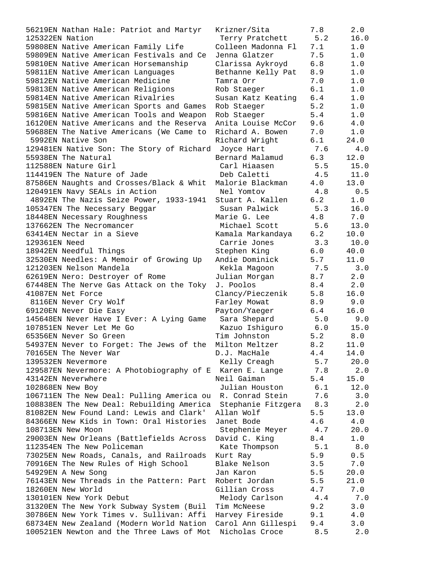| 56219EN Nathan Hale: Patriot and Martyr                  | Krizner/Sita       | 7.8   | 2.0  |
|----------------------------------------------------------|--------------------|-------|------|
| 125322EN Nation                                          | Terry Pratchett    | 5.2   | 16.0 |
| 59808EN Native American Family Life                      | Colleen Madonna Fl | 7.1   | 1.0  |
| 59809EN Native American Festivals and Ce                 | Jenna Glatzer      | 7.5   | 1.0  |
| 59810EN Native American Horsemanship                     | Clarissa Aykroyd   | 6.8   | 1.0  |
| 59811EN Native American Languages                        | Bethanne Kelly Pat | 8.9   | 1.0  |
| 59812EN Native American Medicine                         | Tamra Orr          | 7.0   | 1.0  |
| 59813EN Native American Religions                        | Rob Staeger        | 6.1   | 1.0  |
| 59814EN Native American Rivalries                        | Susan Katz Keating | $6.4$ | 1.0  |
| 59815EN Native American Sports and Games                 | Rob Staeger        | 5.2   | 1.0  |
| 59816EN Native American Tools and Weapon                 | Rob Staeger        | 5.4   | 1.0  |
| 16120EN Native Americans and the Reserva                 | Anita Louise McCor | 9.6   | 4.0  |
| 59688EN The Native Americans (We Came to                 | Richard A. Bowen   | 7.0   | 1.0  |
| 5992EN Native Son                                        | Richard Wright     | 6.1   | 24.0 |
| 129481EN Native Son: The Story of Richard                | Joyce Hart         | 7.6   | 4.0  |
| 55938EN The Natural                                      | Bernard Malamud    | 6.3   | 12.0 |
| 112588EN Nature Girl                                     | Carl Hiaasen       | 5.5   | 15.0 |
| 114419EN The Nature of Jade                              | Deb Caletti        | 4.5   | 11.0 |
| 87586EN Naughts and Crosses/Black & Whit                 | Malorie Blackman   | 4.0   | 13.0 |
| 120491EN Navy SEALs in Action                            | Nel Yomtov         | 4.8   | 0.5  |
| 4892EN The Nazis Seize Power, 1933-1941                  | Stuart A. Kallen   | 6.2   | 1.0  |
| 105347EN The Necessary Beggar                            | Susan Palwick      | 5.3   | 16.0 |
| 18448EN Necessary Roughness                              | Marie G. Lee       | 4.8   | 7.0  |
| 137662EN The Necromancer                                 | Michael Scott      | 5.6   | 13.0 |
| 63414EN Nectar in a Sieve                                | Kamala Markandaya  | 6.2   | 10.0 |
| 129361EN Need                                            | Carrie Jones       | 3.3   | 10.0 |
| 18942EN Needful Things                                   | Stephen King       | 6.0   | 40.0 |
| 32530EN Needles: A Memoir of Growing Up                  | Andie Dominick     | 5.7   | 11.0 |
| 121203EN Nelson Mandela                                  | Kekla Magoon       | 7.5   | 3.0  |
| 62619EN Nero: Destroyer of Rome                          | Julian Morgan      | 8.7   | 2.0  |
| 67448EN The Nerve Gas Attack on the Toky                 | J. Poolos          | 8.4   | 2.0  |
| 41087EN Net Force                                        | Clancy/Pieczenik   | 5.8   | 16.0 |
| 8116EN Never Cry Wolf                                    | Farley Mowat       | 8.9   | 9.0  |
| 69120EN Never Die Easy                                   | Payton/Yaeger      | 6.4   | 16.0 |
| 145648EN Never Have I Ever: A Lying Game                 | Sara Shepard       | 5.0   | 9.0  |
| 107851EN Never Let Me Go                                 | Kazuo Ishiguro     | 6.0   | 15.0 |
| 65356EN Never So Green                                   | Tim Johnston       | 5.2   | 8.0  |
| 54937EN Never to Forget: The Jews of the Milton Meltzer  |                    | 8.2   | 11.0 |
| 70165EN The Never War                                    | D.J. MacHale       | 4.4   | 14.0 |
| 139532EN Nevermore                                       | Kelly Creagh       | 5.7   | 20.0 |
| 129587EN Nevermore: A Photobiography of E Karen E. Lange |                    | 7.8   | 2.0  |
| 43142EN Neverwhere                                       | Neil Gaiman        | 5.4   | 15.0 |
| 102868EN New Boy                                         | Julian Houston     | 6.1   | 12.0 |
| 106711EN The New Deal: Pulling America ou                | R. Conrad Stein    | 7.6   | 3.0  |
| 108838EN The New Deal: Rebuilding America                | Stephanie Fitzgera | 8.3   | 2.0  |
| 81082EN New Found Land: Lewis and Clark'                 | Allan Wolf         | 5.5   | 13.0 |
| 84366EN New Kids in Town: Oral Histories                 | Janet Bode         | 4.6   | 4.0  |
| 108713EN New Moon                                        | Stephenie Meyer    | 4.7   | 20.0 |
| 29003EN New Orleans (Battlefields Across                 | David C. King      | 8.4   | 1.0  |
| 112354EN The New Policeman                               | Kate Thompson      | 5.1   | 8.0  |
| 73025EN New Roads, Canals, and Railroads                 | Kurt Ray           | 5.9   | 0.5  |
| 70916EN The New Rules of High School                     | Blake Nelson       | 3.5   | 7.0  |
| 54929EN A New Song                                       | Jan Karon          | 5.5   | 20.0 |
| 76143EN New Threads in the Pattern: Part                 | Robert Jordan      | 5.5   | 21.0 |
| 18260EN New World                                        | Gillian Cross      | 4.7   | 7.0  |
| 130101EN New York Debut                                  | Melody Carlson     | 4.4   | 7.0  |
| 31320EN The New York Subway System (Buil                 | Tim McNeese        | 9.2   | 3.0  |
| 30786EN New York Times v. Sullivan: Affi                 | Harvey Fireside    | 9.1   | 4.0  |
| 68734EN New Zealand (Modern World Nation                 | Carol Ann Gillespi | 9.4   | 3.0  |
| 100521EN Newton and the Three Laws of Mot                | Nicholas Croce     | 8.5   | 2.0  |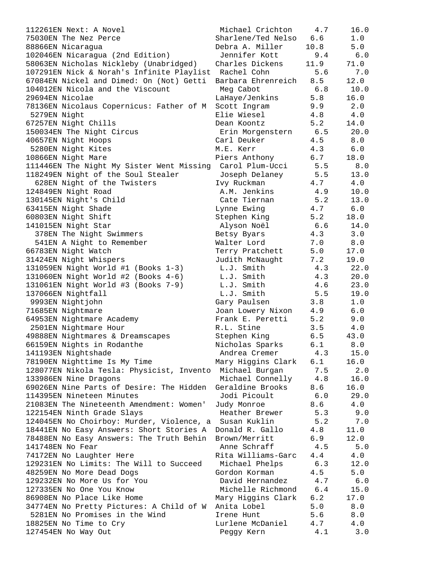| 112261EN Next: A Novel                                        | Michael Crichton       | 4.7  | 16.0  |
|---------------------------------------------------------------|------------------------|------|-------|
| 75030EN The Nez Perce                                         | Sharlene/Ted Nelso     | 6.6  | 1.0   |
| 88866EN Nicaragua                                             | Debra A. Miller        | 10.8 | 5.0   |
| 102046EN Nicaragua (2nd Edition)                              | Jennifer Kott          | 9.4  | 6.0   |
| 58063EN Nicholas Nickleby (Unabridged)                        | Charles Dickens        | 11.9 | 71.0  |
| 107291EN Nick & Norah's Infinite Playlist Rachel Cohn         |                        | 5.6  | 7.0   |
| 67084EN Nickel and Dimed: On (Not) Getti                      | Barbara Ehrenreich 8.5 |      | 12.0  |
| 104012EN Nicola and the Viscount                              | Meg Cabot              | 6.8  | 10.0  |
| 29694EN Nicolae                                               | LaHaye/Jenkins         | 5.8  | 16.0  |
| 78136EN Nicolaus Copernicus: Father of M                      | Scott Ingram           | 9.9  | 2.0   |
| 5279EN Night                                                  | Elie Wiesel            | 4.8  | 4.0   |
| 67257EN Night Chills                                          | Dean Koontz            | 5.2  | 14.0  |
| 150034EN The Night Circus                                     | Erin Morgenstern 6.5   |      | 20.0  |
| 40657EN Night Hoops                                           | Carl Deuker            | 4.5  | 8.0   |
| 5280EN Night Kites                                            | M.E. Kerr              | 4.3  | 6.0   |
| 10866EN Night Mare                                            | Piers Anthony          | 6.7  | 18.0  |
| 111446EN The Night My Sister Went Missing Carol Plum-Ucci 5.5 |                        |      | 8.0   |
| 118249EN Night of the Soul Stealer                            | Joseph Delaney         | 5.5  | 13.0  |
| 628EN Night of the Twisters                                   | Ivy Ruckman            | 4.7  | 4.0   |
| 124849EN Night Road                                           | A.M. Jenkins           | 4.9  | 10.0  |
|                                                               |                        | 5.2  |       |
| 130145EN Night's Child                                        | Cate Tiernan           |      | 13.0  |
| 63415EN Night Shade                                           | Lynne Ewing            | 4.7  | 6.0   |
| 60803EN Night Shift                                           | Stephen King           | 5.2  | 18.0  |
| 141015EN Night Star                                           | Alyson Noël            | 6.6  | 14.0  |
| 378EN The Night Swimmers                                      | Betsy Byars            | 4.3  | 3.0   |
| 541EN A Night to Remember                                     | Walter Lord            | 7.0  | 8.0   |
| 66783EN Night Watch                                           | Terry Pratchett        | 5.0  | 17.0  |
| 31424EN Night Whispers                                        | Judith McNaught        | 7.2  | 19.0  |
| 131059EN Night World #1 (Books 1-3)                           | L.J. Smith             | 4.3  | 22.0  |
| 131060EN Night World #2 (Books 4-6)                           | L.J. Smith             | 4.3  | 20.0  |
| 131061EN Night World #3 (Books 7-9)                           | L.J. Smith             | 4.6  | 23.0  |
| 137066EN Nightfall                                            | L.J. Smith             | 5.5  | 19.0  |
| 9993EN Nightjohn                                              | Gary Paulsen           | 3.8  | 1.0   |
| 71685EN Nightmare                                             | Joan Lowery Nixon      | 4.9  | 6.0   |
| 64953EN Nightmare Academy                                     | Frank E. Peretti       | 5.2  | 9.0   |
| 2501EN Nightmare Hour                                         | R.L. Stine             | 3.5  | 4.0   |
| 49888EN Nightmares & Dreamscapes                              | Stephen King           | 6.5  | 43.0  |
| 66159EN Nights in Rodanthe                                    | Nicholas Sparks        | 6.1  | 8.0   |
| 141193EN Nightshade                                           | Andrea Cremer          | 4.3  | 15.0  |
| 78190EN Nighttime Is My Time                                  | Mary Higgins Clark     | 6.1  | 16.0  |
| 128077EN Nikola Tesla: Physicist, Invento                     | Michael Burgan         | 7.5  | 2.0   |
| 133986EN Nine Dragons                                         | Michael Connelly       | 4.8  | 16.0  |
| 69026EN Nine Parts of Desire: The Hidden                      | Geraldine Brooks       | 8.6  | 16.0  |
| 114395EN Nineteen Minutes                                     | Jodi Picoult           | 6.0  | 29.0  |
| 21083EN The Nineteenth Amendment: Women'                      | Judy Monroe            | 8.6  | 4.0   |
| 122154EN Ninth Grade Slays                                    | Heather Brewer         | 5.3  | 9.0   |
| 124045EN No Choirboy: Murder, Violence, a                     | Susan Kuklin           | 5.2  | 7.0   |
| 18441EN No Easy Answers: Short Stories A                      | Donald R. Gallo        | 4.8  | 11.0  |
| 78488EN No Easy Answers: The Truth Behin                      | Brown/Merritt          | 6.9  | 12.0  |
| 141748EN No Fear                                              | Anne Schraff           | 4.5  | 5.0   |
| 74172EN No Laughter Here                                      | Rita Williams-Garc     | 4.4  | 4.0   |
| 129231EN No Limits: The Will to Succeed                       | Michael Phelps         | 6.3  | 12.0  |
| 48259EN No More Dead Dogs                                     | Gordon Korman          | 4.5  | 5.0   |
| 129232EN No More Us for You                                   | David Hernandez        | 4.7  | $6.0$ |
| 127335EN No One You Know                                      | Michelle Richmond      | 6.4  | 15.0  |
| 86908EN No Place Like Home                                    | Mary Higgins Clark     | 6.2  | 17.0  |
| 34774EN No Pretty Pictures: A Child of W                      | Anita Lobel            | 5.0  | 8.0   |
| 5281EN No Promises in the Wind                                | Irene Hunt             | 5.6  | 8.0   |
| 18825EN No Time to Cry                                        | Lurlene McDaniel       | 4.7  | 4.0   |
| 127454EN No Way Out                                           | Peggy Kern             | 4.1  | 3.0   |
|                                                               |                        |      |       |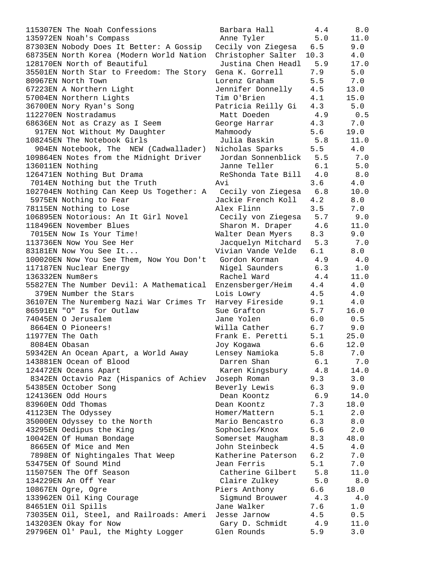115307EN The Noah Confessions Barbara Hall 4.4 8.0 135972EN Noah's Compass Anne Tyler 5.0 11.0 87303EN Nobody Does It Better: A Gossip Cecily von Ziegesa 6.5 9.0 68735EN North Korea (Modern World Nation Christopher Salter 10.3 4.0 128170EN North of Beautiful Justina Chen Headl 5.9 17.0 35501EN North Star to Freedom: The Story Gena K. Gorrell 7.9 5.0 80967EN North Town Lorenz Graham 5.5 7.0 67223EN A Northern Light Jennifer Donnelly 4.5 13.0 57004EN Northern Lights Tim O'Brien 4.1 15.0 36700EN Nory Ryan's Song Patricia Reilly Gi 4.3 5.0 112270EN Nostradamus Matt Doeden 4.9 0.5 68636EN Not as Crazy as I Seem George Harrar 4.3 7.0 917EN Not Without My Daughter Mahmoody 5.6 19.0 108245EN The Notebook Girls Julia Baskin 5.8 11.0 904EN Notebook, The NEW (Cadwallader) Nicholas Sparks 5.5 4.0 109864EN Notes from the Midnight Driver Jordan Sonnenblick 5.5 7.0 136011EN Nothing Janne Teller 6.1 5.0 126471EN Nothing But Drama ReShonda Tate Bill 4.0 8.0 7014EN Nothing but the Truth Avi 3.6 4.0 102704EN Nothing Can Keep Us Together: A Cecily von Ziegesa 6.8 10.0 5975EN Nothing to Fear Jackie French Koll 4.2 8.0 78115EN Nothing to Lose Alex Flinn 3.5 7.0 106895EN Notorious: An It Girl Novel Cecily von Ziegesa 5.7 9.0 118496EN November Blues Sharon M. Draper 4.6 11.0 7015EN Now Is Your Time! Walter Dean Myers 8.3 9.0 113736EN Now You See Her Jacquelyn Mitchard 5.3 7.0 83181EN Now You See It... Vivian Vande Velde 6.1 8.0 100020EN Now You See Them, Now You Don't Gordon Korman 4.9 4.0 117187EN Nuclear Energy Nigel Saunders 6.3 1.0 136332EN Num8ers Rachel Ward 4.4 11.0 55827EN The Number Devil: A Mathematical Enzensberger/Heim 4.4 4.0 379EN Number the Stars Lois Lowry 4.5 4.0 36107EN The Nuremberg Nazi War Crimes Tr Harvey Fireside 9.1 4.0 86591EN "O" Is for Outlaw Sue Grafton 5.7 16.0 74045EN O Jerusalem Jane Yolen 6.0 0.5 8664EN O Pioneers! Willa Cather 6.7 9.0 11977EN The Oath **Frank E. Peretti** 5.1 25.0 8084EN Obasan Joy Kogawa 6.6 12.0 59342EN An Ocean Apart, a World Away Lensey Namioka 5.8 7.0 143881EN Ocean of Blood Darren Shan 6.1 7.0 124472EN Oceans Apart Karen Kingsbury 4.8 14.0 8342EN Octavio Paz (Hispanics of Achiev Joseph Roman 9.3 3.0 54385EN October Song Beverly Lewis 6.3 9.0 124136EN Odd Hours Dean Koontz 6.9 14.0 83960EN Odd Thomas Dean Koontz 7.3 18.0 41123EN The Odyssey Homer/Mattern 5.1 2.0 35000EN Odyssey to the North Mario Bencastro 6.3 8.0 43295EN Oedipus the King Sophocles/Knox 5.6 2.0 10042EN Of Human Bondage Somerset Maugham 8.3 48.0 8665EN Of Mice and Men South Steinbeck 4.5 4.0 7898EN Of Nightingales That Weep Katherine Paterson 6.2 7.0 53475EN Of Sound Mind Jean Ferris 5.1 7.0 115075EN The Off Season Catherine Gilbert 5.8 11.0 134229EN An Off Year Claire Zulkey 5.0 8.0 10867EN Ogre, Ogre Piers Anthony 6.6 18.0 133962EN Oil King Courage Sigmund Brouwer 4.3 4.0 84651EN Oil Spills Jane Walker 7.6 1.0 73035EN Oil, Steel, and Railroads: Ameri Jesse Jarnow 4.5 0.5 143203EN Okay for Now Gary D. Schmidt 4.9 11.0 29796EN Ol' Paul, the Mighty Logger Glen Rounds 5.9 3.0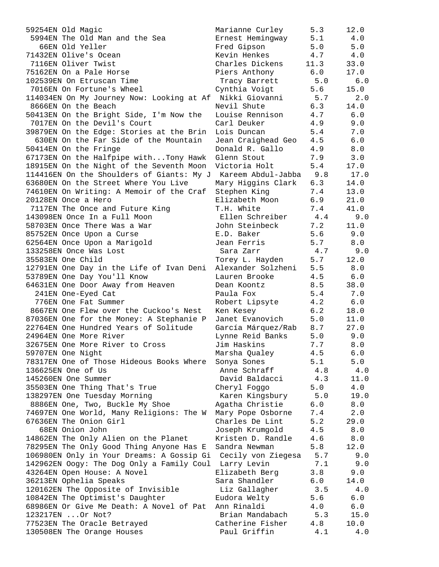| 59254EN Old Magic                                            | Marianne Curley    | 5.3  | 12.0        |
|--------------------------------------------------------------|--------------------|------|-------------|
| 5994EN The Old Man and the Sea                               | Ernest Hemingway   | 5.1  | 4.0         |
| 66EN Old Yeller                                              | Fred Gipson        | 5.0  | 5.0         |
| 71432EN Olive's Ocean                                        | Kevin Henkes       | 4.7  | 4.0         |
| 7116EN Oliver Twist                                          | Charles Dickens    | 11.3 | 33.0        |
| 75162EN On a Pale Horse                                      | Piers Anthony      | 6.0  | 17.0        |
| 102539EN On Etruscan Time                                    | Tracy Barrett      | 5.0  | 6.0         |
| 7016EN On Fortune's Wheel                                    | Cynthia Voigt      | 5.6  | 15.0        |
| 114034EN On My Journey Now: Looking at Af                    | Nikki Giovanni     | 5.7  | 2.0         |
| 8666EN On the Beach                                          | Nevil Shute        | 6.3  | 14.0        |
| 50413EN On the Bright Side, I'm Now the                      | Louise Rennison    | 4.7  | 6.0         |
| 7017EN On the Devil's Court                                  | Carl Deuker        | 4.9  | 9.0         |
| 39879EN On the Edge: Stories at the Brin                     | Lois Duncan        | 5.4  | 7.0         |
| 630EN On the Far Side of the Mountain                        | Jean Craighead Geo | 4.5  | 6.0         |
| 50414EN On the Fringe                                        | Donald R. Gallo    | 4.9  | 8.0         |
| 67173EN On the Halfpipe withTony Hawk                        | Glenn Stout        | 7.9  | 3.0         |
| 18915EN On the Night of the Seventh Moon                     | Victoria Holt      | 5.4  | 17.0        |
| 114416EN On the Shoulders of Giants: My J                    | Kareem Abdul-Jabba | 9.8  | 17.0        |
| 63680EN On the Street Where You Live                         |                    |      |             |
|                                                              | Mary Higgins Clark | 6.3  | 14.0        |
| 74610EN On Writing: A Memoir of the Craf                     | Stephen King       | 7.4  | 13.0        |
| 20128EN Once a Hero                                          | Elizabeth Moon     | 6.9  | 21.0        |
| 7117EN The Once and Future King                              | T.H. White         | 7.4  | 41.0        |
| 143098EN Once In a Full Moon                                 | Ellen Schreiber    | 4.4  | 9.0         |
| 58703EN Once There Was a War                                 | John Steinbeck     | 7.2  | 11.0        |
| 85752EN Once Upon a Curse                                    | E.D. Baker         | 5.6  | 9.0         |
| 62564EN Once Upon a Marigold                                 | Jean Ferris        | 5.7  | 8.0         |
| 133258EN Once Was Lost                                       | Sara Zarr          | 4.7  | 9.0         |
| 35583EN One Child                                            | Torey L. Hayden    | 5.7  | 12.0        |
| 12791EN One Day in the Life of Ivan Deni                     | Alexander Solzheni | 5.5  | 8.0         |
| 53789EN One Day You'll Know                                  | Lauren Brooke      | 4.5  | 6.0         |
| 64631EN One Door Away from Heaven                            | Dean Koontz        | 8.5  | 38.0        |
| 241EN One-Eyed Cat                                           | Paula Fox          | 5.4  | 7.0         |
| 776EN One Fat Summer                                         | Robert Lipsyte     | 4.2  | $6.0$       |
| 8667EN One Flew over the Cuckoo's Nest                       | Ken Kesey          | 6.2  | 18.0        |
| 87036EN One for the Money: A Stephanie P                     | Janet Evanovich    | 5.0  | 11.0        |
| 22764EN One Hundred Years of Solitude                        | García Márquez/Rab | 8.7  | 27.0        |
| 24964EN One More River                                       | Lynne Reid Banks   | 5.0  | 9.0         |
| 32675EN One More River to Cross                              | Jim Haskins        | 7.7  | 8.0         |
| 59707EN One Night                                            | Marsha Qualey      | 4.5  | 6.0         |
| 78317EN One of Those Hideous Books Where                     | Sonya Sones        | 5.1  | 5.0         |
| 136625EN One of Us                                           | Anne Schraff       | 4.8  | 4.0         |
| 145260EN One Summer                                          | David Baldacci     | 4.3  | 11.0        |
| 35503EN One Thing That's True                                | Cheryl Foggo       | 5.0  | 4.0         |
| 138297EN One Tuesday Morning                                 | Karen Kingsbury    | 5.0  | 19.0        |
| 8886EN One, Two, Buckle My Shoe                              | Agatha Christie    | 6.0  | $8.0$       |
| 74697EN One World, Many Religions: The W                     | Mary Pope Osborne  | 7.4  | 2.0         |
| 67636EN The Onion Girl                                       | Charles De Lint    | 5.2  | 29.0        |
| 68EN Onion John                                              | Joseph Krumgold    | 4.5  | 8.0         |
| 14862EN The Only Alien on the Planet                         | Kristen D. Randle  | 4.6  | 8.0         |
|                                                              | Sandra Newman      |      |             |
| 78295EN The Only Good Thing Anyone Has E                     |                    | 5.8  | 12.0<br>9.0 |
| 106980EN Only in Your Dreams: A Gossip Gi Cecily von Ziegesa |                    | 5.7  |             |
| 142962EN Oogy: The Dog Only a Family Coul Larry Levin        |                    | 7.1  | 9.0         |
| 43264EN Open House: A Novel                                  | Elizabeth Berg     | 3.8  | 9.0         |
| 36213EN Ophelia Speaks                                       | Sara Shandler      | 6.0  | 14.0        |
| 120162EN The Opposite of Invisible                           | Liz Gallagher      | 3.5  | 4.0         |
| 10842EN The Optimist's Daughter                              | Eudora Welty       | 5.6  | 6.0         |
| 68986EN Or Give Me Death: A Novel of Pat                     | Ann Rinaldi        | 4.0  | 6.0         |
| 123217EN  Or Not?                                            | Brian Mandabach    | 5.3  | 15.0        |
| 77523EN The Oracle Betrayed                                  | Catherine Fisher   | 4.8  | 10.0        |
| 130508EN The Orange Houses                                   | Paul Griffin       | 4.1  | 4.0         |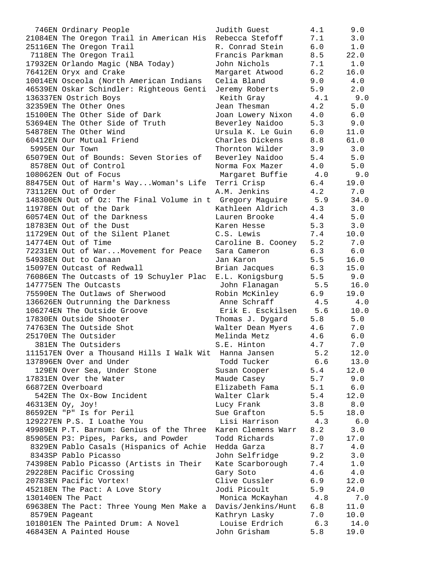| 746EN Ordinary People                                         | Judith Guest           | 4.1         | 9.0         |
|---------------------------------------------------------------|------------------------|-------------|-------------|
| 21084EN The Oregon Trail in American His Rebecca Stefoff      |                        | 7.1         | 3.0         |
| 25116EN The Oregon Trail                                      | R. Conrad Stein        | 6.0         | 1.0         |
| 7118EN The Oregon Trail                                       | Francis Parkman        | 8.5         | 22.0        |
| 17932EN Orlando Magic (NBA Today)                             | John Nichols           | 7.1         | 1.0         |
| 76412EN Oryx and Crake                                        | Margaret Atwood        | 6.2         | 16.0        |
| 10014EN Osceola (North American Indians                       | Celia Bland            | 9.0         | 4.0         |
| 46539EN Oskar Schindler: Righteous Genti                      | Jeremy Roberts         | 5.9         | 2.0         |
| 136337EN Ostrich Boys                                         | Keith Gray             | 4.1         | 9.0         |
| 32359EN The Other Ones                                        | Jean Thesman           | 4.2         | 5.0         |
| 15100EN The Other Side of Dark                                | Joan Lowery Nixon      | $4 \cdot 0$ | 6.0         |
| 53694EN The Other Side of Truth                               | Beverley Naidoo        |             | $5.3$ $9.0$ |
| 54878EN The Other Wind                                        | Ursula K. Le Guin      | 6.0         | 11.0        |
| 60412EN Our Mutual Friend                                     | Charles Dickens        | 8.8         | 61.0        |
| 5995EN Our Town                                               | Thornton Wilder        | 3.9         | 3.0         |
| 65079EN Out of Bounds: Seven Stories of                       | Beverley Naidoo        | 5.4         | 5.0         |
| 8578EN Out of Control                                         | Norma Fox Mazer 4.0    |             | 5.0         |
| 108062EN Out of Focus                                         | Margaret Buffie 4.0    |             | 9.0         |
| 88475EN Out of Harm's WayWoman's Life Terri Crisp             |                        | 6.4         | 19.0        |
| 73112EN Out of Order                                          | A.M. Jenkins           | 4.2         | 7.0         |
| 148300EN Out of Oz: The Final Volume in t Gregory Maguire 5.9 |                        |             | 34.0        |
| 11978EN Out of the Dark                                       | Kathleen Aldrich 4.3   |             | 3.0         |
| 60574EN Out of the Darkness                                   | Lauren Brooke          | 4.4         | 5.0         |
| 18783EN Out of the Dust                                       | Karen Hesse            | 5.3         | 3.0         |
| 11729EN Out of the Silent Planet                              | C.S. Lewis             | 7.4         | 10.0        |
| 14774EN Out of Time                                           | Caroline B. Cooney 5.2 |             | 7.0         |
| 72231EN Out of WarMovement for Peace                          | Sara Cameron 6.3       |             | 6.0         |
| 54938EN Out to Canaan                                         | Jan Karon              | 5.5         | 16.0        |
|                                                               |                        |             |             |
| 15097EN Outcast of Redwall                                    | Brian Jacques 6.3      |             | 15.0        |
| 76086EN The Outcasts of 19 Schuyler Plac                      | E.L. Konigsburg        | 5.5         | 9.0         |
| 147775EN The Outcasts                                         | John Flanagan 5.5      |             | 16.0        |
| 75590EN The Outlaws of Sherwood                               | Robin McKinley 6.9     |             | 19.0        |
| 136626EN Outrunning the Darkness                              | Anne Schraff 4.5       |             | 4.0         |
| 106274EN The Outside Groove                                   | Erik E. Esckilsen 5.6  |             | 10.0        |
| 17830EN Outside Shooter                                       | Thomas J. Dygard       | 5.8         | 5.0         |
| 74763EN The Outside Shot                                      | Walter Dean Myers 4.6  |             | 7.0         |
| 25170EN The Outsider                                          | Melinda Metz           | 4.6         | 6.0         |
| 381EN The Outsiders                                           | S.E. Hinton            | 4.7         | 7.0         |
| 111517EN Over a Thousand Hills I Walk Wit                     | Hanna Jansen           | 5.2         | 12.0        |
| 137896EN Over and Under                                       | Todd Tucker            | 6.6         | 13.0        |
| 129EN Over Sea, Under Stone                                   | Susan Cooper           | 5.4         | 12.0        |
| 17831EN Over the Water                                        | Maude Casey            | 5.7         | 9.0         |
| 66872EN Overboard                                             | Elizabeth Fama         | 5.1         | 6.0         |
| 542EN The Ox-Bow Incident                                     | Walter Clark           | 5.4         | 12.0        |
| 46313EN Oy, Joy!                                              | Lucy Frank             | 3.8         | $8.0$       |
| 86592EN "P" Is for Peril                                      | Sue Grafton            | 5.5         | 18.0        |
| 129227EN P.S. I Loathe You                                    | Lisi Harrison          | 4.3         | 6.0         |
| 49989EN P.T. Barnum: Genius of the Three                      | Karen Clemens Warr     | 8.2         | 3.0         |
| 85905EN P3: Pipes, Parks, and Powder                          | Todd Richards          | 7.0         | 17.0        |
| 8329EN Pablo Casals (Hispanics of Achie                       | Hedda Garza            | 8.7         | 4.0         |
| 8343SP Pablo Picasso                                          | John Selfridge         | 9.2         | 3.0         |
| 74398EN Pablo Picasso (Artists in Their                       | Kate Scarborough       | 7.4         | $1.0$       |
| 29228EN Pacific Crossing                                      | Gary Soto              | 4.6         | 4.0         |
| 20783EN Pacific Vortex!                                       | Clive Cussler          | 6.9         | 12.0        |
| 45218EN The Pact: A Love Story                                | Jodi Picoult           | 5.9         | 24.0        |
| 130140EN The Pact                                             | Monica McKayhan        | 4.8         | 7.0         |
| 69638EN The Pact: Three Young Men Make a                      | Davis/Jenkins/Hunt     | 6.8         | 11.0        |
| 8579EN Pageant                                                | Kathryn Lasky          | 7.0         | 10.0        |
| 101801EN The Painted Drum: A Novel                            | Louise Erdrich         | 6.3         | 14.0        |
| 46843EN A Painted House                                       | John Grisham           | 5.8         | 19.0        |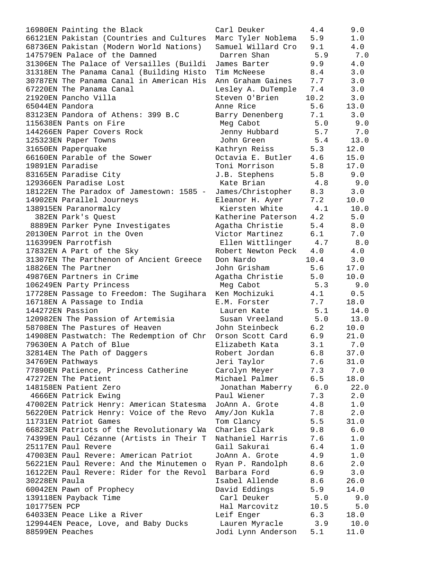16980EN Painting the Black Carl Deuker 4.4 9.0 66121EN Pakistan (Countries and Cultures Marc Tyler Noblema 5.9 1.0 68736EN Pakistan (Modern World Nations) Samuel Willard Cro 9.1 4.0 147579EN Palace of the Damned Darren Shan 5.9 7.0 31306EN The Palace of Versailles (Buildi James Barter 9.9 4.0 31318EN The Panama Canal (Building Histo Tim McNeese 8.4 3.0 30787EN The Panama Canal in American His Ann Graham Gaines 7.7 3.0 67220EN The Panama Canal Lesley A. DuTemple 7.4 3.0 21920EN Pancho Villa Steven O'Brien 10.2 3.0 65044EN Pandora Anne Rice 5.6 13.0 83123EN Pandora of Athens: 399 B.C Barry Denenberg 7.1 3.0 115638EN Pants on Fire the Meg Cabot the S.0 and S.0 and S.0 and S.0 and S.0 and S.0 and S.0 and S.0 and S.0 a 144266EN Paper Covers Rock Jenny Hubbard 5.7 7.0 125323EN Paper Towns John Green 5.4 13.0 31650EN Paperquake Kathryn Reiss 5.3 12.0 66160EN Parable of the Sower Octavia E. Butler 4.6 15.0 19891EN Paradise Toni Morrison 5.8 17.0 83165EN Paradise City **South Assembly Contract City** J.B. Stephens 5.8 9.0 129366EN Paradise Lost Kate Brian 4.8 9.0 18122EN The Paradox of Jamestown: 1585 - James/Christopher 8.3 3.0 14902EN Parallel Journeys Eleanor H. Ayer 7.2 10.0 138915EN Paranormalcy Kiersten White 4.1 10.0 382EN Park's Quest Katherine Paterson 4.2 5.0 8889EN Parker Pyne Investigates Agatha Christie 5.4 8.0 20130EN Parrot in the Oven Victor Martinez 6.1 7.0 116399EN Parrotfish Ellen Wittlinger 4.7 8.0 17832EN A Part of the Sky and the Robert Newton Peck  $4.0$   $4.0$ 31307EN The Parthenon of Ancient Greece Don Nardo 10.4 3.0 18826EN The Partner John Grisham 5.6 17.0 49876EN Partners in Crime Agatha Christie 5.0 10.0 106249EN Party Princess Meg Cabot 5.3 9.0 17728EN Passage to Freedom: The Sugihara Ken Mochizuki 4.1 0.5 16718EN A Passage to India E.M. Forster 7.7 18.0 144272EN Passion Lauren Kate 5.1 14.0 120982EN The Passion of Artemisia Susan Vreeland 5.0 13.0 58708EN The Pastures of Heaven John Steinbeck 6.2 10.0 14908EN Pastwatch: The Redemption of Chr Orson Scott Card 6.9 21.0 79630EN A Patch of Blue Elizabeth Kata 3.1 7.0 32814EN The Path of Daggers Robert Jordan 6.8 37.0 34769EN Pathways Jeri Taylor 7.6 31.0 77890EN Patience, Princess Catherine Carolyn Meyer 7.3 7.0 47272EN The Patient Michael Palmer 6.5 18.0 148158EN Patient Zero Jonathan Maberry 6.0 22.0 4666EN Patrick Ewing Paul Wiener 7.3 2.0 47002EN Patrick Henry: American Statesma JoAnn A. Grote 4.8 1.0 56220EN Patrick Henry: Voice of the Revo Amy/Jon Kukla 7.8 2.0 11731EN Patriot Games Tom Clancy 5.5 31.0 66823EN Patriots of the Revolutionary Wa Charles Clark 9.8 6.0 74399EN Paul Cézanne (Artists in Their T Nathaniel Harris 7.6 1.0 25117EN Paul Revere Gail Sakurai 6.4 1.0 47003EN Paul Revere: American Patriot JoAnn A. Grote 4.9 1.0 56221EN Paul Revere: And the Minutemen o Ryan P. Randolph 8.6 2.0 16122EN Paul Revere: Rider for the Revol Barbara Ford 6.9 3.0 30228EN Paula Isabel Allende 8.6 26.0 60042EN Pawn of Prophecy David Eddings 5.9 14.0 139118EN Payback Time Carl Deuker 5.0 9.0 101775EN PCP Hal Marcovitz 10.5 5.0 64033EN Peace Like a River Leif Enger 6.3 18.0 129944EN Peace, Love, and Baby Ducks Lauren Myracle 3.9 10.0 88599EN Peaches Jodi Lynn Anderson 5.1 11.0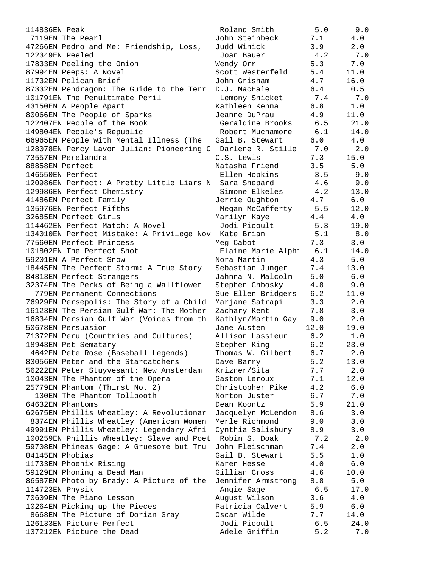| 114836EN Peak                                                   | Roland Smith       | 5.0   | 9.0   |
|-----------------------------------------------------------------|--------------------|-------|-------|
| 7119EN The Pearl                                                | John Steinbeck     | 7.1   | 4.0   |
| 47266EN Pedro and Me: Friendship, Loss,                         | Judd Winick        | 3.9   | 2.0   |
| 122349EN Peeled                                                 | Joan Bauer         | 4.2   | 7.0   |
| 17833EN Peeling the Onion                                       | Wendy Orr          | 5.3   | 7.0   |
| 87994EN Peeps: A Novel                                          | Scott Westerfeld   | 5.4   | 11.0  |
| 11732EN Pelican Brief                                           | John Grisham       | 4.7   | 16.0  |
| 87332EN Pendragon: The Guide to the Terr                        | D.J. MacHale       | 6.4   | 0.5   |
| 101791EN The Penultimate Peril                                  | Lemony Snicket     | 7.4   | 7.0   |
| 43150EN A People Apart                                          | Kathleen Kenna     | 6.8   | 1.0   |
| 80066EN The People of Sparks                                    | Jeanne DuPrau      | 4.9   | 11.0  |
| 122407EN People of the Book                                     | Geraldine Brooks   | 6.5   | 21.0  |
| 149804EN People's Republic                                      | Robert Muchamore   | 6.1   | 14.0  |
| 66965EN People with Mental Illness (The                         | Gail B. Stewart    | 6.0   | 4.0   |
| 128078EN Percy Lavon Julian: Pioneering C Darlene R. Stille 7.0 |                    |       | 2.0   |
| 73557EN Perelandra                                              | C.S. Lewis         | 7.3   | 15.0  |
| 88858EN Perfect                                                 | Natasha Friend     | 3.5   | 5.0   |
| 146550EN Perfect                                                | Ellen Hopkins      | 3.5   | 9.0   |
|                                                                 |                    |       |       |
| 120986EN Perfect: A Pretty Little Liars N                       | Sara Shepard       | 4.6   | 9.0   |
| 129986EN Perfect Chemistry                                      | Simone Elkeles     | 4.2   | 13.0  |
| 41486EN Perfect Family                                          | Jerrie Oughton     | 4.7   | 6.0   |
| 135976EN Perfect Fifths                                         | Megan McCafferty   | 5.5   | 12.0  |
| 32685EN Perfect Girls                                           | Marilyn Kaye       | 4.4   | 4.0   |
| 114462EN Perfect Match: A Novel                                 | Jodi Picoult       | 5.3   | 19.0  |
| 134010EN Perfect Mistake: A Privilege Nov Kate Brian            |                    | 5.1   | 8.0   |
| 77560EN Perfect Princess                                        | Meg Cabot          | 7.3   | 3.0   |
| 101802EN The Perfect Shot                                       | Elaine Marie Alphi | 6.1   | 14.0  |
| 59201EN A Perfect Snow                                          | Nora Martin        | 4.3   | 5.0   |
| 18445EN The Perfect Storm: A True Story                         | Sebastian Junger   | 7.4   | 13.0  |
| 84813EN Perfect Strangers                                       | Jahnna N. Malcolm  | 5.0   | 6.0   |
| 32374EN The Perks of Being a Wallflower                         | Stephen Chbosky    | 4.8   | 9.0   |
| 779EN Permanent Connections                                     | Sue Ellen Bridgers | 6.2   | 11.0  |
| 76929EN Persepolis: The Story of a Child                        | Marjane Satrapi    | 3.3   | 2.0   |
| 16123EN The Persian Gulf War: The Mother                        | Zachary Kent       | 7.8   | 3.0   |
| 16834EN Persian Gulf War (Voices from th                        | Kathlyn/Martin Gay | 9.0   | 2.0   |
| 50678EN Persuasion                                              | Jane Austen        | 12.0  | 19.0  |
| 71372EN Peru (Countries and Cultures)                           | Allison Lassieur   | 6.2   | 1.0   |
| 18943EN Pet Sematary                                            | Stephen King       | 6.2   | 23.0  |
| 4642EN Pete Rose (Baseball Legends)                             | Thomas W. Gilbert  | 6.7   | 2.0   |
| 83056EN Peter and the Starcatchers                              | Dave Barry         | 5.2   | 13.0  |
| 56222EN Peter Stuyvesant: New Amsterdam                         | Krizner/Sita       | 7.7   | 2.0   |
| 10043EN The Phantom of the Opera                                | Gaston Leroux      | 7.1   | 12.0  |
| 25779EN Phantom (Thirst No. 2)                                  | Christopher Pike   | 4.2   | 6.0   |
| 130EN The Phantom Tollbooth                                     | Norton Juster      | 6.7   | 7.0   |
| 64632EN Phantoms                                                | Dean Koontz        | 5.9   | 21.0  |
| 62675EN Phillis Wheatley: A Revolutionar                        | Jacquelyn McLendon | 8.6   | 3.0   |
| 8374EN Phillis Wheatley (American Women                         |                    |       |       |
|                                                                 | Merle Richmond     | 9.0   | 3.0   |
| 49991EN Phillis Wheatley: Legendary Afri                        | Cynthia Salisbury  | 8.9   | 3.0   |
| 100259EN Phillis Wheatley: Slave and Poet                       | Robin S. Doak      | 7.2   | 2.0   |
| 59708EN Phineas Gage: A Gruesome but Tru                        | John Fleischman    | 7.4   | 2.0   |
| 84145EN Phobias                                                 | Gail B. Stewart    | 5.5   | $1.0$ |
| 11733EN Phoenix Rising                                          | Karen Hesse        | 4.0   | $6.0$ |
| 59129EN Phoning a Dead Man                                      | Gillian Cross      | 4.6   | 10.0  |
| 86587EN Photo by Brady: A Picture of the                        | Jennifer Armstrong | 8.8   | 5.0   |
| 114723EN Physik                                                 | Angie Sage         | 6.5   | 17.0  |
| 70609EN The Piano Lesson                                        | August Wilson      | 3.6   | 4.0   |
| 10264EN Picking up the Pieces                                   | Patricia Calvert   | 5.9   | 6.0   |
| 8668EN The Picture of Dorian Gray                               | Oscar Wilde        | 7.7   | 14.0  |
| 126133EN Picture Perfect                                        | Jodi Picoult       | $6.5$ | 24.0  |
| 137212EN Picture the Dead                                       | Adele Griffin      | 5.2   | 7.0   |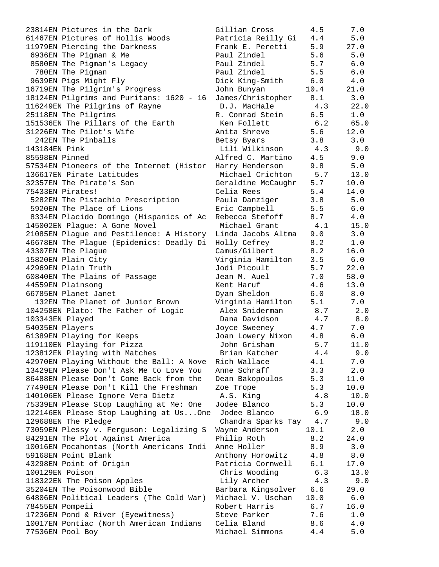23814EN Pictures in the Dark 61467EN Pictures of Hollis Woods 11979EN Piercing the Darkness 6936EN The Pigman & Me 8580EN The Pigman's Legacy 780EN The Pigman 9639EN Pigs Might Fly 16719EN The Pilgrim's Progress 18124EN Pilgrims and Puritans: 1620 - 16 116249EN The Pilgrims of Rayne 25118EN The Pilgrims 151536EN The Pillars of the Earth 31226EN The Pilot's Wife 242EN The Pinballs 143184EN Pink 85598EN Pinned 57534EN Pioneers of the Internet (Histor 136617EN Pirate Latitudes 32357EN The Pirate's Son 75433EN Pirates! 5282EN The Pistachio Prescription 5920EN The Place of Lions 8334EN Placido Domingo (Hispanics of Ac 145002EN Plague: A Gone Novel 21085EN Plague and Pestilence: A History 46678EN The Plague (Epidemics: Deadly Di 43307EN The Plaque 15820EN Plain City 42969EN Plain Truth 60840EN The Plains of Passage 44559EN Plainsong 66785EN Planet Janet 132EN The Planet of Junior Brown 104258EN Plato: The Father of Logic 103343EN Played 54035EN Players 61389EN Playing for Keeps 119110EN Playing for Pizza 123812EN Playing with Matches 42970EN Playing Without the Ball: A Nove 13429EN Please Don't Ask Me to Love You 86488EN Please Don't Come Back from the 77490EN Please Don't Kill the Freshman 140106EN Please Ignore Vera Dietz 75339EN Please Stop Laughing at Me: One 122146EN Please Stop Laughing at Us...One 129688EN The Pledge 73059EN Plessy v. Ferguson: Legalizing S 84291EN The Plot Against America 10016EN Pocahontas (North Americans Indi 59168EN Point Blank 43298EN Point of Origin 100129EN Poison 118322EN The Poison Apples 35204EN The Poisonwood Bible 64806EN Political Leaders (The Cold War) 78455EN Pompeii 17236EN Pond & River (Eyewitness) 10017EN Pontiac (North American Indians 77536EN Pool Boy

| Gillian Cross      | 4.5     | 7.0          |
|--------------------|---------|--------------|
| Patricia Reilly Gi | 4.4     | 5.0          |
| Frank E. Peretti   | 5.9     | 27.0         |
| Paul Zindel        | $5.6$   | $5.0$        |
| Paul Zindel        | 5.7     | $6.0$        |
| Paul Zindel        | 5.5     | $6.0$        |
| Dick King-Smith    | 6.0     | 4.0          |
| John Bunyan        | 10.4    | 21.0         |
| James/Christopher  | 8.1     | 3.0          |
| D.J. MacHale       | 4.3     | 22.0         |
| R. Conrad Stein    | 6.5     | 1.0          |
| Ken Follett        | 6.2     | 65.0         |
| Anita Shreve       | 5.6     | 12.0         |
| Betsy Byars        | 3.8     | 3.0          |
| Lili Wilkinson     | 4.3     | $9.0$        |
| Alfred C. Martino  | 4.5     | 9.0          |
| Harry Henderson    | 9.8     | $5.0$        |
| Michael Crichton   | 5.7     | 13.0         |
|                    | 5.7     | 10.0         |
| Geraldine McCaughr |         |              |
| Celia Rees         | 5.4     | 14.0         |
| Paula Danziger     | 3.8     | 5.0          |
| Eric Campbell      | 5.5     | 6.0          |
| Rebecca Stefoff    | 8.7     | 4.0          |
| Michael Grant      | 4.1     | 15.0         |
| Linda Jacobs Altma | 9.0     | 3.0          |
| Holly Cefrey       | 8.2     | 1.0          |
| Camus/Gilbert      | 8.2     | 16.0         |
| Virginia Hamilton  | 3.5     | 6.0          |
| Jodi Picoult       | 5.7     | 22.0         |
| Jean M. Auel       | 7.0     | 58.0         |
| Kent Haruf         | 4.6     | 13.0         |
| Dyan Sheldon       | 6.0     | 8.0          |
| Virginia Hamilton  | 5.1     | 7.0          |
| Alex Sniderman     | 8.7     | 2.0          |
| Dana Davidson      | 4.7     | 8.0          |
| Joyce Sweeney      | 4.7     | 7.0          |
| Joan Lowery Nixon  | 4.8     | 6.0          |
| John Grisham       | 5.7     | 11.0         |
| Brian Katcher      | 4.4     | 9.0          |
| Rich Wallace       | 4.1     | 7.0          |
| Anne Schraff       | 3.3     | 2.0          |
| Dean Bakopoulos    | 5.3     | 11.0         |
| Zoe Trope          | 5.3     | 10.0         |
| A.S. King          | 4.8     | 10.0         |
| Jodee Blanco       | 5.3     | 10.0         |
| Jodee Blanco       | 6.9     | 18.0         |
| Chandra Sparks Tay | $4\,.7$ | 9.0          |
| Wayne Anderson     | 10.1    | 2.0          |
| Philip Roth        | 8.2     | 24.0         |
| Anne Holler        | 8.9     | 3.0          |
| Anthony Horowitz   | $4\,.8$ | $\bf 8.0$    |
|                    |         |              |
| Patricia Cornwell  | 6.1     | 17.0         |
| Chris Wooding      | 6.3     | 13.0         |
| Lily Archer        | 4.3     | 9.0          |
| Barbara Kingsolver | 6.6     | 29.0         |
| Michael V. Uschan  | 10.0    | $6.0$        |
| Robert Harris      | 6.7     | 16.0         |
| Steve Parker       | 7.6     | $1\,.\,0$    |
| Celia Bland        | $8.6\,$ | $4\,.$ $0\,$ |
| Michael Simmons    | 4.4     | 5.0          |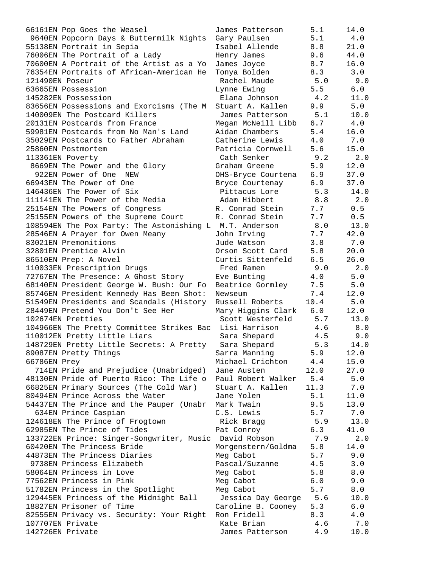| 66161EN Pop Goes the Weasel                                               | James Patterson                   | 5.1        | 14.0        |
|---------------------------------------------------------------------------|-----------------------------------|------------|-------------|
| 9640EN Popcorn Days & Buttermilk Nights                                   | Gary Paulsen                      | 5.1        | 4.0         |
| 55138EN Portrait in Sepia                                                 | Isabel Allende                    | 8.8        | 21.0        |
| 76006EN The Portrait of a Lady                                            | Henry James                       | 9.6        | 44.0        |
| 70600EN A Portrait of the Artist as a Yo                                  | James Joyce                       | 8.7        | 16.0        |
| 76354EN Portraits of African-American He                                  | Tonya Bolden                      | 8.3        | 3.0         |
| 121490EN Poseur                                                           | Rachel Maude                      | 5.0        | 9.0         |
| 63665EN Possession                                                        | Lynne Ewing                       | 5.5        | 6.0         |
| 145282EN Possession                                                       | Elana Johnson                     | 4.2        | 11.0        |
| 83656EN Possessions and Exorcisms (The M                                  | Stuart A. Kallen                  | 9.9        | 5.0         |
| 140009EN The Postcard Killers                                             | James Patterson                   | 5.1        | 10.0        |
| 20131EN Postcards from France                                             | Megan McNeill Libb                | 6.7        | 4.0         |
| 59981EN Postcards from No Man's Land                                      | Aidan Chambers                    | 5.4        | 16.0        |
| 35029EN Postcards to Father Abraham                                       | Catherine Lewis                   | 4.0        | 7.0         |
| 25860EN Postmortem                                                        | Patricia Cornwell                 | 5.6        | 15.0        |
| 113361EN Poverty                                                          | Cath Senker                       | 9.2        | 2.0         |
| 8669EN The Power and the Glory                                            | Graham Greene                     | 5.9        | 12.0        |
| 922EN Power of One<br>NEW                                                 | OHS-Bryce Courtena                | 6.9        | 37.0        |
| 66943EN The Power of One                                                  | Bryce Courtenay                   | 6.9        | 37.0        |
| 146436EN The Power of Six                                                 | Pittacus Lore                     | 5.3        | 14.0        |
| 111141EN The Power of the Media                                           | Adam Hibbert                      | 8.8        | $2.0$       |
| 25154EN The Powers of Congress                                            | R. Conrad Stein                   | 7.7        | 0.5         |
| 25155EN Powers of the Supreme Court                                       | R. Conrad Stein                   | 7.7        | 0.5         |
| 108594EN The Pox Party: The Astonishing L M.T. Anderson                   |                                   | 8.0        | 13.0        |
| 28546EN A Prayer for Owen Meany                                           | John Irving                       | 7.7        | 42.0        |
| 83021EN Premonitions                                                      | Jude Watson                       | 3.8        | 7.0         |
| 32801EN Prentice Alvin                                                    | Orson Scott Card                  | 5.8        | 20.0        |
| 86510EN Prep: A Novel                                                     | Curtis Sittenfeld                 | 6.5        | 26.0        |
| 110033EN Prescription Drugs                                               | Fred Ramen                        | 9.0        | 2.0         |
| 72767EN The Presence: A Ghost Story                                       | Eve Bunting                       | 4.0        | 5.0         |
| 68140EN President George W. Bush: Our Fo                                  | Beatrice Gormley                  | 7.5        | 5.0         |
| 85746EN President Kennedy Has Been Shot:                                  | Newseum                           | 7.4        | 12.0        |
| 51549EN Presidents and Scandals (History                                  | Russell Roberts                   | 10.4       | 5.0         |
| 28449EN Pretend You Don't See Her<br>102674EN Pretties                    | Mary Higgins Clark                | 6.0<br>5.7 | 12.0        |
|                                                                           | Scott Westerfeld<br>Lisi Harrison | 4.6        | 13.0<br>8.0 |
| 104966EN The Pretty Committee Strikes Bac<br>110012EN Pretty Little Liars | Sara Shepard                      | 4.5        | 9.0         |
| 148729EN Pretty Little Secrets: A Pretty                                  | Sara Shepard                      | 5.3        | 14.0        |
|                                                                           |                                   | 5.9        | 12.0        |
| 89087EN Pretty Things<br>66786EN Prey                                     | Sarra Manning<br>Michael Crichton | 4.4        | 15.0        |
| 714EN Pride and Prejudice (Unabridged)                                    | Jane Austen                       | 12.0       | 27.0        |
| 48130EN Pride of Puerto Rico: The Life o                                  | Paul Robert Walker                | 5.4        | $5.0$       |
| 66825EN Primary Sources (The Cold War)                                    | Stuart A. Kallen                  | 11.3       | 7.0         |
| 80494EN Prince Across the Water                                           | Jane Yolen                        | 5.1        | 11.0        |
| 54437EN The Prince and the Pauper (Unabr Mark Twain                       |                                   | 9.5        | 13.0        |
| 634EN Prince Caspian                                                      | C.S. Lewis                        | 5.7        | 7.0         |
| 124618EN The Prince of Frogtown                                           | Rick Bragg                        | 5.9        | 13.0        |
| 62985EN The Prince of Tides                                               | Pat Conroy                        | 6.3        | 41.0        |
| 133722EN Prince: Singer-Songwriter, Music David Robson                    |                                   | 7.9        | 2.0         |
| 60420EN The Princess Bride                                                | Morgenstern/Goldma                | 5.8        | 14.0        |
| 44873EN The Princess Diaries                                              | Meg Cabot                         | 5.7        | 9.0         |
| 9738EN Princess Elizabeth                                                 | Pascal/Suzanne                    | 4.5        | 3.0         |
| 58064EN Princess in Love                                                  | Meg Cabot                         | 5.8        | 8.0         |
| 77562EN Princess in Pink                                                  | Meg Cabot                         | 6.0        | 9.0         |
| 51782EN Princess in the Spotlight                                         | Meg Cabot                         | 5.7        | 8.0         |
| 129445EN Princess of the Midnight Ball                                    | Jessica Day George                | 5.6        | 10.0        |
| 18827EN Prisoner of Time                                                  | Caroline B. Cooney                | 5.3        | 6.0         |
| 82555EN Privacy vs. Security: Your Right                                  | Ron Fridell                       | 8.3        | 4.0         |
| 107707EN Private                                                          | Kate Brian                        | 4.6        | 7.0         |
| 142726EN Private                                                          | James Patterson                   | 4.9        | 10.0        |
|                                                                           |                                   |            |             |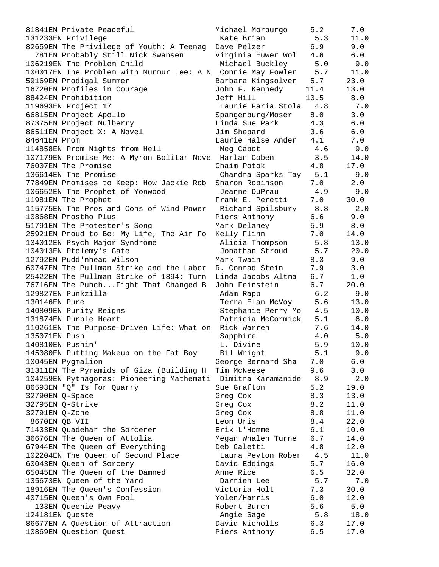81841EN Private Peaceful **Michael Morpurgo** 5.2 7.0 131233EN Privilege Kate Brian 5.3 11.0 82659EN The Privilege of Youth: A Teenag Dave Pelzer 6.9 9.0 781EN Probably Still Nick Swansen Virginia Euwer Wol 4.6 6.0 106219EN The Problem Child Michael Buckley 5.0 9.0 100017EN The Problem with Murmur Lee: A N Connie May Fowler 5.7 11.0 59169EN Prodigal Summer Barbara Kingsolver 5.7 23.0 16720EN Profiles in Courage John F. Kennedy 11.4 13.0 88424EN Prohibition Jeff Hill 10.5 8.0 119693EN Project 17 Laurie Faria Stola 4.8 7.0 66815EN Project Apollo Spangenburg/Moser 8.0 3.0 87375EN Project Mulberry Linda Sue Park 4.3 6.0 86511EN Project X: A Novel Jim Shepard 3.6 6.0 84641EN Prom Laurie Halse Ander 4.1 7.0 114858EN Prom Nights from Hell Meg Cabot 4.6 9.0 107179EN Promise Me: A Myron Bolitar Nove Harlan Coben 3.5 14.0 76007EN The Promise Chaim Potok 4.8 17.0 136614EN The Promise Chandra Sparks Tay 5.1 9.0 77849EN Promises to Keep: How Jackie Rob Sharon Robinson 7.0 2.0 106652EN The Prophet of Yonwood Jeanne DuPrau 4.9 9.0 11981EN The Prophet Frank E. Peretti 7.0 30.0 115775EN The Pros and Cons of Wind Power Richard Spilsbury 8.8 2.0 10868EN Prostho Plus Piers Anthony 6.6 9.0 51791EN The Protester's Song Mark Delaney 5.9 8.0 25921EN Proud to Be: My Life, The Air Fo Kelly Flinn 7.0 14.0 134012EN Psych Major Syndrome Alicia Thompson 5.8 13.0 104013EN Ptolemy's Gate Jonathan Stroud 5.7 20.0 12792EN Pudd'nhead Wilson Mark Twain 8.3 9.0 60747EN The Pullman Strike and the Labor R. Conrad Stein 7.9 3.0 25422EN The Pullman Strike of 1894: Turn Linda Jacobs Altma 6.7 1.0 76716EN The Punch...Fight That Changed B John Feinstein 6.7 20.0 129827EN Punkzilla Adam Rapp 6.2 9.0 130146EN Pure Terra Elan McVoy 5.6 13.0 140809EN Purity Reigns Stephanie Perry Mo 4.5 10.0 131874EN Purple Heart Patricia McCormick 5.1 6.0 110261EN The Purpose-Driven Life: What on Rick Warren 7.6 14.0 135071EN Push Sapphire 4.0 5.0 140810EN Pushin' L. Divine 5.9 10.0 145080EN Putting Makeup on the Fat Boy Bil Wright 5.1 9.0 10045EN Pygmalion George Bernard Sha 7.0 6.0 31311EN The Pyramids of Giza (Building H Tim McNeese 9.6 3.0 104259EN Pythagoras: Pioneering Mathemati Dimitra Karamanide 8.9 2.0 86593EN "Q" Is for Quarry Sue Grafton 5.2 19.0  $32790$ EN Q-Space  $32790$ EN Q-Space  $32790$ EN Q-Space  $32790$ EN Q-Space  $32790$ EN Q-Space 32795EN Q-Strike Greg Cox 8.2 11.0 32791EN Q-Zone Greg Cox 8.8 11.0 8670EN QB VII Leon Uris 8.4 22.0 71433EN Quadehar the Sorcerer Erik L'Homme 6.1 10.0 36676EN The Queen of Attolia Megan Whalen Turne 6.7 14.0 67944EN The Queen of Everything Deb Caletti 4.8 12.0 102204EN The Queen of Second Place Laura Peyton Rober 4.5 11.0 60043EN Queen of Sorcery David Eddings 5.7 16.0 65045EN The Queen of the Damned Anne Rice 6.5 32.0 135673EN Queen of the Yard Darrien Lee 5.7 7.0 18916EN The Queen's Confession Victoria Holt 7.3 30.0 40715EN Queen's Own Fool Yolen/Harris 6.0 12.0 133EN Queenie Peavy Robert Burch 5.6 5.0 124181EN Queste Angie Sage 5.8 18.0 86677EN A Question of Attraction David Nicholls 6.3 17.0 10869EN Question Quest Piers Anthony 6.5 17.0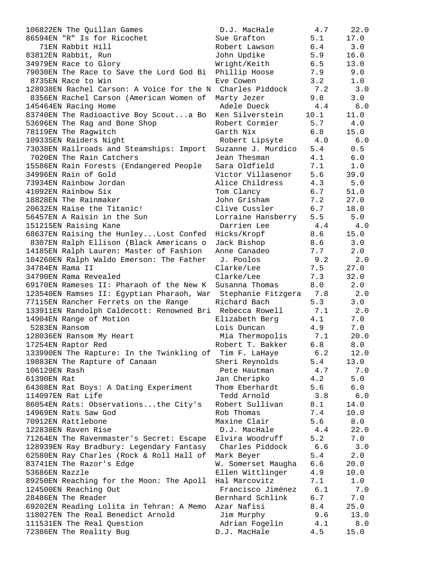| 106822EN The Quillan Games                                | D.J. MacHale       | 4.7  | 22.0  |
|-----------------------------------------------------------|--------------------|------|-------|
| 86594EN "R" Is for Ricochet                               | Sue Grafton        | 5.1  | 17.0  |
| 71EN Rabbit Hill                                          | Robert Lawson      | 6.4  | 3.0   |
| 83812EN Rabbit, Run                                       | John Updike        | 5.9  | 16.0  |
| 34979EN Race to Glory                                     | Wright/Keith       | 6.5  | 13.0  |
| 79030EN The Race to Save the Lord God Bi                  | Phillip Hoose      | 7.9  | 9.0   |
| 8735EN Race to Win                                        | Eve Cowen          | 3.2  | 1.0   |
| 128938EN Rachel Carson: A Voice for the N Charles Piddock |                    | 7.2  | 3.0   |
| 8356EN Rachel Carson (American Women of                   | Marty Jezer        | 9.8  | 3.0   |
| 145464EN Racing Home                                      | Adele Dueck        | 4.4  | 6.0   |
| 83740EN The Radioactive Boy Scouta Bo                     | Ken Silverstein    | 10.1 | 11.0  |
| 53696EN The Rag and Bone Shop                             | Robert Cormier     | 5.7  | 4.0   |
| 78119EN The Raqwitch                                      | Garth Nix          | 6.8  | 15.0  |
| 109335EN Raiders Night                                    | Robert Lipsyte 4.0 |      | 6.0   |
| 73038EN Railroads and Steamships: Import                  | Suzanne J. Murdico | 5.4  | 0.5   |
| 7020EN The Rain Catchers                                  | Jean Thesman       | 4.1  | 6.0   |
| 15586EN Rain Forests (Endangered People                   | Sara Oldfield      | 7.1  | 1.0   |
| 34996EN Rain of Gold                                      | Victor Villasenor  | 5.6  | 39.0  |
| 73934EN Rainbow Jordan                                    | Alice Childress    | 4.3  | 5.0   |
| 41092EN Rainbow Six                                       | Tom Clancy         | 6.7  | 51.0  |
| 18828EN The Rainmaker                                     | John Grisham       | 7.2  | 27.0  |
| 20632EN Raise the Titanic!                                | Clive Cussler      | 6.7  | 18.0  |
| 56457EN A Raisin in the Sun                               | Lorraine Hansberry | 5.5  | 5.0   |
| 151215EN Raising Kane                                     | Darrien Lee<br>4.4 |      | 4.0   |
| 68637EN Raising the HunleyLost Confed                     | Hicks/Kropf        | 8.6  | 15.0  |
| 8307EN Ralph Ellison (Black Americans o                   | Jack Bishop        | 8.6  | 3.0   |
| 14185EN Ralph Lauren: Master of Fashion                   | Anne Canadeo       | 7.7  | 2.0   |
| 104260EN Ralph Waldo Emerson: The Father                  | J. Poolos          | 9.2  | 2.0   |
| 34784EN Rama II                                           | Clarke/Lee         | 7.5  | 27.0  |
| 34790EN Rama Revealed                                     | Clarke/Lee         | 7.3  | 32.0  |
| 69170EN Rameses II: Pharaoh of the New K                  | Susanna Thomas     | 8.0  | 2.0   |
| 123540EN Ramses II: Egyptian Pharaoh, War                 | Stephanie Fitzgera | 7.8  | 2.0   |
| 77115EN Rancher Ferrets on the Range                      | Richard Bach       | 5.3  | 3.0   |
| 133911EN Randolph Caldecott: Renowned Bri Rebecca Rowell  |                    | 7.1  | 2.0   |
| 14904EN Range of Motion                                   | Elizabeth Berg     | 4.1  | 7.0   |
| 5283EN Ransom                                             | Lois Duncan        | 4.9  | 7.0   |
| 128036EN Ransom My Heart                                  | Mia Thermopolis    | 7.1  | 20.0  |
| 17254EN Raptor Red                                        | Robert T. Bakker   | 6.8  | 8.0   |
| 133990EN The Rapture: In the Twinkling of                 | Tim F. LaHaye      | 6.2  | 12.0  |
| 19883EN The Rapture of Canaan                             | Sheri Reynolds     | 5.4  | 13.0  |
| 106129EN Rash                                             | Pete Hautman       | 4.7  | 7.0   |
| 61390EN Rat                                               | Jan Cheripko       | 4.2  | 5.0   |
| 64308EN Rat Boys: A Dating Experiment                     | Thom Eberhardt     | 5.6  | 6.0   |
| 114097EN Rat Life                                         | Tedd Arnold        | 3.8  | 6.0   |
| 86054EN Rats: Observationsthe City's                      | Robert Sullivan    | 8.1  | 14.0  |
| 14969EN Rats Saw God                                      | Rob Thomas         | 7.4  | 10.0  |
| 70912EN Rattlebone                                        | Maxine Clair       | 5.6  | 8.0   |
| 122838EN Raven Rise                                       | D.J. MacHale       | 4.4  | 22.0  |
| 71264EN The Ravenmaster's Secret: Escape                  | Elvira Woodruff    | 5.2  | 7.0   |
| 128939EN Ray Bradbury: Legendary Fantasy                  | Charles Piddock    | 6.6  | 3.0   |
| 62580EN Ray Charles (Rock & Roll Hall of                  | Mark Beyer         | 5.4  | 2.0   |
| 83741EN The Razor's Edge                                  | W. Somerset Maugha | 6.6  | 20.0  |
| 53686EN Razzle                                            | Ellen Wittlinger   | 4.9  | 10.0  |
| 89250EN Reaching for the Moon: The Apoll                  | Hal Marcovitz      | 7.1  | $1.0$ |
| 124500EN Reaching Out                                     | Francisco Jiménez  | 6.1  | 7.0   |
| 28486EN The Reader                                        | Bernhard Schlink   | 6.7  | 7.0   |
| 69202EN Reading Lolita in Tehran: A Memo                  | Azar Nafisi        | 8.4  | 25.0  |
| 118027EN The Real Benedict Arnold                         | Jim Murphy         | 9.6  | 13.0  |
| 111531EN The Real Question                                | Adrian Fogelin     | 4.1  | $8.0$ |
| 72386EN The Reality Bug                                   | D.J. MacHale       | 4.5  | 15.0  |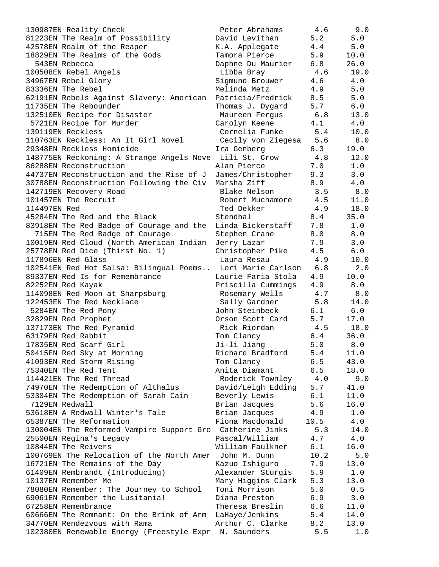| 130987EN Reality Check                                    | Peter Abrahams     | 4.6  | 9.0   |
|-----------------------------------------------------------|--------------------|------|-------|
| 81223EN The Realm of Possibility                          | David Levithan     | 5.2  | 5.0   |
| 42578EN Realm of the Reaper                               | K.A. Applegate     | 4.4  | 5.0   |
| 18829EN The Realms of the Gods                            | Tamora Pierce      | 5.9  | 10.0  |
| 543EN Rebecca                                             | Daphne Du Maurier  | 6.8  | 26.0  |
| 100508EN Rebel Angels                                     | Libba Bray         | 4.6  | 19.0  |
| 34967EN Rebel Glory                                       | Sigmund Brouwer    | 4.6  | 4.0   |
| 83336EN The Rebel                                         | Melinda Metz       | 4.9  | 5.0   |
| 62191EN Rebels Against Slavery: American                  | Patricia/Fredrick  | 8.5  | 5.0   |
| 11735EN The Rebounder                                     | Thomas J. Dygard   | 5.7  | 6.0   |
| 132510EN Recipe for Disaster                              | Maureen Ferqus     | 6.8  | 13.0  |
| 5721EN Recipe for Murder                                  | Carolyn Keene      | 4.1  | 4.0   |
| 139119EN Reckless                                         | Cornelia Funke     | 5.4  | 10.0  |
| 110763EN Reckless: An It Girl Novel                       | Cecily von Ziegesa | 5.6  | 8.0   |
| 29348EN Reckless Homicide                                 | Ira Genberg        | 6.3  | 19.0  |
| 148775EN Reckoning: A Strange Angels Nove                 | Lili St. Crow      | 4.8  | 12.0  |
| 86288EN Reconstruction                                    | Alan Pierce        | 7.0  | 1.0   |
| 44737EN Reconstruction and the Rise of J                  | James/Christopher  | 9.3  | 3.0   |
| 30788EN Reconstruction Following the Civ                  | Marsha Ziff        | 8.9  | 4.0   |
| 142719EN Recovery Road                                    | Blake Nelson       | 3.5  | 8.0   |
| 101457EN The Recruit                                      | Robert Muchamore   | 4.5  | 11.0  |
| 114497EN Red                                              | Ted Dekker         | 4.9  | 18.0  |
| 45284EN The Red and the Black                             | Stendhal           | 8.4  | 35.0  |
| 83918EN The Red Badge of Courage and the                  | Linda Bickerstaff  | 7.8  | 1.0   |
| 715EN The Red Badge of Courage                            | Stephen Crane      | 8.0  | 8.0   |
| 10019EN Red Cloud (North American Indian                  | Jerry Lazar        | 7.9  | 3.0   |
| 25778EN Red Dice (Thirst No. 1)                           | Christopher Pike   | 4.5  | 6.0   |
| 117896EN Red Glass                                        | Laura Resau        | 4.9  | 10.0  |
| 102541EN Red Hot Salsa: Bilingual Poems                   | Lori Marie Carlson | 6.8  | 2.0   |
| 89337EN Red Is for Remembrance                            | Laurie Faria Stola | 4.9  | 10.0  |
| 82252EN Red Kayak                                         | Priscilla Cummings | 4.9  | 8.0   |
| 114098EN Red Moon at Sharpsburg                           | Rosemary Wells     | 4.7  | 8.0   |
| 122453EN The Red Necklace                                 | Sally Gardner      | 5.8  | 14.0  |
| 5284EN The Red Pony                                       | John Steinbeck     | 6.1  | 6.0   |
| 32829EN Red Prophet                                       | Orson Scott Card   | 5.7  | 17.0  |
| 137173EN The Red Pyramid                                  | Rick Riordan       | 4.5  | 18.0  |
| 63179EN Red Rabbit                                        | Tom Clancy         | 6.4  | 36.0  |
| 17835EN Red Scarf Girl                                    | Ji-li Jianq        | 5.0  | 8.0   |
| 50415EN Red Sky at Morning                                | Richard Bradford   | 5.4  | 11.0  |
| 41093EN Red Storm Rising                                  | Tom Clancy         | 6.5  | 43.0  |
| 75340EN The Red Tent                                      | Anita Diamant      | 6.5  | 18.0  |
| 114421EN The Red Thread                                   | Roderick Townley   | 4.0  | 9.0   |
| 74970EN The Redemption of Althalus                        | David/Leigh Edding | 5.7  | 41.0  |
| 53304EN The Redemption of Sarah Cain                      | Beverly Lewis      | 6.1  | 11.0  |
| 7129EN Redwall                                            | Brian Jacques      | 5.6  | 16.0  |
| 53618EN A Redwall Winter's Tale                           | Brian Jacques      | 4.9  | $1.0$ |
| 65387EN The Reformation                                   | Fiona Macdonald    | 10.5 | 4.0   |
| 130004EN The Reformed Vampire Support Gro Catherine Jinks |                    | 5.3  | 14.0  |
| 25500EN Regina's Legacy                                   | Pascal/William     | 4.7  | 4.0   |
| 10844EN The Reivers                                       | William Faulkner   | 6.1  | 16.0  |
| 100769EN The Relocation of the North Amer John M. Dunn    |                    | 10.2 | 5.0   |
| 16721EN The Remains of the Day                            | Kazuo Ishiguro     | 7.9  | 13.0  |
| 61409EN Rembrandt (Introducing)                           | Alexander Sturgis  | 5.9  | 1.0   |
| 10137EN Remember Me                                       | Mary Higgins Clark | 5.3  | 13.0  |
| 78080EN Remember: The Journey to School                   | Toni Morrison      | 5.0  | 0.5   |
| 69061EN Remember the Lusitania!                           | Diana Preston      | 6.9  | 3.0   |
| 67258EN Remembrance                                       | Theresa Breslin    | 6.6  | 11.0  |
| 60666EN The Remnant: On the Brink of Arm                  | LaHaye/Jenkins     | 5.4  | 14.0  |
| 34770EN Rendezvous with Rama                              | Arthur C. Clarke   | 8.2  | 13.0  |
| 102380EN Renewable Energy (Freestyle Expr N. Saunders     |                    | 5.5  | 1.0   |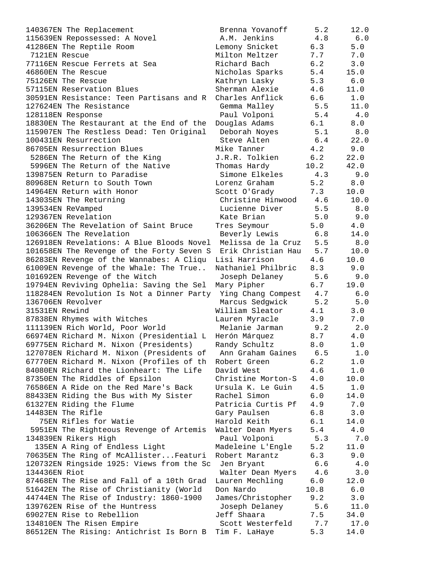| 140367EN The Replacement                               | Brenna Yovanoff    | 5.2  | 12.0  |
|--------------------------------------------------------|--------------------|------|-------|
| 115639EN Repossessed: A Novel                          | A.M. Jenkins       | 4.8  | 6.0   |
| 41286EN The Reptile Room                               | Lemony Snicket     | 6.3  | 5.0   |
| 7121EN Rescue                                          | Milton Meltzer     | 7.7  | 7.0   |
| 77116EN Rescue Ferrets at Sea                          | Richard Bach       | 6.2  | 3.0   |
| 46860EN The Rescue                                     | Nicholas Sparks    | 5.4  | 15.0  |
| 75126EN The Rescue                                     | Kathryn Lasky      | 5.3  | 6.0   |
| 57115EN Reservation Blues                              | Sherman Alexie     | 4.6  | 11.0  |
| 30591EN Resistance: Teen Partisans and R               | Charles Anflick    | 6.6  | 1.0   |
| 127624EN The Resistance                                | Gemma Malley       | 5.5  | 11.0  |
| 128118EN Response                                      | Paul Volponi       | 5.4  | 4.0   |
| 18830EN The Restaurant at the End of the               | Douglas Adams      | 6.1  | 8.0   |
| 115907EN The Restless Dead: Ten Original               | Deborah Noyes      | 5.1  | 8.0   |
| 100431EN Resurrection                                  | Steve Alten        | 6.4  | 22.0  |
| 86705EN Resurrection Blues                             | Mike Tanner        | 4.2  | 9.0   |
| 5286EN The Return of the King                          | J.R.R. Tolkien     | 6.2  | 22.0  |
| 5996EN The Return of the Native                        | Thomas Hardy       | 10.2 | 42.0  |
| 139875EN Return to Paradise                            | Simone Elkeles     | 4.3  | 9.0   |
| 80968EN Return to South Town                           | Lorenz Graham      | 5.2  | 8.0   |
| 14964EN Return with Honor                              | Scott O'Grady      | 7.3  | 10.0  |
| 143035EN The Returning                                 | Christine Hinwood  | 4.6  | 10.0  |
| 139534EN ReVamped                                      | Lucienne Diver     | 5.5  | 8.0   |
| 129367EN Revelation                                    | Kate Brian         | 5.0  | 9.0   |
| 36206EN The Revelation of Saint Bruce                  | Tres Seymour       | 5.0  | 4.0   |
| 106366EN The Revelation                                | Beverly Lewis      | 6.8  | 14.0  |
| 126918EN Revelations: A Blue Bloods Novel              | Melissa de la Cruz | 5.5  | 8.0   |
| 101658EN The Revenge of the Forty Seven S              | Erik Christian Hau | 5.7  | 10.0  |
| 86283EN Revenge of the Wannabes: A Cliqu               | Lisi Harrison      | 4.6  | 10.0  |
| 61009EN Revenge of the Whale: The True                 | Nathaniel Philbric | 8.3  | 9.0   |
| 101692EN Revenge of the Witch                          | Joseph Delaney     | 5.6  | 9.0   |
| 19794EN Reviving Ophelia: Saving the Sel               | Mary Pipher        | 6.7  | 19.0  |
| 118284EN Revolution Is Not a Dinner Party              | Ying Chang Compest | 4.7  | 6.0   |
| 136706EN Revolver                                      | Marcus Sedgwick    | 5.2  | $5.0$ |
| 31531EN Rewind                                         | William Sleator    | 4.1  | 3.0   |
| 87838EN Rhymes with Witches                            | Lauren Myracle     | 3.9  | 7.0   |
| 111139EN Rich World, Poor World                        | Melanie Jarman     | 9.2  | 2.0   |
| 66974EN Richard M. Nixon (Presidential L               | Herón Márquez      | 8.7  | 4.0   |
| 69775EN Richard M. Nixon (Presidents)                  | Randy Schultz      | 8.0  | 1.0   |
| 127078EN Richard M. Nixon (Presidents of               | Ann Graham Gaines  | 6.5  | 1.0   |
| 67770EN Richard M. Nixon (Profiles of th               | Robert Green       | 6.2  | 1.0   |
| 84080EN Richard the Lionheart: The Life                | David West         | 4.6  | $1.0$ |
| 87350EN The Riddles of Epsilon                         | Christine Morton-S | 4.0  | 10.0  |
| 76586EN A Ride on the Red Mare's Back                  | Ursula K. Le Guin  | 4.5  | 1.0   |
| 88433EN Riding the Bus with My Sister                  | Rachel Simon       | 6.0  | 14.0  |
| 61327EN Riding the Flume                               | Patricia Curtis Pf | 4.9  | 7.0   |
| 14483EN The Rifle                                      | Gary Paulsen       | 6.8  | 3.0   |
| 75EN Rifles for Watie                                  | Harold Keith       | 6.1  | 14.0  |
| 5951EN The Righteous Revenge of Artemis                | Walter Dean Myers  | 5.4  | 4.0   |
| 134839EN Rikers High                                   | Paul Volponi       | 5.3  | 7.0   |
| 135EN A Ring of Endless Light                          | Madeleine L'Engle  | 5.2  | 11.0  |
| 70635EN The Ring of McAllisterFeaturi                  | Robert Marantz     | 6.3  | 9.0   |
| 120732EN Ringside 1925: Views from the Sc              | Jen Bryant         | 6.6  | $4.0$ |
| 134436EN Riot                                          | Walter Dean Myers  | 4.6  | 3.0   |
| 87468EN The Rise and Fall of a 10th Grad               | Lauren Mechling    | 6.0  | 12.0  |
| 51642EN The Rise of Christianity (World                | Don Nardo          | 10.8 | $6.0$ |
| 44744EN The Rise of Industry: 1860-1900                | James/Christopher  | 9.2  | 3.0   |
| 139762EN Rise of the Huntress                          | Joseph Delaney     | 5.6  | 11.0  |
| 69027EN Rise to Rebellion                              | Jeff Shaara        | 7.5  | 34.0  |
| 134810EN The Risen Empire                              | Scott Westerfeld   | 7.7  | 17.0  |
| 86512EN The Rising: Antichrist Is Born B Tim F. LaHaye |                    | 5.3  | 14.0  |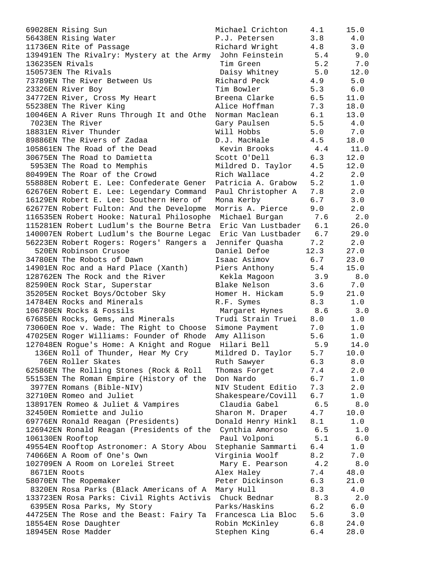| 69028EN Rising Sun                                        | Michael Crichton       | 4.1  | 15.0         |
|-----------------------------------------------------------|------------------------|------|--------------|
| 56438EN Rising Water                                      | P.J. Petersen          | 3.8  | 4.0          |
| 11736EN Rite of Passage                                   | Richard Wright         | 4.8  | 3.0          |
| 139491EN The Rivalry: Mystery at the Army                 | John Feinstein         | 5.4  | 9.0          |
| 136235EN Rivals                                           | Tim Green              | 5.2  | 7.0          |
| 150573EN The Rivals                                       | Daisy Whitney          | 5.0  | 12.0         |
| 73789EN The River Between Us                              | Richard Peck           | 4.9  | 5.0          |
| 23326EN River Boy                                         | Tim Bowler             | 5.3  | $6.0$        |
| 34772EN River, Cross My Heart                             | Breena Clarke          | 6.5  | 11.0         |
| 55238EN The River King                                    | Alice Hoffman          | 7.3  | 18.0         |
| 10046EN A River Runs Through It and Othe                  | Norman Maclean         | 6.1  | 13.0         |
| 7023EN The River                                          | Gary Paulsen           | 5.5  | 4.0          |
| 18831EN River Thunder                                     | Will Hobbs             | 5.0  | 7.0          |
| 89886EN The Rivers of Zadaa                               | D.J. MacHale           | 4.5  | 18.0         |
| 105861EN The Road of the Dead                             | Kevin Brooks           | 4.4  | 11.0         |
| 30675EN The Road to Damietta                              | Scott O'Dell           | 6.3  | 12.0         |
| 5953EN The Road to Memphis                                | Mildred D. Taylor      | 4.5  | 12.0         |
| 80499EN The Roar of the Crowd                             | Rich Wallace           | 4.2  | 2.0          |
| 55888EN Robert E. Lee: Confederate Gener                  | Patricia A. Grabow     | 5.2  | 1.0          |
| 62676EN Robert E. Lee: Legendary Command                  | Paul Christopher A     | 7.8  | 2.0          |
| 16129EN Robert E. Lee: Southern Hero of                   | Mona Kerby             | 6.7  | 3.0          |
| 62677EN Robert Fulton: And the Developme                  | Morris A. Pierce       | 9.0  | 2.0          |
| 116535EN Robert Hooke: Natural Philosophe                 | Michael Burgan         | 7.6  | 2.0          |
| 115281EN Robert Ludlum's the Bourne Betra                 | Eric Van Lustbader     | 6.1  | 26.0         |
| 140007EN Robert Ludlum's the Bourne Legac                 | Eric Van Lustbader 6.7 |      | 29.0         |
| 56223EN Robert Rogers: Rogers' Rangers a                  | Jennifer Quasha        | 7.2  | 2.0          |
| 520EN Robinson Crusoe                                     | Daniel Defoe           | 12.3 | 27.0         |
| 34780EN The Robots of Dawn                                | Isaac Asimov           | 6.7  | 23.0         |
| 14901EN Roc and a Hard Place (Xanth)                      | Piers Anthony          | 5.4  | 15.0         |
| 128762EN The Rock and the River                           | Kekla Magoon           | 3.9  | 8.0          |
| 82590EN Rock Star, Superstar                              | Blake Nelson           | 3.6  | 7.0          |
| 35205EN Rocket Boys/October Sky                           | Homer H. Hickam        | 5.9  | 21.0         |
| 14784EN Rocks and Minerals                                | R.F. Symes             | 8.3  | 1.0          |
| 106780EN Rocks & Fossils                                  | Margaret Hynes         | 8.6  | 3.0          |
| 67685EN Rocks, Gems, and Minerals                         | Trudi Strain Truei     | 8.0  | 1.0          |
| 73060EN Roe v. Wade: The Right to Choose                  | Simone Payment         | 7.0  | 1.0          |
| 47025EN Roger Williams: Founder of Rhode                  | Amy Allison            | 5.6  | 1.0          |
| 127048EN Rogue's Home: A Knight and Rogue                 | Hilari Bell            | 5.9  | 14.0         |
| 136EN Roll of Thunder, Hear My Cry                        | Mildred D. Taylor      | 5.7  | 10.0         |
| 76EN Roller Skates                                        | Ruth Sawyer            | 6.3  | 8.0          |
| 62586EN The Rolling Stones (Rock & Roll                   | Thomas Forget          | 7.4  | 2.0          |
| 55153EN The Roman Empire (History of the                  | Don Nardo              | 6.7  | 1.0          |
| 3977EN Romans (Bible-NIV)                                 | NIV Student Editio     | 7.3  | 2.0          |
| 32710EN Romeo and Juliet                                  | Shakespeare/Covill     | 6.7  | $1\,.$ $0\,$ |
| 138917EN Romeo & Juliet & Vampires                        | Claudia Gabel          | 6.5  | 8.0          |
| 32450EN Romiette and Julio                                | Sharon M. Draper       | 4.7  | 10.0         |
| 69776EN Ronald Reagan (Presidents)                        | Donald Henry Hinkl     | 8.1  | 1.0          |
| 126942EN Ronald Reagan (Presidents of the Cynthia Amoroso |                        | 6.5  | 1.0          |
| 106130EN Rooftop                                          | Paul Volponi           | 5.1  | $6.0$        |
| 49554EN Rooftop Astronomer: A Story Abou                  | Stephanie Sammarti     | 6.4  | 1.0          |
| 74066EN A Room of One's Own                               | Virginia Woolf         | 8.2  | 7.0          |
| 102709EN A Room on Lorelei Street                         | Mary E. Pearson        | 4.2  | $8.0$        |
| 8671EN Roots                                              | Alex Haley             | 7.4  | 48.0         |
| 58070EN The Ropemaker                                     | Peter Dickinson        | 6.3  | 21.0         |
| 8320EN Rosa Parks (Black Americans of A                   | Mary Hull              | 8.3  | 4.0          |
| 133723EN Rosa Parks: Civil Rights Activis Chuck Bednar    |                        | 8.3  | 2.0          |
| 6395EN Rosa Parks, My Story                               | Parks/Haskins          | 6.2  | 6.0          |
| 44725EN The Rose and the Beast: Fairy Ta                  | Francesca Lia Bloc     | 5.6  | 3.0          |
| 18554EN Rose Daughter                                     | Robin McKinley         | 6.8  | 24.0         |
| 18945EN Rose Madder                                       | Stephen King           | 6.4  | 28.0         |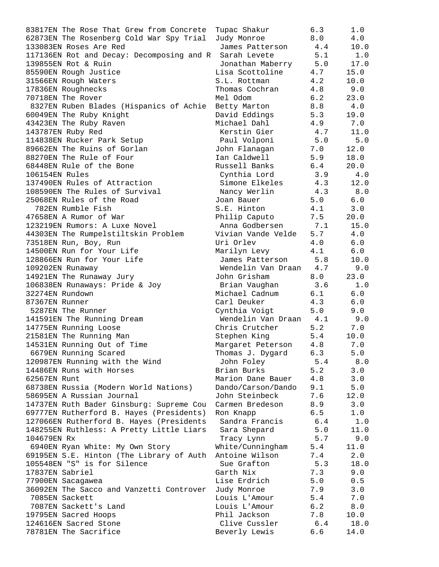| 83817EN The Rose That Grew from Concrete  | Tupac Shakur           | 6.3     | 1.0       |
|-------------------------------------------|------------------------|---------|-----------|
| 62873EN The Rosenberg Cold War Spy Trial  | Judy Monroe            | 8.0     | 4.0       |
| 133083EN Roses Are Red                    | James Patterson        | 4.4     | 10.0      |
| 117136EN Rot and Decay: Decomposing and R | Sarah Levete           | 5.1     | 1.0       |
| 139855EN Rot & Ruin                       | Jonathan Maberry 5.0   |         | 17.0      |
| 85590EN Rough Justice                     | Lisa Scottoline        | 4.7     | 15.0      |
| 31566EN Rough Waters                      | S.L. Rottman           | 4.2     | 10.0      |
| 17836EN Roughnecks                        | Thomas Cochran         | 4.8     | 9.0       |
| 70718EN The Rover                         | Mel Odom               | 6.2     | 23.0      |
| 8327EN Ruben Blades (Hispanics of Achie   | Betty Marton           | 8.8     | 4.0       |
| 60049EN The Ruby Knight                   | David Eddings          | 5.3     | 19.0      |
| 43423EN The Ruby Raven                    | Michael Dahl           | 4.9     | 7.0       |
| 143787EN Ruby Red                         | Kerstin Gier           | 4.7     | 11.0      |
| 114838EN Rucker Park Setup                | Paul Volponi           | 5.0     | 5.0       |
| 89662EN The Ruins of Gorlan               | John Flanagan          | 7.0     | 12.0      |
| 88270EN The Rule of Four                  | Ian Caldwell           | 5.9     | 18.0      |
| 68448EN Rule of the Bone                  | Russell Banks          | 6.4     | 20.0      |
| 106154EN Rules                            | Cynthia Lord           | 3.9     | 4.0       |
| 137490EN Rules of Attraction              | Simone Elkeles         | 4.3     | 12.0      |
| 108590EN The Rules of Survival            | Nancy Werlin           |         | $4.3$ 8.0 |
| 25068EN Rules of the Road                 | Joan Bauer             | 5.0     | 6.0       |
| 782EN Rumble Fish                         | S.E. Hinton            | 4.1     | 3.0       |
| 47658EN A Rumor of War                    | Philip Caputo          | 7.5     | 20.0      |
| 123219EN Rumors: A Luxe Novel             | Anna Godbersen 7.1     |         | 15.0      |
| 44303EN The Rumpelstiltskin Problem       | Vivian Vande Velde     | 5.7     | 4.0       |
| 73518EN Run, Boy, Run                     | Uri Orlev              | 4.0     | 6.0       |
| 14500EN Run for Your Life                 | Marilyn Levy           | 4.1     | 6.0       |
| 128866EN Run for Your Life                | James Patterson        | 5.8     | 10.0      |
| 109202EN Runaway                          | Wendelin Van Draan 4.7 |         | 9.0       |
| 14921EN The Runaway Jury                  | John Grisham           | 8.0     | 23.0      |
| 106838EN Runaways: Pride & Joy            | Brian Vaughan          | 3.6     | 1.0       |
| 32274EN Rundown                           | Michael Cadnum         | 6.1     | 6.0       |
| 87367EN Runner                            | Carl Deuker            | 4.3     | 6.0       |
| 5287EN The Runner                         | Cynthia Voigt          | 5.0     | 9.0       |
| 141591EN The Running Dream                | Wendelin Van Draan 4.1 |         | 9.0       |
| 14775EN Running Loose                     | Chris Crutcher         | 5.2     | 7.0       |
| 21581EN The Running Man                   | Stephen King           | 5.4     | 10.0      |
| 14531EN Running Out of Time               | Margaret Peterson      | 4.8     | $7.0$     |
| 6679EN Running Scared                     | Thomas J. Dygard       | 6.3     | 5.0       |
| 120987EN Running with the Wind            | John Foley             | 5.4     | 8.0       |
| 14486EN Runs with Horses                  | Brian Burks            | 5.2     | 3.0       |
| 62567EN Runt                              | Marion Dane Bauer      | 4.8     | 3.0       |
| 68738EN Russia (Modern World Nations)     | Dando/Carson/Dando     | 9.1     | 5.0       |
| 58695EN A Russian Journal                 | John Steinbeck         | 7.6     | 12.0      |
| 14737EN Ruth Bader Ginsburg: Supreme Cou  | Carmen Bredeson        | 8.9     | 3.0       |
| 69777EN Rutherford B. Hayes (Presidents)  | Ron Knapp              | 6.5     | 1.0       |
| 127066EN Rutherford B. Hayes (Presidents  | Sandra Francis         | 6.4     | 1.0       |
| 148255EN Ruthless: A Pretty Little Liars  | Sara Shepard           | 5.0     | 11.0      |
| 104679EN Rx                               | Tracy Lynn             | 5.7     | 9.0       |
| 6940EN Ryan White: My Own Story           | White/Cunningham       | 5.4     | 11.0      |
| 69195EN S.E. Hinton (The Library of Auth  | Antoine Wilson         | 7.4     | 2.0       |
| 105548EN "S" is for Silence               | Sue Grafton            | 5.3     | 18.0      |
| 17837EN Sabriel                           | Garth Nix              | 7.3     | 9.0       |
| 77900EN Sacagawea                         | Lise Erdrich           | 5.0     | 0.5       |
| 36092EN The Sacco and Vanzetti Controver  | Judy Monroe            | 7.9     | 3.0       |
| 7085EN Sackett                            | Louis L'Amour          | 5.4     | 7.0       |
| 7087EN Sackett's Land                     | Louis L'Amour          | 6.2     | $8.0$     |
| 19795EN Sacred Hoops                      | Phil Jackson           | 7.8     | 10.0      |
| 124616EN Sacred Stone                     | Clive Cussler          | 6.4     | 18.0      |
| 78781EN The Sacrifice                     | Beverly Lewis          | $6.6\,$ | 14.0      |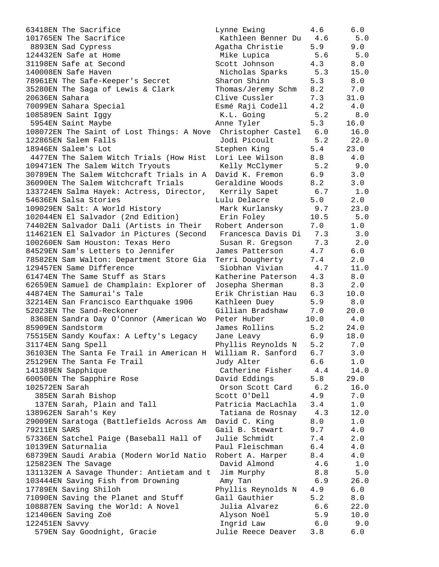| 63418EN The Sacrifice                                    | Lynne Ewing        | 4.6  | 6.0   |
|----------------------------------------------------------|--------------------|------|-------|
| 101765EN The Sacrifice                                   | Kathleen Benner Du | 4.6  | 5.0   |
| 8893EN Sad Cypress                                       | Agatha Christie    | 5.9  | 9.0   |
| 124432EN Safe at Home                                    | Mike Lupica        | 5.6  | 5.0   |
| 31198EN Safe at Second                                   | Scott Johnson      | 4.3  | 8.0   |
| 140008EN Safe Haven                                      | Nicholas Sparks    | 5.3  | 15.0  |
| 78961EN The Safe-Keeper's Secret                         | Sharon Shinn       | 5.3  | 8.0   |
| 35280EN The Saga of Lewis & Clark                        | Thomas/Jeremy Schm | 8.2  | 7.0   |
| 20636EN Sahara                                           | Clive Cussler      | 7.3  | 31.0  |
| 70099EN Sahara Special                                   | Esmé Raji Codell   | 4.2  | 4.0   |
| 108589EN Saint Iggy                                      | K.L. Going         | 5.2  | 8.0   |
| 5954EN Saint Maybe                                       | Anne Tyler         | 5.3  | 16.0  |
| 108072EN The Saint of Lost Things: A Nove                | Christopher Castel | 6.0  | 16.0  |
| 122865EN Salem Falls                                     | Jodi Picoult       | 5.2  | 22.0  |
| 18946EN Salem's Lot                                      | Stephen King       | 5.4  | 23.0  |
| 4477EN The Salem Witch Trials (How Hist                  | Lori Lee Wilson    | 8.8  | 4.0   |
| 109471EN The Salem Witch Tryouts                         | Kelly McClymer     | 5.2  | 9.0   |
| 30789EN The Salem Witchcraft Trials in A David K. Fremon |                    | 6.9  | 3.0   |
|                                                          |                    |      |       |
| 36090EN The Salem Witchcraft Trials                      | Geraldine Woods    | 8.2  | 3.0   |
| 133724EN Salma Hayek: Actress, Director,                 | Kerrily Sapet      | 6.7  | 1.0   |
| 54636EN Salsa Stories                                    | Lulu Delacre       | 5.0  | 2.0   |
| 109029EN Salt: A World History                           | Mark Kurlansky     | 9.7  | 23.0  |
| 102044EN El Salvador (2nd Edition)                       | Erin Foley         | 10.5 | 5.0   |
| 74402EN Salvador Dali (Artists in Their                  | Robert Anderson    | 7.0  | 1.0   |
| 114621EN El Salvador in Pictures (Second                 | Francesca Davis Di | 7.3  | 3.0   |
| 100260EN Sam Houston: Texas Hero                         | Susan R. Gregson   | 7.3  | 2.0   |
| 84529EN Sam's Letters to Jennifer                        | James Patterson    | 4.7  | 6.0   |
| 78582EN Sam Walton: Department Store Gia                 | Terri Dougherty    | 7.4  | 2.0   |
| 129457EN Same Difference                                 | Siobhan Vivian     | 4.7  | 11.0  |
| 61474EN The Same Stuff as Stars                          | Katherine Paterson | 4.3  | 8.0   |
| 62659EN Samuel de Champlain: Explorer of                 | Josepha Sherman    | 8.3  | 2.0   |
| 44874EN The Samurai's Tale                               | Erik Christian Hau | 6.3  | 10.0  |
| 32214EN San Francisco Earthquake 1906                    | Kathleen Duey      | 5.9  | 8.0   |
| 52023EN The Sand-Reckoner                                | Gillian Bradshaw   | 7.0  | 20.0  |
| 8368EN Sandra Day O'Connor (American Wo                  | Peter Huber        | 10.0 | 4.0   |
| 85909EN Sandstorm                                        | James Rollins      | 5.2  | 24.0  |
| 75515EN Sandy Koufax: A Lefty's Legacy                   | Jane Leavy         | 6.9  | 18.0  |
| 31174EN Sang Spell                                       | Phyllis Reynolds N | 5.2  | 7.0   |
| 36103EN The Santa Fe Trail in American H                 | William R. Sanford | 6.7  | 3.0   |
| 25129EN The Santa Fe Trail                               | Judy Alter         | 6.6  | 1.0   |
| 141389EN Sapphique                                       | Catherine Fisher   | 4.4  | 14.0  |
| 60050EN The Sapphire Rose                                | David Eddings      | 5.8  | 29.0  |
| 102572EN Sarah                                           | Orson Scott Card   | 6.2  | 16.0  |
| 385EN Sarah Bishop                                       | Scott O'Dell       | 4.9  | 7.0   |
| 137EN Sarah, Plain and Tall                              | Patricia MacLachla | 3.4  | 1.0   |
| 138962EN Sarah's Key                                     | Tatiana de Rosnay  | 4.3  | 12.0  |
| 29009EN Saratoga (Battlefields Across Am                 | David C. King      | 8.0  | 1.0   |
| 79211EN SARS                                             | Gail B. Stewart    | 9.7  | 4.0   |
| 57336EN Satchel Paige (Baseball Hall of                  | Julie Schmidt      | 7.4  | 2.0   |
| 10139EN Saturnalia                                       | Paul Fleischman    | 6.4  | 4.0   |
| 68739EN Saudi Arabia (Modern World Natio                 | Robert A. Harper   |      | 4.0   |
|                                                          |                    | 8.4  |       |
| 125823EN The Savage                                      | David Almond       | 4.6  | 1.0   |
| 131132EN A Savage Thunder: Antietam and t                | Jim Murphy         | 8.8  | 5.0   |
| 103444EN Saving Fish from Drowning                       | Amy Tan            | 6.9  | 26.0  |
| 17789EN Saving Shiloh                                    | Phyllis Reynolds N | 4.9  | 6.0   |
| 71090EN Saving the Planet and Stuff                      | Gail Gauthier      | 5.2  | 8.0   |
| 108887EN Saving the World: A Novel                       | Julia Alvarez      | 6.6  | 22.0  |
| 121406EN Saving Zoë                                      | Alyson Noël        | 5.9  | 10.0  |
| 122451EN Savvy                                           | Ingrid Law         | 6.0  | 9.0   |
| 579EN Say Goodnight, Gracie                              | Julie Reece Deaver | 3.8  | $6.0$ |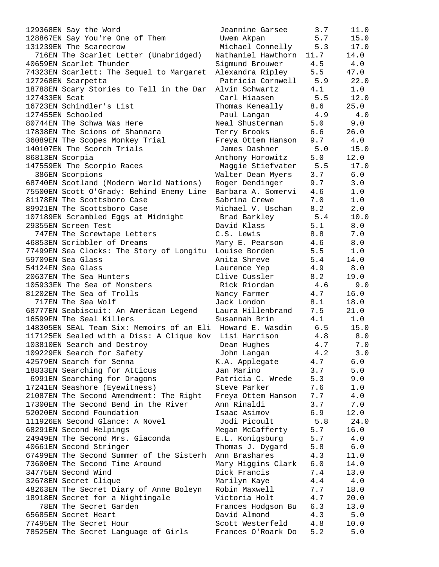129368EN Say the Word Jeannine Garsee 3.7 11.0 128867EN Say You're One of Them Uwem Akpan 5.7 15.0 131239EN The Scarecrow Michael Connelly 5.3 17.0 716EN The Scarlet Letter (Unabridged) Nathaniel Hawthorn 11.7 14.0 40659EN Scarlet Thunder Sigmund Brouwer 4.5 4.0 74323EN Scarlett: The Sequel to Margaret Alexandra Ripley 5.5 47.0 127268EN Scarpetta Patricia Cornwell 5.9 22.0 18788EN Scary Stories to Tell in the Dar Alvin Schwartz 4.1 1.0 127433EN Scat Carl Hiaasen 5.5 12.0 16723EN Schindler's List Thomas Keneally 8.6 25.0 127455EN Schooled Paul Langan 4.9 4.0 80744EN The Schwa Was Here Neal Shusterman 5.0 9.0 17838EN The Scions of Shannara Terry Brooks 6.6 26.0 36089EN The Scopes Monkey Trial Freya Ottem Hanson 9.7 4.0 140107EN The Scorch Trials James Dashner 5.0 15.0 86813EN Scorpia Anthony Horowitz 5.0 12.0 147559EN The Scorpio Races Maggie Stiefvater 5.5 17.0 386EN Scorpions Walter Dean Myers 3.7 6.0 68740EN Scotland (Modern World Nations) Roger Dendinger 9.7 3.0 75500EN Scott O'Grady: Behind Enemy Line Barbara A. Somervi 4.6 1.0 81178EN The Scottsboro Case The Sabrina Crewe 7.0 1.0 89921EN The Scottsboro Case The Michael V. Uschan 8.2 2.0 107189EN Scrambled Eggs at Midnight Brad Barkley 5.4 10.0 29355EN Screen Test David Klass 5.1 8.0 747EN The Screwtape Letters C.S. Lewis 8.8 7.0 46853EN Scribbler of Dreams Mary E. Pearson 4.6 8.0 77499EN Sea Clocks: The Story of Longitu Louise Borden 5.5 1.0 59709EN Sea Glass Anita Shreve 5.4 14.0 54124EN Sea Glass Laurence Yep 4.9 8.0 20637EN The Sea Hunters Clive Cussler 8.2 19.0 105933EN The Sea of Monsters Rick Riordan 4.6 9.0 81202EN The Sea of Trolls Nancy Farmer 4.7 16.0 717EN The Sea Wolf Jack London 8.1 18.0 68777EN Seabiscuit: An American Legend Laura Hillenbrand 7.5 21.0 16599EN The Seal Killers Susannah Brin 4.1 1.0 148305EN SEAL Team Six: Memoirs of an Eli Howard E. Wasdin 6.5 15.0 117125EN Sealed with a Diss: A Clique Nov Lisi Harrison 4.8 8.0 103810EN Search and Destroy Dean Hughes 4.7 7.0 109229EN Search for Safety John Langan 4.2 3.0 42579EN Search for Senna K.A. Applegate 4.7 6.0 18833EN Searching for Atticus Jan Marino 3.7 5.0 6991EN Searching for Dragons Patricia C. Wrede 5.3 9.0 17241EN Seashore (Eyewitness) Steve Parker 7.6 1.0 21087EN The Second Amendment: The Right Freya Ottem Hanson 7.7 4.0 17300EN The Second Bend in the River Ann Rinaldi 3.7 7.0 52020EN Second Foundation Isaac Asimov 6.9 12.0 111926EN Second Glance: A Novel Jodi Picoult 5.8 24.0 68291EN Second Helpings Megan McCafferty 5.7 16.0 24949EN The Second Mrs. Giaconda E.L. Konigsburg 5.7 4.0 40661EN Second Stringer Thomas J. Dygard 5.8 6.0 67499EN The Second Summer of the Sisterh Ann Brashares 4.3 11.0 73600EN The Second Time Around Mary Higgins Clark 6.0 14.0 34775EN Second Wind Dick Francis 7.4 13.0 32678EN Secret Clique Marilyn Kaye 4.4 4.0 48263EN The Secret Diary of Anne Boleyn Robin Maxwell 7.7 18.0 18918EN Secret for a Nightingale Victoria Holt 4.7 20.0 78EN The Secret Garden Frances Hodgson Bu 6.3 13.0 65685EN Secret Heart David Almond 4.3 5.0 77495EN The Secret Hour Scott Westerfeld 4.8 10.0 78525EN The Secret Language of Girls Frances O'Roark Do 5.2 5.0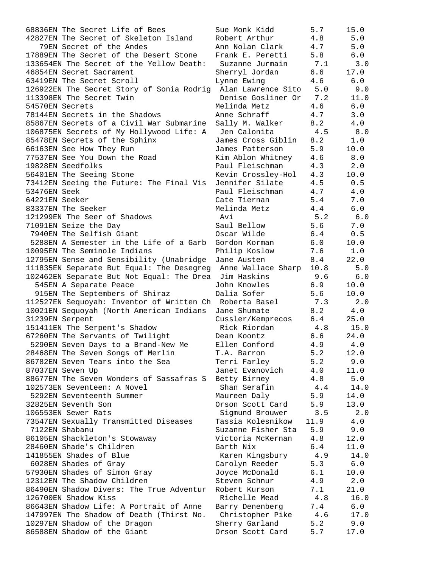| 68836EN The Secret Life of Bees                                                     | Sue Monk Kidd                   | 5.7        | 15.0        |
|-------------------------------------------------------------------------------------|---------------------------------|------------|-------------|
| 42827EN The Secret of Skeleton Island                                               | Robert Arthur                   | 4.8        | 5.0         |
| 79EN Secret of the Andes                                                            | Ann Nolan Clark                 | 4.7        | 5.0         |
| 17889EN The Secret of the Desert Stone                                              | Frank E. Peretti                | 5.8        | 6.0         |
| 133654EN The Secret of the Yellow Death:                                            | Suzanne Jurmain                 | 7.1        | 3.0         |
| 46854EN Secret Sacrament                                                            | Sherryl Jordan                  | 6.6        | 17.0        |
| 63419EN The Secret Scroll                                                           | Lynne Ewing                     | 4.6        | 6.0         |
| 126922EN The Secret Story of Sonia Rodrig Alan Lawrence Sito                        |                                 | 5.0        | 9.0         |
| 113398EN The Secret Twin                                                            | Denise Gosliner Or              | 7.2        | 11.0        |
| 54570EN Secrets                                                                     | Melinda Metz                    | 4.6        | 6.0         |
| 78144EN Secrets in the Shadows                                                      | Anne Schraff                    | 4.7        | 3.0         |
| 85867EN Secrets of a Civil War Submarine                                            | Sally M. Walker                 | 8.2        | 4.0         |
| 106875EN Secrets of My Hollywood Life: A                                            | Jen Calonita                    | 4.5        | 8.0         |
| 85478EN Secrets of the Sphinx                                                       | James Cross Giblin              | 8.2        | 1.0         |
| 66163EN See How They Run                                                            | James Patterson                 | 5.9        | 10.0        |
| 77537EN See You Down the Road                                                       | Kim Ablon Whitney               | 4.6        | 8.0         |
| 19828EN Seedfolks                                                                   | Paul Fleischman                 | 4.3        | 2.0         |
| 56401EN The Seeing Stone                                                            | Kevin Crossley-Hol              | 4.3        | 10.0        |
| 73412EN Seeing the Future: The Final Vis                                            | Jennifer Silate                 | 4.5        | 0.5         |
| 53476EN Seek                                                                        | Paul Fleischman                 | 4.7        | 4.0         |
| 64221EN Seeker                                                                      | Cate Tiernan                    | 5.4        | $7.0$       |
| 83337EN The Seeker                                                                  | Melinda Metz                    | 4.4        | 6.0         |
| 121299EN The Seer of Shadows                                                        | Avi                             | 5.2        | 6.0         |
| 71091EN Seize the Day                                                               | Saul Bellow                     | 5.6        | 7.0         |
| 7940EN The Selfish Giant                                                            | Oscar Wilde                     | 6.4        | 0.5         |
| 5288EN A Semester in the Life of a Garb                                             | Gordon Korman                   | 6.0        | 10.0        |
| 10095EN The Seminole Indians                                                        | Philip Koslow                   | 7.6        | 1.0         |
| 12795EN Sense and Sensibility (Unabridge                                            | Jane Austen                     | 8.4        | 22.0        |
| 111835EN Separate But Equal: The Desegreg Anne Wallace Sharp                        |                                 | 10.8       | 5.0         |
| 102462EN Separate But Not Equal: The Drea                                           | Jim Haskins                     | 9.6        | 6.0         |
| 545EN A Separate Peace                                                              | John Knowles                    | 6.9        | 10.0        |
| 915EN The Septembers of Shiraz                                                      | Dalia Sofer                     | 5.6        | 10.0        |
| 112527EN Sequoyah: Inventor of Written Ch Roberta Basel                             |                                 | 7.3        | 2.0         |
| 10021EN Sequoyah (North American Indians                                            | Jane Shumate                    | 8.2        | 4.0         |
| 31239EN Serpent                                                                     | Cussler/Kemprecos               | 6.4        | 25.0        |
| 151411EN The Serpent's Shadow                                                       | Rick Riordan                    | 4.8        | 15.0        |
| 67260EN The Servants of Twilight                                                    | Dean Koontz                     | 6.6        | 24.0        |
| 5290EN Seven Days to a Brand-New Me                                                 | Ellen Conford                   | 4.9        | 4.0         |
| 28468EN The Seven Songs of Merlin                                                   | T.A. Barron                     | 5.2        | 12.0        |
| 86782EN Seven Tears into the Sea                                                    | Terri Farley                    | 5.2        | 9.0         |
| 87037EN Seven Up                                                                    | Janet Evanovich                 | 4.0        | 11.0        |
| 88677EN The Seven Wonders of Sassafras S                                            | Betty Birney                    | 4.8        | 5.0         |
| 102573EN Seventeen: A Novel                                                         | Shan Serafin                    | 4.4        | 14.0        |
| 5292EN Seventeenth Summer                                                           | Maureen Daly                    | 5.9        | 14.0        |
| 32825EN Seventh Son                                                                 | Orson Scott Card                | 5.9        | 13.0        |
| 106553EN Sewer Rats                                                                 | Sigmund Brouwer                 | 3.5        | 2.0         |
| 73547EN Sexually Transmitted Diseases                                               | Tassia Kolesnikow               | 11.9       | 4.0         |
| 7122EN Shabanu                                                                      | Suzanne Fisher Sta              | 5.9        | 9.0         |
| 86105EN Shackleton's Stowaway                                                       | Victoria McKernan               | 4.8        | 12.0        |
| 28460EN Shade's Children                                                            | Garth Nix                       | 6.4        | 11.0        |
| 141855EN Shades of Blue                                                             | Karen Kingsbury                 | 4.9        | 14.0        |
| 6028EN Shades of Gray                                                               | Carolyn Reeder                  | 5.3        | 6.0         |
| 57930EN Shades of Simon Gray                                                        |                                 |            |             |
| 12312EN The Shadow Children                                                         | Joyce McDonald<br>Steven Schnur | 6.1<br>4.9 | 10.0<br>2.0 |
| 86490EN Shadow Divers: The True Adventur                                            | Robert Kurson                   | 7.1        | 21.0        |
| 126700EN Shadow Kiss                                                                | Richelle Mead                   | 4.8        | 16.0        |
|                                                                                     |                                 |            |             |
| 86643EN Shadow Life: A Portrait of Anne<br>147997EN The Shadow of Death (Thirst No. | Barry Denenberg                 | 7.4<br>4.6 | 6.0<br>17.0 |
| 10297EN Shadow of the Dragon                                                        | Christopher Pike                | 5.2        | 9.0         |
| 86588EN Shadow of the Giant                                                         | Sherry Garland                  |            |             |
|                                                                                     | Orson Scott Card                | 5.7        | 17.0        |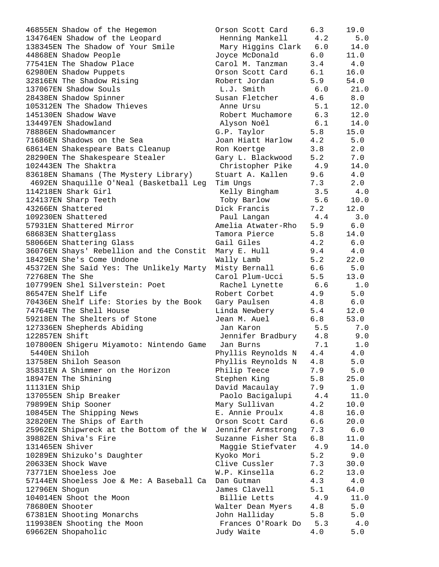| 46855EN Shadow of the Hegemon            | Orson Scott Card   | 6.3 | 19.0    |
|------------------------------------------|--------------------|-----|---------|
| 134764EN Shadow of the Leopard           | Henning Mankell    | 4.2 | 5.0     |
| 138345EN The Shadow of Your Smile        | Mary Higgins Clark | 6.0 | 14.0    |
| 44868EN Shadow People                    | Joyce McDonald     | 6.0 | 11.0    |
| 77541EN The Shadow Place                 | Carol M. Tanzman   | 3.4 | 4.0     |
| 62980EN Shadow Puppets                   | Orson Scott Card   | 6.1 | 16.0    |
| 32816EN The Shadow Rising                | Robert Jordan      | 5.9 | 54.0    |
| 137067EN Shadow Souls                    | L.J. Smith         | 6.0 | 21.0    |
| 28438EN Shadow Spinner                   | Susan Fletcher     | 4.6 | 8.0     |
| 105312EN The Shadow Thieves              | Anne Ursu          | 5.1 | 12.0    |
| 145130EN Shadow Wave                     | Robert Muchamore   | 6.3 | 12.0    |
| 134497EN Shadowland                      | Alyson Noël        | 6.1 | 14.0    |
| 78886EN Shadowmancer                     | G.P. Taylor        | 5.8 | 15.0    |
| 71686EN Shadows on the Sea               | Joan Hiatt Harlow  | 4.2 | 5.0     |
| 68614EN Shakespeare Bats Cleanup         | Ron Koertge        | 3.8 | 2.0     |
| 28290EN The Shakespeare Stealer          | Gary L. Blackwood  | 5.2 | 7.0     |
| 102443EN The Shaktra                     | Christopher Pike   | 4.9 | 14.0    |
| 83618EN Shamans (The Mystery Library)    | Stuart A. Kallen   | 9.6 | 4.0     |
| 4692EN Shaquille O'Neal (Basketball Leg  | Tim Ungs           | 7.3 | 2.0     |
| 114218EN Shark Girl                      | Kelly Bingham      | 3.5 | 4.0     |
| 124137EN Sharp Teeth                     | Toby Barlow        | 5.6 | 10.0    |
| 43266EN Shattered                        | Dick Francis       | 7.2 | 12.0    |
| 109230EN Shattered                       | Paul Langan        | 4.4 | 3.0     |
| 57931EN Shattered Mirror                 | Amelia Atwater-Rho | 5.9 | 6.0     |
| 68683EN Shatterglass                     | Tamora Pierce      | 5.8 | 14.0    |
| 58066EN Shattering Glass                 | Gail Giles         | 4.2 | 6.0     |
| 36076EN Shays' Rebellion and the Constit | Mary E. Hull       | 9.4 | 4.0     |
| 18429EN She's Come Undone                | Wally Lamb         | 5.2 | 22.0    |
| 45372EN She Said Yes: The Unlikely Marty | Misty Bernall      | 6.6 | 5.0     |
| 72768EN The She                          | Carol Plum-Ucci    | 5.5 | 13.0    |
| 107799EN Shel Silverstein: Poet          | Rachel Lynette     | 6.6 | 1.0     |
| 86547EN Shelf Life                       | Robert Corbet      | 4.9 | 5.0     |
| 70436EN Shelf Life: Stories by the Book  | Gary Paulsen       | 4.8 | $6.0$   |
| 74764EN The Shell House                  | Linda Newbery      | 5.4 | 12.0    |
| 59218EN The Shelters of Stone            | Jean M. Auel       | 6.8 | 53.0    |
| 127336EN Shepherds Abiding               | Jan Karon          | 5.5 | 7.0     |
| 122857EN Shift                           | Jennifer Bradbury  | 4.8 | 9.0     |
| 107800EN Shigeru Miyamoto: Nintendo Game | Jan Burns          | 7.1 | 1.0     |
| 5440EN Shiloh                            | Phyllis Reynolds N | 4.4 | 4.0     |
| 13758EN Shiloh Season                    | Phyllis Reynolds N | 4.8 | 5.0     |
| 35831EN A Shimmer on the Horizon         | Philip Teece       | 7.9 | $5.0$   |
| 18947EN The Shining                      | Stephen King       | 5.8 | 25.0    |
| 11131EN Ship                             | David Macaulay     | 7.9 | $1.0\,$ |
| 137055EN Ship Breaker                    | Paolo Bacigalupi   | 4.4 | 11.0    |
| 79899EN Ship Sooner                      | Mary Sullivan      | 4.2 | 10.0    |
| 10845EN The Shipping News                | E. Annie Proulx    | 4.8 | 16.0    |
| 32820EN The Ships of Earth               | Orson Scott Card   | 6.6 | 20.0    |
| 25962EN Shipwreck at the Bottom of the W | Jennifer Armstrong | 7.3 | $6.0$   |
| 39882EN Shiva's Fire                     | Suzanne Fisher Sta | 6.8 | 11.0    |
| 131465EN Shiver                          | Maggie Stiefvater  | 4.9 | 14.0    |
| 10289EN Shizuko's Daughter               | Kyoko Mori         | 5.2 | 9.0     |
| 20633EN Shock Wave                       | Clive Cussler      | 7.3 | 30.0    |
| 73771EN Shoeless Joe                     | W.P. Kinsella      | 6.2 | 13.0    |
| 57144EN Shoeless Joe & Me: A Baseball Ca | Dan Gutman         | 4.3 | $4.0\,$ |
| 12796EN Shogun                           | James Clavell      | 5.1 | 64.0    |
| 104014EN Shoot the Moon                  | Billie Letts       | 4.9 | 11.0    |
| 78680EN Shooter                          | Walter Dean Myers  | 4.8 | 5.0     |
| 67381EN Shooting Monarchs                | John Halliday      | 5.8 | 5.0     |
| 119938EN Shooting the Moon               | Frances O'Roark Do | 5.3 | $4.0$   |
| 69662EN Shopaholic                       | Judy Waite         | 4.0 | $5.0$   |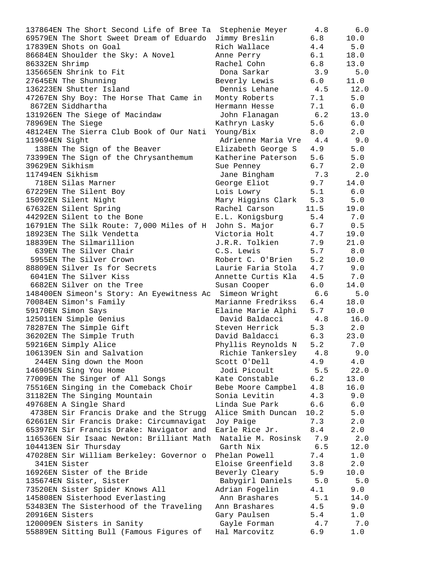| 137864EN The Short Second Life of Bree Ta Stephenie Meyer |                        | 4.8   | 6.0   |
|-----------------------------------------------------------|------------------------|-------|-------|
| 69579EN The Short Sweet Dream of Eduardo Jimmy Breslin    |                        | 6.8   | 10.0  |
| 17839EN Shots on Goal                                     | Rich Wallace           | 4.4   | 5.0   |
| 86684EN Shoulder the Sky: A Novel                         | Anne Perry             | 6.1   | 18.0  |
| 86332EN Shrimp                                            | Rachel Cohn            | 6.8   | 13.0  |
| 135665EN Shrink to Fit                                    | Dona Sarkar            | 3.9   | $5.0$ |
| 27645EN The Shunning                                      | Beverly Lewis          | 6.0   | 11.0  |
| 136223EN Shutter Island                                   | Dennis Lehane          | 4.5   | 12.0  |
| 47267EN Shy Boy: The Horse That Came in                   | Monty Roberts          | 7.1   | 5.0   |
| 8672EN Siddhartha                                         | Hermann Hesse          | 7.1   | 6.0   |
| 131926EN The Siege of Macindaw                            | John Flanagan          | 6.2   | 13.0  |
| 78969EN The Siege                                         | Kathryn Lasky          | 5.6   | 6.0   |
| 48124EN The Sierra Club Book of Our Nati                  | Young/Bix              | 8.0   | 2.0   |
| 119694EN Sight                                            | Adrienne Maria Vre 4.4 |       | 9.0   |
| 138EN The Sign of the Beaver                              | Elizabeth George S 4.9 |       | 5.0   |
| 73399EN The Sign of the Chrysanthemum                     | Katherine Paterson 5.6 |       | 5.0   |
| 39629EN Sikhism                                           | 6.7<br>Sue Penney      |       | 2.0   |
| 117494EN Sikhism                                          | Jane Bingham 7.3       |       | 2.0   |
| 718EN Silas Marner                                        | George Eliot 9.7       |       | 14.0  |
| 67229EN The Silent Boy                                    | Lois Lowry 5.1         |       | 6.0   |
| 15092EN Silent Night                                      | Mary Higgins Clark 5.3 |       | 5.0   |
| 67632EN Silent Spring                                     | Rachel Carson          | 11.5  | 19.0  |
| 44292EN Silent to the Bone                                | E.L. Konigsburg 5.4    |       | 7.0   |
| 16791EN The Silk Route: 7,000 Miles of H                  | John S. Major 6.7      |       | 0.5   |
| 18923EN The Silk Vendetta                                 | Victoria Holt 4.7      |       | 19.0  |
| 18839EN The Silmarillion                                  | J.R.R. Tolkien         | 7.9   | 21.0  |
| 639EN The Silver Chair                                    | C.S. Lewis             | 5.7   | 8.0   |
| 5955EN The Silver Crown                                   | Robert C. O'Brien      | 5.2   | 10.0  |
| 88809EN Silver Is for Secrets                             | Laurie Faria Stola     | 4.7   | 9.0   |
| 6041EN The Silver Kiss                                    | Annette Curtis Kla     | 4.5   | 7.0   |
| 6682EN Silver on the Tree                                 | Susan Cooper           | 6.0   | 14.0  |
| 148400EN Simeon's Story: An Eyewitness Ac                 | Simeon Wright          | 6.6   | 5.0   |
| 70084EN Simon's Family                                    | Marianne Fredrikss 6.4 |       | 18.0  |
| 59170EN Simon Says                                        | Elaine Marie Alphi 5.7 |       | 10.0  |
| 125011EN Simple Genius                                    | David Baldacci         | 4.8   | 16.0  |
| 78287EN The Simple Gift                                   | Steven Herrick         | 5.3   | 2.0   |
| 36202EN The Simple Truth                                  | David Baldacci         | 6.3   | 23.0  |
| 59216EN Simply Alice                                      | Phyllis Reynolds N     | 5.2   | 7.0   |
| 106139EN Sin and Salvation                                | Richie Tankersley      | 4.8   | 9.0   |
| 244EN Sing down the Moon                                  | Scott O'Dell           | 4.9   | 4.0   |
| 146905EN Sing You Home                                    | Jodi Picoult           | 5.5   | 22.0  |
| 77009EN The Singer of All Songs                           | Kate Constable         | 6.2   | 13.0  |
| 75516EN Singing in the Comeback Choir                     | Bebe Moore Campbel     | 4.8   | 16.0  |
| 31182EN The Singing Mountain                              | Sonia Levitin          | 4.3   | 9.0   |
| 49768EN A Single Shard                                    | Linda Sue Park         | 6.6   | 6.0   |
| 4738EN Sir Francis Drake and the Strugg                   | Alice Smith Duncan     | 10.2  | 5.0   |
| 62661EN Sir Francis Drake: Circumnavigat                  | Joy Paige              | 7.3   | 2.0   |
| 65397EN Sir Francis Drake: Navigator and                  | Earle Rice Jr.         | 8.4   | 2.0   |
| 116536EN Sir Isaac Newton: Brilliant Math                 | Natalie M. Rosinsk     | 7.9   | 2.0   |
| 104413EN Sir Thursday                                     |                        | $6.5$ |       |
|                                                           | Garth Nix              |       | 12.0  |
| 47028EN Sir William Berkeley: Governor o<br>341EN Sister  | Phelan Powell          | 7.4   | 1.0   |
|                                                           | Eloise Greenfield      | 3.8   | 2.0   |
| 16926EN Sister of the Bride                               | Beverly Cleary         | 5.9   | 10.0  |
| 135674EN Sister, Sister                                   | Babygirl Daniels       | 5.0   | 5.0   |
| 73520EN Sister Spider Knows All                           | Adrian Fogelin         | 4.1   | 9.0   |
| 145808EN Sisterhood Everlasting                           | Ann Brashares          | 5.1   | 14.0  |
| 53483EN The Sisterhood of the Traveling                   | Ann Brashares          | 4.5   | 9.0   |
| 20916EN Sisters                                           | Gary Paulsen           | 5.4   | 1.0   |
| 120009EN Sisters in Sanity                                | Gayle Forman           | 4.7   | 7.0   |
| 55889EN Sitting Bull (Famous Figures of                   | Hal Marcovitz          | 6.9   | $1.0$ |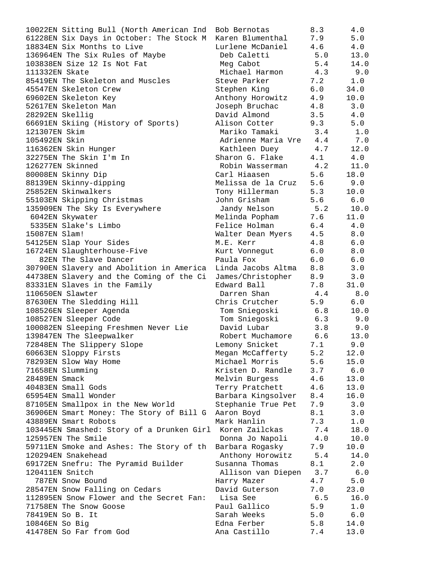| 10022EN Sitting Bull (North American Ind Bob Bernotas     |                        | 8.3     | 4.0     |
|-----------------------------------------------------------|------------------------|---------|---------|
| 61228EN Six Days in October: The Stock M Karen Blumenthal |                        | 7.9     | 5.0     |
| 18834EN Six Months to Live                                | Lurlene McDaniel       | 4.6     | 4.0     |
| 136964EN The Six Rules of Maybe                           | Deb Caletti            | 5.0     | 13.0    |
| 103838EN Size 12 Is Not Fat                               | Meg Cabot              | 5.4     | 14.0    |
| 111332EN Skate                                            | Michael Harmon         | 4.3     | 9.0     |
| 85419EN The Skeleton and Muscles                          | Steve Parker           | 7.2     | 1.0     |
| 45547EN Skeleton Crew                                     | Stephen King           | 6.0     | 34.0    |
| 69602EN Skeleton Key                                      | Anthony Horowitz       | 4.9     | 10.0    |
| 52617EN Skeleton Man                                      | Joseph Bruchac         | 4.8     | 3.0     |
| 28292EN Skellig                                           | David Almond           | 3.5     | 4.0     |
| 66691EN Skiing (History of Sports)                        | Alison Cotter          | 9.3     | 5.0     |
| 121307EN Skim                                             | Mariko Tamaki          | 3.4     | 1.0     |
| 105492EN Skin                                             | Adrienne Maria Vre 4.4 |         | 7.0     |
| 116362EN Skin Hunger                                      | Kathleen Duey 4.7      |         | 12.0    |
| 32275EN The Skin I'm In                                   | Sharon G. Flake        | 4.1     | 4.0     |
| 126277EN Skinned                                          | Robin Wasserman 4.2    |         | 11.0    |
| 80008EN Skinny Dip                                        | Carl Hiaasen           | 5.6     | 18.0    |
| 88139EN Skinny-dipping                                    | Melissa de la Cruz 5.6 |         | 9.0     |
| 25852EN Skinwalkers                                       | Tony Hillerman         | 5.3     | 10.0    |
| 55103EN Skipping Christmas                                | John Grisham           | 5.6     | 6.0     |
| 135909EN The Sky Is Everywhere                            | Jandy Nelson 5.2       |         | 10.0    |
| 6042EN Skywater                                           | Melinda Popham         | 7.6     | 11.0    |
| 5335EN Slake's Limbo                                      | Felice Holman          | 6.4     | 4.0     |
| 15087EN Slam!                                             | Walter Dean Myers 4.5  |         | 8.0     |
| 54125EN Slap Your Sides                                   | M.E. Kerr              | 4.8     | $6.0$   |
| 16724EN Slaughterhouse-Five                               | Kurt Vonnegut          | 6.0     | 8.0     |
| 82EN The Slave Dancer                                     | Paula Fox              | 6.0     | 6.0     |
| 30790EN Slavery and Abolition in America                  | Linda Jacobs Altma 8.8 |         | 3.0     |
| 44738EN Slavery and the Coming of the Ci                  | James/Christopher 8.9  |         | 3.0     |
| 83331EN Slaves in the Family                              | Edward Ball            | 7.8     | 31.0    |
| 110650EN Slawter                                          | Darren Shan            | 4.4     | 8.0     |
| 87630EN The Sledding Hill                                 | Chris Crutcher         | 5.9     | 6.0     |
| 108526EN Sleeper Agenda                                   | Tom Sniegoski          | 6.8     | 10.0    |
| 108527EN Sleeper Code                                     | Tom Sniegoski          | 6.3     | 9.0     |
| 100082EN Sleeping Freshmen Never Lie                      | David Lubar            | 3.8     | 9.0     |
| 139847EN The Sleepwalker                                  | Robert Muchamore       | 6.6     | 13.0    |
| 72848EN The Slippery Slope                                | Lemony Snicket         | $7\,.1$ | 9.0     |
| 60663EN Sloppy Firsts                                     | Megan McCafferty       | 5.2     | 12.0    |
| 78293EN Slow Way Home                                     | Michael Morris         | 5.6     | 15.0    |
| 71658EN Slumming                                          | Kristen D. Randle      | 3.7     | $6.0$   |
| 28489EN Smack                                             | Melvin Burgess         | 4.6     | 13.0    |
| 40483EN Small Gods                                        | Terry Pratchett        | 4.6     | 13.0    |
| 65954EN Small Wonder                                      | Barbara Kingsolver     | 8.4     | 16.0    |
| 87105EN Smallpox in the New World                         | Stephanie True Pet     | 7.9     | 3.0     |
| 36906EN Smart Money: The Story of Bill G                  | Aaron Boyd             | 8.1     | 3.0     |
| 43889EN Smart Robots                                      | Mark Hanlin            | 7.3     | $1.0\,$ |
| 103445EN Smashed: Story of a Drunken Girl Koren Zailckas  |                        | 7.4     | 18.0    |
| 125957EN The Smile                                        | Donna Jo Napoli        | $4.0$   | 10.0    |
| 59711EN Smoke and Ashes: The Story of th                  | Barbara Rogasky        | 7.9     | 10.0    |
| 120294EN Snakehead                                        | Anthony Horowitz       | 5.4     | 14.0    |
| 69172EN Snefru: The Pyramid Builder                       | Susanna Thomas         | 8.1     | 2.0     |
| 120411EN Snitch                                           | Allison van Diepen     | 3.7     | 6.0     |
| 787EN Snow Bound                                          | Harry Mazer            | 4.7     | 5.0     |
| 28547EN Snow Falling on Cedars                            | David Guterson         | 7.0     | 23.0    |
| 112895EN Snow Flower and the Secret Fan:                  | Lisa See               | 6.5     | 16.0    |
| 71758EN The Snow Goose                                    | Paul Gallico           | 5.9     | $1.0$   |
| 78419EN So B. It                                          | Sarah Weeks            | 5.0     | $6.0$   |
| 10846EN So Big                                            | Edna Ferber            | 5.8     | 14.0    |
| 41478EN So Far from God                                   | Ana Castillo           | 7.4     | 13.0    |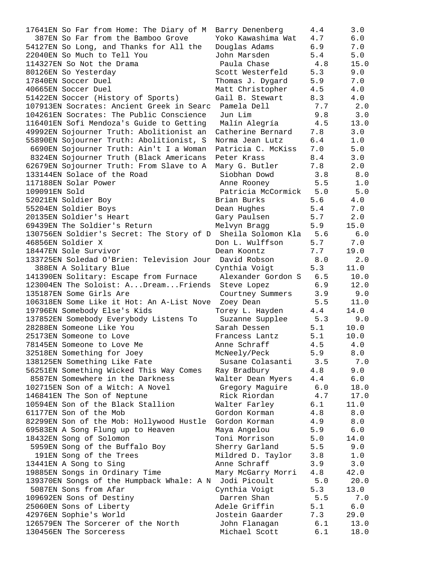17641EN So Far from Home: The Diary of M Barry Denenberg 4.4 3.0 387EN So Far from the Bamboo Grove Yoko Kawashima Wat 4.7 6.0 54127EN So Long, and Thanks for All the Douglas Adams 6.9 7.0 22040EN So Much to Tell You John Marsden 5.4 5.0 114327EN So Not the Drama Paula Chase 4.8 15.0 80126EN So Yesterday **Scott Westerfeld** 5.3 9.0 17840EN Soccer Duel Thomas J. Dygard 5.9 7.0 40665EN Soccer Duel Matt Christopher 4.5 4.0 51422EN Soccer (History of Sports) Gail B. Stewart 8.3 4.0 107913EN Socrates: Ancient Greek in Searc Pamela Dell 7.7 2.0 104261EN Socrates: The Public Conscience Jun Lim 9.8 3.0 116401EN Sofi Mendoza's Guide to Getting Malín Alegría 4.5 13.0 49992EN Sojourner Truth: Abolitionist an Catherine Bernard 7.8 3.0 55890EN Sojourner Truth: Abolitionist, S Norma Jean Lutz 6.4 1.0 6690EN Sojourner Truth: Ain't I a Woman Patricia C. McKiss 7.0 5.0 8324EN Sojourner Truth (Black Americans Peter Krass 8.4 3.0 62679EN Sojourner Truth: From Slave to A Mary G. Butler 7.8 2.0 133144EN Solace of the Road Siobhan Dowd 3.8 8.0 117188EN Solar Power Anne Rooney 5.5 1.0 109091EN Sold Patricia McCormick 5.0 5.0 52021EN Soldier Boy Brian Burks 5.6 4.0 55204EN Soldier Boys Dean Hughes 5.4 7.0 20135EN Soldier's Heart Gary Paulsen 5.7 2.0 69439EN The Soldier's Return Melvyn Bragg 5.9 15.0 130756EN Soldier's Secret: The Story of D Sheila Solomon Kla 5.6 6.0 46856EN Soldier X Don L. Wulffson 5.7 7.0 18447EN Sole Survivor Dean Koontz 7.7 19.0 133725EN Soledad O'Brien: Television Jour David Robson 8.0 2.0 388EN A Solitary Blue Cynthia Voigt 5.3 11.0 141390EN Solitary: Escape from Furnace Alexander Gordon S 6.5 10.0 123004EN The Soloist: A...Dream...Friends Steve Lopez 6.9 12.0 135187EN Some Girls Are Courtney Summers 3.9 9.0 106318EN Some Like it Hot: An A-List Nove Zoey Dean 5.5 11.0 19796EN Somebody Else's Kids Torey L. Hayden 4.4 14.0 137852EN Somebody Everybody Listens To Suzanne Supplee 5.3 9.0 28288EN Someone Like You Sarah Dessen 5.1 10.0 25173EN Someone to Love Francess Lantz 5.1 10.0 78145EN Someone to Love Me Anne Schraff 4.5 4.0 32518EN Something for Joey McNeely/Peck 5.9 8.0 138125EN Something Like Fate Susane Colasanti 3.5 7.0 56251EN Something Wicked This Way Comes Ray Bradbury 4.8 9.0 8587EN Somewhere in the Darkness Walter Dean Myers 4.4 6.0 102715EN Son of a Witch: A Novel Gregory Maguire 6.0 18.0 146841EN The Son of Neptune Rick Riordan 4.7 17.0 10594EN Son of the Black Stallion Walter Farley 6.1 11.0 61177EN Son of the Mob Gordon Korman 4.8 8.0 82299EN Son of the Mob: Hollywood Hustle Gordon Korman 4.9 8.0 69583EN A Song Flung up to Heaven Maya Angelou 5.9 6.0 18432EN Song of Solomon Toni Morrison 5.0 14.0 5959EN Song of the Buffalo Boy Sherry Garland 5.5 9.0 191EN Song of the Trees The Mildred D. Taylor 3.8 1.0 13441EN A Song to Sing the Secondary Anne Schraff the set of  $3.9$  3.0 19885EN Songs in Ordinary Time Mary McGarry Morri 4.8 42.0 139370EN Songs of the Humpback Whale: A N Jodi Picoult 5.0 20.0 5087EN Sons from Afar Cynthia Voigt 5.3 13.0 109692EN Sons of Destiny Darren Shan 5.5 7.0 25060EN Sons of Liberty Adele Griffin 5.1 6.0 42976EN Sophie's World Jostein Gaarder 7.3 29.0 126579EN The Sorcerer of the North John Flanagan 6.1 13.0 130456EN The Sorceress Michael Scott 6.1 18.0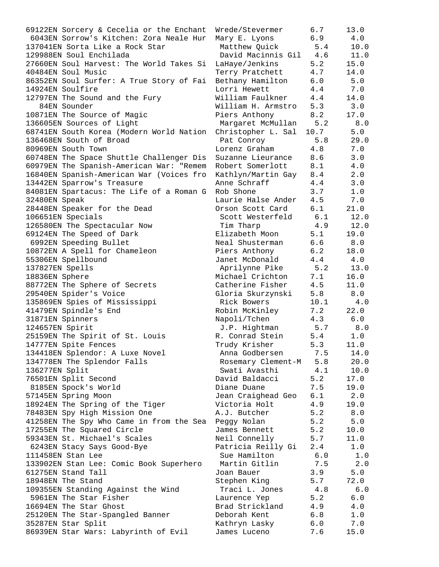| 69122EN Sorcery & Cecelia or the Enchant | Wrede/Stevermer        | 6.7  | 13.0  |
|------------------------------------------|------------------------|------|-------|
| 6043EN Sorrow's Kitchen: Zora Neale Hur  | Mary E. Lyons          | 6.9  | 4.0   |
| 137041EN Sorta Like a Rock Star          | Matthew Quick          | 5.4  | 10.0  |
| 129988EN Soul Enchilada                  | David Macinnis Gil 4.6 |      | 11.0  |
| 27660EN Soul Harvest: The World Takes Si | LaHaye/Jenkins         | 5.2  | 15.0  |
| 40484EN Soul Music                       | Terry Pratchett        | 4.7  | 14.0  |
| 86352EN Soul Surfer: A True Story of Fai | Bethany Hamilton       | 6.0  | 5.0   |
| 14924EN Soulfire                         | Lorri Hewett           | 4.4  | 7.0   |
| 12797EN The Sound and the Fury           | William Faulkner       | 4.4  | 14.0  |
| 84EN Sounder                             | William H. Armstro     | 5.3  | 3.0   |
| 10871EN The Source of Magic              | Piers Anthony          | 8.2  | 17.0  |
| 136605EN Sources of Light                | Margaret McMullan      | 5.2  | 8.0   |
| 68741EN South Korea (Modern World Nation | Christopher L. Sal     | 10.7 | 5.0   |
| 136468EN South of Broad                  | Pat Conroy             | 5.8  | 29.0  |
| 80969EN South Town                       | Lorenz Graham          | 4.8  | 7.0   |
| 60748EN The Space Shuttle Challenger Dis | Suzanne Lieurance      | 8.6  | 3.0   |
| 60979EN The Spanish-American War: "Remem | Robert Somerlott       | 8.1  | 4.0   |
| 16840EN Spanish-American War (Voices fro | Kathlyn/Martin Gay 8.4 |      | 2.0   |
| 13442EN Sparrow's Treasure               | Anne Schraff           | 4.4  | 3.0   |
| 84081EN Spartacus: The Life of a Roman G | Rob Shone              | 3.7  | 1.0   |
| 32480EN Speak                            | Laurie Halse Ander     | 4.5  | 7.0   |
| 28448EN Speaker for the Dead             | Orson Scott Card       | 6.1  | 21.0  |
| 106651EN Specials                        | Scott Westerfeld       | 6.1  | 12.0  |
| 126580EN The Spectacular Now             | Tim Tharp              | 4.9  | 12.0  |
| 69124EN The Speed of Dark                | Elizabeth Moon         | 5.1  | 19.0  |
| 6992EN Speeding Bullet                   | Neal Shusterman        | 6.6  | 8.0   |
| 10872EN A Spell for Chameleon            | Piers Anthony          | 6.2  | 18.0  |
| 55306EN Spellbound                       | Janet McDonald         | 4.4  | 4.0   |
| 137827EN Spells                          | Aprilynne Pike         | 5.2  | 13.0  |
| 18836EN Sphere                           | Michael Crichton       | 7.1  | 16.0  |
| 88772EN The Sphere of Secrets            | Catherine Fisher       | 4.5  | 11.0  |
| 29540EN Spider's Voice                   | Gloria Skurzynski      | 5.8  | 8.0   |
| 135869EN Spies of Mississippi            | Rick Bowers            | 10.1 | 4.0   |
| 41479EN Spindle's End                    | Robin McKinley         | 7.2  | 22.0  |
| 31871EN Spinners                         | Napoli/Tchen           | 4.3  | 6.0   |
| 124657EN Spirit                          | J.P. Hightman          | 5.7  | 8.0   |
| 25159EN The Spirit of St. Louis          | R. Conrad Stein        | 5.4  | 1.0   |
| 14777EN Spite Fences                     | Trudy Krisher          | 5.3  | 11.0  |
| 134418EN Splendor: A Luxe Novel          | Anna Godbersen         | 7.5  | 14.0  |
| 134778EN The Splendor Falls              | Rosemary Clement-M     | 5.8  | 20.0  |
| 136277EN Split                           | Swati Avasthi          | 4.1  | 10.0  |
| 76501EN Split Second                     | David Baldacci         | 5.2  | 17.0  |
| 8185EN Spock's World                     | Diane Duane            | 7.5  | 19.0  |
| 57145EN Spring Moon                      | Jean Craighead Geo     | 6.1  | 2.0   |
| 18924EN The Spring of the Tiger          | Victoria Holt          | 4.9  | 19.0  |
| 78483EN Spy High Mission One             | A.J. Butcher           | 5.2  | $8.0$ |
| 41258EN The Spy Who Came in from the Sea | Peggy Nolan            | 5.2  | 5.0   |
| 17255EN The Squared Circle               | James Bennett          | 5.2  | 10.0  |
| 59343EN St. Michael's Scales             | Neil Connelly          | 5.7  | 11.0  |
| 6243EN Stacy Says Good-Bye               | Patricia Reilly Gi     | 2.4  | 1.0   |
| 111458EN Stan Lee                        | Sue Hamilton           | 6.0  | 1.0   |
| 133902EN Stan Lee: Comic Book Superhero  | Martin Gitlin          | 7.5  | 2.0   |
| 61275EN Stand Tall                       | Joan Bauer             | 3.9  | 5.0   |
| 18948EN The Stand                        | Stephen King           | 5.7  | 72.0  |
| 109355EN Standing Against the Wind       | Traci L. Jones         | 4.8  | 6.0   |
| 5961EN The Star Fisher                   | Laurence Yep           | 5.2  | $6.0$ |
| 16694EN The Star Ghost                   | Brad Strickland        | 4.9  | 4.0   |
| 25120EN The Star-Spangled Banner         | Deborah Kent           | 6.8  | 1.0   |
| 35287EN Star Split                       | Kathryn Lasky          | 6.0  | 7.0   |
| 86939EN Star Wars: Labyrinth of Evil     | James Luceno           | 7.6  | 15.0  |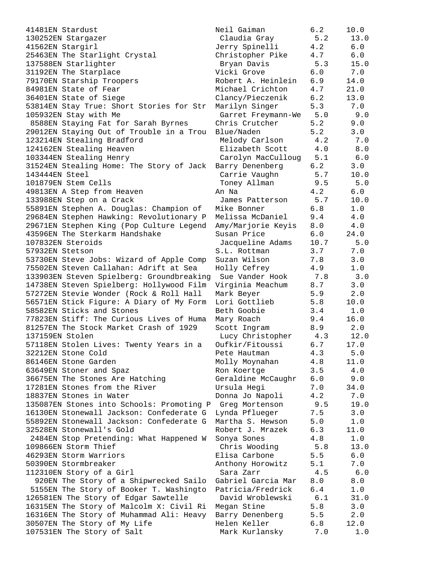41481EN Stardust 130252EN Stargazer 41562EN Stargirl 25463EN The Starlight Crystal 137588EN Starlighter 31192EN The Starplace 79170EN Starship Troopers 84981EN State of Fear 36401EN State of Siege 53814EN Stay True: Short Stories for Str 105932EN Stay with Me 8588EN Staying Fat for Sarah Byrnes 29012EN Staying Out of Trouble in a Trou 123214EN Stealing Bradford 124162EN Stealing Heaven 103344EN Stealing Henry 31524EN Stealing Home: The Story of Jack 143444EN Steel 101879EN Stem Cells 49813EN A Step from Heaven 133988EN Step on a Crack 55891EN Stephen A. Douglas: Champion of 29684EN Stephen Hawking: Revolutionary P 29671EN Stephen King (Pop Culture Legend 43596EN The Sterkarm Handshake 107832EN Steroids 57932EN Stetson 53730EN Steve Jobs: Wizard of Apple Comp 75502EN Steven Callahan: Adrift at Sea 133903EN Steven Spielberg: Groundbreaking 14738EN Steven Spielberg: Hollywood Film 57272EN Stevie Wonder (Rock & Roll Hall 56571EN Stick Figure: A Diary of My Form 58582EN Sticks and Stones 77823EN Stiff: The Curious Lives of Huma 81257EN The Stock Market Crash of 1929 137159EN Stolen 57118EN Stolen Lives: Twenty Years in a 32212EN Stone Cold 86146EN Stone Garden 63649EN Stoner and Spaz 36675EN The Stones Are Hatching 17281EN Stones from the River 18837EN Stones in Water 135087EN Stones into Schools: Promoting P 16130EN Stonewall Jackson: Confederate G 55892EN Stonewall Jackson: Confederate G 32528EN Stonewall's Gold 2484EN Stop Pretending: What Happened W 109866EN Storm Thief 46293EN Storm Warriors 50390EN Stormbreaker 112310EN Story of a Girl 920EN The Story of a Shipwrecked Sailo 5155EN The Story of Booker T. Washingto 126581EN The Story of Edgar Sawtelle 16315EN The Story of Malcolm X: Civil Ri 16316EN The Story of Muhammad Ali: Heavy 30507EN The Story of My Life 107531EN The Story of Salt

| Neil Gaiman        | 6.2     | 10.0        |
|--------------------|---------|-------------|
| Claudia Gray       | 5.2     | 13.0        |
| Jerry Spinelli     | 4.2     | $6.0$       |
| Christopher Pike   | 4.7     | $6.0\,$     |
| Bryan Davis        | 5.3     | 15.0        |
| Vicki Grove        | 6.0     | $7.0$       |
| Robert A. Heinlein | 6.9     | 14.0        |
| Michael Crichton   |         |             |
|                    | $4\,.7$ | 21.0        |
| Clancy/Pieczenik   | 6.2     | 13.0        |
| Marilyn Singer     | 5.3     | 7.0         |
| Garret Freymann-We | 5.0     | 9.0         |
| Chris Crutcher     | 5.2     | 9.0         |
| Blue/Naden         | 5.2     | 3.0         |
| Melody Carlson     | 4.2     | 7.0         |
| Elizabeth Scott    | $4.0$   | 8.0         |
| Carolyn MacCulloug | 5.1     | 6.0         |
| Barry Denenberg    | 6.2     | 3.0         |
| Carrie Vaughn      | 5.7     | 10.0        |
| Toney Allman       | 9.5     | 5.0         |
| An Na              | 4.2     | 6.0         |
| James Patterson    | 5.7     | 10.0        |
| Mike Bonner        | 6.8     | $1.0$       |
| Melissa McDaniel   | 9.4     | 4.0         |
| Amy/Marjorie Keyis | 8.0     | $4.0$       |
| Susan Price        | 6.0     | 24.0        |
| Jacqueline Adams   | 10.7    | 5.0         |
| S.L. Rottman       | 3.7     | 7.0         |
| Suzan Wilson       | 7.8     | 3.0         |
| Holly Cefrey       | 4.9     | 1.0         |
| Sue Vander Hook    | 7.8     | 3.0         |
| Virginia Meachum   | 8.7     | 3.0         |
| Mark Beyer         | 5.9     | 2.0         |
| Lori Gottlieb      | 5.8     | 10.0        |
| Beth Goobie        | 3.4     | $1.0$       |
| Mary Roach         | 9.4     | 16.0        |
| Scott Ingram       | 8.9     | 2.0         |
| Lucy Christopher   | 4.3     | 12.0        |
| Oufkir/Fitoussi    | 6.7     | 17.0        |
| Pete Hautman       | 4.3     |             |
|                    |         | 5.0<br>11.0 |
| Molly Moynahan     | 4.8     |             |
| Ron Koertge        | 3.5     | $4.0$       |
| Geraldine McCaughr | 6.0     | 9.0         |
| Ursula Hegi        | 7.0     | 34.0        |
| Donna Jo Napoli    | 4.2     | 7.0         |
| Greg Mortenson     | 9.5     | 19.0        |
| Lynda Pflueger     | 7.5     | 3.0         |
| Martha S. Hewson   | 5.0     | 1.0         |
| Robert J. Mrazek   | 6.3     | 11.0        |
| Sonya Sones        | 4.8     | 1.0         |
| Chris Wooding      | 5.8     | 13.0        |
| Elisa Carbone      | 5.5     | 6.0         |
| Anthony Horowitz   | 5.1     | 7.0         |
| Sara Zarr          | 4.5     | 6.0         |
| Gabriel Garcia Mar | 8.0     | 8.0         |
| Patricia/Fredrick  | 6.4     | 1.0         |
| David Wroblewski   | 6.1     | 31.0        |
| Megan Stine        | 5.8     | 3.0         |
| Barry Denenberg    | 5.5     | 2.0         |
| Helen Keller       | 6.8     | 12.0        |
| Mark Kurlanskv     | 7.0     | 1.0         |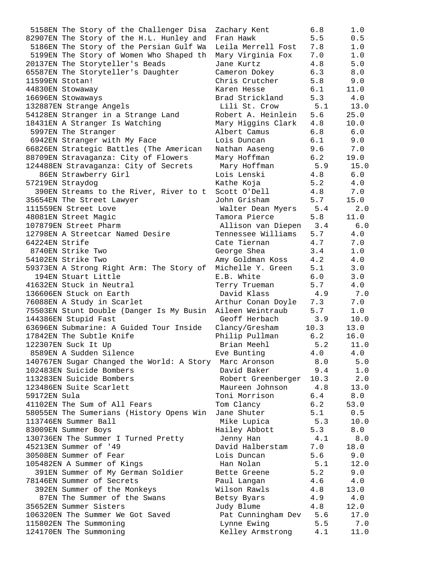5158EN The Story of the Challenger Disa Zachary Kent 6.8 1.0 82907EN The Story of the H.L. Hunley and Fran Hawk 5.5 0.5 5186EN The Story of the Persian Gulf Wa Leila Merrell Fost 7.8 1.0 5199EN The Story of Women Who Shaped th Mary Virginia Fox 7.0 1.0 20137EN The Storyteller's Beads Jane Kurtz 4.8 5.0 65587EN The Storyteller's Daughter Cameron Dokey 6.3 8.0 11599EN Stotan! Chris Crutcher 5.8 9.0 44830EN Stowaway Karen Hesse 6.1 11.0 16696EN Stowaways Brad Strickland 5.3 4.0 132887EN Strange Angels Lili St. Crow 5.1 13.0 54128EN Stranger in a Strange Land Robert A. Heinlein 5.6 25.0 18431EN A Stranger Is Watching Mary Higgins Clark 4.8 10.0 5997EN The Stranger The Camus 2008 Albert Camus 2016 6.8 6.0 6942EN Stranger with My Face Lois Duncan 6.1 9.0 66826EN Strategic Battles (The American Nathan Aaseng 9.6 7.0 88709EN Stravaganza: City of Flowers Mary Hoffman 6.2 19.0 124488EN Stravaganza: City of Secrets Mary Hoffman 5.9 15.0 86EN Strawberry Girl Lois Lenski 4.8 6.0 57219EN Straydog Kathe Koja 5.2 4.0 390EN Streams to the River, River to t Scott O'Dell 4.8 7.0 35654EN The Street Lawyer John Grisham 5.7 15.0 111559EN Street Love Walter Dean Myers 5.4 2.0 48081EN Street Magic Tamora Pierce 5.8 11.0 107879EN Street Pharm Allison van Diepen 3.4 6.0 12798EN A Streetcar Named Desire Tennessee Williams 5.7 4.0 64224EN Strife Cate Tiernan 4.7 7.0 8740EN Strike Two  $\qquad \qquad$  George Shea  $\qquad \qquad 3.4$  1.0 54102EN Strike Two Amy Goldman Koss 4.2 4.0 59373EN A Strong Right Arm: The Story of Michelle Y. Green 5.1 3.0 194EN Stuart Little E.B. White 6.0 3.0 41632EN Stuck in Neutral Terry Trueman 5.7 4.0 136606EN Stuck on Earth David Klass 4.9 7.0 76088EN A Study in Scarlet Arthur Conan Doyle 7.3 7.0 75503EN Stunt Double (Danger Is My Busin Aileen Weintraub 5.7 1.0 144386EN Stupid Fast Geoff Herbach 3.9 10.0 63696EN Submarine: A Guided Tour Inside Clancy/Gresham 10.3 13.0 17842EN The Subtle Knife Philip Pullman 6.2 16.0 122307EN Suck It Up Brian Meehl 5.2 11.0 8589EN A Sudden Silence and Eve Bunting the 4.0 4.0 140767EN Sugar Changed the World: A Story Marc Aronson 8.0 5.0 102483EN Suicide Bombers David Baker 9.4 1.0 113283EN Suicide Bombers Robert Greenberger 10.3 2.0 123486EN Suite Scarlett Maureen Johnson 4.8 13.0 59172EN Sula Toni Morrison 6.4 8.0 41102EN The Sum of All Fears Tom Clancy 6.2 53.0 58055EN The Sumerians (History Opens Win Jane Shuter 5.1 0.5 113746EN Summer Ball Mike Lupica 5.3 10.0 83009EN Summer Boys Hailey Abbott 5.3 8.0 130736EN The Summer I Turned Pretty Jenny Han 4.1 8.0 45213EN Summer of '49 David Halberstam 7.0 18.0 30508EN Summer of Fear Lois Duncan 5.6 9.0 105482EN A Summer of Kings Han Nolan 5.1 12.0 391EN Summer of My German Soldier Bette Greene 5.2 9.0 78146EN Summer of Secrets Taul Langan 4.6 4.0 392EN Summer of the Monkeys Wilson Rawls 4.8 13.0 87EN The Summer of the Swans Betsy Byars 4.9 4.0 35652EN Summer Sisters Judy Blume 4.8 12.0 106320EN The Summer We Got Saved Pat Cunningham Dev 5.6 17.0 115802EN The Summoning Lynne Ewing 5.5 7.0 124170EN The Summoning and the Kelley Armstrong  $4.1$  11.0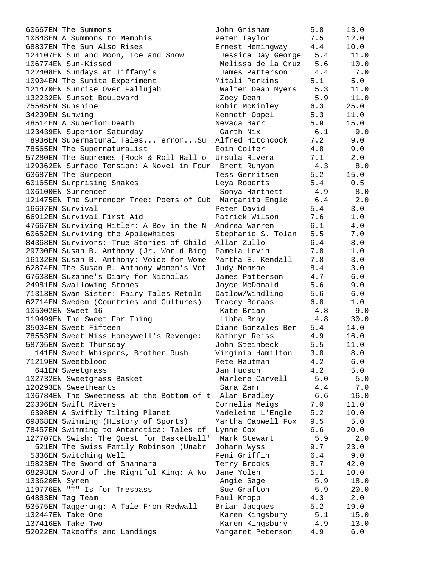60667EN The Summons 10848EN A Summons to Memphis 68837EN The Sun Also Rises 124107EN Sun and Moon, Ice and Snow 106774EN Sun-Kissed 122408EN Sundays at Tiffany's 10904EN The Sunita Experiment 121470EN Sunrise Over Fallujah 132232EN Sunset Boulevard 75585EN Sunshine 34239EN Sunwing 48514EN A Superior Death 123439EN Superior Saturday 8936EN Supernatural Tales...Terror...Su 78565EN The Supernaturalist 57280EN The Supremes (Rock & Roll Hall o 129362EN Surface Tension: A Novel in Four 63687EN The Surgeon 60165EN Surprising Snakes 106100EN Surrender 121475EN The Surrender Tree: Poems of Cub 16697EN Survival 66912EN Survival First Aid 47667EN Surviving Hitler: A Boy in the N 60652EN Surviving the Applewhites 84368EN Survivors: True Stories of Child 29700EN Susan B. Anthony (Jr. World Biog 16132EN Susan B. Anthony: Voice for Wome 62874EN The Susan B. Anthony Women's Vot 67633EN Suzanne's Diary for Nicholas 24981EN Swallowing Stones 71313EN Swan Sister: Fairy Tales Retold 62714EN Sweden (Countries and Cultures) 105002EN Sweet 16 119499EN The Sweet Far Thing 35004EN Sweet Fifteen 78553EN Sweet Miss Honeywell's Revenge: 58705EN Sweet Thursday 141EN Sweet Whispers, Brother Rush 71219EN Sweetblood 641EN Sweetgrass 102732EN Sweetgrass Basket 120293EN Sweethearts 136784EN The Sweetness at the Bottom of t 20306EN Swift Rivers 6398EN A Swiftly Tilting Planet 69868EN Swimming (History of Sports) 78457EN Swimming to Antarctica: Tales of 127707EN Swish: The Quest for Basketball' 521EN The Swiss Family Robinson (Unabr 5336EN Switching Well 15823EN The Sword of Shannara 68293EN Sword of the Rightful King: A No 133620EN Syren 119776EN "T" Is for Trespass 64883EN Tag Team 53575EN Taggerung: A Tale From Redwall 132447EN Take One 137416EN Take Two 52022EN Takeoffs and Landings

| John Grisham       | 5.8   | 13.0    |
|--------------------|-------|---------|
| Peter Taylor       | 7.5   | 12.0    |
| Ernest Hemingway   | 4.4   | 10.0    |
| Jessica Day George | 5.4   | 11.0    |
| Melissa de la Cruz | 5.6   | 10.0    |
| James Patterson    | $4.4$ | 7.0     |
| Mitali Perkins     | 5.1   | 5.0     |
| Walter Dean Myers  | 5.3   | 11.0    |
| Zoey Dean          | 5.9   | 11.0    |
| Robin McKinley     | 6.3   | 25.0    |
| Kenneth Oppel      | 5.3   | 11.0    |
| Nevada Barr        | 5.9   | 15.0    |
| Garth Nix          | 6.1   | 9.0     |
| Alfred Hitchcock   | 7.2   | 9.0     |
| Eoin Colfer        | 4.8   | 9.0     |
| Ursula Rivera      | 7.1   | 2.0     |
| Brent Runyon       | 4.3   | 8.0     |
| Tess Gerritsen     | 5.2   | 15.0    |
| Leya Roberts       | 5.4   | 0.5     |
| Sonya Hartnett     | 4.9   | $8.0$   |
| Margarita Engle    | 6.4   | 2.0     |
| Peter David        | 5.4   | 3.0     |
| Patrick Wilson     | 7.6   | 1.0     |
| Andrea Warren      | 6.1   | $4.0\,$ |
| Stephanie S. Tolan | 5.5   | $7.0$   |
| Allan Zullo        | $6.4$ | 8.0     |
| Pamela Levin       | 7.8   | $1.0$   |
| Martha E. Kendall  | 7.8   | 3.0     |
| Judy Monroe        | 8.4   | 3.0     |
| James Patterson    | 4.7   | $6.0$   |
| Joyce McDonald     | 5.6   | 9.0     |
| Datlow/Windling    | 5.6   | $6.0$   |
| Tracey Boraas      | 6.8   | $1.0$   |
| Kate Brian         | 4.8   | 9.0     |
| Libba Bray         | 4.8   | 30.0    |
| Diane Gonzales Ber | 5.4   | 14.0    |
| Kathryn Reiss      | 4.9   | 16.0    |
| John Steinbeck     | 5.5   | 11.0    |
| Virginia Hamilton  | 3.8   | 8.0     |
| Pete Hautman       | 4.2   | 6.0     |
| Jan Hudson         | 4.2   | 5.0     |
| Marlene Carvell    | 5.0   | 5.0     |
| Sara Zarr          | 4.4   | 7.0     |
| Alan Bradley       | 6.6   | 16.0    |
| Cornelia Meigs     | 7.0   | 11.0    |
| Madeleine L'Engle  | 5.2   | 10.0    |
| Martha Capwell Fox | 9.5   | 5.0     |
| Lynne Cox          | 6.6   | 20.0    |
| Mark Stewart       | 5.9   | 2.0     |
| Johann Wyss        | 9.7   | 23.0    |
| Peni Griffin       | 6.4   | 9.0     |
| Terry Brooks       | 8.7   | 42.0    |
| Jane Yolen         | 5.1   | 10.0    |
| Angie Sage         | 5.9   | 18.0    |
| Sue Grafton        | 5.9   | 20.0    |
| Paul Kropp         | 4.3   | 2.0     |
| Brian Jacques      | 5.2   | 19.0    |
| Karen Kingsbury    | 5.1   | 15.0    |
| Karen Kingsbury    | 4.9   | 13.0    |
| Margaret Peterson  | 4.9   | ნ. ი    |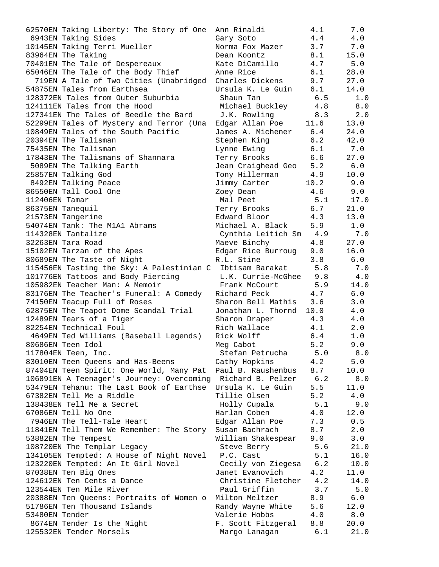| 62570EN Taking Liberty: The Story of One                      | Ann Rinaldi             | 4.1  | 7.0        |
|---------------------------------------------------------------|-------------------------|------|------------|
| 6943EN Taking Sides                                           | Gary Soto               | 4.4  | 4.0        |
| 10145EN Taking Terri Mueller                                  | Norma Fox Mazer         | 3.7  | 7.0        |
| 83964EN The Taking                                            | Dean Koontz             | 8.1  | 15.0       |
| 70401EN The Tale of Despereaux                                | Kate DiCamillo          | 4.7  | 5.0        |
| 65046EN The Tale of the Body Thief                            | Anne Rice               | 6.1  | 28.0       |
| 719EN A Tale of Two Cities (Unabridged Charles Dickens        |                         | 9.7  | 27.0       |
| 54875EN Tales from Earthsea                                   | Ursula K. Le Guin       | 6.1  | 14.0       |
| 128372EN Tales from Outer Suburbia                            | Shaun Tan               | 6.5  | 1.0        |
| 124111EN Tales from the Hood                                  | Michael Buckley         | 4.8  | 8.0        |
| 127341EN The Tales of Beedle the Bard                         | J.K. Rowling            | 8.3  | 2.0        |
| 52299EN Tales of Mystery and Terror (Una                      | Edgar Allan Poe 11.6    |      | 13.0       |
| 10849EN Tales of the South Pacific                            | James A. Michener 6.4   |      | 24.0       |
| 20394EN The Talisman                                          | Stephen King            | 6.2  | 42.0       |
| 75435EN The Talisman                                          | Lynne Ewing             | 6.1  | 7.0        |
| 17843EN The Talismans of Shannara                             | Terry Brooks 6.6        |      | 27.0       |
| 5089EN The Talking Earth                                      | Jean Craighead Geo 5.2  |      | 6.0        |
| 25857EN Talking God                                           | Tony Hillerman          | 4.9  | 10.0       |
| 8492EN Talking Peace                                          | Jimmy Carter            | 10.2 | 9.0        |
| 86550EN Tall Cool One                                         | Zoey Dean               | 4.6  | 9.0        |
| 112406EN Tamar                                                | Mal Peet 5.1 17.0       |      |            |
| 86375EN Tanequil                                              | Terry Brooks 6.7        |      | 21.0       |
| 21573EN Tangerine                                             | Edward Bloor 4.3        |      | 13.0       |
| 54074EN Tank: The M1A1 Abrams                                 | Michael A. Black 5.9    |      | 1.0        |
| 114328EN Tantalize                                            | Cynthia Leitich Sm 4.9  |      | 7.0        |
| 32263EN Tara Road                                             | Maeve Binchy            | 4.8  | 27.0       |
| 15102EN Tarzan of the Apes                                    | Edgar Rice Burroug 9.0  |      | 16.0       |
| 80689EN The Taste of Night                                    | R.L. Stine              | 3.8  | 6.0        |
| 115456EN Tasting the Sky: A Palestinian C Ibtisam Barakat 5.8 |                         |      | 7.0        |
| 101776EN Tattoos and Body Piercing                            | L.K. Currie-McGhee 9.8  |      | 4.0        |
| 105982EN Teacher Man: A Memoir                                | Frank McCourt           | 5.9  | 14.0       |
| 83176EN The Teacher's Funeral: A Comedy Richard Peck 4.7      |                         |      | 6.0        |
| 74150EN Teacup Full of Roses                                  | Sharon Bell Mathis 3.6  |      | 3.0        |
| 62875EN The Teapot Dome Scandal Trial                         | Jonathan L. Thornd 10.0 |      | 4.0        |
| 12489EN Tears of a Tiger                                      | Sharon Draper           | 4.3  | 4.0        |
| 82254EN Technical Foul                                        | Rich Wallace            | 4.1  | 2.0        |
| 4649EN Ted Williams (Baseball Legends)                        | Rick Wolff              | 6.4  | $1\,.$ $0$ |
| 80686EN Teen Idol                                             |                         | 5.2  | 9.0        |
|                                                               | Meg Cabot               | 5.0  | 8.0        |
| 117804EN Teen, Inc.                                           | Stefan Petrucha         |      |            |
| 83010EN Teen Queens and Has-Beens                             | Cathy Hopkins           | 4.2  | 5.0        |
| 87404EN Teen Spirit: One World, Many Pat                      | Paul B. Raushenbus      | 8.7  | 10.0       |
| 106891EN A Teenager's Journey: Overcoming                     | Richard B. Pelzer       | 6.2  | 8.0        |
| 53479EN Tehanu: The Last Book of Earthse                      | Ursula K. Le Guin       | 5.5  | 11.0       |
| 67382EN Tell Me a Riddle                                      | Tillie Olsen            | 5.2  | 4.0        |
| 138438EN Tell Me a Secret                                     | Holly Cupala            | 5.1  | 9.0        |
| 67086EN Tell No One                                           | Harlan Coben            | 4.0  | 12.0       |
| 7946EN The Tell-Tale Heart                                    | Edgar Allan Poe         | 7.3  | 0.5        |
| 11841EN Tell Them We Remember: The Story                      | Susan Bachrach          | 8.7  | 2.0        |
| 53882EN The Tempest                                           | William Shakespear      | 9.0  | 3.0        |
| 108720EN The Templar Legacy                                   | Steve Berry             | 5.6  | 21.0       |
| 134105EN Tempted: A House of Night Novel                      | P.C. Cast               | 5.1  | 16.0       |
| 123220EN Tempted: An It Girl Novel                            | Cecily von Ziegesa      | 6.2  | 10.0       |
| 87038EN Ten Big Ones                                          | Janet Evanovich         | 4.2  | 11.0       |
| 124612EN Ten Cents a Dance                                    | Christine Fletcher      | 4.2  | 14.0       |
| 123544EN Ten Mile River                                       | Paul Griffin            | 3.7  | 5.0        |
| 20388EN Ten Queens: Portraits of Women o                      | Milton Meltzer          | 8.9  | 6.0        |
| 51786EN Ten Thousand Islands                                  | Randy Wayne White       | 5.6  | 12.0       |
| 53480EN Tender                                                | Valerie Hobbs           | 4.0  | 8.0        |
| 8674EN Tender Is the Night                                    | F. Scott Fitzgeral      | 8.8  | 20.0       |
| 125532EN Tender Morsels                                       | Margo Lanagan           | 6.1  | 21.0       |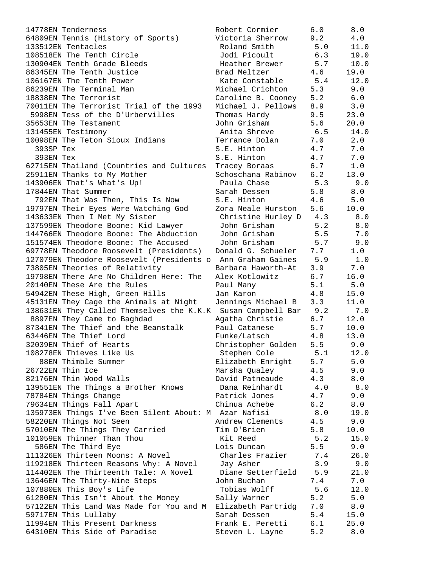14778EN Tenderness Robert Cormier 6.0 8.0 64809EN Tennis (History of Sports) Victoria Sherrow 9.2 4.0 133512EN Tentacles Roland Smith 5.0 11.0 108518EN The Tenth Circle Jodi Picoult 6.3 19.0 130904EN Tenth Grade Bleeds Heather Brewer 5.7 10.0 86345EN The Tenth Justice Brad Meltzer 4.6 19.0 106167EN The Tenth Power Kate Constable 5.4 12.0 86239EN The Terminal Man Michael Crichton 5.3 9.0 18838EN The Terrorist Caroline B. Cooney 5.2 6.0 70011EN The Terrorist Trial of the 1993 Michael J. Pellows 8.9 3.0 5998EN Tess of the D'Urbervilles Thomas Hardy 9.5 23.0 35653EN The Testament John Grisham 5.6 20.0 131455EN Testimony Anita Shreve 6.5 14.0 10098EN The Teton Sioux Indians Terrance Dolan 7.0 2.0 393SP Tex S.E. Hinton 4.7 7.0 393EN Tex S.E. Hinton 4.7 7.0 62715EN Thailand (Countries and Cultures Tracey Boraas 6.7 1.0 25911EN Thanks to My Mother Schoschana Rabinov 6.2 13.0 143906EN That's What's Up! Paula Chase 5.3 9.0 17844EN That Summer Sarah Dessen 5.8 8.0 792EN That Was Then, This Is Now S.E. Hinton 4.6 5.0 19797EN Their Eyes Were Watching God Zora Neale Hurston 5.6 10.0 143633EN Then I Met My Sister Christine Hurley D 4.3 8.0 137599EN Theodore Boone: Kid Lawyer John Grisham 5.2 8.0 144766EN Theodore Boone: The Abduction John Grisham 5.5 7.0 151574EN Theodore Boone: The Accused John Grisham 5.7 9.0 69778EN Theodore Roosevelt (Presidents) Donald G. Schueler 7.7 1.0 127079EN Theodore Roosevelt (Presidents o Ann Graham Gaines 5.9 1.0 73805EN Theories of Relativity Barbara Haworth-At 3.9 7.0 19798EN There Are No Children Here: The Alex Kotlowitz 6.7 16.0 20140EN These Are the Rules Paul Many 5.1 5.0 54942EN These High, Green Hills Jan Karon 4.8 15.0 45131EN They Cage the Animals at Night Jennings Michael B 3.3 11.0 138631EN They Called Themselves the K.K.K Susan Campbell Bar 9.2 7.0 8897EN They Came to Baghdad Agatha Christie 5.7 12.0 87341EN The Thief and the Beanstalk Paul Catanese 5.7 10.0 63446EN The Thief Lord Funke/Latsch 4.8 13.0 32039EN Thief of Hearts Christopher Golden 5.5 9.0 108278EN Thieves Like Us Stephen Cole 5.1 12.0 88EN Thimble Summer Elizabeth Enright 5.7 5.0 26722EN Thin Ice Marsha Qualey 4.5 9.0 82176EN Thin Wood Walls David Patneaude 4.3 8.0 139551EN The Things a Brother Knows Dana Reinhardt 4.0 8.0 78784EN Things Change Patrick Jones 4.7 9.0 79634EN Things Fall Apart Chinua Achebe 6.2 8.0 135973EN Things I've Been Silent About: M Azar Nafisi 8.0 19.0 58220EN Things Not Seen Andrew Clements 4.5 9.0 57010EN The Things They Carried Tim O'Brien 5.8 10.0 101059EN Thinner Than Thou Kit Reed 5.2 15.0 586EN The Third Eye Lois Duncan 5.5 9.0 111326EN Thirteen Moons: A Novel Charles Frazier 7.4 26.0 119218EN Thirteen Reasons Why: A Novel Jay Asher 3.9 9.0 114402EN The Thirteenth Tale: A Novel Diane Setterfield 5.9 21.0 13646EN The Thirty-Nine Steps John Buchan 7.4 7.0 107880EN This Boy's Life Tobias Wolff 5.6 12.0 61280EN This Isn't About the Money Sally Warner 5.2 5.0 57122EN This Land Was Made for You and M Elizabeth Partridg 7.0 8.0 59717EN This Lullaby Sarah Dessen 5.4 15.0 11994EN This Present Darkness Frank E. Peretti 6.1 25.0 64310EN This Side of Paradise Steven L. Layne 5.2 8.0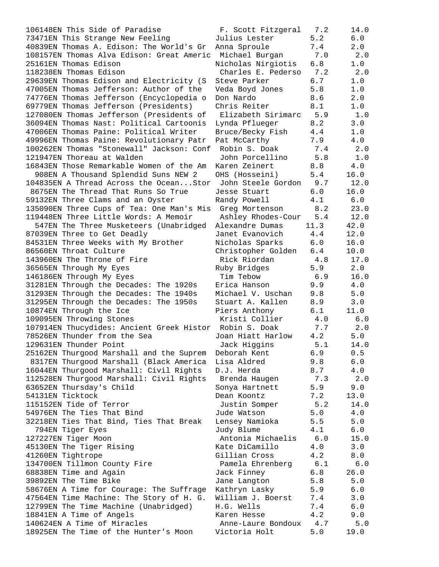106148EN This Side of Paradise 73471EN This Strange New Feeling 40839EN Thomas A. Edison: The World's Gr 108157EN Thomas Alva Edison: Great Americ 25161EN Thomas Edison 118238EN Thomas Edison 29639EN Thomas Edison and Electricity (S 47005EN Thomas Jefferson: Author of the 74776EN Thomas Jefferson (Encyclopedia o 69779EN Thomas Jefferson (Presidents) 127080EN Thomas Jefferson (Presidents of 36094EN Thomas Nast: Political Cartoonis 47006EN Thomas Paine: Political Writer 49996EN Thomas Paine: Revolutionary Patr 100262EN Thomas "Stonewall" Jackson: Conf 121947EN Thoreau at Walden 16843EN Those Remarkable Women of the Am 908EN A Thousand Splendid Suns NEW 2 104835EN A Thread Across the Ocean...Stor 8675EN The Thread That Runs So True 59132EN Three Clams and an Oyster 135090EN Three Cups of Tea: One Man's Mis 119448EN Three Little Words: A Memoir 547EN The Three Musketeers (Unabridged 87039EN Three to Get Deadly 84531EN Three Weeks with My Brother 86560EN Throat Culture 143960EN The Throne of Fire 36565EN Through My Eyes 146186EN Through My Eyes 31281EN Through the Decades: The 1920s 31293EN Through the Decades: The 1940s 31295EN Through the Decades: The 1950s 10874EN Through the Ice 109095EN Throwing Stones 107914EN Thucydides: Ancient Greek Histor 78526EN Thunder from the Sea 129631EN Thunder Point 25162EN Thurgood Marshall and the Suprem 8317EN Thurgood Marshall (Black America 16044EN Thurgood Marshall: Civil Rights 112528EN Thurgood Marshall: Civil Rights 63652EN Thursday's Child 54131EN Ticktock 115152EN Tide of Terror 54976EN The Ties That Bind 32218EN Ties That Bind, Ties That Break 794EN Tiger Eyes 127227EN Tiger Moon 45130EN The Tiger Rising 41260EN Tightrope 134700EN Tillmon County Fire 68838EN Time and Again 39892EN The Time Bike 58676EN A Time for Courage: The Suffrage 47564EN Time Machine: The Story of H. G. 12799EN The Time Machine (Unabridged) 18841EN A Time of Angels 140624EN A Time of Miracles 18925EN The Time of the Hunter's Moon

| F. Scott Fitzgeral | 7.2     | 14.0         |
|--------------------|---------|--------------|
| Julius Lester      | 5.2     | 6.0          |
| Anna Sproule       | 7.4     | 2.0          |
| Michael Burgan     | 7.0     | 2.0          |
| Nicholas Nirgiotis | 6.8     | 1.0          |
| Charles E. Pederso | 7.2     | 2.0          |
| Steve Parker       | 6.7     | $1.0$        |
| Veda Boyd Jones    | 5.8     | $1.0$        |
| Don Nardo          | 8.6     | 2.0          |
| Chris Reiter       | 8.1     | 1.0          |
| Elizabeth Sirimarc | 5.9     | 1.0          |
| Lynda Pflueger     | 8.2     | 3.0          |
| Bruce/Becky Fish   | 4.4     | $1\,.$ $0$   |
| Pat McCarthy       | 7.9     | $4.0$        |
| Robin S. Doak      | 7.4     | 2.0          |
| John Porcellino    | 5.8     |              |
|                    | 8.8     | 1.0<br>4.0   |
| Karen Zeinert      | 5.4     |              |
| OHS (Hosseini)     |         | 16.0         |
| John Steele Gordon | 9.7     | 12.0         |
| Jesse Stuart       | 6.0     | 16.0         |
| Randy Powell       | 4.1     | $6.0$        |
| Greg Mortenson     | 8.2     | 23.0         |
| Ashley Rhodes-Cour | 5.4     | 12.0         |
| Alexandre Dumas    | 11.3    | 42.0         |
| Janet Evanovich    | 4.4     | 12.0         |
| Nicholas Sparks    | 6.0     | 16.0         |
| Christopher Golden | 6.4     | 10.0         |
| Rick Riordan       | 4.8     | 17.0         |
| Ruby Bridges       | 5.9     | $2.0$        |
| Tim Tebow          | 6.9     | 16.0         |
| Erica Hanson       | 9.9     | 4.0          |
| Michael V. Uschan  | 9.8     | 5.0          |
| Stuart A. Kallen   | 8.9     | 3.0          |
| Piers Anthony      | 6.1     | 11.0         |
| Kristi Collier     | $4.0\,$ | $6.0$        |
| Robin S. Doak      | 7.7     | 2.0          |
| Joan Hiatt Harlow  | 4.2     | 5.0          |
| Jack Higgins       | 5.1     | 14.0         |
| Deborah Kent       | 6.9     | 0.5          |
| Lisa Aldred        | 9.8     | 6.0          |
| D.J. Herda         | 8.7     | $4\,.$ $0\,$ |
| Brenda Haugen      | 7.3     | 2.0          |
| Sonya Hartnett     | 5.9     | 9.0          |
| Dean Koontz        | 7.2     | 13.0         |
| Justin Somper      | 5.2     | 14.0         |
| Jude Watson        | 5.0     | 4.0          |
| Lensey Namioka     | 5.5     | 5.0          |
| Judy Blume         | 4.1     | 6.0          |
| Antonia Michaelis  | 6.0     | 15.0         |
| Kate DiCamillo     | 4.0     | 3.0          |
| Gillian Cross      | 4.2     | 8.0          |
| Pamela Ehrenberg   | 6.1     | 6.0          |
| Jack Finney        | 6.8     | 26.0         |
| Jane Langton       | 5.8     | $5.0$        |
| Kathryn Lasky      | 5.9     | 6.0          |
| William J. Boerst  | $7\,.4$ | 3.0          |
| H.G. Wells         | 7.4     | 6.0          |
| Karen Hesse        | 4.2     | 9.0          |
| Anne-Laure Bondoux | 4.7     | 5.0          |
| Victoria Holt      | 5.0     | 19.0         |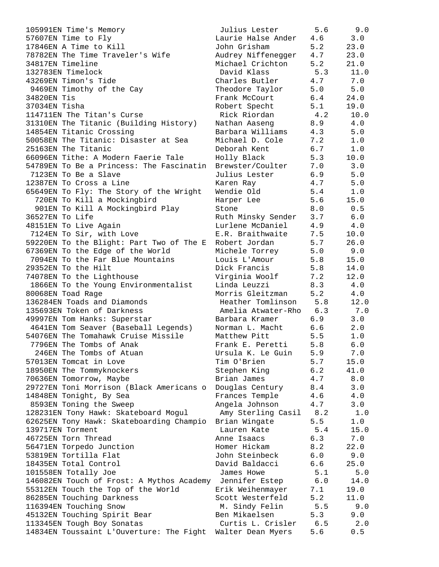| 105991EN Time's Memory                                     | Julius Lester          | 5.6 | 9.0   |
|------------------------------------------------------------|------------------------|-----|-------|
| 57607EN Time to Fly                                        | Laurie Halse Ander     | 4.6 | 3.0   |
| 17846EN A Time to Kill                                     | John Grisham           | 5.2 | 23.0  |
| 78782EN The Time Traveler's Wife                           | Audrey Niffenegger     | 4.7 | 23.0  |
| 34817EN Timeline                                           | Michael Crichton       | 5.2 | 21.0  |
| 132783EN Timelock                                          | David Klass            | 5.3 | 11.0  |
| 43269EN Timon's Tide                                       | Charles Butler         | 4.7 | 7.0   |
| 9469EN Timothy of the Cay                                  | Theodore Taylor        | 5.0 | 5.0   |
| 34820EN Tis                                                | Frank McCourt          | 6.4 | 24.0  |
| 37034EN Tisha                                              | Robert Specht          | 5.1 | 19.0  |
| 114711EN The Titan's Curse                                 | Rick Riordan           | 4.2 | 10.0  |
| 31310EN The Titanic (Building History)                     | Nathan Aaseng          | 8.9 | 4.0   |
| 14854EN Titanic Crossing                                   | Barbara Williams       | 4.3 | $5.0$ |
| 50058EN The Titanic: Disaster at Sea                       | Michael D. Cole        | 7.2 | 1.0   |
| 25163EN The Titanic                                        | Deborah Kent           | 6.7 | 1.0   |
| 66096EN Tithe: A Modern Faerie Tale                        | Holly Black            | 5.3 | 10.0  |
| 54789EN To Be a Princess: The Fascinatin                   | Brewster/Coulter       | 7.0 | 3.0   |
| 7123EN To Be a Slave                                       | Julius Lester          | 6.9 | 5.0   |
| 12387EN To Cross a Line                                    | Karen Ray              | 4.7 | 5.0   |
| 65649EN To Fly: The Story of the Wright                    | Wendie Old             | 5.4 | 1.0   |
| 720EN To Kill a Mockingbird                                | Harper Lee             | 5.6 | 15.0  |
| 901EN To Kill A Mockingbird Play                           | Stone                  | 8.0 | 0.5   |
| 36527EN To Life                                            | Ruth Minsky Sender     | 3.7 | 6.0   |
| 48151EN To Live Again                                      | Lurlene McDaniel       | 4.9 | 4.0   |
| 7124EN To Sir, with Love                                   | E.R. Braithwaite       | 7.5 | 10.0  |
| 59220EN To the Blight: Part Two of The E                   | Robert Jordan          | 5.7 | 26.0  |
| 67369EN To the Edge of the World                           | Michele Torrey         | 5.0 | 9.0   |
| 7094EN To the Far Blue Mountains                           | Louis L'Amour          | 5.8 | 15.0  |
| 29352EN To the Hilt                                        | Dick Francis           | 5.8 | 14.0  |
| 74078EN To the Lighthouse                                  | Virginia Woolf         | 7.2 | 12.0  |
| 1866EN To the Young Environmentalist                       | Linda Leuzzi           | 8.3 | 4.0   |
| 80068EN Toad Rage                                          | Morris Gleitzman       | 5.2 | 4.0   |
| 136284EN Toads and Diamonds                                | Heather Tomlinson      | 5.8 | 12.0  |
| 135693EN Token of Darkness                                 | Amelia Atwater-Rho     | 6.3 | 7.0   |
| 49997EN Tom Hanks: Superstar                               | Barbara Kramer         | 6.9 | 3.0   |
| 4641EN Tom Seaver (Baseball Legends)                       | Norman L. Macht        | 6.6 | 2.0   |
| 54076EN The Tomahawk Cruise Missile                        | Matthew Pitt           | 5.5 | 1.0   |
| 7796EN The Tombs of Anak                                   | Frank E. Peretti       | 5.8 | 6.0   |
| 246EN The Tombs of Atuan                                   | Ursula K. Le Guin      | 5.9 | 7.0   |
| 57013EN Tomcat in Love                                     | Tim O'Brien            | 5.7 | 15.0  |
| 18950EN The Tommyknockers                                  | Stephen King           | 6.2 | 41.0  |
| 70636EN Tomorrow, Maybe                                    | Brian James            | 4.7 | $8.0$ |
| 29727EN Toni Morrison (Black Americans o                   | Douglas Century        | 8.4 | 3.0   |
| 14848EN Tonight, By Sea                                    | Frances Temple         | 4.6 | $4.0$ |
| 8593EN Toning the Sweep                                    | Angela Johnson         | 4.7 | 3.0   |
| 128231EN Tony Hawk: Skateboard Mogul                       | Amy Sterling Casil 8.2 |     | 1.0   |
| 62625EN Tony Hawk: Skateboarding Champio                   | Brian Wingate          | 5.5 | 1.0   |
| 139717EN Torment                                           | Lauren Kate            | 5.4 | 15.0  |
| 46725EN Torn Thread                                        | Anne Isaacs            | 6.3 | 7.0   |
| 56471EN Torpedo Junction                                   | Homer Hickam           | 8.2 | 22.0  |
| 53819EN Tortilla Flat                                      | John Steinbeck         | 6.0 | 9.0   |
| 18435EN Total Control                                      | David Baldacci         | 6.6 | 25.0  |
| 101558EN Totally Joe                                       | James Howe             | 5.1 | 5.0   |
| 146082EN Touch of Frost: A Mythos Academy Jennifer Estep   |                        | 6.0 | 14.0  |
| 55312EN Touch the Top of the World                         | Erik Weihenmayer       | 7.1 | 19.0  |
| 86285EN Touching Darkness                                  | Scott Westerfeld       | 5.2 | 11.0  |
| 116394EN Touching Snow                                     | M. Sindy Felin         | 5.5 | 9.0   |
| 45132EN Touching Spirit Bear                               | Ben Mikaelsen          | 5.3 | 9.0   |
| 113345EN Tough Boy Sonatas                                 | Curtis L. Crisler      | 6.5 | 2.0   |
| 14834EN Toussaint L'Ouverture: The Fight Walter Dean Myers |                        | 5.6 | 0.5   |
|                                                            |                        |     |       |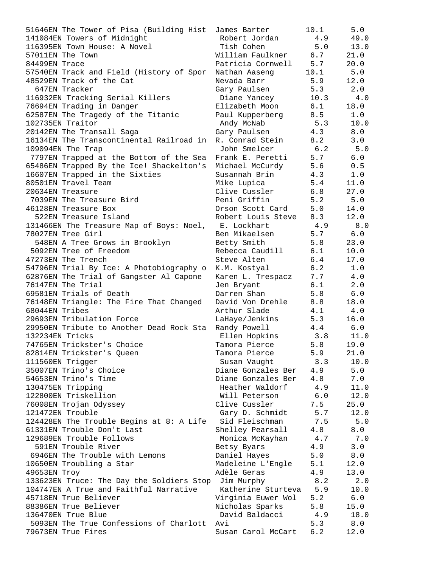| 51646EN The Tower of Pisa (Building Hist                 | James Barter           | 10.1 | 5.0   |
|----------------------------------------------------------|------------------------|------|-------|
| 141084EN Towers of Midnight                              | Robert Jordan          | 4.9  | 49.0  |
| 116395EN Town House: A Novel                             | Tish Cohen             | 5.0  | 13.0  |
| 57011EN The Town                                         | William Faulkner 6.7   |      | 21.0  |
| 84499EN Trace                                            | Patricia Cornwell 5.7  |      | 20.0  |
| 57540EN Track and Field (History of Spor                 | Nathan Aaseng          | 10.1 | 5.0   |
| 48529EN Track of the Cat                                 | Nevada Barr            | 5.9  | 12.0  |
| 647EN Tracker                                            | Gary Paulsen           | 5.3  | 2.0   |
| 116932EN Tracking Serial Killers                         | Diane Yancey           | 10.3 | 4.0   |
| 76694EN Trading in Danger                                | Elizabeth Moon         | 6.1  | 18.0  |
| 62587EN The Tragedy of the Titanic                       | Paul Kupperberg        | 8.5  | 1.0   |
| 102735EN Traitor                                         | Andy McNab             | 5.3  | 10.0  |
| 20142EN The Transall Saga                                | Gary Paulsen           | 4.3  | 8.0   |
| 16134EN The Transcontinental Railroad in                 | R. Conrad Stein        | 8.2  | 3.0   |
| 109094EN The Trap                                        | John Smelcer           | 6.2  | 5.0   |
| 7797EN Trapped at the Bottom of the Sea Frank E. Peretti |                        | 5.7  | 6.0   |
| 65486EN Trapped By the Ice! Shackelton's                 | Michael McCurdy        | 5.6  | 0.5   |
| 16607EN Trapped in the Sixties                           | Susannah Brin          | 4.3  | 1.0   |
| 80501EN Travel Team                                      | Mike Lupica            | 5.4  | 11.0  |
| 20634EN Treasure                                         | Clive Cussler          | 6.8  | 27.0  |
| 7039EN The Treasure Bird                                 | Peni Griffin           | 5.2  | 5.0   |
| 46128EN Treasure Box                                     | Orson Scott Card       | 5.0  | 14.0  |
| 522EN Treasure Island                                    | Robert Louis Steve 8.3 |      | 12.0  |
| 131466EN The Treasure Map of Boys: Noel, E. Lockhart     |                        | 4.9  | 8.0   |
| 78027EN Tree Girl                                        | Ben Mikaelsen          | 5.7  | 6.0   |
| 548EN A Tree Grows in Brooklyn                           | Betty Smith            | 5.8  | 23.0  |
| 5092EN Tree of Freedom                                   | Rebecca Caudill        | 6.1  | 10.0  |
| 47273EN The Trench                                       | Steve Alten            | 6.4  | 17.0  |
| 54796EN Trial By Ice: A Photobiography o                 | K.M. Kostyal           | 6.2  | 1.0   |
| 62876EN The Trial of Gangster Al Capone                  | Karen L. Trespacz      | 7.7  | 4.0   |
| 76147EN The Trial                                        | Jen Bryant             | 6.1  | 2.0   |
| 69581EN Trials of Death                                  | Darren Shan            | 5.8  | 6.0   |
| 76148EN Triangle: The Fire That Changed                  | David Von Drehle       | 8.8  | 18.0  |
| 68044EN Tribes                                           | Arthur Slade           | 4.1  | 4.0   |
| 29693EN Tribulation Force                                | LaHaye/Jenkins         | 5.3  | 16.0  |
| 29950EN Tribute to Another Dead Rock Sta                 | Randy Powell           | 4.4  | 6.0   |
| 132234EN Tricks                                          | Ellen Hopkins          | 3.8  | 11.0  |
| 74765EN Trickster's Choice                               | Tamora Pierce          | 5.8  | 19.0  |
| 82814EN Trickster's Queen                                | Tamora Pierce          | 5.9  | 21.0  |
| 111560EN Trigger                                         | Susan Vaught           | 3.3  | 10.0  |
| 35007EN Trino's Choice                                   | Diane Gonzales Ber     | 4.9  | $5.0$ |
| 54653EN Trino's Time                                     | Diane Gonzales Ber     | 4.8  | 7.0   |
| 130475EN Tripping                                        | Heather Waldorf        | 4.9  | 11.0  |
| 122800EN Triskellion                                     | Will Peterson          | 6.0  | 12.0  |
| 76008EN Trojan Odyssey                                   | Clive Cussler          | 7.5  | 25.0  |
| 121472EN Trouble                                         | Gary D. Schmidt        | 5.7  | 12.0  |
| 124428EN The Trouble Begins at 8: A Life                 | Sid Fleischman         | 7.5  | 5.0   |
| 61331EN Trouble Don't Last                               | Shelley Pearsall       | 4.8  | 8.0   |
| 129689EN Trouble Follows                                 | Monica McKayhan        | 4.7  | 7.0   |
| 591EN Trouble River                                      | Betsy Byars            | 4.9  | 3.0   |
| 6946EN The Trouble with Lemons                           | Daniel Hayes           | 5.0  | $8.0$ |
| 10650EN Troubling a Star                                 | Madeleine L'Engle      | 5.1  | 12.0  |
| 49653EN Troy                                             | Adèle Geras            | 4.9  | 13.0  |
| 133623EN Truce: The Day the Soldiers Stop                | Jim Murphy             | 8.2  | 2.0   |
| 104747EN A True and Faithful Narrative                   | Katherine Sturteva     | 5.9  | 10.0  |
| 45718EN True Believer                                    | Virginia Euwer Wol     | 5.2  | 6.0   |
| 88386EN True Believer                                    | Nicholas Sparks        | 5.8  | 15.0  |
| 136470EN True Blue                                       | David Baldacci         | 4.9  | 18.0  |
| 5093EN The True Confessions of Charlott                  | Avi                    | 5.3  | 8.0   |
| 79673EN True Fires                                       | Susan Carol McCart     | 6.2  | 12.0  |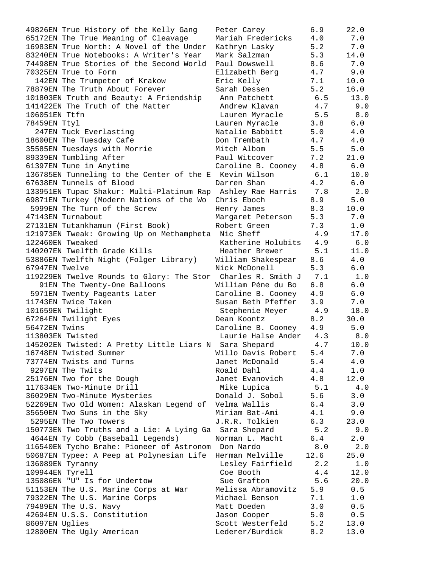49826EN True History of the Kelly Gang Peter Carey 6.9 22.0 65172EN The True Meaning of Cleavage Mariah Fredericks 4.0 7.0 16983EN True North: A Novel of the Under Kathryn Lasky 5.2 7.0 83240EN True Notebooks: A Writer's Year Mark Salzman 5.3 14.0 74498EN True Stories of the Second World Paul Dowswell 8.6 7.0 70325EN True to Form Elizabeth Berg 4.7 9.0 142EN The Trumpeter of Krakow Eric Kelly 7.1 10.0 78879EN The Truth About Forever Sarah Dessen 5.2 16.0 101803EN Truth and Beauty: A Friendship Ann Patchett 6.5 13.0 141422EN The Truth of the Matter Andrew Klavan 4.7 9.0 106051EN Ttfn Lauren Myracle 5.5 8.0 78459EN Ttyl Lauren Myracle 3.8 6.0 247EN Tuck Everlasting Natalie Babbitt 5.0 4.0 18600EN The Tuesday Cafe Don Trembath 4.7 4.0 35585EN Tuesdays with Morrie Mitch Albom 5.5 5.0 89339EN Tumbling After Paul Witcover 7.2 21.0 61397EN Tune in Anytime Caroline B. Cooney 4.8 6.0 136785EN Tunneling to the Center of the E Kevin Wilson 6.1 10.0 67638EN Tunnels of Blood Darren Shan 4.2 6.0 133951EN Tupac Shakur: Multi-Platinum Rap Ashley Rae Harris 7.8 2.0 69871EN Turkey (Modern Nations of the Wo Chris Eboch 8.9 5.0 5999EN The Turn of the Screw Henry James 8.3 10.0 47143EN Turnabout Margaret Peterson 5.3 7.0 27131EN Tutankhamun (First Book) Robert Green 7.3 1.0 121973EN Tweak: Growing Up on Methampheta Nic Sheff 4.9 17.0 122460EN Tweaked Katherine Holubits 4.9 6.0 140207EN Twelfth Grade Kills Heather Brewer 5.1 11.0 53886EN Twelfth Night (Folger Library) William Shakespear 8.6 4.0 67947EN Twelve Nick McDonell 5.3 6.0 119229EN Twelve Rounds to Glory: The Stor Charles R. Smith J 7.1 1.0 91EN The Twenty-One Balloons William Péne du Bo 6.8 6.0 5971EN Twenty Pageants Later Caroline B. Cooney 4.9 6.0 11743EN Twice Taken Susan Beth Pfeffer 3.9 7.0 101659EN Twilight Stephenie Meyer 4.9 18.0 67264EN Twilight Eyes Dean Koontz 8.2 30.0 56472EN Twins Caroline B. Cooney 4.9 5.0 113803EN Twisted Laurie Halse Ander 4.3 8.0 145202EN Twisted: A Pretty Little Liars N Sara Shepard 4.7 10.0 16748EN Twisted Summer Willo Davis Robert 5.4 7.0 73774EN Twists and Turns Janet McDonald 5.4 4.0 9297EN The Twits **Example 2018** Roald Dahl 4.4 1.0 25176EN Two for the Dough Janet Evanovich 4.8 12.0 117634EN Two-Minute Drill Mike Lupica 5.1 4.0 36029EN Two-Minute Mysteries Donald J. Sobol 5.6 3.0 52269EN Two Old Women: Alaskan Legend of Velma Wallis 6.4 3.0 35650EN Two Suns in the Sky Miriam Bat-Ami 4.1 9.0 5295EN The Two Towers J.R.R. Tolkien 6.3 23.0 150773EN Two Truths and a Lie: A Lying Ga Sara Shepard 5.2 9.0 4644EN Ty Cobb (Baseball Legends) Norman L. Macht 6.4 2.0 116540EN Tycho Brahe: Pioneer of Astronom Don Nardo 8.0 2.0 50687EN Typee: A Peep at Polynesian Life Herman Melville 12.6 25.0 136089EN Tyranny Lesley Fairfield 2.2 1.0 109944EN Tyrell Coe Booth 4.4 12.0 135086EN "U" Is for Undertow Sue Grafton 5.6 20.0 51153EN The U.S. Marine Corps at War Melissa Abramovitz 5.9 0.5 79322EN The U.S. Marine Corps Michael Benson 7.1 1.0 79489EN The U.S. Navy Matt Doeden 3.0 0.5 42694EN U.S.S. Constitution Jason Cooper 5.0 0.5 86097EN Uglies Scott Westerfeld 5.2 13.0 12800EN The Ugly American Lederer/Burdick 8.2 13.0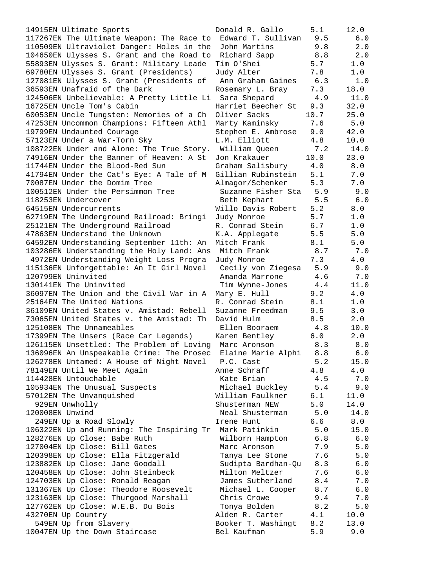117267EN The Ultimate Weapon: The Race to Edward T. Sullivan 9.5 6.0 110509EN Ultraviolet Danger: Holes in the John Martins 9.8 2.0 104650EN Ulysses S. Grant and the Road to Richard Sapp 8.8 2.0 55893EN Ulysses S. Grant: Military Leade Tim O'Shei 5.7 1.0 69780EN Ulysses S. Grant (Presidents) Judy Alter 7.8 1.0 127081EN Ulysses S. Grant (Presidents of Ann Graham Gaines 6.3 1.0 36593EN Unafraid of the Dark Rosemary L. Bray 7.3 18.0 124506EN Unbelievable: A Pretty Little Li Sara Shepard 4.9 11.0 16725EN Uncle Tom's Cabin Harriet Beecher St 9.3 32.0 60053EN Uncle Tungsten: Memories of a Ch Oliver Sacks 10.7 25.0 47253EN Uncommon Champions: Fifteen Athl Marty Kaminsky 7.6 5.0 19799EN Undaunted Courage Stephen E. Ambrose 9.0 42.0 57123EN Under a War-Torn Sky L.M. Elliott 4.8 10.0 108722EN Under and Alone: The True Story. William Queen 7.2 14.0 74916EN Under the Banner of Heaven: A St Jon Krakauer 10.0 23.0 11744EN Under the Blood-Red Sun Graham Salisbury 4.0 8.0 41794EN Under the Cat's Eye: A Tale of M Gillian Rubinstein 5.1 7.0 70087EN Under the Domim Tree Almagor/Schenker 5.3 7.0 100512EN Under the Persimmon Tree Suzanne Fisher Sta 5.9 9.0 118253EN Undercover Beth Kephart 5.5 6.0 64515EN Undercurrents Willo Davis Robert 5.2 8.0 62719EN The Underground Railroad: Bringi Judy Monroe 5.7 1.0 25121EN The Underground Railroad R. Conrad Stein 6.7 1.0 47863EN Understand the Unknown The K.A. Applegate 5.5 5.0 64592EN Understanding September 11th: An Mitch Frank 8.1 5.0 103286EN Understanding the Holy Land: Ans Mitch Frank 8.7 7.0 4972EN Understanding Weight Loss Progra Judy Monroe 7.3 4.0 115136EN Unforgettable: An It Girl Novel Cecily von Ziegesa 5.9 9.0 120799EN Uninvited Amanda Marrone 4.6 7.0 130141EN The Uninvited Tim Wynne-Jones 4.4 11.0 36097EN The Union and the Civil War in A Mary E. Hull 9.2 4.0 25164EN The United Nations The R. Conrad Stein 8.1 1.0 36109EN United States v. Amistad: Rebell Suzanne Freedman 9.5 3.0 73065EN United States v. the Amistad: Th David Hulm 8.5 2.0 125108EN The Unnameables Ellen Booraem 4.8 10.0 17399EN The Unsers (Race Car Legends) Karen Bentley 6.0 2.0 126115EN Unsettled: The Problem of Loving Marc Aronson 8.3 8.0 136096EN An Unspeakable Crime: The Prosec Elaine Marie Alphi 8.8 6.0 126278EN Untamed: A House of Night Novel P.C. Cast 5.2 15.0 78149EN Until We Meet Again Anne Schraff 4.8 4.0 114428EN Untouchable Kate Brian 4.5 7.0 105934EN The Unusual Suspects Michael Buckley 5.4 9.0 57012EN The Unvanquished William Faulkner 6.1 11.0 929EN Unwholly Shusterman NEW 5.0 14.0 120008EN Unwind Neal Shusterman 5.0 14.0 249EN Up a Road Slowly Irene Hunt 6.6 8.0 106322EN Up and Running: The Inspiring Tr Mark Patinkin 5.0 15.0 128276EN Up Close: Babe Ruth Wilborn Hampton 6.8 6.0 127004EN Up Close: Bill Gates Marc Aronson 7.9 5.0 120398EN Up Close: Ella Fitzgerald Tanya Lee Stone 7.6 5.0 123882EN Up Close: Jane Goodall Sudipta Bardhan-Qu 8.3 6.0 120458EN Up Close: John Steinbeck Milton Meltzer 7.6 6.0 124703EN Up Close: Ronald Reagan James Sutherland 8.4 7.0 131367EN Up Close: Theodore Roosevelt Michael L. Cooper 8.7 6.0 123163EN Up Close: Thurgood Marshall Chris Crowe 9.4 7.0 127762EN Up Close: W.E.B. Du Bois Tonya Bolden 8.2 5.0 43270EN Up Country Alden R. Carter 4.1 10.0 549EN Up from Slavery Booker T. Washingt 8.2 13.0 10047EN Up the Down Staircase Bel Kaufman 5.9 9.0

14915EN Ultimate Sports Donald R. Gallo 5.1 12.0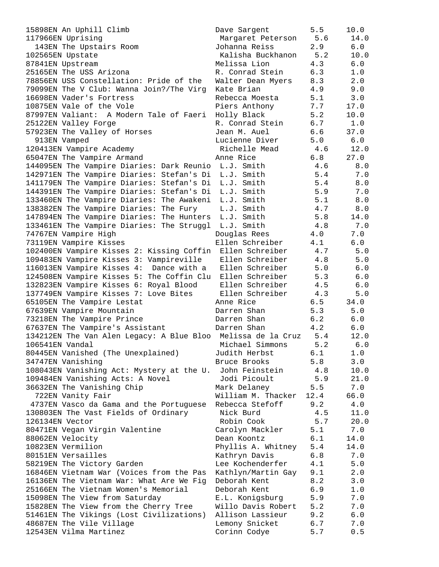| 15898EN An Uphill Climb                                       | Dave Sargent          | 5.5  | 10.0  |
|---------------------------------------------------------------|-----------------------|------|-------|
| 117966EN Uprising                                             | Margaret Peterson 5.6 |      | 14.0  |
| 143EN The Upstairs Room                                       | Johanna Reiss         | 2.9  | 6.0   |
| 102565EN Upstate                                              | Kalisha Buckhanon     | 5.2  | 10.0  |
| 87841EN Upstream                                              | Melissa Lion          | 4.3  | $6.0$ |
| 25165EN The USS Arizona                                       | R. Conrad Stein       | 6.3  | 1.0   |
| 78856EN USS Constellation: Pride of the                       | Walter Dean Myers     | 8.3  | 2.0   |
| 79099EN The V Club: Wanna Join?/The Virg                      | Kate Brian            | 4.9  | 9.0   |
| 16698EN Vader's Fortress                                      | Rebecca Moesta        | 5.1  | 3.0   |
| 10875EN Vale of the Vole                                      | Piers Anthony         | 7.7  | 17.0  |
| 87997EN Valiant: A Modern Tale of Faeri                       | Holly Black           | 5.2  | 10.0  |
| 25122EN Valley Forge                                          | R. Conrad Stein       | 6.7  | 1.0   |
| 57923EN The Valley of Horses                                  | Jean M. Auel          | 6.6  | 37.0  |
| 913EN Vamped                                                  | Lucienne Diver        | 5.0  | 6.0   |
| 120413EN Vampire Academy                                      | Richelle Mead         | 4.6  | 12.0  |
| 65047EN The Vampire Armand                                    | Anne Rice             | 6.8  | 27.0  |
| 144095EN The Vampire Diaries: Dark Reunio L.J. Smith          |                       | 4.6  | 8.0   |
| 142971EN The Vampire Diaries: Stefan's Di L.J. Smith          |                       | 5.4  | 7.0   |
| 141179EN The Vampire Diaries: Stefan's Di L.J. Smith          |                       | 5.4  | 8.0   |
| 144391EN The Vampire Diaries: Stefan's Di L.J. Smith          |                       | 5.9  | 7.0   |
| 133460EN The Vampire Diaries: The Awakeni                     | L.J. Smith            | 5.1  | 8.0   |
| 138382EN The Vampire Diaries: The Fury                        | L.J. Smith            | 4.7  | 8.0   |
| 147894EN The Vampire Diaries: The Hunters L.J. Smith          |                       | 5.8  | 14.0  |
| 133461EN The Vampire Diaries: The Struggl L.J. Smith          |                       | 4.8  | 7.0   |
| 74767EN Vampire High                                          | Douglas Rees          | 4.0  | 7.0   |
| 73119EN Vampire Kisses                                        | Ellen Schreiber       | 4.1  | 6.0   |
| 102400EN Vampire Kisses 2: Kissing Coffin                     | Ellen Schreiber       | 4.7  | 5.0   |
| 109483EN Vampire Kisses 3: Vampireville                       | Ellen Schreiber       | 4.8  | 5.0   |
| 116013EN Vampire Kisses 4: Dance with a                       | Ellen Schreiber       | 5.0  | $6.0$ |
| 124508EN Vampire Kisses 5: The Coffin Clu                     | Ellen Schreiber       | 5.3  | $6.0$ |
| 132823EN Vampire Kisses 6: Royal Blood                        | Ellen Schreiber       | 4.5  | $6.0$ |
| 137749EN Vampire Kisses 7: Love Bites                         | Ellen Schreiber       | 4.3  | $5.0$ |
| 65105EN The Vampire Lestat                                    | Anne Rice             | 6.5  | 34.0  |
| 67639EN Vampire Mountain                                      | Darren Shan           | 5.3  | 5.0   |
|                                                               | Darren Shan           | 6.2  | 6.0   |
| 73218EN The Vampire Prince<br>67637EN The Vampire's Assistant | Darren Shan           | 4.2  | $6.0$ |
|                                                               |                       | 5.4  | 12.0  |
| 134212EN The Van Alen Legacy: A Blue Bloo                     | Melissa de la Cruz    |      |       |
| 106541EN Vandal                                               | Michael Simmons       | 5.2  | 6.0   |
| 80445EN Vanished (The Unexplained)                            | Judith Herbst         | 6.1  | 1.0   |
| 34747EN Vanishing                                             | Bruce Brooks          | 5.8  | 3.0   |
| 108043EN Vanishing Act: Mystery at the U.                     | John Feinstein        | 4.8  | 10.0  |
| 109484EN Vanishing Acts: A Novel                              | Jodi Picoult          | 5.9  | 21.0  |
| 36632EN The Vanishing Chip                                    | Mark Delaney          | 5.5  | 7.0   |
| 722EN Vanity Fair                                             | William M. Thacker    | 12.4 | 66.0  |
| 4737EN Vasco da Gama and the Portuguese                       | Rebecca Stefoff       | 9.2  | 4.0   |
| 130803EN The Vast Fields of Ordinary                          | Nick Burd             | 4.5  | 11.0  |
| 126134EN Vector                                               | Robin Cook            | 5.7  | 20.0  |
| 80471EN Vegan Virgin Valentine                                | Carolyn Mackler       | 5.1  | 7.0   |
| 88062EN Velocity                                              | Dean Koontz           | 6.1  | 14.0  |
| 10823EN Vermilion                                             | Phyllis A. Whitney    | 5.4  | 14.0  |
| 80151EN Versailles                                            | Kathryn Davis         | 6.8  | 7.0   |
| 58219EN The Victory Garden                                    | Lee Kochenderfer      | 4.1  | 5.0   |
| 16846EN Vietnam War (Voices from the Pas                      | Kathlyn/Martin Gay    | 9.1  | 2.0   |
| 16136EN The Vietnam War: What Are We Fig                      | Deborah Kent          | 8.2  | 3.0   |
| 25166EN The Vietnam Women's Memorial                          | Deborah Kent          | 6.9  | $1.0$ |
| 15098EN The View from Saturday                                | E.L. Konigsburg       | 5.9  | 7.0   |
| 15828EN The View from the Cherry Tree                         | Willo Davis Robert    | 5.2  | 7.0   |
| 51461EN The Vikings (Lost Civilizations)                      | Allison Lassieur      | 9.2  | $6.0$ |
| 48687EN The Vile Village                                      | Lemony Snicket        | 6.7  | 7.0   |
| 12543EN Vilma Martinez                                        | Corinn Codye          | 5.7  | 0.5   |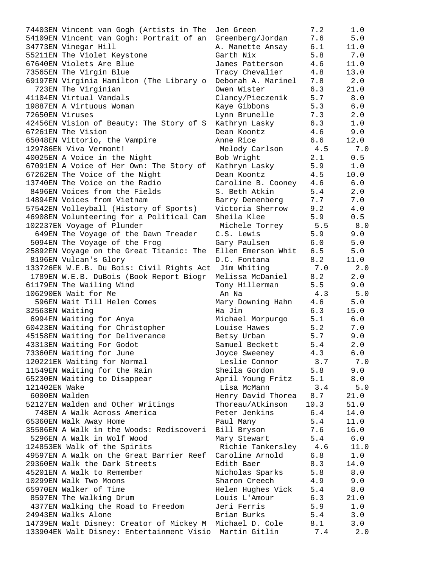|                 | 74403EN Vincent van Gogh (Artists in The                                 | Jen Green                      | 7.2        | 1.0          |
|-----------------|--------------------------------------------------------------------------|--------------------------------|------------|--------------|
|                 | 54109EN Vincent van Gogh: Portrait of an                                 | Greenberg/Jordan               | 7.6        | 5.0          |
|                 | 34773EN Vinegar Hill                                                     | A. Manette Ansay               | 6.1        | 11.0         |
|                 | 55211EN The Violet Keystone                                              | Garth Nix                      | 5.8        | 7.0          |
|                 | 67640EN Violets Are Blue                                                 | James Patterson                | 4.6        | 11.0         |
|                 | 73565EN The Virgin Blue                                                  | Tracy Chevalier                | 4.8        | 13.0         |
|                 | 69197EN Virginia Hamilton (The Library o                                 | Deborah A. Marinel             | 7.8        | 2.0          |
|                 | 723EN The Virginian                                                      | Owen Wister                    | 6.3        | 21.0         |
|                 | 41104EN Virtual Vandals                                                  | Clancy/Pieczenik               | 5.7        | 8.0          |
|                 | 19887EN A Virtuous Woman                                                 | Kaye Gibbons                   | 5.3        | 6.0          |
| 72650EN Viruses |                                                                          | Lynn Brunelle                  | 7.3        | 2.0          |
|                 | 42456EN Vision of Beauty: The Story of S                                 | Kathryn Lasky                  | 6.3        | 1.0          |
|                 | 67261EN The Vision                                                       | Dean Koontz                    | 4.6        | 9.0          |
|                 | 65048EN Vittorio, the Vampire                                            | Anne Rice                      | 6.6        | 12.0         |
|                 | 129786EN Viva Vermont!                                                   | Melody Carlson                 | 4.5        | 7.0          |
|                 | 40025EN A Voice in the Night                                             | Bob Wright                     | 2.1        | 0.5          |
|                 | 67091EN A Voice of Her Own: The Story of                                 | Kathryn Lasky                  | 5.9        | 1.0          |
|                 | 67262EN The Voice of the Night                                           | Dean Koontz                    | 4.5        | 10.0         |
|                 | 13740EN The Voice on the Radio                                           | Caroline B. Cooney             | 4.6        | 6.0          |
|                 | 8496EN Voices from the Fields                                            | S. Beth Atkin                  | 5.4        | 2.0          |
|                 | 14894EN Voices from Vietnam                                              | Barry Denenberg                | 7.7        | 7.0          |
|                 | 57542EN Volleyball (History of Sports)                                   | Victoria Sherrow               | 9.2        | 4.0          |
|                 | 46908EN Volunteering for a Political Cam                                 | Sheila Klee                    | 5.9        | 0.5          |
|                 | 102237EN Voyage of Plunder                                               | Michele Torrey                 | 5.5        | 8.0          |
|                 | 649EN The Voyage of the Dawn Treader                                     | C.S. Lewis                     | 5.9        | 9.0          |
|                 | 5094EN The Voyage of the Frog                                            | Gary Paulsen                   | 6.0        | 5.0          |
|                 | 25892EN Voyage on the Great Titanic: The                                 | Ellen Emerson Whit             | 6.5        | 5.0          |
|                 | 8196EN Vulcan's Glory                                                    | D.C. Fontana                   | 8.2        | 11.0         |
|                 | 133726EN W.E.B. Du Bois: Civil Rights Act                                | Jim Whiting                    | 7.0        | 2.0          |
|                 | 1789EN W.E.B. DuBois (Book Report Biogr                                  | Melissa McDaniel               | 8.2        | 2.0          |
|                 | 61179EN The Wailing Wind                                                 | Tony Hillerman                 | 5.5        | 9.0          |
|                 | 106290EN Wait for Me                                                     | An Na                          | 4.3        | 5.0          |
|                 | 596EN Wait Till Helen Comes                                              | Mary Downing Hahn              | 4.6        | 5.0          |
|                 | 32563EN Waiting                                                          | Ha Jin                         | 6.3        | 15.0         |
|                 | 6994EN Waiting for Anya                                                  | Michael Morpurgo               | 5.1        | 6.0          |
|                 | 60423EN Waiting for Christopher                                          | Louise Hawes                   | 5.2        | 7.0          |
|                 | 45158EN Waiting for Deliverance                                          | Betsy Urban                    | 5.7        | 9.0          |
|                 | 43313EN Waiting For Godot                                                | Samuel Beckett                 | 5.4        | 2.0          |
|                 | 73360EN Waiting for June                                                 |                                | 4.3        | 6.0          |
|                 | 120221EN Waiting for Normal                                              | Joyce Sweeney<br>Leslie Connor | 3.7        | 7.0          |
|                 | 11549EN Waiting for the Rain                                             | Sheila Gordon                  | 5.8        | 9.0          |
|                 | 65230EN Waiting to Disappear                                             | April Young Fritz              | 5.1        | $8.0$        |
| 121402EN Wake   |                                                                          | Lisa McMann                    | 3.4        | 5.0          |
| 6000EN Walden   |                                                                          | Henry David Thorea             | 8.7        | 21.0         |
|                 | 52127EN Walden and Other Writings                                        | Thoreau/Atkinson               | 10.3       | 51.0         |
|                 | 748EN A Walk Across America                                              | Peter Jenkins                  | 6.4        | 14.0         |
|                 | 65360EN Walk Away Home                                                   |                                | 5.4        | 11.0         |
|                 | 35586EN A Walk in the Woods: Rediscoveri                                 | Paul Many<br>Bill Bryson       | 7.6        | 16.0         |
|                 | 5296EN A Walk in Wolf Wood                                               |                                | 5.4        | $6.0$        |
|                 |                                                                          | Mary Stewart                   | 4.6        | 11.0         |
|                 | 124853EN Walk of the Spirits<br>49597EN A Walk on the Great Barrier Reef | Richie Tankersley              | 6.8        | $1.0$        |
|                 |                                                                          | Caroline Arnold                |            |              |
|                 | 29360EN Walk the Dark Streets<br>45201EN A Walk to Remember              | Edith Baer                     | 8.3<br>5.8 | 14.0<br>8.0  |
|                 | 10299EN Walk Two Moons                                                   | Nicholas Sparks                |            |              |
|                 | 65970EN Walker of Time                                                   | Sharon Creech                  | 4.9        | 9.0<br>$8.0$ |
|                 |                                                                          | Helen Hughes Vick              | 5.4        |              |
|                 | 8597EN The Walking Drum                                                  | Louis L'Amour<br>Jeri Ferris   | 6.3        | 21.0         |
|                 | 4377EN Walking the Road to Freedom<br>24943EN Walks Alone                | Brian Burks                    | 5.9        | 1.0<br>3.0   |
|                 |                                                                          |                                | 5.4<br>8.1 |              |
|                 | 14739EN Walt Disney: Creator of Mickey M Michael D. Cole                 |                                |            | 3.0          |
|                 | 133904EN Walt Disney: Entertainment Visio Martin Gitlin                  |                                | 7.4        | 2.0          |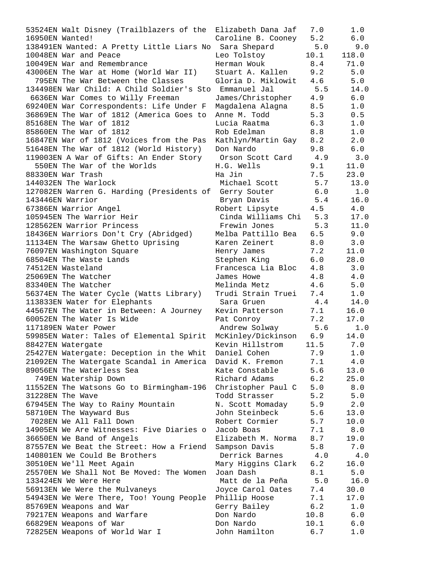| 53524EN Walt Disney (Trailblazers of the               | Elizabeth Dana Jaf     | 7.0  | 1.0   |
|--------------------------------------------------------|------------------------|------|-------|
| 16950EN Wanted!                                        | Caroline B. Cooney     | 5.2  | 6.0   |
| 138491EN Wanted: A Pretty Little Liars No Sara Shepard |                        | 5.0  | 9.0   |
| 10048EN War and Peace                                  | Leo Tolstoy            | 10.1 | 118.0 |
| 10049EN War and Remembrance                            | Herman Wouk            | 8.4  | 71.0  |
| 43006EN The War at Home (World War II)                 | Stuart A. Kallen       | 9.2  | $5.0$ |
| 795EN The War Between the Classes                      | Gloria D. Miklowit     | 4.6  | 5.0   |
| 134498EN War Child: A Child Soldier's Sto Emmanuel Jal |                        | 5.5  | 14.0  |
| 6636EN War Comes to Willy Freeman                      | James/Christopher      | 4.9  | $6.0$ |
| 69240EN War Correspondents: Life Under F               | Magdalena Alagna       | 8.5  | 1.0   |
| 36869EN The War of 1812 (America Goes to               | Anne M. Todd           | 5.3  | 0.5   |
| 85168EN The War of 1812                                | Lucia Raatma           | 6.3  | 1.0   |
| 85860EN The War of 1812                                | Rob Edelman            | 8.8  | 1.0   |
| 16847EN War of 1812 (Voices from the Pas               | Kathlyn/Martin Gay     | 8.2  | 2.0   |
| 51648EN The War of 1812 (World History)                | Don Nardo              | 9.8  | 6.0   |
| 119003EN A War of Gifts: An Ender Story                | Orson Scott Card       | 4.9  | 3.0   |
| 550EN The War of the Worlds                            | H.G. Wells             | 9.1  | 11.0  |
| 88330EN War Trash                                      | Ha Jin                 | 7.5  | 23.0  |
| 144032EN The Warlock                                   | Michael Scott          | 5.7  | 13.0  |
| 127082EN Warren G. Harding (Presidents of              | Gerry Souter           | 6.0  | 1.0   |
| 143446EN Warrior                                       | Bryan Davis            | 5.4  | 16.0  |
| 67386EN Warrior Angel                                  | Robert Lipsyte         | 4.5  | 4.0   |
| 105945EN The Warrior Heir                              | Cinda Williams Chi 5.3 |      | 17.0  |
| 128562EN Warrior Princess                              | Frewin Jones           | 5.3  | 11.0  |
| 18436EN Warriors Don't Cry (Abridged)                  | Melba Pattillo Bea     | 6.5  | 9.0   |
|                                                        |                        |      |       |
| 11134EN The Warsaw Ghetto Uprising                     | Karen Zeinert          | 8.0  | 3.0   |
| 76097EN Washington Square                              | Henry James            | 7.2  | 11.0  |
| 68504EN The Waste Lands                                | Stephen King           | 6.0  | 28.0  |
| 74512EN Wasteland                                      | Francesca Lia Bloc     | 4.8  | 3.0   |
| 25069EN The Watcher                                    | James Howe             | 4.8  | 4.0   |
| 83340EN The Watcher                                    | Melinda Metz           | 4.6  | 5.0   |
| 56374EN The Water Cycle (Watts Library)                | Trudi Strain Truei     | 7.4  | 1.0   |
| 113833EN Water for Elephants                           | Sara Gruen             | 4.4  | 14.0  |
| 44567EN The Water in Between: A Journey                | Kevin Patterson        | 7.1  | 16.0  |
| 60052EN The Water Is Wide                              | Pat Conroy             | 7.2  | 17.0  |
| 117189EN Water Power                                   | Andrew Solway          | 5.6  | 1.0   |
| 59985EN Water: Tales of Elemental Spirit               | McKinley/Dickinson     | 6.9  | 14.0  |
| 88427EN Watergate                                      | Kevin Hillstrom        | 11.5 | 7.0   |
| 25427EN Watergate: Deception in the Whit               | Daniel Cohen           | 7.9  | 1.0   |
| 21092EN The Watergate Scandal in America               | David K. Fremon        | 7.1  | 4.0   |
| 89056EN The Waterless Sea                              | Kate Constable         | 5.6  | 13.0  |
| 749EN Watership Down                                   | Richard Adams          | 6.2  | 25.0  |
| 11552EN The Watsons Go to Birmingham-196               | Christopher Paul C     | 5.0  | 8.0   |
| 31228EN The Wave                                       | Todd Strasser          | 5.2  | 5.0   |
| 67945EN The Way to Rainy Mountain                      | N. Scott Momaday       | 5.9  | 2.0   |
| 58710EN The Wayward Bus                                | John Steinbeck         | 5.6  | 13.0  |
| 7028EN We All Fall Down                                | Robert Cormier         | 5.7  | 10.0  |
| 14905EN We Are Witnesses: Five Diaries o               | Jacob Boas             | 7.1  | $8.0$ |
| 36650EN We Band of Angels                              | Elizabeth M. Norma     | 8.7  | 19.0  |
| 87557EN We Beat the Street: How a Friend               | Sampson Davis          | 5.8  | 7.0   |
| 140801EN We Could Be Brothers                          | Derrick Barnes         | 4.0  | 4.0   |
| 30510EN We'll Meet Again                               | Mary Higgins Clark     | 6.2  | 16.0  |
| 25570EN We Shall Not Be Moved: The Women               | Joan Dash              | 8.1  | 5.0   |
| 133424EN We Were Here                                  | Matt de la Peña        | 5.0  | 16.0  |
| 56913EN We Were the Mulvaneys                          | Joyce Carol Oates      | 7.4  | 30.0  |
| 54943EN We Were There, Too! Young People               | Phillip Hoose          | 7.1  | 17.0  |
| 85769EN Weapons and War                                | Gerry Bailey           | 6.2  | 1.0   |
| 79217EN Weapons and Warfare                            | Don Nardo              | 10.8 | $6.0$ |
| 66829EN Weapons of War                                 | Don Nardo              | 10.1 | 6.0   |
| 72825EN Weapons of World War I                         | John Hamilton          | 6.7  | 1.0   |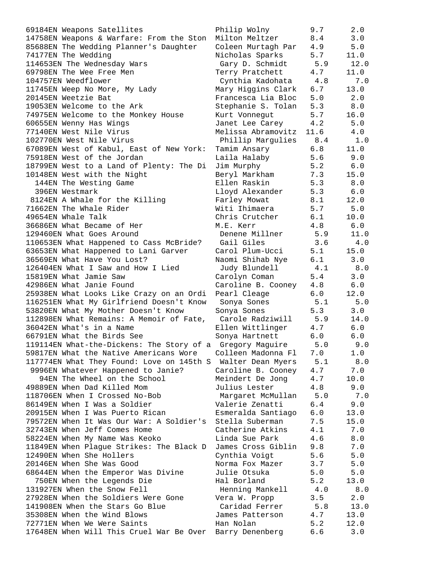69184EN Weapons Satellites Philip Wolny 9.7 2.0 14758EN Weapons & Warfare: From the Ston Milton Meltzer 8.4 3.0 85688EN The Wedding Planner's Daughter Coleen Murtagh Par 4.9 5.0 74177EN The Wedding Nicholas Sparks 5.7 11.0 114653EN The Wednesday Wars Gary D. Schmidt 5.9 12.0 69798EN The Wee Free Men Terry Pratchett 4.7 11.0 104757EN Weedflower Cynthia Kadohata 4.8 7.0 11745EN Weep No More, My Lady Mary Higgins Clark 6.7 13.0 20145EN Weetzie Bat Francesca Lia Bloc 5.0 2.0 19053EN Welcome to the Ark Stephanie S. Tolan 5.3 8.0 74975EN Welcome to the Monkey House Kurt Vonnegut 5.7 16.0 60655EN Wenny Has Wings Janet Lee Carey 4.2 5.0 77140EN West Nile Virus Melissa Abramovitz 11.6 4.0 102770EN West Nile Virus Phillip Margulies 8.4 1.0 67089EN West of Kabul, East of New York: Tamim Ansary 6.8 11.0 75918EN West of the Jordan Laila Halaby 5.6 9.0 18799EN West to a Land of Plenty: The Di Jim Murphy 5.2 6.0 10148EN West with the Night Beryl Markham 7.3 15.0 144EN The Westing Game Ellen Raskin 5.3 8.0 396EN Westmark Lloyd Alexander 5.3 6.0 8124EN A Whale for the Killing Farley Mowat 8.1 12.0 71662EN The Whale Rider Witi Ihimaera 5.7 5.0 49654EN Whale Talk Chris Crutcher 6.1 10.0 36686EN What Became of Her M.E. Kerr 4.8 6.0 129460EN What Goes Around Denene Millner 5.9 11.0 110653EN What Happened to Cass McBride? Gail Giles 3.6 4.0 63653EN What Happened to Lani Garver Carol Plum-Ucci 5.1 15.0 36569EN What Have You Lost? Naomi Shihab Nye 6.1 3.0 126404EN What I Saw and How I Lied Judy Blundell 4.1 8.0 15819EN What Jamie Saw Carolyn Coman 5.4 3.0 42986EN What Janie Found Caroline B. Cooney 4.8 6.0 25938EN What Looks Like Crazy on an Ordi Pearl Cleage 6.0 12.0 116251EN What My Girlfriend Doesn't Know Sonya Sones 5.1 5.0 53820EN What My Mother Doesn't Know Sonya Sones 5.3 3.0 112898EN What Remains: A Memoir of Fate, Carole Radziwill 5.9 14.0 36042EN What's in a Name Ellen Wittlinger 4.7 6.0 66791EN What the Birds See Sonya Hartnett 6.0 6.0 119114EN What-the-Dickens: The Story of a Gregory Maguire 5.0 9.0 59817EN What the Native Americans Wore Colleen Madonna Fl 7.0 1.0 117774EN What They Found: Love on 145th S Walter Dean Myers 5.1 8.0 9996EN Whatever Happened to Janie? Caroline B. Cooney 4.7 7.0 94EN The Wheel on the School Meindert De Jong 4.7 10.0 49889EN When Dad Killed Mom Julius Lester 4.8 9.0 118706EN When I Crossed No-Bob Margaret McMullan 5.0 7.0 86149EN When I Was a Soldier Valerie Zenatti 6.4 9.0 20915EN When I Was Puerto Rican Esmeralda Santiago 6.0 13.0 79572EN When It Was Our War: A Soldier's Stella Suberman 7.5 15.0 32743EN When Jeff Comes Home Catherine Atkins 4.1 7.0 58224EN When My Name Was Keoko Linda Sue Park 4.6 8.0 11849EN When Plague Strikes: The Black D James Cross Giblin 9.8 7.0 12490EN When She Hollers Cynthia Voigt 5.6 5.0 20146EN When She Was Good Norma Fox Mazer 3.7 5.0 68644EN When the Emperor Was Divine Julie Otsuka 5.0 5.0 750EN When the Legends Die Hal Borland 5.2 13.0 131927EN When the Snow Fell Henning Mankell 4.0 8.0 27928EN When the Soldiers Were Gone Vera W. Propp 3.5 2.0 141908EN When the Stars Go Blue Caridad Ferrer 5.8 13.0 35308EN When the Wind Blows James Patterson 4.7 13.0 72771EN When We Were Saints Han Nolan 5.2 12.0 17648EN When Will This Cruel War Be Over Barry Denenberg 6.6 3.0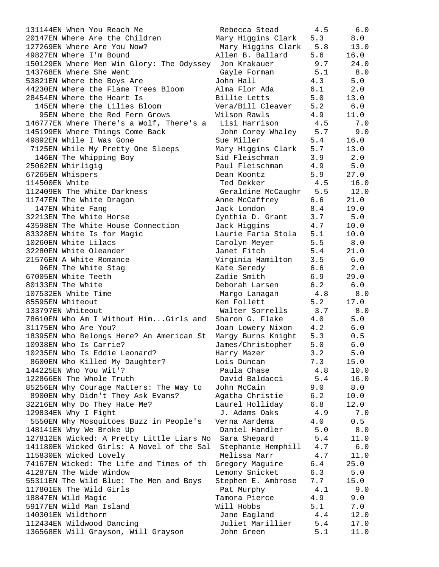| 131144EN When You Reach Me                                       | Rebecca Stead                  | 4.5        | 6.0          |
|------------------------------------------------------------------|--------------------------------|------------|--------------|
| 20147EN Where Are the Children                                   | Mary Higgins Clark             | 5.3        | 8.0          |
| 127269EN Where Are You Now?                                      | Mary Higgins Clark 5.8         |            | 13.0         |
| 49827EN Where I'm Bound                                          | Allen B. Ballard               | 5.6        | 16.0         |
| 150129EN Where Men Win Glory: The Odyssey Jon Krakauer           |                                | 9.7        | 24.0         |
| 143768EN Where She Went                                          | Gayle Forman                   | 5.1        | 8.0          |
| 53821EN Where the Boys Are                                       | John Hall                      | 4.3        | 5.0          |
| 44230EN Where the Flame Trees Bloom                              | Alma Flor Ada                  | 6.1        | 2.0          |
| 28454EN Where the Heart Is                                       | Billie Letts                   | 5.0        | 13.0         |
| 145EN Where the Lilies Bloom                                     | Vera/Bill Cleaver              | 5.2        | 6.0          |
| 95EN Where the Red Fern Grows                                    | Wilson Rawls                   | 4.9        | 11.0         |
| 146777EN Where There's a Wolf, There's a Lisi Harrison 4.5       |                                |            | 7.0          |
| 145199EN Where Things Come Back                                  | John Corey Whaley 5.7          |            | 9.0          |
| 49892EN While I Was Gone                                         | Sue Miller                     | 5.4        | 16.0         |
| 7125EN While My Pretty One Sleeps                                | Mary Higgins Clark 5.7         |            | 13.0         |
| 146EN The Whipping Boy                                           | Sid Fleischman                 | 3.9        | 2.0          |
| 25062EN Whirligig                                                | Paul Fleischman                | 4.9        | 5.0          |
| 67265EN Whispers                                                 | Dean Koontz                    | 5.9        | 27.0         |
| 114500EN White                                                   | Ted Dekker terminer            | 4.5        | 16.0         |
| 112409EN The White Darkness                                      | Geraldine McCaughr 5.5 12.0    |            |              |
| 11747EN The White Dragon                                         | Anne McCaffrey 6.6             |            | 21.0         |
| 147EN White Fang                                                 | Jack London                    | 8.4        | 19.0         |
| 32213EN The White Horse                                          | Cynthia D. Grant               | 3.7        | 5.0          |
| 43598EN The White House Connection                               | Jack Higgins                   | 4.7        | 10.0         |
| 83328EN White Is for Magic                                       | Laurie Faria Stola             | 5.1        | 10.0         |
| 10260EN White Lilacs                                             | Carolyn Meyer                  | 5.5        | 8.0          |
| 32280EN White Oleander                                           | Janet Fitch                    | 5.4        | 21.0         |
| 21576EN A White Romance                                          | Virginia Hamilton              | 3.5        | 6.0          |
| 96EN The White Stag                                              | Kate Seredy                    | 6.6        | 2.0          |
| 67005EN White Teeth                                              | Zadie Smith                    | 6.9        | 29.0         |
| 80133EN The White                                                | Deborah Larsen                 | 6.2        | 6.0          |
| 107532EN White Time                                              | Margo Lanagan                  | 4.8        | 8.0          |
| 85595EN Whiteout                                                 | Ken Follett                    | 5.2        | 17.0         |
| 133797EN Whiteout                                                | Walter Sorrells                | 3.7        | 8.0          |
| 78610EN Who Am I Without HimGirls and                            | Sharon G. Flake                | 4.0        | 5.0          |
| 31175EN Who Are You?                                             | Joan Lowery Nixon              | 4.2        | $6.0$        |
| 18395EN Who Belongs Here? An American St                         | Marqy Burns Knight             | 5.3        | 0.5          |
| 10938EN Who Is Carrie?                                           | James/Christopher              | 5.0        | 6.0          |
| 10235EN Who Is Eddie Leonard?                                    | Harry Mazer                    | 3.2        | 5.0          |
| 8600EN Who Killed My Daughter?                                   | Lois Duncan                    | 7.3        | 15.0         |
| 144225EN Who You Wit'?                                           | Paula Chase                    | 4.8        | 10.0         |
| 122866EN The Whole Truth                                         | David Baldacci                 | 5.4        | 16.0         |
| 85256EN Why Courage Matters: The Way to                          | John McCain                    | 9.0        | 8.0          |
| 8900EN Why Didn't They Ask Evans?                                | Agatha Christie                | 6.2        | 10.0         |
| 32216EN Why Do They Hate Me?                                     | Laurel Holliday                | 6.8        | 12.0         |
| 129834EN Why I Fight                                             | J. Adams Oaks                  | 4.9        | 7.0          |
| 5550EN Why Mosquitoes Buzz in People's                           | Verna Aardema                  | 4.0        | 0.5          |
| 148141EN Why We Broke Up                                         | Daniel Handler                 | 5.0        | $8.0$        |
| 127812EN Wicked: A Pretty Little Liars No                        | Sara Shepard                   | 5.4        | 11.0         |
| 141180EN Wicked Girls: A Novel of the Sal                        | Stephanie Hemphill             | 4.7        | $6.0$        |
| 115830EN Wicked Lovely                                           | Melissa Marr                   | 4.7        | 11.0         |
| 74167EN Wicked: The Life and Times of th                         | Gregory Maguire                | 6.4        | 25.0         |
| 41287EN The Wide Window                                          | Lemony Snicket                 | 6.3        | 5.0          |
| 55311EN The Wild Blue: The Men and Boys                          | Stephen E. Ambrose             | 7.7        | 15.0         |
| 117801EN The Wild Girls                                          | Pat Murphy                     | 4.1        | 9.0          |
| 18847EN Wild Magic                                               | Tamora Pierce                  | 4.9        | 9.0          |
| 59177EN Wild Man Island                                          | Will Hobbs                     | 5.1        | 7.0          |
| 140301EN Wildthorn                                               | Jane Eagland                   | 4.4        | 12.0         |
| 112434EN Wildwood Dancing<br>136568EN Will Grayson, Will Grayson | Juliet Marillier<br>John Green | 5.4<br>5.1 | 17.0<br>11.0 |
|                                                                  |                                |            |              |